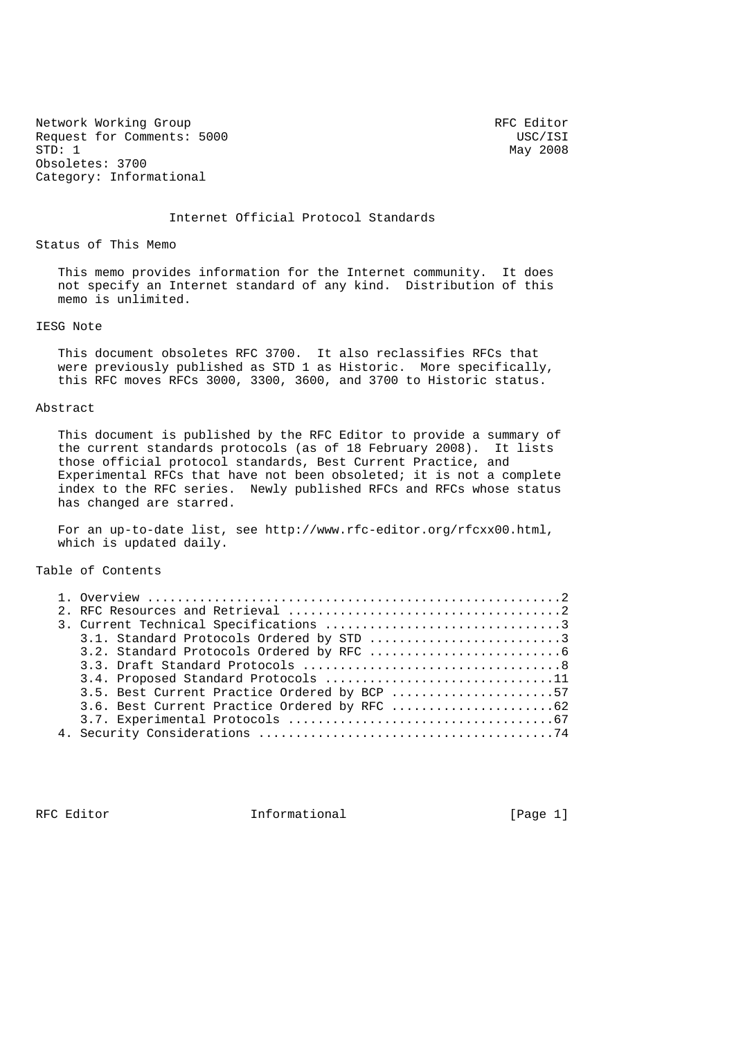Network Working Group and the set of the RFC Editor RFC Editor Request for Comments: 5000<br>
STD: 1 May 2008 Obsoletes: 3700 Category: Informational

May 2008

Internet Official Protocol Standards

Status of This Memo

 This memo provides information for the Internet community. It does not specify an Internet standard of any kind. Distribution of this memo is unlimited.

### IESG Note

 This document obsoletes RFC 3700. It also reclassifies RFCs that were previously published as STD 1 as Historic. More specifically, this RFC moves RFCs 3000, 3300, 3600, and 3700 to Historic status.

#### Abstract

 This document is published by the RFC Editor to provide a summary of the current standards protocols (as of 18 February 2008). It lists those official protocol standards, Best Current Practice, and Experimental RFCs that have not been obsoleted; it is not a complete index to the RFC series. Newly published RFCs and RFCs whose status has changed are starred.

 For an up-to-date list, see http://www.rfc-editor.org/rfcxx00.html, which is updated daily.

Table of Contents

|  | 3.1. Standard Protocols Ordered by STD 3     |
|--|----------------------------------------------|
|  |                                              |
|  |                                              |
|  | 3.4. Proposed Standard Protocols 11          |
|  | 3.5. Best Current Practice Ordered by BCP 57 |
|  |                                              |
|  |                                              |
|  |                                              |

RFC Editor **Informational Informational** [Page 1]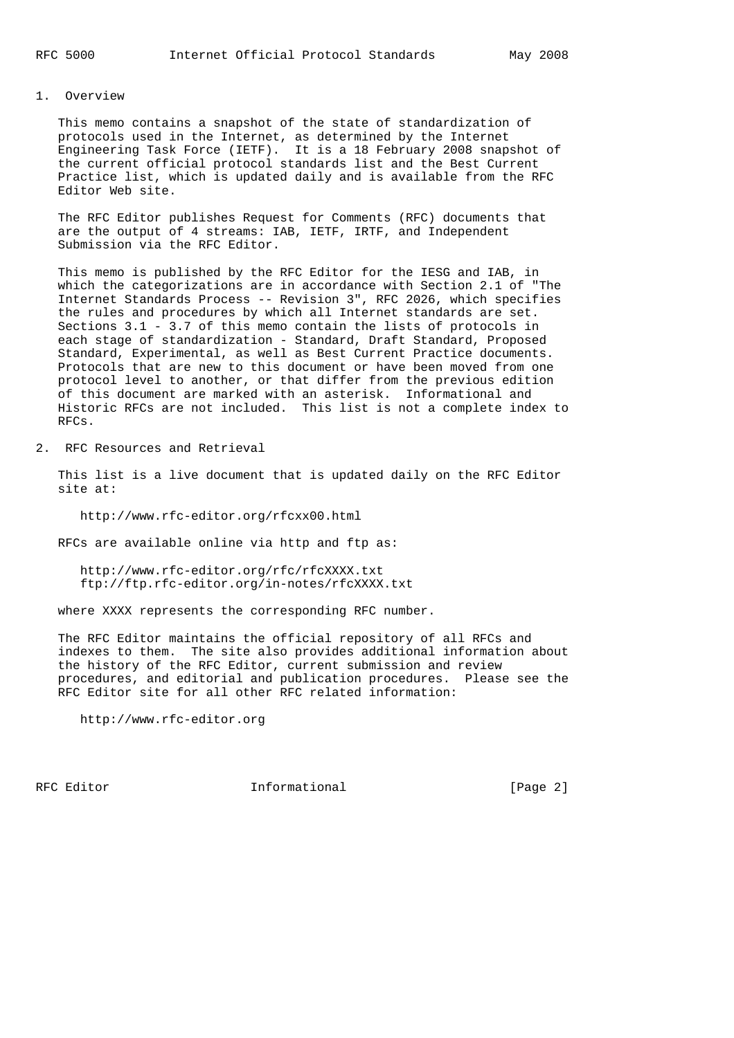### 1. Overview

 This memo contains a snapshot of the state of standardization of protocols used in the Internet, as determined by the Internet Engineering Task Force (IETF). It is a 18 February 2008 snapshot of the current official protocol standards list and the Best Current Practice list, which is updated daily and is available from the RFC Editor Web site.

 The RFC Editor publishes Request for Comments (RFC) documents that are the output of 4 streams: IAB, IETF, IRTF, and Independent Submission via the RFC Editor.

 This memo is published by the RFC Editor for the IESG and IAB, in which the categorizations are in accordance with Section 2.1 of "The Internet Standards Process -- Revision 3", RFC 2026, which specifies the rules and procedures by which all Internet standards are set. Sections 3.1 - 3.7 of this memo contain the lists of protocols in each stage of standardization - Standard, Draft Standard, Proposed Standard, Experimental, as well as Best Current Practice documents. Protocols that are new to this document or have been moved from one protocol level to another, or that differ from the previous edition of this document are marked with an asterisk. Informational and Historic RFCs are not included. This list is not a complete index to RFCs.

2. RFC Resources and Retrieval

 This list is a live document that is updated daily on the RFC Editor site at:

http://www.rfc-editor.org/rfcxx00.html

RFCs are available online via http and ftp as:

 http://www.rfc-editor.org/rfc/rfcXXXX.txt ftp://ftp.rfc-editor.org/in-notes/rfcXXXX.txt

where XXXX represents the corresponding RFC number.

 The RFC Editor maintains the official repository of all RFCs and indexes to them. The site also provides additional information about the history of the RFC Editor, current submission and review procedures, and editorial and publication procedures. Please see the RFC Editor site for all other RFC related information:

http://www.rfc-editor.org

RFC Editor **Informational** [Page 2]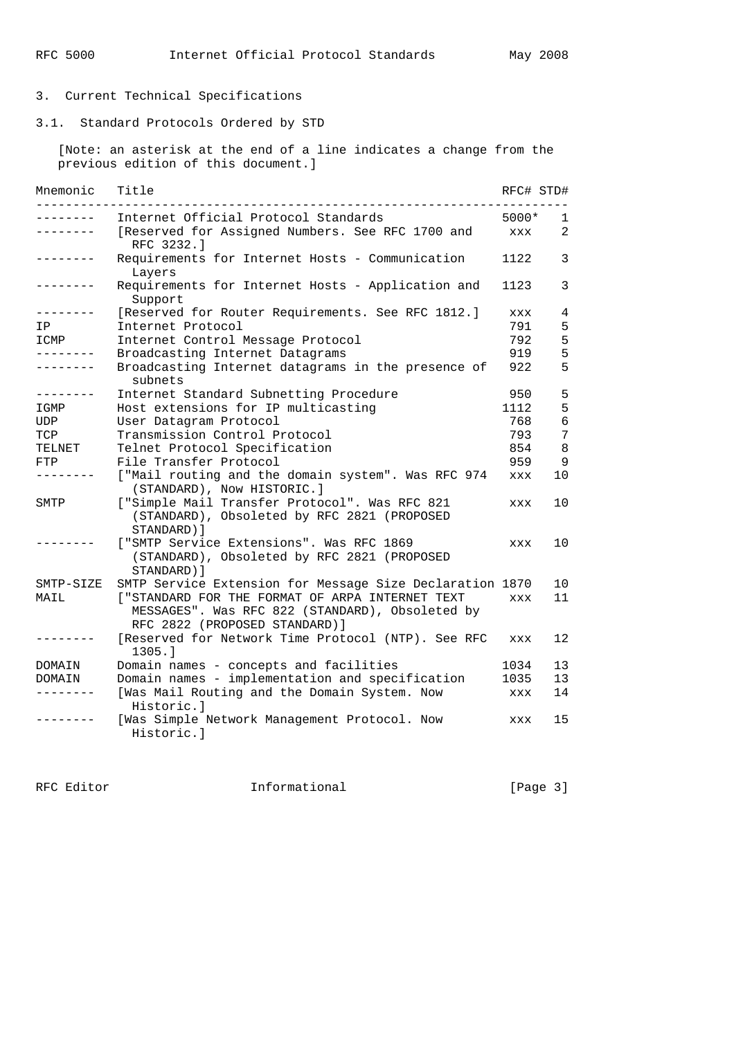# 3. Current Technical Specifications

3.1. Standard Protocols Ordered by STD

 [Note: an asterisk at the end of a line indicates a change from the previous edition of this document.]

| Mnemonic        | Title                                                                                                                                |            | RFC# STD# |
|-----------------|--------------------------------------------------------------------------------------------------------------------------------------|------------|-----------|
| -------         | Internet Official Protocol Standards                                                                                                 | 5000*      | 1         |
| -------         | [Reserved for Assigned Numbers. See RFC 1700 and<br>RFC 3232.1                                                                       | <b>XXX</b> | 2         |
| -------         | Requirements for Internet Hosts - Communication<br>Layers                                                                            | 1122       | 3         |
| . <u>.</u> .    | Requirements for Internet Hosts - Application and<br>Support                                                                         | 1123       | 3         |
| . <u>.</u> .    | [Reserved for Router Requirements. See RFC 1812.]                                                                                    | <b>XXX</b> | 4         |
| ΙP              | Internet Protocol                                                                                                                    | 791        | 5         |
| ICMP            | Internet Control Message Protocol                                                                                                    | 792        | 5         |
| .               | Broadcasting Internet Datagrams                                                                                                      | 919        | 5         |
| --------        | Broadcasting Internet datagrams in the presence of<br>subnets                                                                        | 922        | 5         |
| . _ _ _ _ _ _ _ | Internet Standard Subnetting Procedure                                                                                               | 950        | 5         |
| IGMP            | Host extensions for IP multicasting                                                                                                  | 1112       | 5         |
| UDP             | User Datagram Protocol                                                                                                               | 768        | 6         |
| TCP             | Transmission Control Protocol                                                                                                        | 793        | 7         |
| TELNET          | Telnet Protocol Specification                                                                                                        | 854        | 8         |
| FTP             | File Transfer Protocol                                                                                                               | 959        | 9         |
|                 | ["Mail routing and the domain system". Was RFC 974<br>(STANDARD), Now HISTORIC.]                                                     | XXX        | 10        |
| SMTP            | ["Simple Mail Transfer Protocol". Was RFC 821<br>(STANDARD), Obsoleted by RFC 2821 (PROPOSED<br>STANDARD) ]                          | <b>XXX</b> | 10        |
|                 | ["SMTP Service Extensions". Was RFC 1869<br>(STANDARD), Obsoleted by RFC 2821 (PROPOSED<br>STANDARD) ]                               | XXX        | 10        |
| SMTP-SIZE       | SMTP Service Extension for Message Size Declaration 1870                                                                             |            | 10        |
| MAIL            | [ "STANDARD FOR THE FORMAT OF ARPA INTERNET TEXT<br>MESSAGES". Was RFC 822 (STANDARD), Obsoleted by<br>RFC 2822 (PROPOSED STANDARD)] | <b>XXX</b> | 11        |
|                 | [Reserved for Network Time Protocol (NTP). See RFC<br>1305.1                                                                         | <b>XXX</b> | 12        |
| DOMAIN          | Domain names - concepts and facilities                                                                                               | 1034       | 13        |
| DOMAIN          | Domain names - implementation and specification                                                                                      | 1035       | 13        |
|                 | [Was Mail Routing and the Domain System. Now<br>Historic.l                                                                           | XXX        | 14        |
|                 | [Was Simple Network Management Protocol. Now<br>Historic.l                                                                           | XXX        | 15        |

RFC Editor **Informational Informational** [Page 3]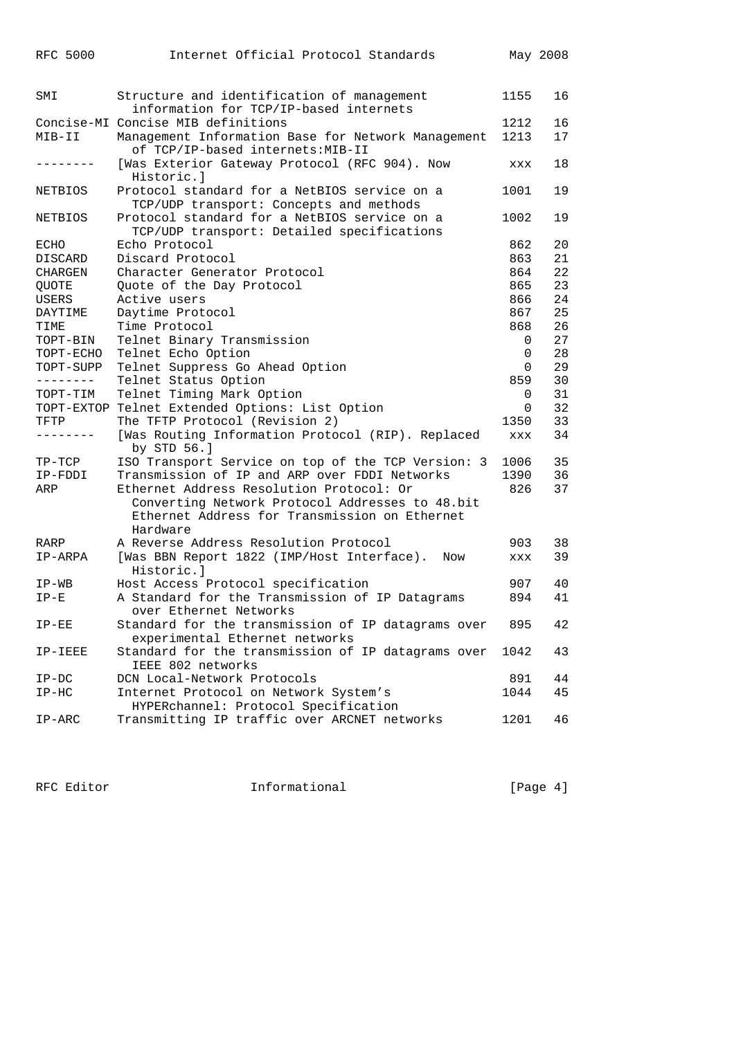| RFC 5000       | Internet Official Protocol Standards                                                    |          | May 2008 |
|----------------|-----------------------------------------------------------------------------------------|----------|----------|
|                |                                                                                         |          |          |
| SMI            | Structure and identification of management                                              | 1155     | 16       |
|                | information for TCP/IP-based internets                                                  |          |          |
|                | Concise-MI Concise MIB definitions                                                      | 1212     | 16       |
| MIB-II         | Management Information Base for Network Management<br>of TCP/IP-based internets: MIB-II | 1213     | 17       |
|                | [Was Exterior Gateway Protocol (RFC 904). Now<br>Historic.]                             | XXX      | 18       |
| <b>NETBIOS</b> | Protocol standard for a NetBIOS service on a<br>TCP/UDP transport: Concepts and methods | 1001     | 19       |
| NETBIOS        | Protocol standard for a NetBIOS service on a                                            | 1002     | 19       |
|                | TCP/UDP transport: Detailed specifications                                              |          |          |
| ECHO           | Echo Protocol                                                                           | 862      | 20       |
| DISCARD        | Discard Protocol                                                                        | 863      | 21       |
| CHARGEN        | Character Generator Protocol                                                            | 864      | 22       |
| <b>QUOTE</b>   | Quote of the Day Protocol                                                               | 865      | 23       |
| USERS          | Active users                                                                            | 866      | 24       |
| DAYTIME        | Daytime Protocol                                                                        | 867      | 25       |
| TIME           | Time Protocol                                                                           | 868      | 26       |
| TOPT-BIN       | Telnet Binary Transmission                                                              | 0        | 27       |
| TOPT-ECHO      | Telnet Echo Option                                                                      | 0        | 28       |
| TOPT-SUPP      | Telnet Suppress Go Ahead Option                                                         | 0        | 29       |
| --------       | Telnet Status Option                                                                    | 859      | 30       |
| TOPT-TIM       | Telnet Timing Mark Option                                                               | 0        | 31       |
|                | TOPT-EXTOP Telnet Extended Options: List Option                                         | $\Omega$ | 32       |
| TFTP           | The TFTP Protocol (Revision 2)                                                          | 1350     | 33       |
|                | [Was Routing Information Protocol (RIP). Replaced<br>by STD 56.]                        | XXX      | 34       |
| $TP-TCP$       | ISO Transport Service on top of the TCP Version: 3                                      | 1006     | 35       |
| IP-FDDI        | Transmission of IP and ARP over FDDI Networks                                           | 1390     | 36       |
| ARP            | Ethernet Address Resolution Protocol: Or                                                | 826      | 37       |
|                | Converting Network Protocol Addresses to 48.bit                                         |          |          |
|                | Ethernet Address for Transmission on Ethernet                                           |          |          |
|                | Hardware                                                                                |          |          |
| RARP           | A Reverse Address Resolution Protocol                                                   | 903      | 38<br>39 |
| IP-ARPA        | [Was BBN Report 1822 (IMP/Host Interface).<br>Now<br>Historic.l                         | XXX      |          |
| $IP-WB$        | Host Access Protocol specification                                                      | 907      | 40       |
| $IP-E$         | A Standard for the Transmission of IP Datagrams                                         | 894      | 41       |
|                | over Ethernet Networks                                                                  |          |          |
| $IP-EE$        | Standard for the transmission of IP datagrams over<br>experimental Ethernet networks    | 895      | 42       |
| IP-IEEE        | Standard for the transmission of IP datagrams over                                      | 1042     | 43       |
|                | IEEE 802 networks                                                                       |          |          |
| $IP-DC$        | DCN Local-Network Protocols                                                             | 891      | 44       |
| $IP-HC$        | Internet Protocol on Network System's<br>HYPERchannel: Protocol Specification           | 1044     | 45       |
| $IP-ARC$       | Transmitting IP traffic over ARCNET networks                                            | 1201     | 46       |

RFC Editor **Informational Informational** [Page 4]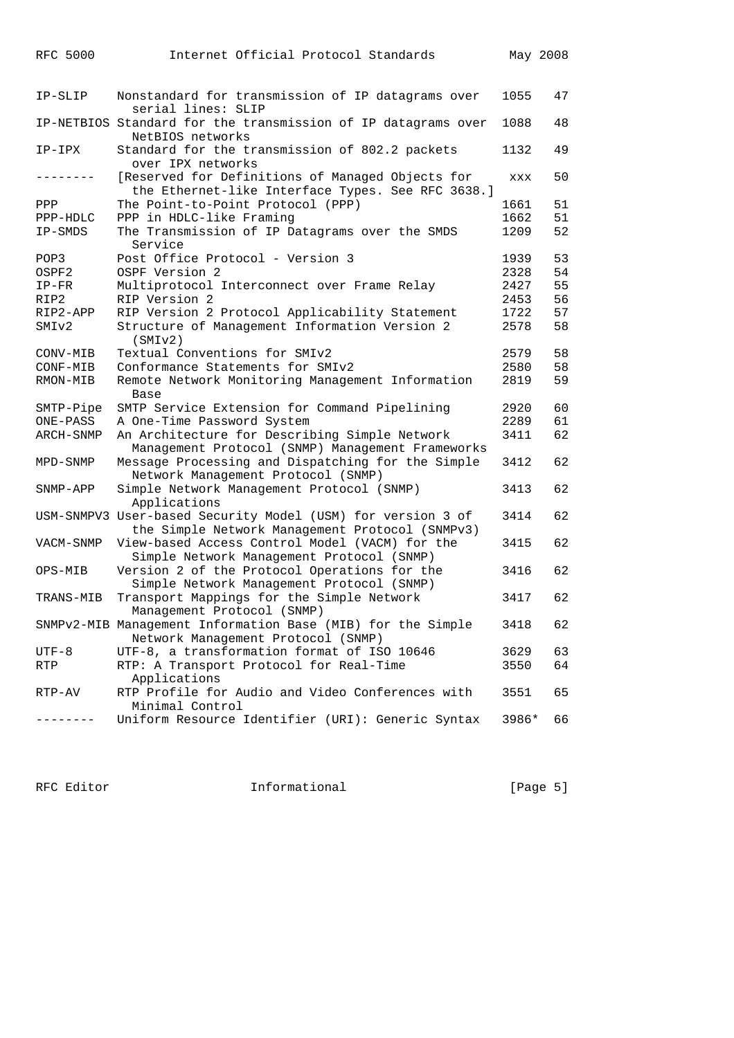| IP-SLIP           | Nonstandard for transmission of IP datagrams over<br>serial lines: SLIP                                        | 1055       | 47 |
|-------------------|----------------------------------------------------------------------------------------------------------------|------------|----|
|                   | IP-NETBIOS Standard for the transmission of IP datagrams over<br>NetBIOS networks                              | 1088       | 48 |
| IP-IPX            | Standard for the transmission of 802.2 packets<br>over IPX networks                                            | 1132       | 49 |
| ---------         | [Reserved for Definitions of Managed Objects for<br>the Ethernet-like Interface Types. See RFC 3638.]          | <b>XXX</b> | 50 |
| PPP               | The Point-to-Point Protocol (PPP)                                                                              | 1661       | 51 |
| PPP-HDLC          | PPP in HDLC-like Framing                                                                                       | 1662       | 51 |
| IP-SMDS           | The Transmission of IP Datagrams over the SMDS<br>Service                                                      | 1209       | 52 |
| POP3              | Post Office Protocol - Version 3                                                                               | 1939       | 53 |
| OSPF2             | OSPF Version 2                                                                                                 | 2328       | 54 |
| $IP-FR$           | Multiprotocol Interconnect over Frame Relay                                                                    | 2427       | 55 |
| RIP2              | RIP Version 2                                                                                                  | 2453       | 56 |
| RIP2-APP          | RIP Version 2 Protocol Applicability Statement                                                                 | 1722       | 57 |
| SMI <sub>v2</sub> | Structure of Management Information Version 2<br>(SMIV2)                                                       | 2578       | 58 |
| CONV-MIB          | Textual Conventions for SMIv2                                                                                  | 2579       | 58 |
| CONF-MIB          | Conformance Statements for SMIv2                                                                               | 2580       | 58 |
| RMON-MIB          | Remote Network Monitoring Management Information<br>Base                                                       | 2819       | 59 |
| SMTP-Pipe         | SMTP Service Extension for Command Pipelining                                                                  | 2920       | 60 |
| ONE-PASS          | A One-Time Password System                                                                                     | 2289       | 61 |
| ARCH-SNMP         | An Architecture for Describing Simple Network<br>Management Protocol (SNMP) Management Frameworks              | 3411       | 62 |
| MPD-SNMP          | Message Processing and Dispatching for the Simple<br>Network Management Protocol (SNMP)                        | 3412       | 62 |
| SNMP-APP          | Simple Network Management Protocol (SNMP)<br>Applications                                                      | 3413       | 62 |
|                   | USM-SNMPV3 User-based Security Model (USM) for version 3 of<br>the Simple Network Management Protocol (SNMPv3) | 3414       | 62 |
| VACM-SNMP         | View-based Access Control Model (VACM) for the<br>Simple Network Management Protocol (SNMP)                    | 3415       | 62 |
| OPS-MIB           | Version 2 of the Protocol Operations for the<br>Simple Network Management Protocol (SNMP)                      | 3416       | 62 |
| TRANS-MIB         | Transport Mappings for the Simple Network<br>Management Protocol (SNMP)                                        | 3417       | 62 |
|                   | SNMPv2-MIB Management Information Base (MIB) for the Simple<br>Network Management Protocol (SNMP)              | 3418       | 62 |
| UTF-8             | UTF-8, a transformation format of ISO 10646                                                                    | 3629       | 63 |
| RTP               | RTP: A Transport Protocol for Real-Time<br>Applications                                                        | 3550       | 64 |
| RTP-AV            | RTP Profile for Audio and Video Conferences with<br>Minimal Control                                            | 3551       | 65 |
|                   | Uniform Resource Identifier (URI): Generic Syntax                                                              | 3986*      | 66 |

RFC 5000 Internet Official Protocol Standards May 2008

RFC Editor **Informational Informational** [Page 5]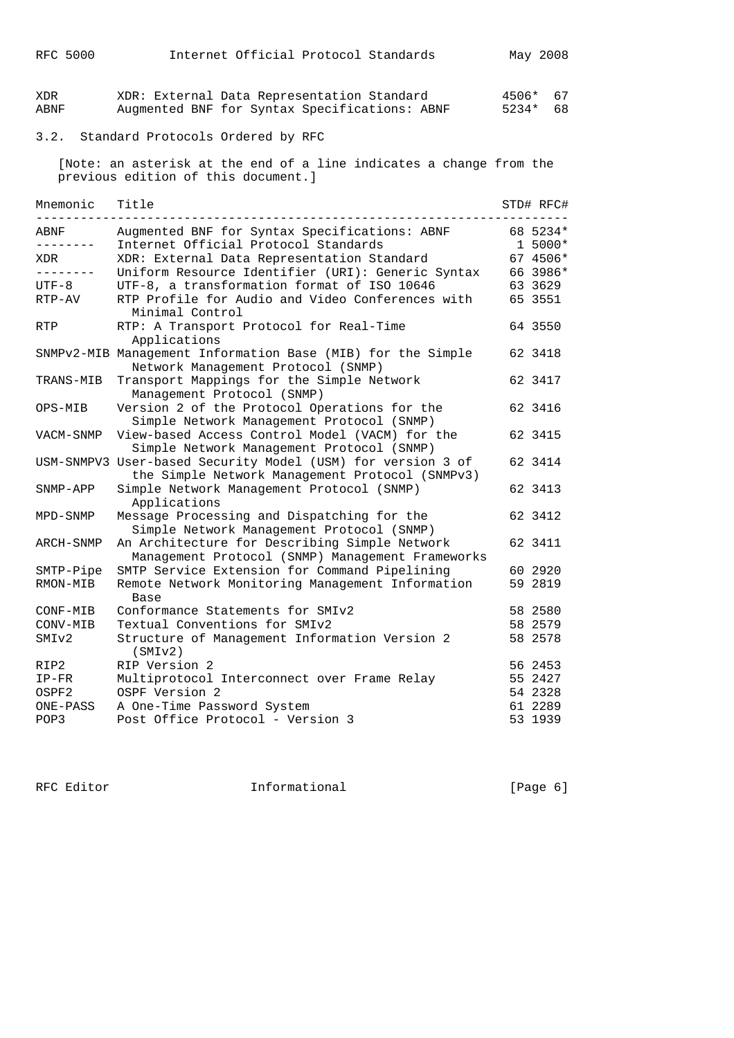| XDR<br>ABNF        | XDR: External Data Representation Standard<br>Augmented BNF for Syntax Specifications: ABNF                    | 4506*<br>5234* | 67<br>68  |
|--------------------|----------------------------------------------------------------------------------------------------------------|----------------|-----------|
| 3.2.               | Standard Protocols Ordered by RFC                                                                              |                |           |
|                    | [Note: an asterisk at the end of a line indicates a change from the<br>previous edition of this document.]     |                |           |
| Mnemonic<br>------ | Title                                                                                                          |                | STD# RFC# |
| ABNF               | Augmented BNF for Syntax Specifications: ABNF                                                                  |                | 68 5234*  |
| ---------          | Internet Official Protocol Standards                                                                           |                | $1 5000*$ |
| XDR                | XDR: External Data Representation Standard                                                                     |                | 67 4506*  |
| ---------          | Uniform Resource Identifier (URI): Generic Syntax                                                              |                | 66 3986*  |
| UTF-8              | UTF-8, a transformation format of ISO 10646                                                                    |                | 63 3629   |
| RTP-AV             | RTP Profile for Audio and Video Conferences with<br>Minimal Control                                            |                | 65 3551   |
| <b>RTP</b>         | RTP: A Transport Protocol for Real-Time<br>Applications                                                        |                | 64 3550   |
|                    | SNMPv2-MIB Management Information Base (MIB) for the Simple<br>Network Management Protocol (SNMP)              |                | 62 3418   |
| TRANS-MIB          | Transport Mappings for the Simple Network<br>Management Protocol (SNMP)                                        |                | 62 3417   |
| OPS-MIB            | Version 2 of the Protocol Operations for the<br>Simple Network Management Protocol (SNMP)                      |                | 62 3416   |
| VACM-SNMP          | View-based Access Control Model (VACM) for the<br>Simple Network Management Protocol (SNMP)                    |                | 62 3415   |
|                    | USM-SNMPV3 User-based Security Model (USM) for version 3 of<br>the Simple Network Management Protocol (SNMPv3) |                | 62 3414   |
| SNMP-APP           | Simple Network Management Protocol (SNMP)<br>Applications                                                      |                | 62 3413   |
| MPD-SNMP           | Message Processing and Dispatching for the<br>Simple Network Management Protocol (SNMP)                        |                | 62 3412   |
| ARCH-SNMP          | An Architecture for Describing Simple Network<br>Management Protocol (SNMP) Management Frameworks              |                | 62 3411   |
| SMTP-Pipe          | SMTP Service Extension for Command Pipelining                                                                  |                | 60 2920   |
| RMON-MIB           | Remote Network Monitoring Management Information<br>Base                                                       |                | 59 2819   |
| CONF-MIB           | Conformance Statements for SMIv2                                                                               |                | 58 2580   |
| CONV-MIB           | Textual Conventions for SMIv2                                                                                  |                | 58 2579   |
| SMIv2              | Structure of Management Information Version 2<br>(SMIv2)                                                       |                | 58 2578   |
| RIP2               | RIP Version 2                                                                                                  |                | 56 2453   |
| $IP-FR$            | Multiprotocol Interconnect over Frame Relay                                                                    |                | 55 2427   |
| OSPF2              | OSPF Version 2                                                                                                 |                | 54 2328   |
| ONE-PASS           | A One-Time Password System                                                                                     |                | 61 2289   |
| POP3               | Post Office Protocol - Version 3                                                                               |                | 53 1939   |

RFC 5000 Internet Official Protocol Standards May 2008

RFC Editor **Informational** 11 (Page 6)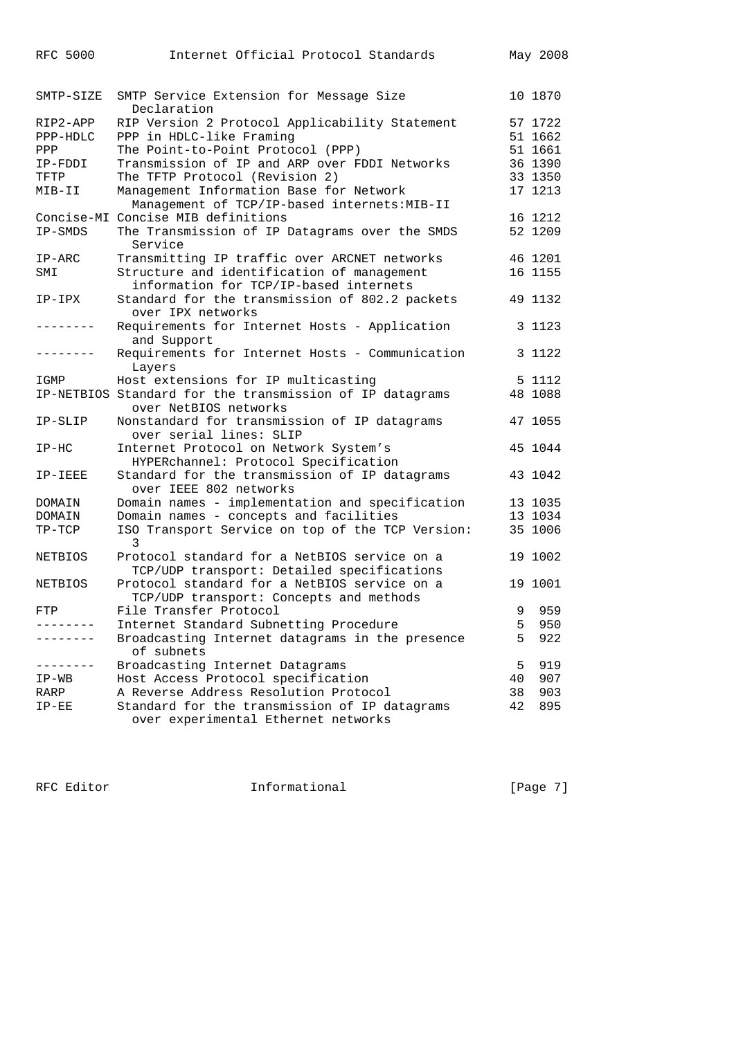| <b>RFC 5000</b> | Internet Official Protocol Standards                                                       |    | May 2008 |
|-----------------|--------------------------------------------------------------------------------------------|----|----------|
| SMTP-SIZE       | SMTP Service Extension for Message Size<br>Declaration                                     |    | 10 1870  |
| RIP2-APP        | RIP Version 2 Protocol Applicability Statement                                             |    | 57 1722  |
| PPP-HDLC        | PPP in HDLC-like Framing                                                                   |    | 51 1662  |
| PPP             | The Point-to-Point Protocol (PPP)                                                          |    | 51 1661  |
| IP-FDDI         | Transmission of IP and ARP over FDDI Networks                                              |    | 36 1390  |
| TFTP            | The TFTP Protocol (Revision 2)                                                             |    | 33 1350  |
| MIB-II          | Management Information Base for Network                                                    |    | 17 1213  |
|                 | Management of TCP/IP-based internets: MIB-II                                               |    |          |
|                 | Concise-MI Concise MIB definitions                                                         |    | 16 1212  |
| IP-SMDS         | The Transmission of IP Datagrams over the SMDS<br>Service                                  |    | 52 1209  |
| $IP-ARC$        | Transmitting IP traffic over ARCNET networks                                               |    | 46 1201  |
| SMI             | Structure and identification of management                                                 |    | 16 1155  |
|                 | information for TCP/IP-based internets                                                     |    |          |
| IP-IPX          | Standard for the transmission of 802.2 packets<br>over IPX networks                        |    | 49 1132  |
| $- - - - - - -$ | Requirements for Internet Hosts - Application<br>and Support                               |    | 3 1123   |
|                 | Requirements for Internet Hosts - Communication<br>Layers                                  |    | 3 1122   |
| IGMP            | Host extensions for IP multicasting                                                        |    | 5 1112   |
|                 | IP-NETBIOS Standard for the transmission of IP datagrams<br>over NetBIOS networks          |    | 48 1088  |
| IP-SLIP         | Nonstandard for transmission of IP datagrams                                               |    | 47 1055  |
|                 | over serial lines: SLIP                                                                    |    |          |
| $IP-HC$         | Internet Protocol on Network System's                                                      |    | 45 1044  |
|                 | HYPERchannel: Protocol Specification                                                       |    |          |
| IP-IEEE         | Standard for the transmission of IP datagrams<br>over IEEE 802 networks                    |    | 43 1042  |
| DOMAIN          | Domain names - implementation and specification                                            |    | 13 1035  |
| DOMAIN          | Domain names - concepts and facilities                                                     |    | 13 1034  |
| $TP-TCP$        | ISO Transport Service on top of the TCP Version:<br>3                                      |    | 35 1006  |
| NETBIOS         | Protocol standard for a NetBIOS service on a<br>TCP/UDP transport: Detailed specifications |    | 19 1002  |
| <b>NETBIOS</b>  | Protocol standard for a NetBIOS service on a<br>TCP/UDP transport: Concepts and methods    |    | 19 1001  |
| FTP             | File Transfer Protocol                                                                     | 9  | 959      |
|                 | Internet Standard Subnetting Procedure                                                     | 5  | 950      |
|                 | Broadcasting Internet datagrams in the presence<br>of subnets                              | 5  | 922      |
|                 | Broadcasting Internet Datagrams                                                            | 5  | 919      |
|                 | Host Access Protocol specification                                                         | 40 | 907      |
| IP-WB           | A Reverse Address Resolution Protocol                                                      | 38 | 903      |
| RARP<br>$IP-EE$ | Standard for the transmission of IP datagrams                                              | 42 | 895      |
|                 | over experimental Ethernet networks                                                        |    |          |

RFC Editor **Informational** [Page 7]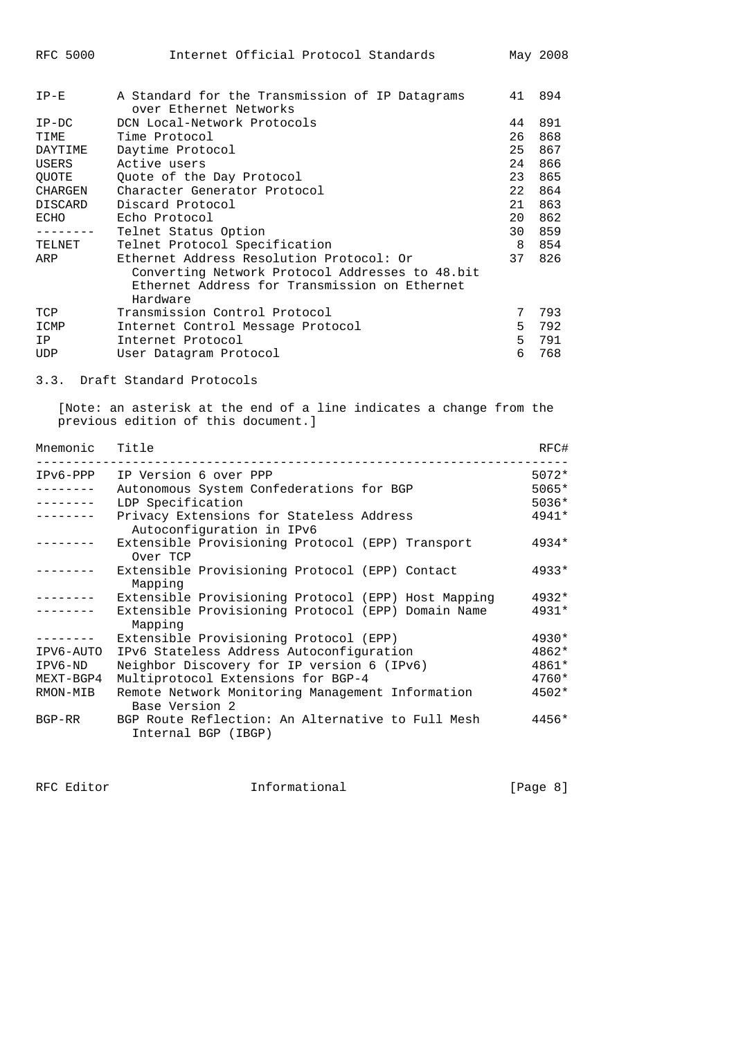| $IP-E$         | A Standard for the Transmission of IP Datagrams<br>over Ethernet Networks | 41 | 894 |
|----------------|---------------------------------------------------------------------------|----|-----|
| $IP-DC$        | DCN Local-Network Protocols                                               | 44 | 891 |
| TIME           | Time Protocol                                                             | 26 | 868 |
| DAYTIME        | Daytime Protocol                                                          | 25 | 867 |
| USERS          | Active users                                                              | 24 | 866 |
| <b>OUOTE</b>   | Quote of the Day Protocol                                                 | 23 | 865 |
| CHARGEN        | Character Generator Protocol                                              | 22 | 864 |
| <b>DISCARD</b> | Discard Protocol                                                          | 21 | 863 |
| ECHO           | Echo Protocol                                                             | 20 | 862 |
|                | Telnet Status Option                                                      | 30 | 859 |
| TELNET         | Telnet Protocol Specification                                             | 8  | 854 |
| ARP            | Ethernet Address Resolution Protocol: Or                                  | 37 | 826 |
|                | Converting Network Protocol Addresses to 48.bit                           |    |     |
|                | Ethernet Address for Transmission on Ethernet                             |    |     |
|                | Hardware                                                                  |    |     |
| TCP            | Transmission Control Protocol                                             | 7  | 793 |
| ICMP           | Internet Control Message Protocol                                         | 5  | 792 |
| IP             | Internet Protocol                                                         | 5  | 791 |
| <b>UDP</b>     | User Datagram Protocol                                                    | 6  | 768 |

# 3.3. Draft Standard Protocols

 [Note: an asterisk at the end of a line indicates a change from the previous edition of this document.]

| Mnemonic Title |                                                                          | RFC#    |
|----------------|--------------------------------------------------------------------------|---------|
|                | IPv6-PPP IP Version 6 over PPP                                           | $5072*$ |
|                | Autonomous System Confederations for BGP                                 | $5065*$ |
| --------       | LDP Specification                                                        | $5036*$ |
|                | Privacy Extensions for Stateless Address<br>Autoconfiguration in IPv6    | $4941*$ |
|                | Extensible Provisioning Protocol (EPP) Transport<br>Over TCP             | $4934*$ |
|                | Extensible Provisioning Protocol (EPP) Contact<br>Mapping                | $4933*$ |
| --------       | Extensible Provisioning Protocol (EPP) Host Mapping                      | $4932*$ |
|                | Extensible Provisioning Protocol (EPP) Domain Name<br>Mapping            | $4931*$ |
|                | Extensible Provisioning Protocol (EPP)                                   | $4930*$ |
| IPV6-AUTO      | IPv6 Stateless Address Autoconfiguration                                 | $4862*$ |
| IPV6-ND        | Neighbor Discovery for IP version 6 (IPv6)                               | $4861*$ |
| MEXT-BGP4      | Multiprotocol Extensions for BGP-4                                       | $4760*$ |
| RMON-MIB       | Remote Network Monitoring Management Information<br>Base Version 2       | $4502*$ |
| BGP-RR         | BGP Route Reflection: An Alternative to Full Mesh<br>Internal BGP (IBGP) | $4456*$ |

RFC Editor **Informational Informational** [Page 8]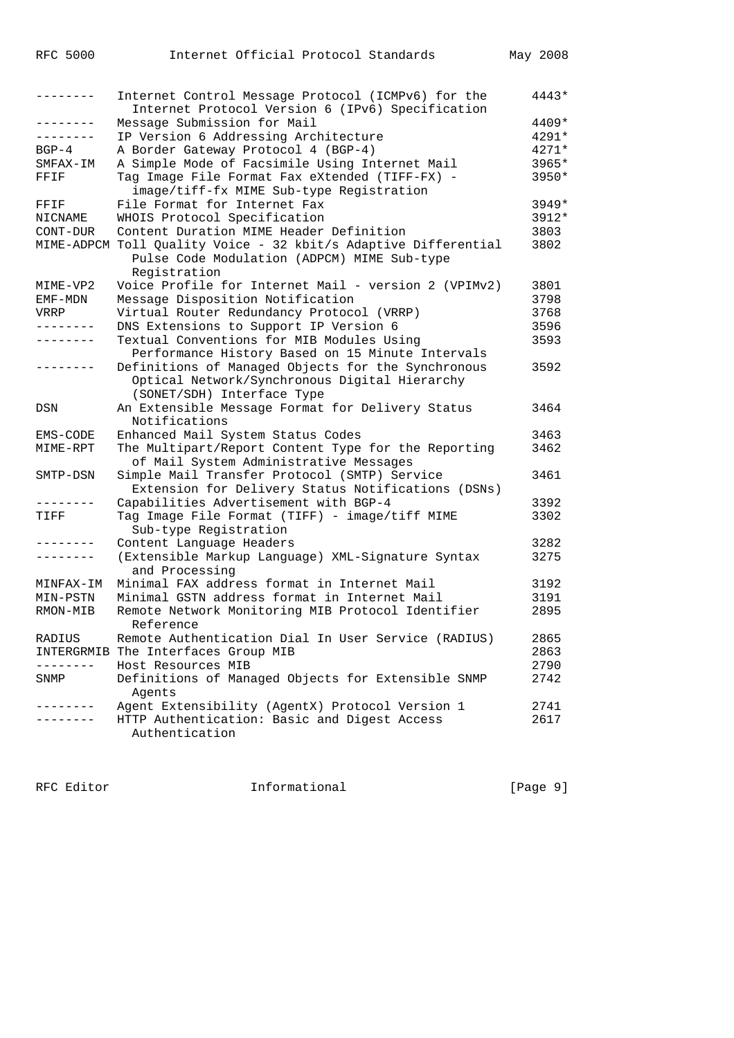|               | Internet Control Message Protocol (ICMPv6) for the<br>Internet Protocol Version 6 (IPv6) Specification | 4443*   |
|---------------|--------------------------------------------------------------------------------------------------------|---------|
| --------      | Message Submission for Mail                                                                            | 4409*   |
| --------      | IP Version 6 Addressing Architecture                                                                   | 4291*   |
| $BGP-4$       | A Border Gateway Protocol 4 (BGP-4)                                                                    | $4271*$ |
| SMFAX-IM      | A Simple Mode of Facsimile Using Internet Mail                                                         | 3965*   |
| FFIF          | Tag Image File Format Fax eXtended (TIFF-FX) -                                                         | 3950*   |
|               | image/tiff-fx MIME Sub-type Registration                                                               |         |
| FFIF          | File Format for Internet Fax                                                                           | $3949*$ |
| NICNAME       | WHOIS Protocol Specification                                                                           | 3912*   |
| $CONT-DUR$    | Content Duration MIME Header Definition                                                                | 3803    |
|               | MIME-ADPCM Toll Quality Voice - 32 kbit/s Adaptive Differential                                        | 3802    |
|               | Pulse Code Modulation (ADPCM) MIME Sub-type                                                            |         |
|               | Registration                                                                                           |         |
| MIME-VP2      | Voice Profile for Internet Mail - version 2 (VPIMv2)                                                   | 3801    |
| EMF-MDN       | Message Disposition Notification                                                                       | 3798    |
| VRRP          | Virtual Router Redundancy Protocol (VRRP)                                                              | 3768    |
| $\frac{1}{2}$ | DNS Extensions to Support IP Version 6                                                                 | 3596    |
| .             | Textual Conventions for MIB Modules Using                                                              | 3593    |
|               | Performance History Based on 15 Minute Intervals                                                       |         |
|               | Definitions of Managed Objects for the Synchronous                                                     | 3592    |
|               | Optical Network/Synchronous Digital Hierarchy                                                          |         |
|               | (SONET/SDH) Interface Type                                                                             |         |
| DSN           | An Extensible Message Format for Delivery Status                                                       | 3464    |
|               | Notifications                                                                                          |         |
| EMS-CODE      | Enhanced Mail System Status Codes                                                                      | 3463    |
| MIME-RPT      | The Multipart/Report Content Type for the Reporting                                                    | 3462    |
|               | of Mail System Administrative Messages                                                                 |         |
| SMTP-DSN      | Simple Mail Transfer Protocol (SMTP) Service                                                           | 3461    |
|               | Extension for Delivery Status Notifications (DSNs)                                                     |         |
|               | Capabilities Advertisement with BGP-4                                                                  | 3392    |
| TIFF          | Tag Image File Format (TIFF) - image/tiff MIME                                                         | 3302    |
|               | Sub-type Registration                                                                                  |         |
|               | Content Language Headers                                                                               | 3282    |
|               | (Extensible Markup Language) XML-Signature Syntax                                                      | 3275    |
|               | and Processing                                                                                         |         |
| MINFAX-IM     | Minimal FAX address format in Internet Mail                                                            | 3192    |
| MIN-PSTN      | Minimal GSTN address format in Internet Mail                                                           | 3191    |
| RMON-MIB      | Remote Network Monitoring MIB Protocol Identifier                                                      | 2895    |
|               | Reference                                                                                              |         |
| RADIUS        | Remote Authentication Dial In User Service (RADIUS)                                                    | 2865    |
|               | INTERGRMIB The Interfaces Group MIB                                                                    | 2863    |
|               | Host Resources MIB                                                                                     | 2790    |
| SNMP          | Definitions of Managed Objects for Extensible SNMP                                                     | 2742    |
|               | Agents                                                                                                 |         |
|               | Agent Extensibility (AgentX) Protocol Version 1                                                        | 2741    |
|               | HTTP Authentication: Basic and Digest Access                                                           | 2617    |
|               | Authentication                                                                                         |         |

RFC Editor **Informational Informational** [Page 9]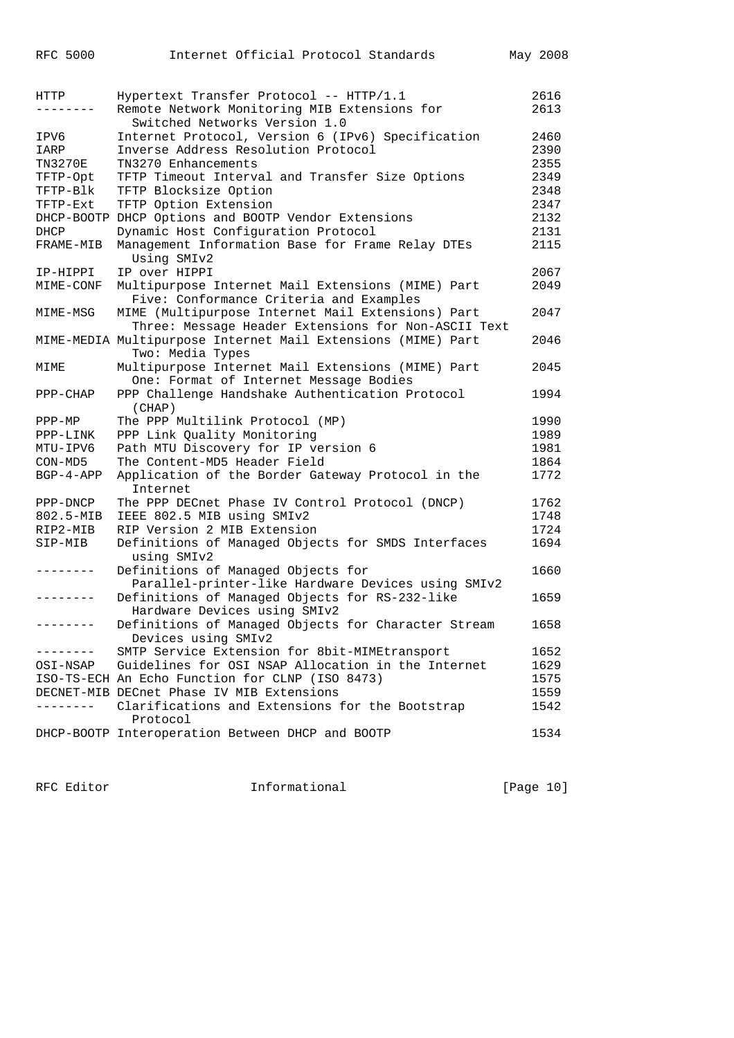| Remote Network Monitoring MIB Extensions for<br>2613<br>. – – – – – – –<br>Switched Networks Version 1.0<br>2460<br>Internet Protocol, Version 6 (IPv6) Specification<br>IPV6<br>Inverse Address Resolution Protocol<br>2390<br>IARP<br>2355<br><b>TN3270E</b><br>TN3270 Enhancements<br>TFTP Timeout Interval and Transfer Size Options<br>2349<br>TFTP-Opt<br>TFTP-Blk<br>TFTP Blocksize Option<br>2348<br>2347<br>TFTP-Ext<br>TFTP Option Extension<br>DHCP-BOOTP DHCP Options and BOOTP Vendor Extensions<br>2132<br>Dynamic Host Configuration Protocol<br>2131<br>DHCP<br>Management Information Base for Frame Relay DTEs<br>2115<br>FRAME-MIB<br>Using SMIv2<br>IP over HIPPI<br>2067<br>IP-HIPPI<br>Multipurpose Internet Mail Extensions (MIME) Part<br>2049<br>MIME-CONF<br>Five: Conformance Criteria and Examples<br>MIME (Multipurpose Internet Mail Extensions) Part<br>2047<br>MIME-MSG<br>Three: Message Header Extensions for Non-ASCII Text<br>MIME-MEDIA Multipurpose Internet Mail Extensions (MIME) Part<br>2046<br>Two: Media Types<br>Multipurpose Internet Mail Extensions (MIME) Part<br>2045<br>MIME<br>One: Format of Internet Message Bodies<br>PPP Challenge Handshake Authentication Protocol<br>1994<br>PPP-CHAP<br>(CHAP)<br>The PPP Multilink Protocol (MP)<br>1990<br>$PPP-MP$<br>PPP Link Quality Monitoring<br>1989<br>PPP-LINK<br>MTU-IPV6<br>Path MTU Discovery for IP version 6<br>1981<br>The Content-MD5 Header Field<br>1864<br>CON-MD5<br>$BGP-4-APP$<br>Application of the Border Gateway Protocol in the<br>1772<br>Internet<br>The PPP DECnet Phase IV Control Protocol (DNCP)<br>1762<br>PPP-DNCP<br>IEEE 802.5 MIB using SMIv2<br>1748<br>802.5-MIB<br>RIP2-MIB<br>RIP Version 2 MIB Extension<br>1724<br>Definitions of Managed Objects for SMDS Interfaces<br>1694<br>SIP-MIB<br>using SMIv2<br>1660<br>Definitions of Managed Objects for<br>Parallel-printer-like Hardware Devices using SMIv2<br>Definitions of Managed Objects for RS-232-like<br>1659<br>Hardware Devices using SMIv2<br>Definitions of Managed Objects for Character Stream<br>1658<br>--------<br>Devices using SMIv2<br>SMTP Service Extension for 8bit-MIMEtransport<br>1652<br>------- | HTTP     | Hypertext Transfer Protocol -- HTTP/1.1            | 2616 |
|---------------------------------------------------------------------------------------------------------------------------------------------------------------------------------------------------------------------------------------------------------------------------------------------------------------------------------------------------------------------------------------------------------------------------------------------------------------------------------------------------------------------------------------------------------------------------------------------------------------------------------------------------------------------------------------------------------------------------------------------------------------------------------------------------------------------------------------------------------------------------------------------------------------------------------------------------------------------------------------------------------------------------------------------------------------------------------------------------------------------------------------------------------------------------------------------------------------------------------------------------------------------------------------------------------------------------------------------------------------------------------------------------------------------------------------------------------------------------------------------------------------------------------------------------------------------------------------------------------------------------------------------------------------------------------------------------------------------------------------------------------------------------------------------------------------------------------------------------------------------------------------------------------------------------------------------------------------------------------------------------------------------------------------------------------------------------------------------------------------------------------------------------------------------------------------------------------------------|----------|----------------------------------------------------|------|
|                                                                                                                                                                                                                                                                                                                                                                                                                                                                                                                                                                                                                                                                                                                                                                                                                                                                                                                                                                                                                                                                                                                                                                                                                                                                                                                                                                                                                                                                                                                                                                                                                                                                                                                                                                                                                                                                                                                                                                                                                                                                                                                                                                                                                     |          |                                                    |      |
|                                                                                                                                                                                                                                                                                                                                                                                                                                                                                                                                                                                                                                                                                                                                                                                                                                                                                                                                                                                                                                                                                                                                                                                                                                                                                                                                                                                                                                                                                                                                                                                                                                                                                                                                                                                                                                                                                                                                                                                                                                                                                                                                                                                                                     |          |                                                    |      |
|                                                                                                                                                                                                                                                                                                                                                                                                                                                                                                                                                                                                                                                                                                                                                                                                                                                                                                                                                                                                                                                                                                                                                                                                                                                                                                                                                                                                                                                                                                                                                                                                                                                                                                                                                                                                                                                                                                                                                                                                                                                                                                                                                                                                                     |          |                                                    |      |
|                                                                                                                                                                                                                                                                                                                                                                                                                                                                                                                                                                                                                                                                                                                                                                                                                                                                                                                                                                                                                                                                                                                                                                                                                                                                                                                                                                                                                                                                                                                                                                                                                                                                                                                                                                                                                                                                                                                                                                                                                                                                                                                                                                                                                     |          |                                                    |      |
|                                                                                                                                                                                                                                                                                                                                                                                                                                                                                                                                                                                                                                                                                                                                                                                                                                                                                                                                                                                                                                                                                                                                                                                                                                                                                                                                                                                                                                                                                                                                                                                                                                                                                                                                                                                                                                                                                                                                                                                                                                                                                                                                                                                                                     |          |                                                    |      |
|                                                                                                                                                                                                                                                                                                                                                                                                                                                                                                                                                                                                                                                                                                                                                                                                                                                                                                                                                                                                                                                                                                                                                                                                                                                                                                                                                                                                                                                                                                                                                                                                                                                                                                                                                                                                                                                                                                                                                                                                                                                                                                                                                                                                                     |          |                                                    |      |
|                                                                                                                                                                                                                                                                                                                                                                                                                                                                                                                                                                                                                                                                                                                                                                                                                                                                                                                                                                                                                                                                                                                                                                                                                                                                                                                                                                                                                                                                                                                                                                                                                                                                                                                                                                                                                                                                                                                                                                                                                                                                                                                                                                                                                     |          |                                                    |      |
|                                                                                                                                                                                                                                                                                                                                                                                                                                                                                                                                                                                                                                                                                                                                                                                                                                                                                                                                                                                                                                                                                                                                                                                                                                                                                                                                                                                                                                                                                                                                                                                                                                                                                                                                                                                                                                                                                                                                                                                                                                                                                                                                                                                                                     |          |                                                    |      |
|                                                                                                                                                                                                                                                                                                                                                                                                                                                                                                                                                                                                                                                                                                                                                                                                                                                                                                                                                                                                                                                                                                                                                                                                                                                                                                                                                                                                                                                                                                                                                                                                                                                                                                                                                                                                                                                                                                                                                                                                                                                                                                                                                                                                                     |          |                                                    |      |
|                                                                                                                                                                                                                                                                                                                                                                                                                                                                                                                                                                                                                                                                                                                                                                                                                                                                                                                                                                                                                                                                                                                                                                                                                                                                                                                                                                                                                                                                                                                                                                                                                                                                                                                                                                                                                                                                                                                                                                                                                                                                                                                                                                                                                     |          |                                                    |      |
|                                                                                                                                                                                                                                                                                                                                                                                                                                                                                                                                                                                                                                                                                                                                                                                                                                                                                                                                                                                                                                                                                                                                                                                                                                                                                                                                                                                                                                                                                                                                                                                                                                                                                                                                                                                                                                                                                                                                                                                                                                                                                                                                                                                                                     |          |                                                    |      |
|                                                                                                                                                                                                                                                                                                                                                                                                                                                                                                                                                                                                                                                                                                                                                                                                                                                                                                                                                                                                                                                                                                                                                                                                                                                                                                                                                                                                                                                                                                                                                                                                                                                                                                                                                                                                                                                                                                                                                                                                                                                                                                                                                                                                                     |          |                                                    |      |
|                                                                                                                                                                                                                                                                                                                                                                                                                                                                                                                                                                                                                                                                                                                                                                                                                                                                                                                                                                                                                                                                                                                                                                                                                                                                                                                                                                                                                                                                                                                                                                                                                                                                                                                                                                                                                                                                                                                                                                                                                                                                                                                                                                                                                     |          |                                                    |      |
|                                                                                                                                                                                                                                                                                                                                                                                                                                                                                                                                                                                                                                                                                                                                                                                                                                                                                                                                                                                                                                                                                                                                                                                                                                                                                                                                                                                                                                                                                                                                                                                                                                                                                                                                                                                                                                                                                                                                                                                                                                                                                                                                                                                                                     |          |                                                    |      |
|                                                                                                                                                                                                                                                                                                                                                                                                                                                                                                                                                                                                                                                                                                                                                                                                                                                                                                                                                                                                                                                                                                                                                                                                                                                                                                                                                                                                                                                                                                                                                                                                                                                                                                                                                                                                                                                                                                                                                                                                                                                                                                                                                                                                                     |          |                                                    |      |
|                                                                                                                                                                                                                                                                                                                                                                                                                                                                                                                                                                                                                                                                                                                                                                                                                                                                                                                                                                                                                                                                                                                                                                                                                                                                                                                                                                                                                                                                                                                                                                                                                                                                                                                                                                                                                                                                                                                                                                                                                                                                                                                                                                                                                     |          |                                                    |      |
|                                                                                                                                                                                                                                                                                                                                                                                                                                                                                                                                                                                                                                                                                                                                                                                                                                                                                                                                                                                                                                                                                                                                                                                                                                                                                                                                                                                                                                                                                                                                                                                                                                                                                                                                                                                                                                                                                                                                                                                                                                                                                                                                                                                                                     |          |                                                    |      |
|                                                                                                                                                                                                                                                                                                                                                                                                                                                                                                                                                                                                                                                                                                                                                                                                                                                                                                                                                                                                                                                                                                                                                                                                                                                                                                                                                                                                                                                                                                                                                                                                                                                                                                                                                                                                                                                                                                                                                                                                                                                                                                                                                                                                                     |          |                                                    |      |
|                                                                                                                                                                                                                                                                                                                                                                                                                                                                                                                                                                                                                                                                                                                                                                                                                                                                                                                                                                                                                                                                                                                                                                                                                                                                                                                                                                                                                                                                                                                                                                                                                                                                                                                                                                                                                                                                                                                                                                                                                                                                                                                                                                                                                     |          |                                                    |      |
|                                                                                                                                                                                                                                                                                                                                                                                                                                                                                                                                                                                                                                                                                                                                                                                                                                                                                                                                                                                                                                                                                                                                                                                                                                                                                                                                                                                                                                                                                                                                                                                                                                                                                                                                                                                                                                                                                                                                                                                                                                                                                                                                                                                                                     |          |                                                    |      |
|                                                                                                                                                                                                                                                                                                                                                                                                                                                                                                                                                                                                                                                                                                                                                                                                                                                                                                                                                                                                                                                                                                                                                                                                                                                                                                                                                                                                                                                                                                                                                                                                                                                                                                                                                                                                                                                                                                                                                                                                                                                                                                                                                                                                                     |          |                                                    |      |
|                                                                                                                                                                                                                                                                                                                                                                                                                                                                                                                                                                                                                                                                                                                                                                                                                                                                                                                                                                                                                                                                                                                                                                                                                                                                                                                                                                                                                                                                                                                                                                                                                                                                                                                                                                                                                                                                                                                                                                                                                                                                                                                                                                                                                     |          |                                                    |      |
|                                                                                                                                                                                                                                                                                                                                                                                                                                                                                                                                                                                                                                                                                                                                                                                                                                                                                                                                                                                                                                                                                                                                                                                                                                                                                                                                                                                                                                                                                                                                                                                                                                                                                                                                                                                                                                                                                                                                                                                                                                                                                                                                                                                                                     |          |                                                    |      |
|                                                                                                                                                                                                                                                                                                                                                                                                                                                                                                                                                                                                                                                                                                                                                                                                                                                                                                                                                                                                                                                                                                                                                                                                                                                                                                                                                                                                                                                                                                                                                                                                                                                                                                                                                                                                                                                                                                                                                                                                                                                                                                                                                                                                                     |          |                                                    |      |
|                                                                                                                                                                                                                                                                                                                                                                                                                                                                                                                                                                                                                                                                                                                                                                                                                                                                                                                                                                                                                                                                                                                                                                                                                                                                                                                                                                                                                                                                                                                                                                                                                                                                                                                                                                                                                                                                                                                                                                                                                                                                                                                                                                                                                     |          |                                                    |      |
|                                                                                                                                                                                                                                                                                                                                                                                                                                                                                                                                                                                                                                                                                                                                                                                                                                                                                                                                                                                                                                                                                                                                                                                                                                                                                                                                                                                                                                                                                                                                                                                                                                                                                                                                                                                                                                                                                                                                                                                                                                                                                                                                                                                                                     |          |                                                    |      |
|                                                                                                                                                                                                                                                                                                                                                                                                                                                                                                                                                                                                                                                                                                                                                                                                                                                                                                                                                                                                                                                                                                                                                                                                                                                                                                                                                                                                                                                                                                                                                                                                                                                                                                                                                                                                                                                                                                                                                                                                                                                                                                                                                                                                                     |          |                                                    |      |
|                                                                                                                                                                                                                                                                                                                                                                                                                                                                                                                                                                                                                                                                                                                                                                                                                                                                                                                                                                                                                                                                                                                                                                                                                                                                                                                                                                                                                                                                                                                                                                                                                                                                                                                                                                                                                                                                                                                                                                                                                                                                                                                                                                                                                     |          |                                                    |      |
|                                                                                                                                                                                                                                                                                                                                                                                                                                                                                                                                                                                                                                                                                                                                                                                                                                                                                                                                                                                                                                                                                                                                                                                                                                                                                                                                                                                                                                                                                                                                                                                                                                                                                                                                                                                                                                                                                                                                                                                                                                                                                                                                                                                                                     |          |                                                    |      |
|                                                                                                                                                                                                                                                                                                                                                                                                                                                                                                                                                                                                                                                                                                                                                                                                                                                                                                                                                                                                                                                                                                                                                                                                                                                                                                                                                                                                                                                                                                                                                                                                                                                                                                                                                                                                                                                                                                                                                                                                                                                                                                                                                                                                                     |          |                                                    |      |
|                                                                                                                                                                                                                                                                                                                                                                                                                                                                                                                                                                                                                                                                                                                                                                                                                                                                                                                                                                                                                                                                                                                                                                                                                                                                                                                                                                                                                                                                                                                                                                                                                                                                                                                                                                                                                                                                                                                                                                                                                                                                                                                                                                                                                     |          |                                                    |      |
|                                                                                                                                                                                                                                                                                                                                                                                                                                                                                                                                                                                                                                                                                                                                                                                                                                                                                                                                                                                                                                                                                                                                                                                                                                                                                                                                                                                                                                                                                                                                                                                                                                                                                                                                                                                                                                                                                                                                                                                                                                                                                                                                                                                                                     |          |                                                    |      |
|                                                                                                                                                                                                                                                                                                                                                                                                                                                                                                                                                                                                                                                                                                                                                                                                                                                                                                                                                                                                                                                                                                                                                                                                                                                                                                                                                                                                                                                                                                                                                                                                                                                                                                                                                                                                                                                                                                                                                                                                                                                                                                                                                                                                                     |          |                                                    |      |
|                                                                                                                                                                                                                                                                                                                                                                                                                                                                                                                                                                                                                                                                                                                                                                                                                                                                                                                                                                                                                                                                                                                                                                                                                                                                                                                                                                                                                                                                                                                                                                                                                                                                                                                                                                                                                                                                                                                                                                                                                                                                                                                                                                                                                     | OSI-NSAP | Guidelines for OSI NSAP Allocation in the Internet | 1629 |
| ISO-TS-ECH An Echo Function for CLNP (ISO 8473)<br>1575                                                                                                                                                                                                                                                                                                                                                                                                                                                                                                                                                                                                                                                                                                                                                                                                                                                                                                                                                                                                                                                                                                                                                                                                                                                                                                                                                                                                                                                                                                                                                                                                                                                                                                                                                                                                                                                                                                                                                                                                                                                                                                                                                             |          |                                                    |      |
| DECNET-MIB DECnet Phase IV MIB Extensions<br>1559                                                                                                                                                                                                                                                                                                                                                                                                                                                                                                                                                                                                                                                                                                                                                                                                                                                                                                                                                                                                                                                                                                                                                                                                                                                                                                                                                                                                                                                                                                                                                                                                                                                                                                                                                                                                                                                                                                                                                                                                                                                                                                                                                                   |          |                                                    |      |
| Clarifications and Extensions for the Bootstrap<br>1542<br>Protocol                                                                                                                                                                                                                                                                                                                                                                                                                                                                                                                                                                                                                                                                                                                                                                                                                                                                                                                                                                                                                                                                                                                                                                                                                                                                                                                                                                                                                                                                                                                                                                                                                                                                                                                                                                                                                                                                                                                                                                                                                                                                                                                                                 |          |                                                    |      |
| DHCP-BOOTP Interoperation Between DHCP and BOOTP<br>1534                                                                                                                                                                                                                                                                                                                                                                                                                                                                                                                                                                                                                                                                                                                                                                                                                                                                                                                                                                                                                                                                                                                                                                                                                                                                                                                                                                                                                                                                                                                                                                                                                                                                                                                                                                                                                                                                                                                                                                                                                                                                                                                                                            |          |                                                    |      |

RFC Editor **Informational** Page 10]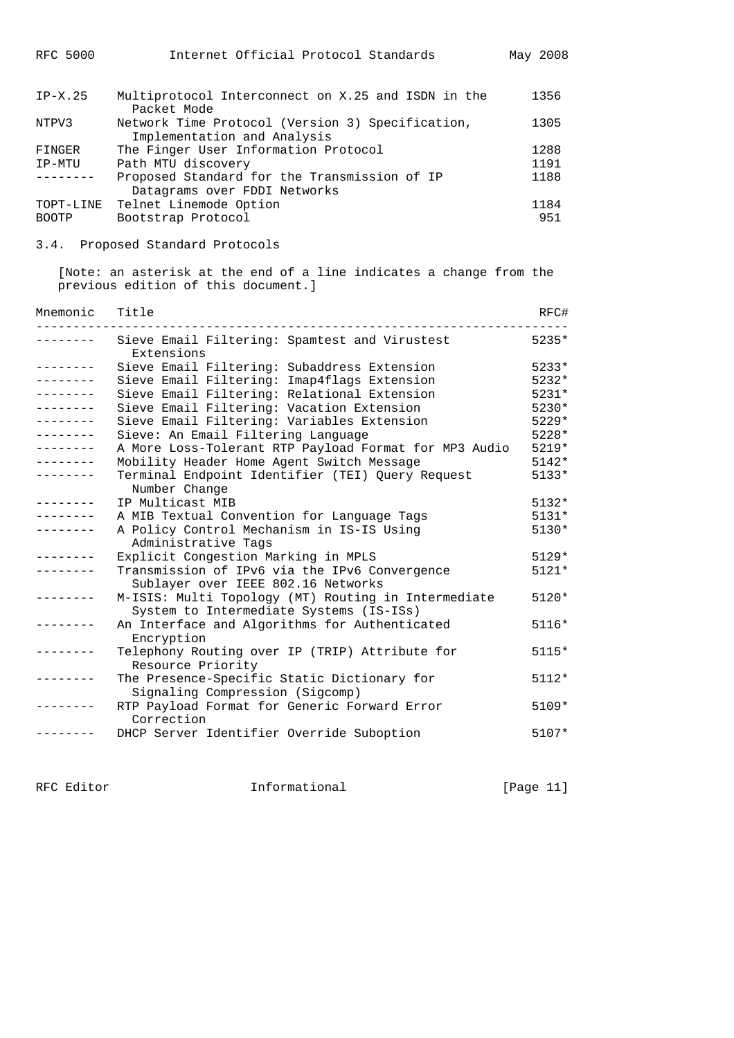| $IP-X.25$    | Multiprotocol Interconnect on X.25 and ISDN in the<br>Packet Mode               | 1356 |
|--------------|---------------------------------------------------------------------------------|------|
| NTPV3        | Network Time Protocol (Version 3) Specification,<br>Implementation and Analysis | 1305 |
| FINGER       | The Finger User Information Protocol                                            | 1288 |
| IP-MTU       | Path MTU discovery                                                              | 1191 |
|              | Proposed Standard for the Transmission of IP<br>Datagrams over FDDI Networks    | 1188 |
| TOPT-LINE    | Telnet Linemode Option                                                          | 1184 |
| <b>BOOTP</b> | Bootstrap Protocol                                                              | 951  |

3.4. Proposed Standard Protocols

 [Note: an asterisk at the end of a line indicates a change from the previous edition of this document.]

| Mnemonic        | Title                                                                                          | RFC#    |
|-----------------|------------------------------------------------------------------------------------------------|---------|
|                 | Sieve Email Filtering: Spamtest and Virustest<br>Extensions                                    | $5235*$ |
| --------        | Sieve Email Filtering: Subaddress Extension                                                    | $5233*$ |
|                 | Sieve Email Filtering: Imap4flags Extension                                                    | $5232*$ |
|                 | Sieve Email Filtering: Relational Extension                                                    | $5231*$ |
|                 | Sieve Email Filtering: Vacation Extension                                                      | 5230*   |
| --------        | Sieve Email Filtering: Variables Extension                                                     | $5229*$ |
| ---------       | Sieve: An Email Filtering Language                                                             | $5228*$ |
| --------        | A More Loss-Tolerant RTP Payload Format for MP3 Audio                                          | 5219*   |
| . _ _ _ _ _ _ _ | Mobility Header Home Agent Switch Message                                                      | $5142*$ |
|                 | Terminal Endpoint Identifier (TEI) Query Request<br>Number Change                              | $5133*$ |
|                 | IP Multicast MIB                                                                               | $5132*$ |
|                 | A MIB Textual Convention for Language Tags                                                     | $5131*$ |
|                 | A Policy Control Mechanism in IS-IS Using<br>Administrative Tags                               | 5130*   |
|                 | Explicit Congestion Marking in MPLS                                                            | $5129*$ |
|                 | Transmission of IPv6 via the IPv6 Convergence<br>Sublayer over IEEE 802.16 Networks            | 5121*   |
|                 | M-ISIS: Multi Topology (MT) Routing in Intermediate<br>System to Intermediate Systems (IS-ISs) | 5120*   |
|                 | An Interface and Algorithms for Authenticated<br>Encryption                                    | $5116*$ |
|                 | Telephony Routing over IP (TRIP) Attribute for<br>Resource Priority                            | $5115*$ |
|                 | The Presence-Specific Static Dictionary for<br>Signaling Compression (Sigcomp)                 | $5112*$ |
|                 | RTP Payload Format for Generic Forward Error<br>Correction                                     | $5109*$ |
|                 | DHCP Server Identifier Override Suboption                                                      | $5107*$ |

RFC Editor **Informational Informational** [Page 11]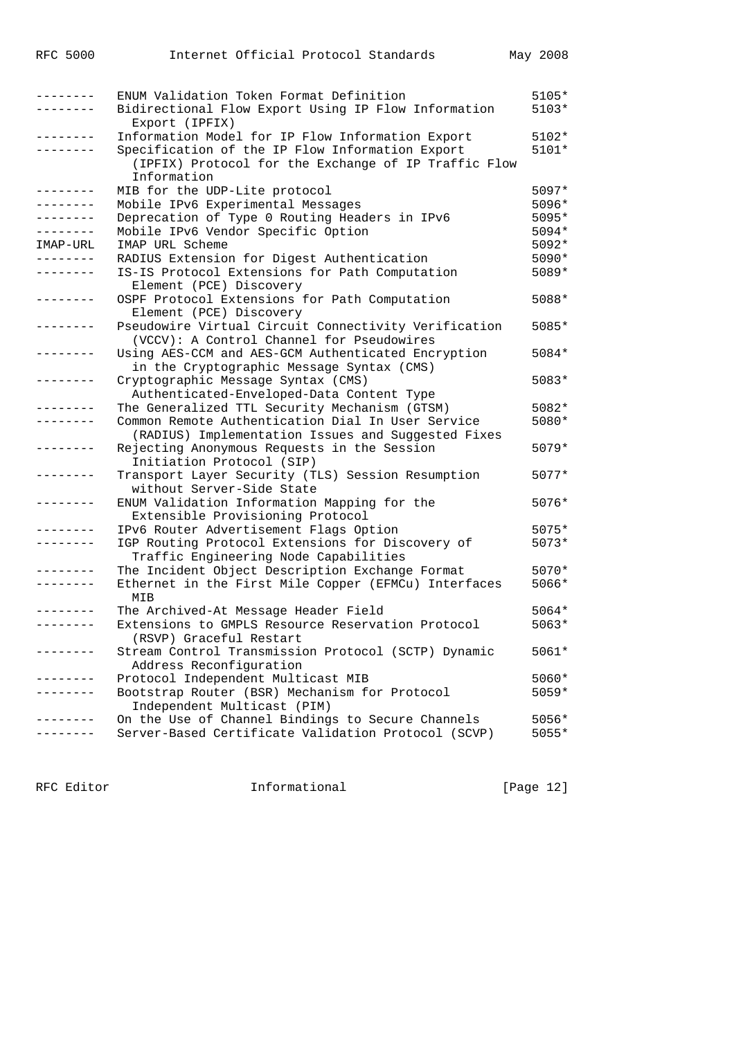| --------    | ENUM Validation Token Format Definition              | 5105*   |
|-------------|------------------------------------------------------|---------|
|             | Bidirectional Flow Export Using IP Flow Information  | 5103*   |
|             | Export (IPFIX)                                       |         |
|             | Information Model for IP Flow Information Export     | 5102*   |
| - - - - - - | Specification of the IP Flow Information Export      | 5101*   |
|             | (IPFIX) Protocol for the Exchange of IP Traffic Flow |         |
|             | Information                                          |         |
|             | MIB for the UDP-Lite protocol                        | 5097*   |
| --------    | Mobile IPv6 Experimental Messages                    | 5096*   |
| --------    | Deprecation of Type 0 Routing Headers in IPv6        | 5095*   |
| --------    | Mobile IPv6 Vendor Specific Option                   | 5094*   |
| IMAP-URL    | IMAP URL Scheme                                      | 5092*   |
| ---------   | RADIUS Extension for Digest Authentication           | 5090*   |
| --------    | IS-IS Protocol Extensions for Path Computation       | 5089*   |
|             | Element (PCE) Discovery                              |         |
|             | OSPF Protocol Extensions for Path Computation        | 5088*   |
|             | Element (PCE) Discovery                              |         |
|             | Pseudowire Virtual Circuit Connectivity Verification | 5085*   |
|             | (VCCV): A Control Channel for Pseudowires            |         |
| --------    | Using AES-CCM and AES-GCM Authenticated Encryption   | 5084*   |
|             | in the Cryptographic Message Syntax (CMS)            |         |
| -------     | Cryptographic Message Syntax (CMS)                   | 5083*   |
|             | Authenticated-Enveloped-Data Content Type            |         |
|             | The Generalized TTL Security Mechanism (GTSM)        | 5082*   |
|             | Common Remote Authentication Dial In User Service    | 5080*   |
|             | (RADIUS) Implementation Issues and Suggested Fixes   |         |
|             | Rejecting Anonymous Requests in the Session          | $5079*$ |
|             | Initiation Protocol (SIP)                            |         |
|             | Transport Layer Security (TLS) Session Resumption    | $5077*$ |
|             | without Server-Side State                            |         |
| --------    | ENUM Validation Information Mapping for the          | $5076*$ |
|             | Extensible Provisioning Protocol                     |         |
|             | IPv6 Router Advertisement Flags Option               | 5075*   |
| --------    | IGP Routing Protocol Extensions for Discovery of     | 5073*   |
|             | Traffic Engineering Node Capabilities                |         |
|             | The Incident Object Description Exchange Format      | $5070*$ |
|             | Ethernet in the First Mile Copper (EFMCu) Interfaces | 5066*   |
|             | MIB                                                  |         |
|             | The Archived-At Message Header Field                 | 5064*   |
| --------    | Extensions to GMPLS Resource Reservation Protocol    | 5063*   |
|             | (RSVP) Graceful Restart                              |         |
|             | Stream Control Transmission Protocol (SCTP) Dynamic  | 5061*   |
|             | Address Reconfiguration                              |         |
|             | Protocol Independent Multicast MIB                   | 5060*   |
|             | Bootstrap Router (BSR) Mechanism for Protocol        | 5059*   |
|             | Independent Multicast (PIM)                          |         |
|             | On the Use of Channel Bindings to Secure Channels    | $5056*$ |
|             | Server-Based Certificate Validation Protocol (SCVP)  | 5055*   |

RFC Editor **Informational** Page 12]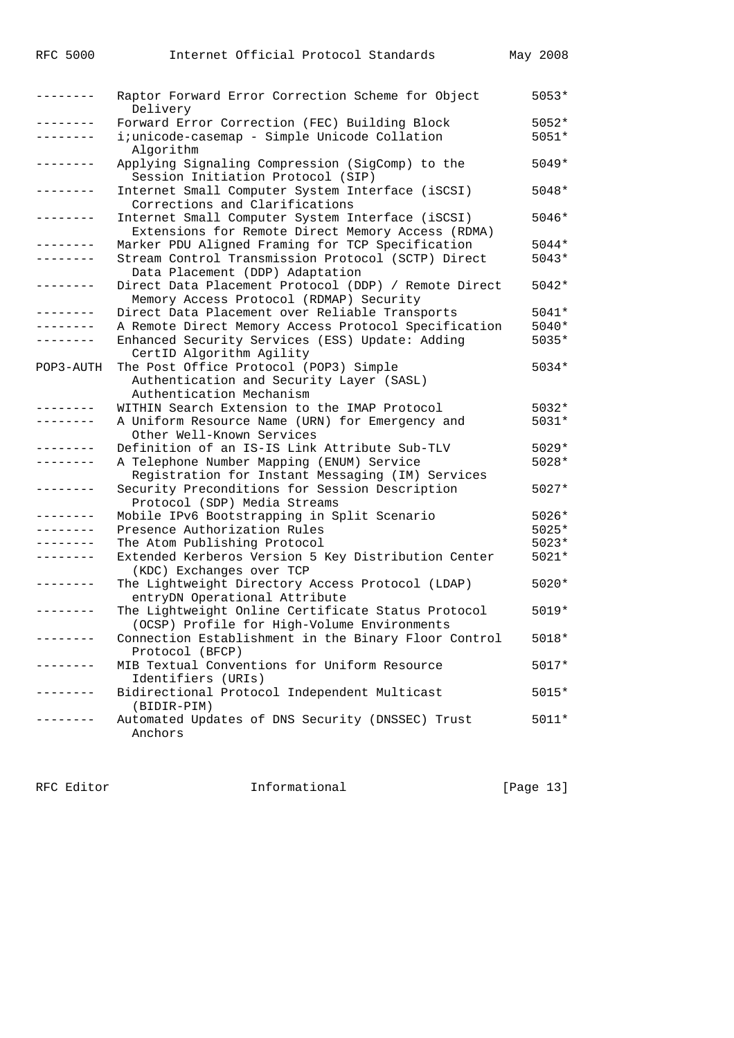| -------       | Raptor Forward Error Correction Scheme for Object<br>Delivery                                         | $5053*$ |
|---------------|-------------------------------------------------------------------------------------------------------|---------|
| -------       | Forward Error Correction (FEC) Building Block                                                         | $5052*$ |
|               | i;unicode-casemap - Simple Unicode Collation<br>Algorithm                                             | 5051*   |
|               | Applying Signaling Compression (SigComp) to the<br>Session Initiation Protocol (SIP)                  | $5049*$ |
|               | Internet Small Computer System Interface (iSCSI)<br>Corrections and Clarifications                    | 5048*   |
|               | Internet Small Computer System Interface (iSCSI)<br>Extensions for Remote Direct Memory Access (RDMA) | 5046*   |
|               | Marker PDU Aligned Framing for TCP Specification                                                      | 5044*   |
|               | Stream Control Transmission Protocol (SCTP) Direct<br>Data Placement (DDP) Adaptation                 | 5043*   |
| -------       | Direct Data Placement Protocol (DDP) / Remote Direct<br>Memory Access Protocol (RDMAP) Security       | 5042*   |
| -------       | Direct Data Placement over Reliable Transports                                                        | 5041*   |
| -------       | A Remote Direct Memory Access Protocol Specification                                                  | $5040*$ |
|               | Enhanced Security Services (ESS) Update: Adding                                                       | $5035*$ |
|               | CertID Algorithm Agility                                                                              |         |
| POP3-AUTH     | The Post Office Protocol (POP3) Simple                                                                | 5034*   |
|               | Authentication and Security Layer (SASL)<br>Authentication Mechanism                                  |         |
|               | WITHIN Search Extension to the IMAP Protocol                                                          | $5032*$ |
|               | A Uniform Resource Name (URN) for Emergency and<br>Other Well-Known Services                          | 5031*   |
|               | Definition of an IS-IS Link Attribute Sub-TLV                                                         | $5029*$ |
|               | A Telephone Number Mapping (ENUM) Service                                                             | 5028*   |
|               | Registration for Instant Messaging (IM) Services                                                      |         |
|               | Security Preconditions for Session Description<br>Protocol (SDP) Media Streams                        | $5027*$ |
|               | Mobile IPv6 Bootstrapping in Split Scenario                                                           | 5026*   |
|               | Presence Authorization Rules                                                                          | 5025*   |
|               | The Atom Publishing Protocol                                                                          | $5023*$ |
|               | Extended Kerberos Version 5 Key Distribution Center                                                   | 5021*   |
|               | (KDC) Exchanges over TCP                                                                              |         |
|               | The Lightweight Directory Access Protocol (LDAP)<br>entryDN Operational Attribute                     | $5020*$ |
|               | The Lightweight Online Certificate Status Protocol<br>(OCSP) Profile for High-Volume Environments     | 5019*   |
|               | Connection Establishment in the Binary Floor Control<br>Protocol (BFCP)                               | 5018*   |
| -------       | MIB Textual Conventions for Uniform Resource                                                          | 5017*   |
|               | Identifiers (URIs)                                                                                    |         |
| $- - - - - -$ | Bidirectional Protocol Independent Multicast                                                          | $5015*$ |
|               | (BIDIR-PIM)                                                                                           |         |
|               | Automated Updates of DNS Security (DNSSEC) Trust                                                      | 5011*   |
|               | Anchors                                                                                               |         |

RFC Editor **Informational** [Page 13]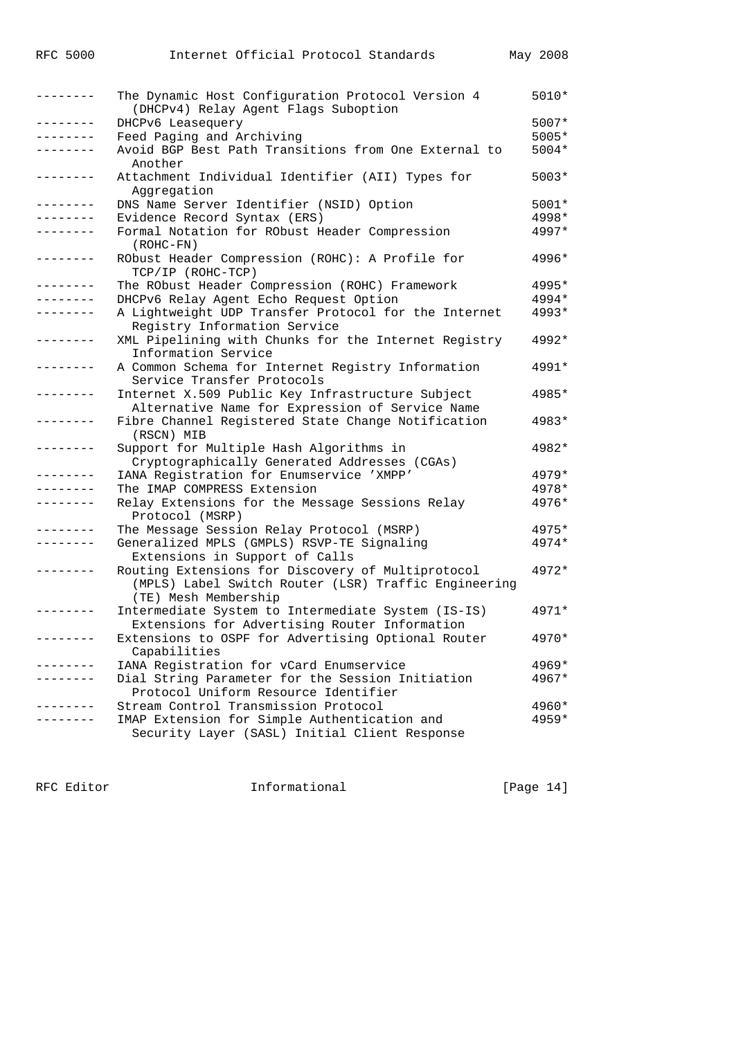| RFC | 5000 |
|-----|------|
|     |      |

| . <u>.</u> . | The Dynamic Host Configuration Protocol Version 4<br>(DHCPv4) Relay Agent Flags Suboption | 5010*   |
|--------------|-------------------------------------------------------------------------------------------|---------|
| --------     | DHCPv6 Leasequery                                                                         | 5007*   |
| . <u>.</u>   | Feed Paging and Archiving                                                                 | 5005*   |
|              | Avoid BGP Best Path Transitions from One External to                                      | $5004*$ |
|              | Another                                                                                   |         |
| . <u>.</u> . | Attachment Individual Identifier (AII) Types for                                          | $5003*$ |
|              | Aggregation                                                                               |         |
| .            | DNS Name Server Identifier (NSID) Option                                                  | 5001*   |
| --------     | Evidence Record Syntax (ERS)                                                              | 4998*   |
|              | Formal Notation for RObust Header Compression                                             | 4997*   |
|              | $(ROHC-FN)$                                                                               |         |
| . <u>.</u>   | RObust Header Compression (ROHC): A Profile for                                           | 4996*   |
|              | TCP/IP (ROHC-TCP)                                                                         |         |
| . <u>.</u> . | The RObust Header Compression (ROHC) Framework                                            | 4995*   |
|              | DHCPv6 Relay Agent Echo Request Option                                                    | 4994*   |
|              | A Lightweight UDP Transfer Protocol for the Internet                                      | 4993*   |
|              | Registry Information Service                                                              |         |
|              | XML Pipelining with Chunks for the Internet Registry                                      | $4992*$ |
|              | Information Service                                                                       |         |
|              | A Common Schema for Internet Registry Information                                         | 4991*   |
|              | Service Transfer Protocols                                                                |         |
|              | Internet X.509 Public Key Infrastructure Subject                                          | 4985*   |
|              | Alternative Name for Expression of Service Name                                           |         |
| . <u>.</u> . | Fibre Channel Registered State Change Notification                                        | 4983*   |
|              | (RSCN) MIB                                                                                |         |
| . <i>.</i> . | Support for Multiple Hash Algorithms in                                                   | 4982*   |
|              | Cryptographically Generated Addresses (CGAs)                                              |         |
| . <u>.</u> . | IANA Registration for Enumservice 'XMPP'                                                  | $4979*$ |
|              | The IMAP COMPRESS Extension                                                               | 4978*   |
| .            | Relay Extensions for the Message Sessions Relay                                           | 4976*   |
|              | Protocol (MSRP)                                                                           |         |
|              | The Message Session Relay Protocol (MSRP)                                                 | 4975*   |
| --------     | Generalized MPLS (GMPLS) RSVP-TE Signaling                                                | 4974*   |
|              | Extensions in Support of Calls                                                            |         |
|              | Routing Extensions for Discovery of Multiprotocol                                         | $4972*$ |
|              | (MPLS) Label Switch Router (LSR) Traffic Engineering                                      |         |
|              | (TE) Mesh Membership                                                                      |         |
|              | Intermediate System to Intermediate System (IS-IS)                                        | 4971*   |
|              | Extensions for Advertising Router Information                                             |         |
|              | Extensions to OSPF for Advertising Optional Router                                        | 4970*   |
|              | Capabilities                                                                              |         |
|              | IANA Registration for vCard Enumservice                                                   | 4969*   |
|              | Dial String Parameter for the Session Initiation                                          | 4967*   |
|              | Protocol Uniform Resource Identifier                                                      |         |
|              | Stream Control Transmission Protocol                                                      | $4960*$ |
|              | IMAP Extension for Simple Authentication and                                              | 4959*   |
|              | Security Layer (SASL) Initial Client Response                                             |         |
|              |                                                                                           |         |

RFC Editor **Informational** [Page 14]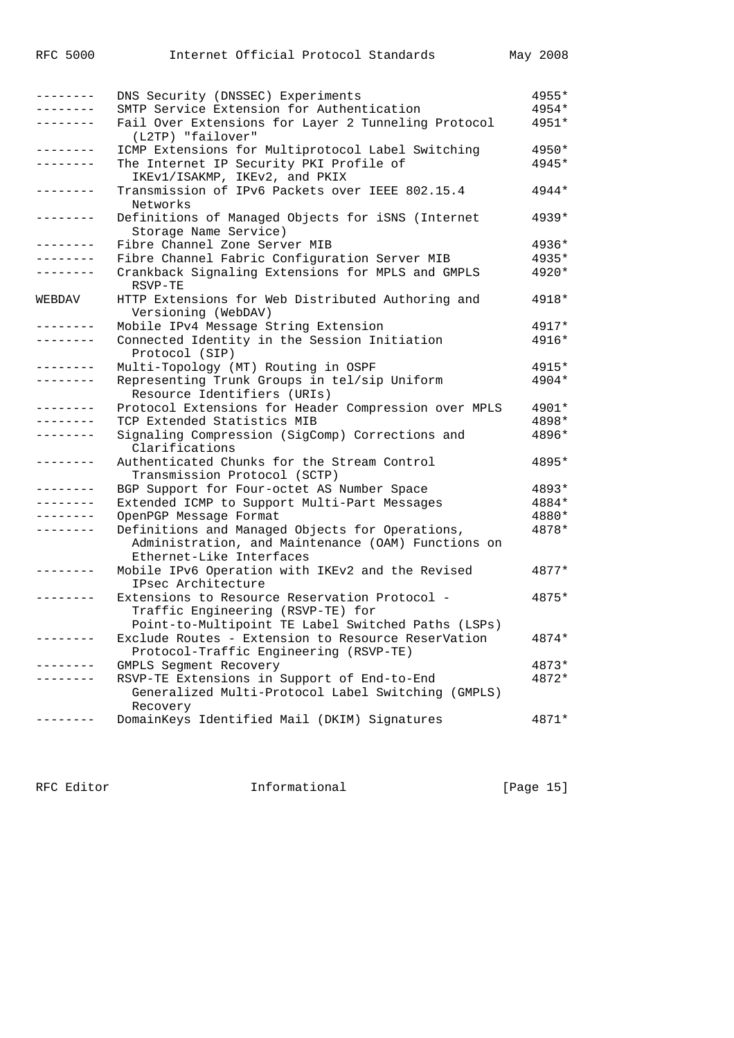| --------            | DNS Security (DNSSEC) Experiments                    | 4955*   |
|---------------------|------------------------------------------------------|---------|
|                     | SMTP Service Extension for Authentication            | 4954*   |
| $- - - - - - - - -$ | Fail Over Extensions for Layer 2 Tunneling Protocol  | 4951*   |
|                     | (L2TP) "failover"                                    |         |
|                     | ICMP Extensions for Multiprotocol Label Switching    | 4950*   |
|                     | The Internet IP Security PKI Profile of              | 4945*   |
|                     | IKEV1/ISAKMP, IKEV2, and PKIX                        |         |
|                     | Transmission of IPv6 Packets over IEEE 802.15.4      | 4944*   |
|                     | Networks                                             |         |
| -------             | Definitions of Managed Objects for iSNS (Internet    | $4939*$ |
|                     | Storage Name Service)                                |         |
| $- - - - - - - -$   | Fibre Channel Zone Server MIB                        | 4936*   |
|                     | Fibre Channel Fabric Configuration Server MIB        | 4935*   |
|                     | Crankback Signaling Extensions for MPLS and GMPLS    | 4920*   |
|                     | RSVP-TE                                              |         |
|                     |                                                      | 4918*   |
| WEBDAV              | HTTP Extensions for Web Distributed Authoring and    |         |
|                     | Versioning (WebDAV)                                  |         |
| --------            | Mobile IPv4 Message String Extension                 | 4917*   |
| --------            | Connected Identity in the Session Initiation         | 4916*   |
|                     | Protocol (SIP)                                       |         |
| --------            | Multi-Topology (MT) Routing in OSPF                  | 4915*   |
|                     | Representing Trunk Groups in tel/sip Uniform         | 4904*   |
|                     | Resource Identifiers (URIs)                          |         |
|                     | Protocol Extensions for Header Compression over MPLS | 4901*   |
|                     | TCP Extended Statistics MIB                          | 4898*   |
|                     | Signaling Compression (SigComp) Corrections and      | 4896*   |
|                     | Clarifications                                       |         |
| --------            | Authenticated Chunks for the Stream Control          | 4895*   |
|                     | Transmission Protocol (SCTP)                         |         |
| .                   | BGP Support for Four-octet AS Number Space           | 4893*   |
| -------             | Extended ICMP to Support Multi-Part Messages         | 4884*   |
|                     | OpenPGP Message Format                               | 4880*   |
|                     | Definitions and Managed Objects for Operations,      | 4878*   |
|                     | Administration, and Maintenance (OAM) Functions on   |         |
|                     | Ethernet-Like Interfaces                             |         |
|                     | Mobile IPv6 Operation with IKEv2 and the Revised     | 4877*   |
|                     | IPsec Architecture                                   |         |
|                     | Extensions to Resource Reservation Protocol -        | 4875*   |
|                     | Traffic Engineering (RSVP-TE) for                    |         |
|                     | Point-to-Multipoint TE Label Switched Paths (LSPs)   |         |
|                     | Exclude Routes - Extension to Resource ReserVation   | 4874*   |
|                     | Protocol-Traffic Engineering (RSVP-TE)               |         |
|                     | GMPLS Segment Recovery                               | 4873*   |
|                     | RSVP-TE Extensions in Support of End-to-End          | 4872*   |
|                     | Generalized Multi-Protocol Label Switching (GMPLS)   |         |
|                     | Recovery                                             |         |
|                     | DomainKeys Identified Mail (DKIM) Signatures         | 4871*   |
|                     |                                                      |         |

RFC Editor **Informational** Page 15]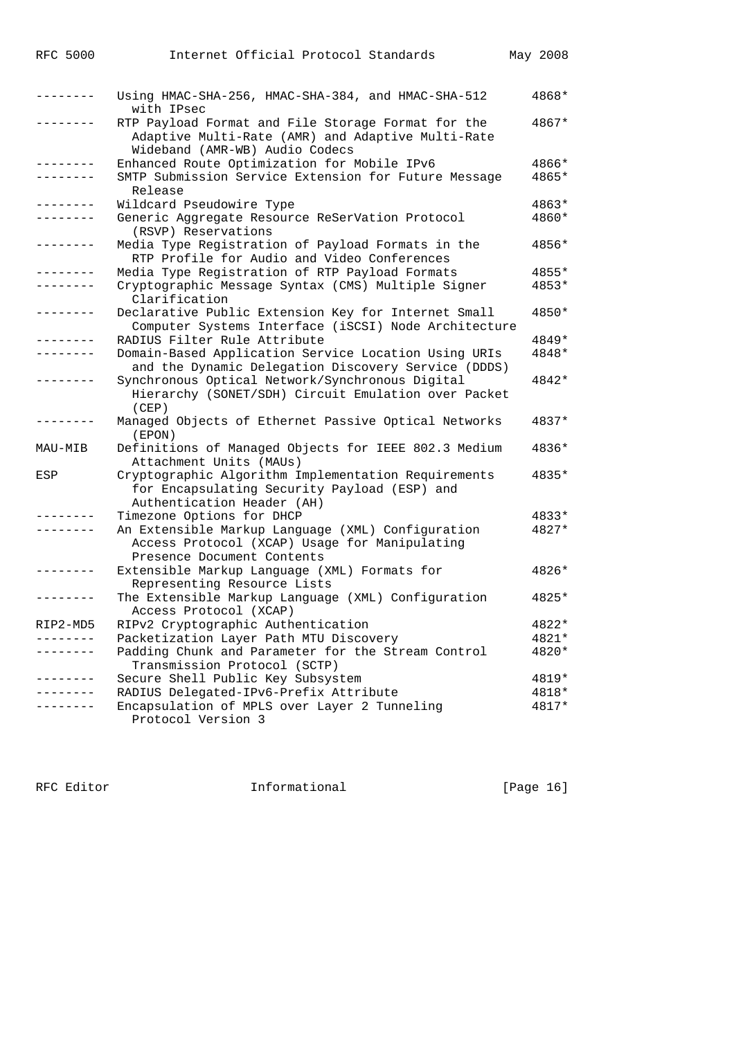|                 | Using HMAC-SHA-256, HMAC-SHA-384, and HMAC-SHA-512<br>with IPsec                                                                          | 4868* |
|-----------------|-------------------------------------------------------------------------------------------------------------------------------------------|-------|
|                 | RTP Payload Format and File Storage Format for the<br>Adaptive Multi-Rate (AMR) and Adaptive Multi-Rate<br>Wideband (AMR-WB) Audio Codecs | 4867* |
| -------         | Enhanced Route Optimization for Mobile IPv6                                                                                               | 4866* |
| $- - - - - - -$ | SMTP Submission Service Extension for Future Message<br>Release                                                                           | 4865* |
| $- - - - - - -$ | Wildcard Pseudowire Type                                                                                                                  | 4863* |
| . _ _ _ _ _ _ _ | Generic Aggregate Resource ReSerVation Protocol<br>(RSVP) Reservations                                                                    | 4860* |
| .               | Media Type Registration of Payload Formats in the<br>RTP Profile for Audio and Video Conferences                                          | 4856* |
| . _ _ _ _ _ _ _ | Media Type Registration of RTP Payload Formats                                                                                            | 4855* |
|                 | Cryptographic Message Syntax (CMS) Multiple Signer<br>Clarification                                                                       | 4853* |
|                 | Declarative Public Extension Key for Internet Small<br>Computer Systems Interface (iSCSI) Node Architecture                               | 4850* |
|                 | RADIUS Filter Rule Attribute                                                                                                              | 4849* |
| --------        | Domain-Based Application Service Location Using URIs<br>and the Dynamic Delegation Discovery Service (DDDS)                               | 4848* |
|                 | Synchronous Optical Network/Synchronous Digital<br>Hierarchy (SONET/SDH) Circuit Emulation over Packet<br>(CEP)                           | 4842* |
|                 | Managed Objects of Ethernet Passive Optical Networks<br>(EDON)                                                                            | 4837* |
| MAU-MIB         | Definitions of Managed Objects for IEEE 802.3 Medium<br>Attachment Units (MAUs)                                                           | 4836* |
| ESP             | Cryptographic Algorithm Implementation Requirements<br>for Encapsulating Security Payload (ESP) and<br>Authentication Header (AH)         | 4835* |
|                 | Timezone Options for DHCP                                                                                                                 | 4833* |
|                 | An Extensible Markup Language (XML) Configuration<br>Access Protocol (XCAP) Usage for Manipulating<br>Presence Document Contents          | 4827* |
| .               | Extensible Markup Language (XML) Formats for<br>Representing Resource Lists                                                               | 4826* |
|                 | The Extensible Markup Language (XML) Configuration<br>Access Protocol (XCAP)                                                              | 4825* |
| RIP2-MD5        | RIPv2 Cryptographic Authentication                                                                                                        | 4822* |
|                 | Packetization Layer Path MTU Discovery                                                                                                    | 4821* |
|                 | Padding Chunk and Parameter for the Stream Control<br>Transmission Protocol (SCTP)                                                        | 4820* |
|                 | Secure Shell Public Key Subsystem                                                                                                         | 4819* |
|                 | RADIUS Delegated-IPv6-Prefix Attribute                                                                                                    | 4818* |
|                 | Encapsulation of MPLS over Layer 2 Tunneling<br>Protocol Version 3                                                                        | 4817* |

RFC 5000 Internet Official Protocol Standards May 2008

RFC Editor **Informational** Page 16]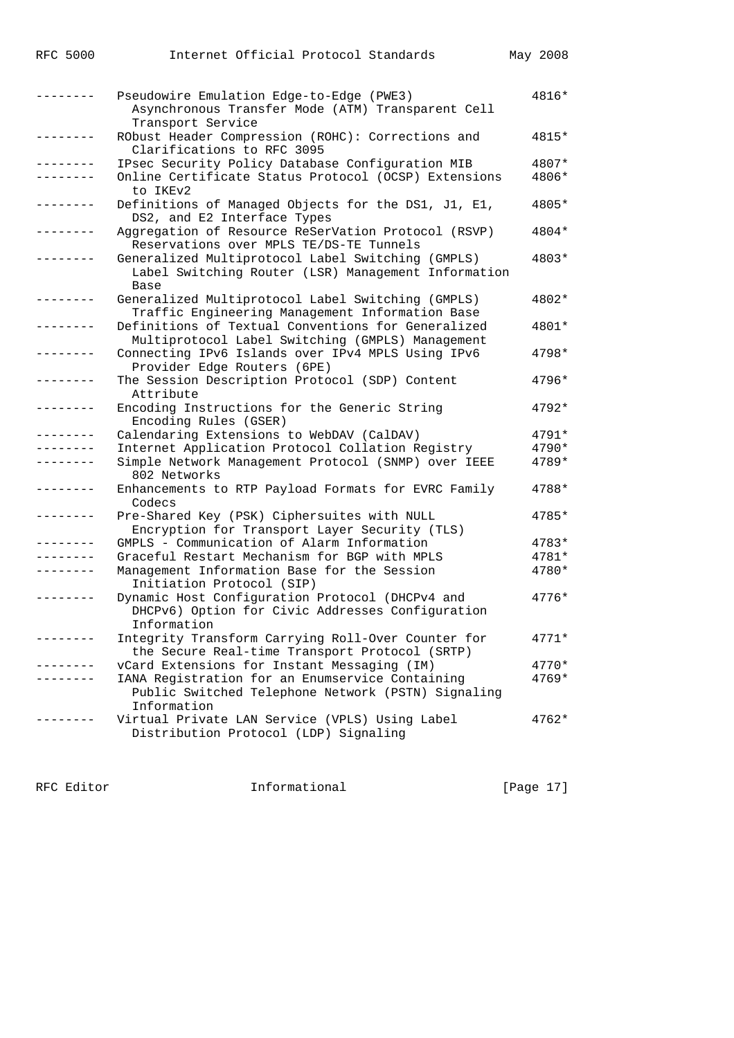| RFC 5000 |  | Internet Official Protocol Standards | May 2008 |
|----------|--|--------------------------------------|----------|

|               | Pseudowire Emulation Edge-to-Edge (PWE3)<br>Asynchronous Transfer Mode (ATM) Transparent Cell                        | 4816*          |
|---------------|----------------------------------------------------------------------------------------------------------------------|----------------|
| - - - - - - - | Transport Service<br>RObust Header Compression (ROHC): Corrections and<br>Clarifications to RFC 3095                 | 4815*          |
|               | IPsec Security Policy Database Configuration MIB<br>Online Certificate Status Protocol (OCSP) Extensions             | 4807*<br>4806* |
|               | to IKEv2                                                                                                             |                |
| --------      | Definitions of Managed Objects for the DS1, J1, E1,<br>DS2, and E2 Interface Types                                   | 4805*          |
|               | Aggregation of Resource ReSerVation Protocol (RSVP)<br>Reservations over MPLS TE/DS-TE Tunnels                       | 4804*          |
|               | Generalized Multiprotocol Label Switching (GMPLS)<br>Label Switching Router (LSR) Management Information<br>Base     | 4803*          |
|               | Generalized Multiprotocol Label Switching (GMPLS)<br>Traffic Engineering Management Information Base                 | 4802*          |
|               | Definitions of Textual Conventions for Generalized<br>Multiprotocol Label Switching (GMPLS) Management               | 4801*          |
|               | Connecting IPv6 Islands over IPv4 MPLS Using IPv6<br>Provider Edge Routers (6PE)                                     | $4798*$        |
|               | The Session Description Protocol (SDP) Content<br>Attribute                                                          | 4796*          |
|               | Encoding Instructions for the Generic String<br>Encoding Rules (GSER)                                                | 4792*          |
|               | Calendaring Extensions to WebDAV (CalDAV)                                                                            | 4791*          |
|               | Internet Application Protocol Collation Registry                                                                     | 4790*          |
|               | Simple Network Management Protocol (SNMP) over IEEE<br>802 Networks                                                  | 4789*          |
|               | Enhancements to RTP Payload Formats for EVRC Family<br>Codecs                                                        | 4788*          |
|               | Pre-Shared Key (PSK) Ciphersuites with NULL<br>Encryption for Transport Layer Security (TLS)                         | 4785*          |
| -------       | GMPLS - Communication of Alarm Information                                                                           | 4783*          |
|               | Graceful Restart Mechanism for BGP with MPLS                                                                         | 4781*          |
|               | Management Information Base for the Session<br>Initiation Protocol (SIP)                                             | 4780*          |
|               | Dynamic Host Configuration Protocol (DHCPv4 and<br>DHCPv6) Option for Civic Addresses Configuration<br>Information   | 4776*          |
|               | Integrity Transform Carrying Roll-Over Counter for<br>the Secure Real-time Transport Protocol (SRTP)                 | 4771*          |
|               | vCard Extensions for Instant Messaging (IM)                                                                          | 4770*          |
|               | IANA Registration for an Enumservice Containing<br>Public Switched Telephone Network (PSTN) Signaling<br>Information | 4769*          |
|               | Virtual Private LAN Service (VPLS) Using Label<br>Distribution Protocol (LDP) Signaling                              | $4762*$        |
|               |                                                                                                                      |                |

RFC Editor **Informational Informational** [Page 17]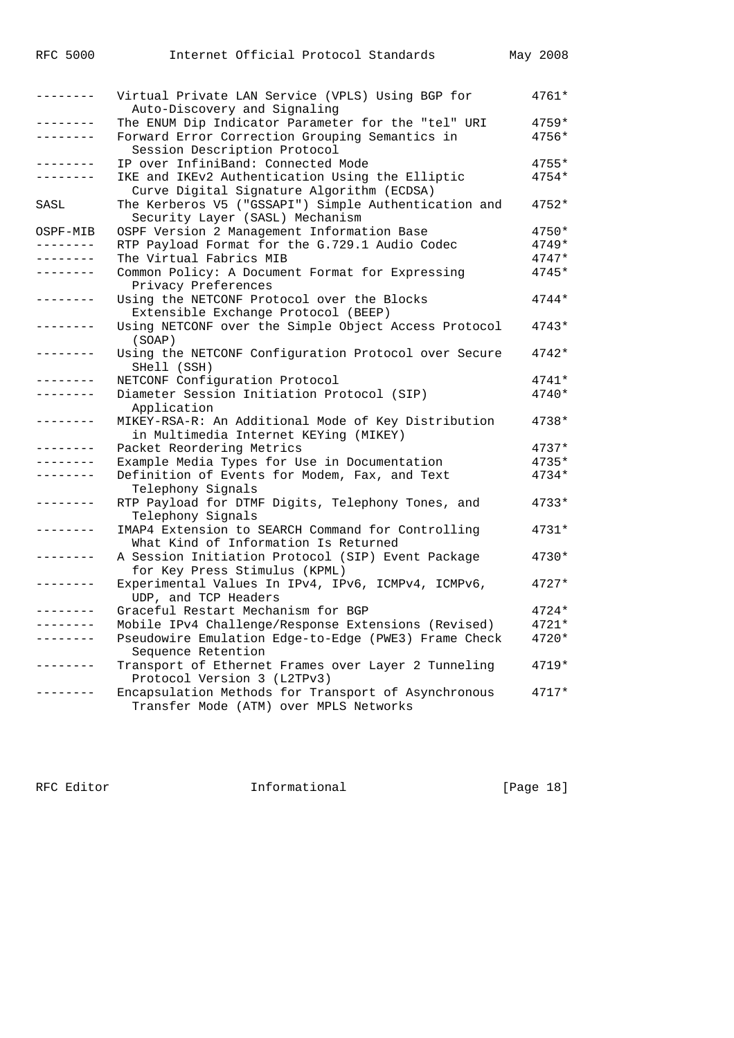| -------         | Virtual Private LAN Service (VPLS) Using BGP for<br>Auto-Discovery and Signaling              | $4761*$ |
|-----------------|-----------------------------------------------------------------------------------------------|---------|
| -------         | The ENUM Dip Indicator Parameter for the "tel" URI                                            | $4759*$ |
| -------         | Forward Error Correction Grouping Semantics in<br>Session Description Protocol                | $4756*$ |
| - - - - - - -   | IP over InfiniBand: Connected Mode                                                            | $4755*$ |
| -------         | IKE and IKEv2 Authentication Using the Elliptic<br>Curve Digital Signature Algorithm (ECDSA)  | $4754*$ |
| SASL            | The Kerberos V5 ("GSSAPI") Simple Authentication and<br>Security Layer (SASL) Mechanism       | $4752*$ |
| OSPF-MIB        | OSPF Version 2 Management Information Base                                                    | $4750*$ |
| . <i>.</i> .    | RTP Payload Format for the G.729.1 Audio Codec                                                | $4749*$ |
| --------        | The Virtual Fabrics MIB                                                                       | $4747*$ |
|                 | Common Policy: A Document Format for Expressing<br>Privacy Preferences                        | $4745*$ |
|                 | Using the NETCONF Protocol over the Blocks<br>Extensible Exchange Protocol (BEEP)             | $4744*$ |
| -------         | Using NETCONF over the Simple Object Access Protocol<br>(SOAP)                                | $4743*$ |
| -------         | Using the NETCONF Configuration Protocol over Secure<br>SHell (SSH)                           | $4742*$ |
|                 | NETCONF Configuration Protocol                                                                | $4741*$ |
|                 | Diameter Session Initiation Protocol (SIP)<br>Application                                     | $4740*$ |
|                 | MIKEY-RSA-R: An Additional Mode of Key Distribution<br>in Multimedia Internet KEYing (MIKEY)  | 4738*   |
| - - - - - - -   | Packet Reordering Metrics                                                                     | $4737*$ |
|                 | Example Media Types for Use in Documentation                                                  | $4735*$ |
| -------         | Definition of Events for Modem, Fax, and Text<br>Telephony Signals                            | 4734*   |
|                 | RTP Payload for DTMF Digits, Telephony Tones, and<br>Telephony Signals                        | $4733*$ |
|                 | IMAP4 Extension to SEARCH Command for Controlling<br>What Kind of Information Is Returned     | $4731*$ |
|                 | A Session Initiation Protocol (SIP) Event Package<br>for Key Press Stimulus (KPML)            | 4730*   |
| --------        | Experimental Values In IPv4, IPv6, ICMPv4, ICMPv6,<br>UDP, and TCP Headers                    | $4727*$ |
|                 | Graceful Restart Mechanism for BGP                                                            | $4724*$ |
|                 | Mobile IPv4 Challenge/Response Extensions (Revised)                                           | $4721*$ |
| . _ _ _ _ _ _ _ | Pseudowire Emulation Edge-to-Edge (PWE3) Frame Check<br>Sequence Retention                    | $4720*$ |
| -------         | Transport of Ethernet Frames over Layer 2 Tunneling<br>Protocol Version 3 (L2TPv3)            | $4719*$ |
|                 | Encapsulation Methods for Transport of Asynchronous<br>Transfer Mode (ATM) over MPLS Networks | $4717*$ |
|                 |                                                                                               |         |

RFC 5000 Internet Official Protocol Standards May 2008

RFC Editor **Informational** Page 18]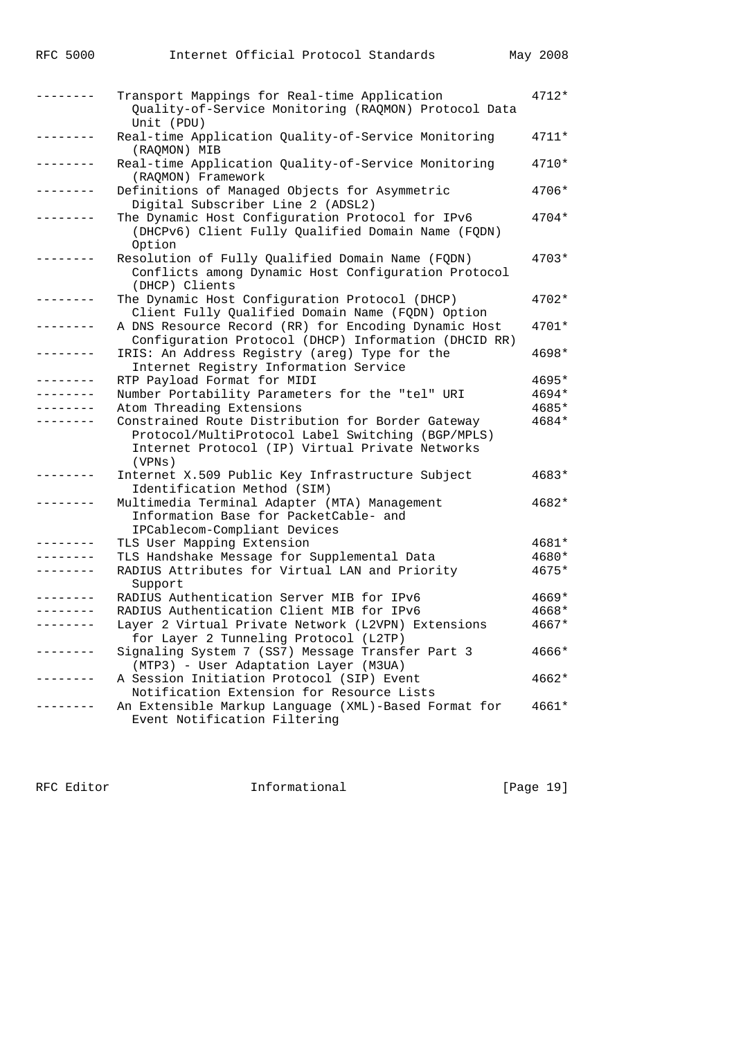|            | Transport Mappings for Real-time Application<br>Quality-of-Service Monitoring (RAQMON) Protocol Data<br>Unit (PDU)                                                  | $4712*$ |
|------------|---------------------------------------------------------------------------------------------------------------------------------------------------------------------|---------|
| . <u>.</u> | Real-time Application Quality-of-Service Monitoring<br>(RAQMON) MIB                                                                                                 | $4711*$ |
|            | Real-time Application Quality-of-Service Monitoring<br>(RAQMON) Framework                                                                                           | 4710*   |
|            | Definitions of Managed Objects for Asymmetric<br>Digital Subscriber Line 2 (ADSL2)                                                                                  | 4706*   |
|            | The Dynamic Host Configuration Protocol for IPv6<br>(DHCPv6) Client Fully Qualified Domain Name (FQDN)<br>Option                                                    | 4704*   |
|            | Resolution of Fully Qualified Domain Name (FQDN)<br>Conflicts among Dynamic Host Configuration Protocol<br>(DHCP) Clients                                           | 4703*   |
|            | The Dynamic Host Configuration Protocol (DHCP)<br>Client Fully Qualified Domain Name (FQDN) Option                                                                  | 4702*   |
|            | A DNS Resource Record (RR) for Encoding Dynamic Host<br>Configuration Protocol (DHCP) Information (DHCID RR)                                                        | 4701*   |
|            | IRIS: An Address Registry (areg) Type for the<br>Internet Registry Information Service                                                                              | 4698*   |
| $- - -$    | RTP Payload Format for MIDI                                                                                                                                         | 4695*   |
|            | Number Portability Parameters for the "tel" URI                                                                                                                     | 4694*   |
|            | Atom Threading Extensions                                                                                                                                           | 4685*   |
|            | Constrained Route Distribution for Border Gateway<br>Protocol/MultiProtocol Label Switching (BGP/MPLS)<br>Internet Protocol (IP) Virtual Private Networks<br>(VPNS) | 4684*   |
|            | Internet X.509 Public Key Infrastructure Subject<br>Identification Method (SIM)                                                                                     | 4683*   |
|            | Multimedia Terminal Adapter (MTA) Management<br>Information Base for PacketCable- and<br>IPCablecom-Compliant Devices                                               | 4682*   |
|            | TLS User Mapping Extension                                                                                                                                          | 4681*   |
|            | TLS Handshake Message for Supplemental Data                                                                                                                         | 4680*   |
|            | RADIUS Attributes for Virtual LAN and Priority<br>Support                                                                                                           | 4675*   |
|            | RADIUS Authentication Server MIB for IPv6                                                                                                                           | $4669*$ |
|            | RADIUS Authentication Client MIB for IPv6                                                                                                                           | 4668*   |
|            | Layer 2 Virtual Private Network (L2VPN) Extensions<br>for Layer 2 Tunneling Protocol (L2TP)                                                                         | 4667*   |
|            | Signaling System 7 (SS7) Message Transfer Part 3<br>(MTP3) - User Adaptation Layer (M3UA)                                                                           | 4666*   |
|            | A Session Initiation Protocol (SIP) Event<br>Notification Extension for Resource Lists                                                                              | 4662*   |
|            | An Extensible Markup Language (XML)-Based Format for<br>Event Notification Filtering                                                                                | 4661*   |

RFC Editor **Informational** [Page 19]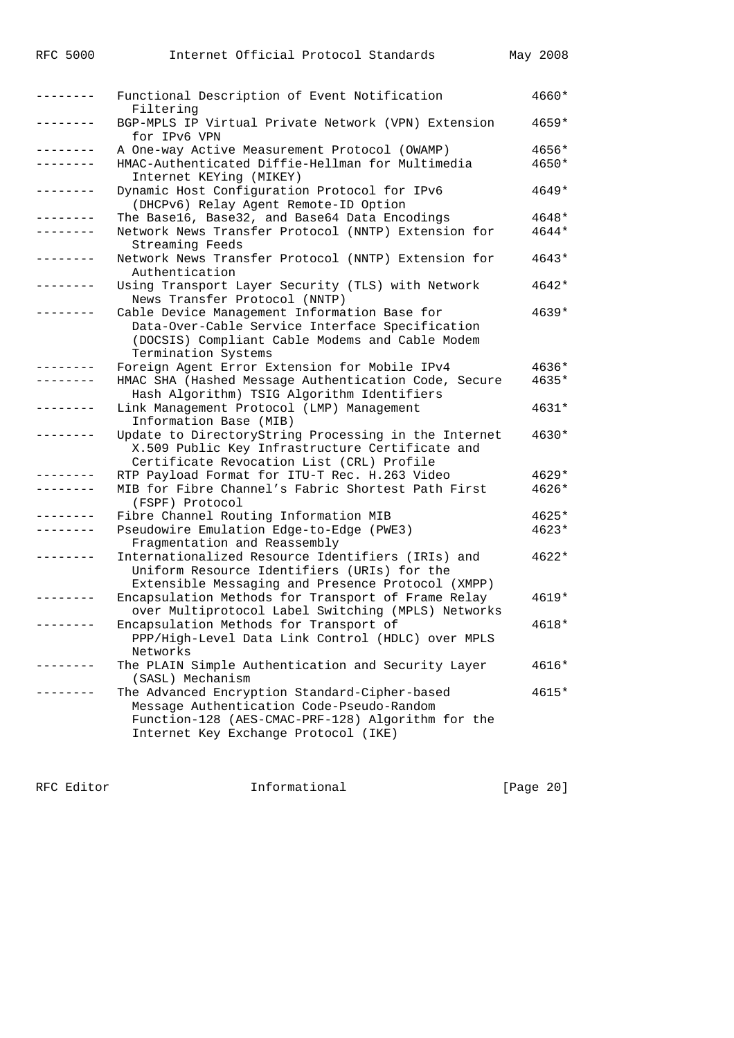| -------  | Functional Description of Event Notification<br>Filtering                                                                                                                               | 4660* |
|----------|-----------------------------------------------------------------------------------------------------------------------------------------------------------------------------------------|-------|
|          | BGP-MPLS IP Virtual Private Network (VPN) Extension<br>for IPv6 VPN                                                                                                                     | 4659* |
|          | A One-way Active Measurement Protocol (OWAMP)                                                                                                                                           | 4656* |
|          | HMAC-Authenticated Diffie-Hellman for Multimedia                                                                                                                                        | 4650* |
|          | Internet KEYing (MIKEY)                                                                                                                                                                 |       |
|          | Dynamic Host Configuration Protocol for IPv6<br>(DHCPv6) Relay Agent Remote-ID Option                                                                                                   | 4649* |
|          | The Base16, Base32, and Base64 Data Encodings                                                                                                                                           | 4648* |
|          | Network News Transfer Protocol (NNTP) Extension for<br>Streaming Feeds                                                                                                                  | 4644* |
|          | Network News Transfer Protocol (NNTP) Extension for                                                                                                                                     | 4643* |
|          | Authentication<br>Using Transport Layer Security (TLS) with Network<br>News Transfer Protocol (NNTP)                                                                                    | 4642* |
|          | Cable Device Management Information Base for<br>Data-Over-Cable Service Interface Specification<br>(DOCSIS) Compliant Cable Modems and Cable Modem<br>Termination Systems               | 4639* |
|          | Foreign Agent Error Extension for Mobile IPv4                                                                                                                                           | 4636* |
|          | HMAC SHA (Hashed Message Authentication Code, Secure<br>Hash Algorithm) TSIG Algorithm Identifiers                                                                                      | 4635* |
|          | Link Management Protocol (LMP) Management<br>Information Base (MIB)                                                                                                                     | 4631* |
|          | Update to DirectoryString Processing in the Internet<br>X.509 Public Key Infrastructure Certificate and<br>Certificate Revocation List (CRL) Profile                                    | 4630* |
|          | RTP Payload Format for ITU-T Rec. H.263 Video                                                                                                                                           | 4629* |
|          | MIB for Fibre Channel's Fabric Shortest Path First                                                                                                                                      | 4626* |
|          | (FSPF) Protocol                                                                                                                                                                         |       |
|          | Fibre Channel Routing Information MIB                                                                                                                                                   | 4625* |
|          | Pseudowire Emulation Edge-to-Edge (PWE3)<br>Fragmentation and Reassembly                                                                                                                | 4623* |
|          | Internationalized Resource Identifiers (IRIs) and<br>Uniform Resource Identifiers (URIs) for the<br>Extensible Messaging and Presence Protocol (XMPP)                                   | 4622* |
|          | Encapsulation Methods for Transport of Frame Relay<br>over Multiprotocol Label Switching (MPLS) Networks                                                                                | 4619* |
| -------- | Encapsulation Methods for Transport of<br>PPP/High-Level Data Link Control (HDLC) over MPLS<br>Networks                                                                                 | 4618* |
|          | The PLAIN Simple Authentication and Security Layer<br>(SASL) Mechanism                                                                                                                  | 4616* |
|          | The Advanced Encryption Standard-Cipher-based<br>Message Authentication Code-Pseudo-Random<br>Function-128 (AES-CMAC-PRF-128) Algorithm for the<br>Internet Key Exchange Protocol (IKE) | 4615* |

RFC Editor **Informational Informational** [Page 20]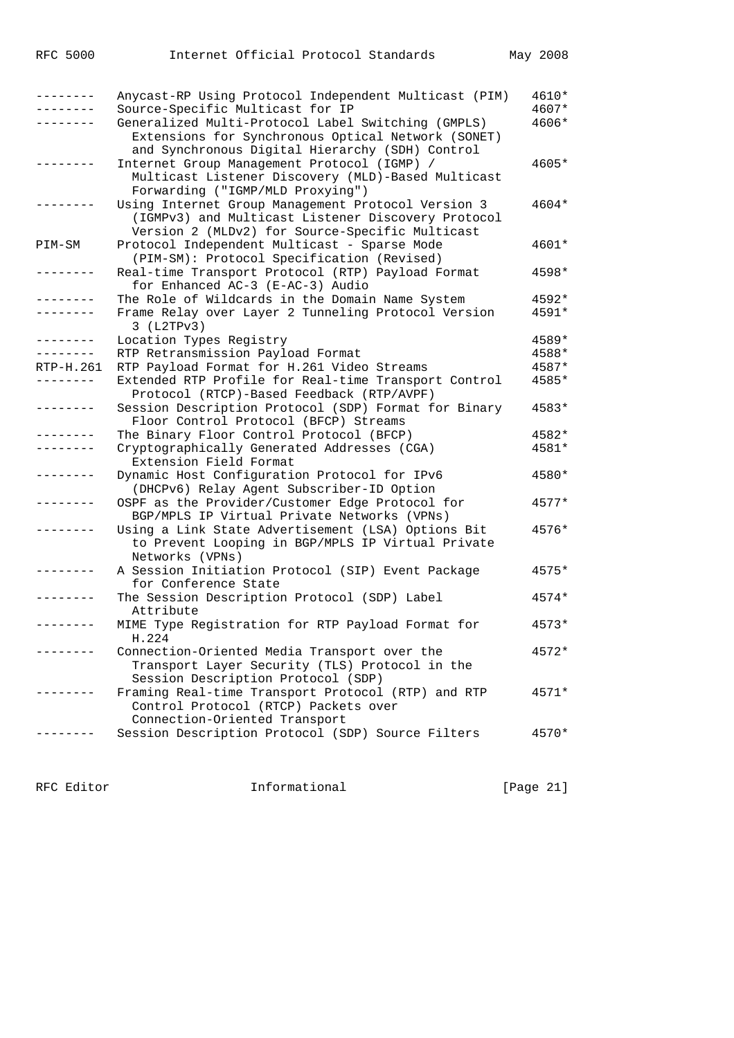| --------  | Anycast-RP Using Protocol Independent Multicast (PIM)                                                                                                                                           | 4610*          |
|-----------|-------------------------------------------------------------------------------------------------------------------------------------------------------------------------------------------------|----------------|
|           | Source-Specific Multicast for IP<br>Generalized Multi-Protocol Label Switching (GMPLS)<br>Extensions for Synchronous Optical Network (SONET)<br>and Synchronous Digital Hierarchy (SDH) Control | 4607*<br>4606* |
|           | Internet Group Management Protocol (IGMP) /<br>Multicast Listener Discovery (MLD)-Based Multicast<br>Forwarding ("IGMP/MLD Proxying")                                                           | 4605*          |
|           | Using Internet Group Management Protocol Version 3<br>(IGMPv3) and Multicast Listener Discovery Protocol<br>Version 2 (MLDv2) for Source-Specific Multicast                                     | 4604*          |
| PIM-SM    | Protocol Independent Multicast - Sparse Mode<br>(PIM-SM): Protocol Specification (Revised)                                                                                                      | 4601*          |
|           | Real-time Transport Protocol (RTP) Payload Format<br>for Enhanced AC-3 (E-AC-3) Audio                                                                                                           | 4598*          |
|           | The Role of Wildcards in the Domain Name System                                                                                                                                                 | 4592*          |
|           | Frame Relay over Layer 2 Tunneling Protocol Version<br>3 (L2TPv3)                                                                                                                               | 4591*          |
| --------  | Location Types Registry                                                                                                                                                                         | 4589*          |
| --------  | RTP Retransmission Payload Format                                                                                                                                                               | 4588*          |
| RTP-H.261 | RTP Payload Format for H.261 Video Streams                                                                                                                                                      | 4587*          |
|           | Extended RTP Profile for Real-time Transport Control<br>Protocol (RTCP)-Based Feedback (RTP/AVPF)                                                                                               | 4585*          |
| --------  | Session Description Protocol (SDP) Format for Binary<br>Floor Control Protocol (BFCP) Streams                                                                                                   | 4583*          |
|           | The Binary Floor Control Protocol (BFCP)                                                                                                                                                        | 4582*          |
|           | Cryptographically Generated Addresses (CGA)<br>Extension Field Format                                                                                                                           | 4581*          |
|           | Dynamic Host Configuration Protocol for IPv6<br>(DHCPv6) Relay Agent Subscriber-ID Option                                                                                                       | 4580*          |
|           | OSPF as the Provider/Customer Edge Protocol for<br>BGP/MPLS IP Virtual Private Networks (VPNs)                                                                                                  | 4577*          |
|           | Using a Link State Advertisement (LSA) Options Bit<br>to Prevent Looping in BGP/MPLS IP Virtual Private<br>Networks (VPNs)                                                                      | 4576*          |
|           | A Session Initiation Protocol (SIP) Event Package<br>for Conference State                                                                                                                       | 4575*          |
|           | The Session Description Protocol (SDP) Label<br>Attribute                                                                                                                                       | 4574*          |
|           | MIME Type Registration for RTP Payload Format for<br>H.224                                                                                                                                      | $4573*$        |
|           | Connection-Oriented Media Transport over the<br>Transport Layer Security (TLS) Protocol in the                                                                                                  | 4572*          |
|           | Session Description Protocol (SDP)<br>Framing Real-time Transport Protocol (RTP) and RTP<br>Control Protocol (RTCP) Packets over                                                                | $4571*$        |
|           | Connection-Oriented Transport<br>Session Description Protocol (SDP) Source Filters                                                                                                              | $4570*$        |

RFC Editor **Informational Informational** [Page 21]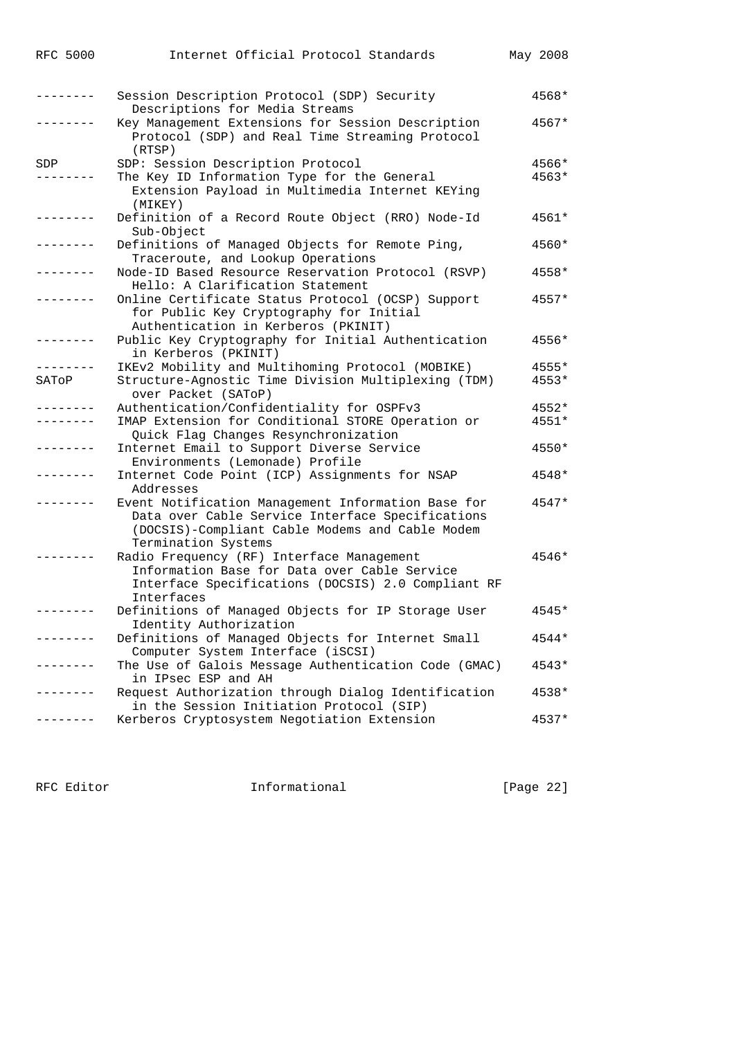| <b>RFC 5000</b> | Internet Official Protocol Standards                                                                                                                                             | May 2008 |
|-----------------|----------------------------------------------------------------------------------------------------------------------------------------------------------------------------------|----------|
|                 | Session Description Protocol (SDP) Security<br>Descriptions for Media Streams                                                                                                    | 4568*    |
|                 | Key Management Extensions for Session Description<br>Protocol (SDP) and Real Time Streaming Protocol<br>(RTSP)                                                                   | 4567*    |
| SDP             | SDP: Session Description Protocol                                                                                                                                                | 4566*    |
|                 | The Key ID Information Type for the General<br>Extension Payload in Multimedia Internet KEYing<br>(MIKEY)                                                                        | $4563*$  |
|                 | Definition of a Record Route Object (RRO) Node-Id<br>Sub-Object                                                                                                                  | 4561*    |
|                 | Definitions of Managed Objects for Remote Ping,<br>Traceroute, and Lookup Operations                                                                                             | 4560*    |
|                 | Node-ID Based Resource Reservation Protocol (RSVP)<br>Hello: A Clarification Statement                                                                                           | 4558*    |
|                 | Online Certificate Status Protocol (OCSP) Support<br>for Public Key Cryptography for Initial<br>Authentication in Kerberos (PKINIT)                                              | $4557*$  |
|                 | Public Key Cryptography for Initial Authentication<br>in Kerberos (PKINIT)                                                                                                       | 4556*    |
|                 | IKEv2 Mobility and Multihoming Protocol (MOBIKE)                                                                                                                                 | 4555*    |
| SATOP           | Structure-Agnostic Time Division Multiplexing (TDM)<br>over Packet (SAToP)                                                                                                       | 4553*    |
|                 | Authentication/Confidentiality for OSPFv3                                                                                                                                        | $4552*$  |
|                 | IMAP Extension for Conditional STORE Operation or<br>Quick Flag Changes Resynchronization                                                                                        | $4551*$  |
|                 | Internet Email to Support Diverse Service<br>Environments (Lemonade) Profile                                                                                                     | 4550*    |
|                 | Internet Code Point (ICP) Assignments for NSAP<br>Addresses                                                                                                                      | 4548*    |
|                 | Event Notification Management Information Base for<br>Data over Cable Service Interface Specifications<br>(DOCSIS)-Compliant Cable Modems and Cable Modem<br>Termination Systems | $4547*$  |
|                 | Radio Frequency (RF) Interface Management<br>Information Base for Data over Cable Service<br>Interface Specifications (DOCSIS) 2.0 Compliant RF<br>Interfaces                    | 4546*    |
|                 | Definitions of Managed Objects for IP Storage User<br>Identity Authorization                                                                                                     | $4545*$  |
| $- - - - - -$   | Definitions of Managed Objects for Internet Small<br>Computer System Interface (iSCSI)                                                                                           | 4544*    |
|                 | The Use of Galois Message Authentication Code (GMAC)<br>in IPsec ESP and AH                                                                                                      | $4543*$  |
| -------         | Request Authorization through Dialog Identification<br>in the Session Initiation Protocol (SIP)                                                                                  | 4538*    |
|                 | Kerberos Cryptosystem Negotiation Extension                                                                                                                                      | $4537*$  |

RFC Editor **Informational Informational** [Page 22]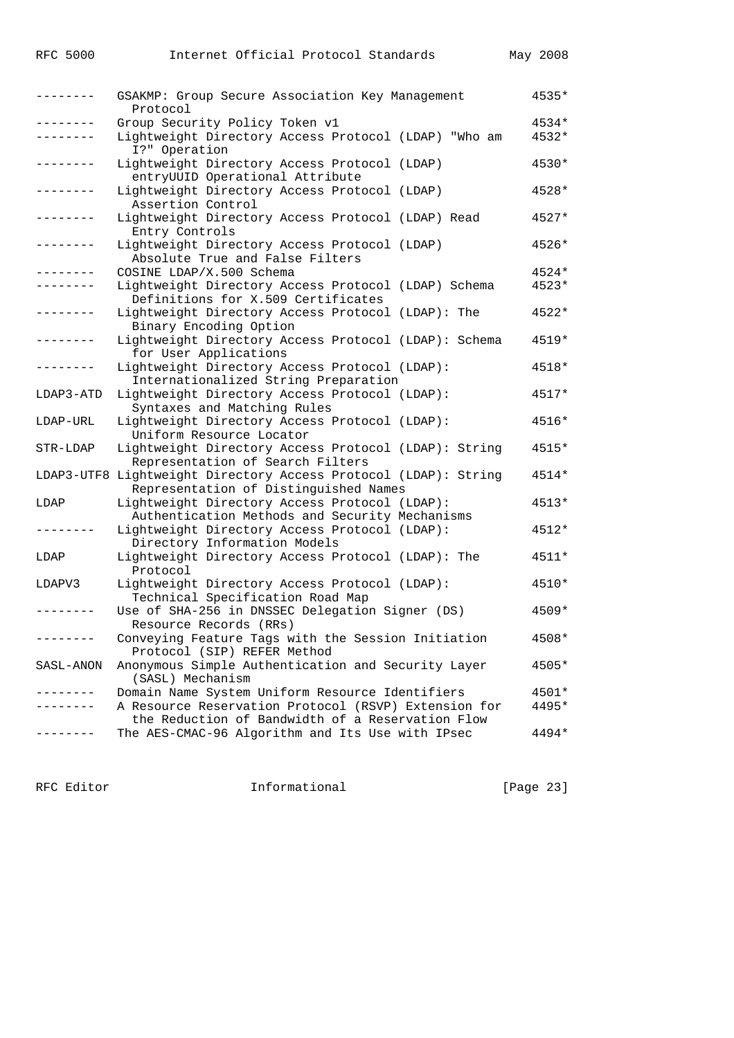|                 | GSAKMP: Group Secure Association Key Management<br>Protocol                                              | 4535*   |
|-----------------|----------------------------------------------------------------------------------------------------------|---------|
| .               | Group Security Policy Token v1                                                                           | $4534*$ |
|                 | Lightweight Directory Access Protocol (LDAP) "Who am<br>I?" Operation                                    | 4532*   |
| . _ _ _ _ _ _ _ | Lightweight Directory Access Protocol (LDAP)<br>entryUUID Operational Attribute                          | $4530*$ |
|                 | Lightweight Directory Access Protocol (LDAP)<br>Assertion Control                                        | 4528*   |
|                 | Lightweight Directory Access Protocol (LDAP) Read<br>Entry Controls                                      | 4527*   |
| .               | Lightweight Directory Access Protocol (LDAP)<br>Absolute True and False Filters                          | 4526*   |
|                 | COSINE LDAP/X.500 Schema                                                                                 | 4524*   |
| .               | Lightweight Directory Access Protocol (LDAP) Schema                                                      | $4523*$ |
|                 | Definitions for X.509 Certificates                                                                       |         |
|                 | Lightweight Directory Access Protocol (LDAP): The<br>Binary Encoding Option                              | $4522*$ |
|                 | Lightweight Directory Access Protocol (LDAP): Schema<br>for User Applications                            | $4519*$ |
| -------         | Lightweight Directory Access Protocol (LDAP):<br>Internationalized String Preparation                    | 4518*   |
| LDAP3-ATD       | Lightweight Directory Access Protocol (LDAP):<br>Syntaxes and Matching Rules                             | 4517*   |
| LDAP-URL        | Lightweight Directory Access Protocol (LDAP):<br>Uniform Resource Locator                                | 4516*   |
| STR-LDAP        | Lightweight Directory Access Protocol (LDAP): String<br>Representation of Search Filters                 | 4515*   |
|                 | LDAP3-UTF8 Lightweight Directory Access Protocol (LDAP): String<br>Representation of Distinguished Names | $4514*$ |
| LDAP            | Lightweight Directory Access Protocol (LDAP):<br>Authentication Methods and Security Mechanisms          | $4513*$ |
|                 | Lightweight Directory Access Protocol (LDAP):<br>Directory Information Models                            | $4512*$ |
| LDAP            | Lightweight Directory Access Protocol (LDAP): The<br>Protocol                                            | 4511*   |
| LDAPV3          | Lightweight Directory Access Protocol (LDAP):<br>Technical Specification Road Map                        | 4510*   |
|                 | Use of SHA-256 in DNSSEC Delegation Signer (DS)<br>Resource Records (RRs)                                | $4509*$ |
|                 | Conveying Feature Tags with the Session Initiation<br>Protocol (SIP) REFER Method                        | 4508*   |
| SASL-ANON       | Anonymous Simple Authentication and Security Layer<br>(SASL) Mechanism                                   | 4505*   |
| . _ _ _ _ _ _ _ | Domain Name System Uniform Resource Identifiers                                                          | $4501*$ |
|                 | A Resource Reservation Protocol (RSVP) Extension for<br>the Reduction of Bandwidth of a Reservation Flow | 4495*   |
|                 | The AES-CMAC-96 Algorithm and Its Use with IPsec                                                         | $4494*$ |

RFC Editor **Informational** Page 23]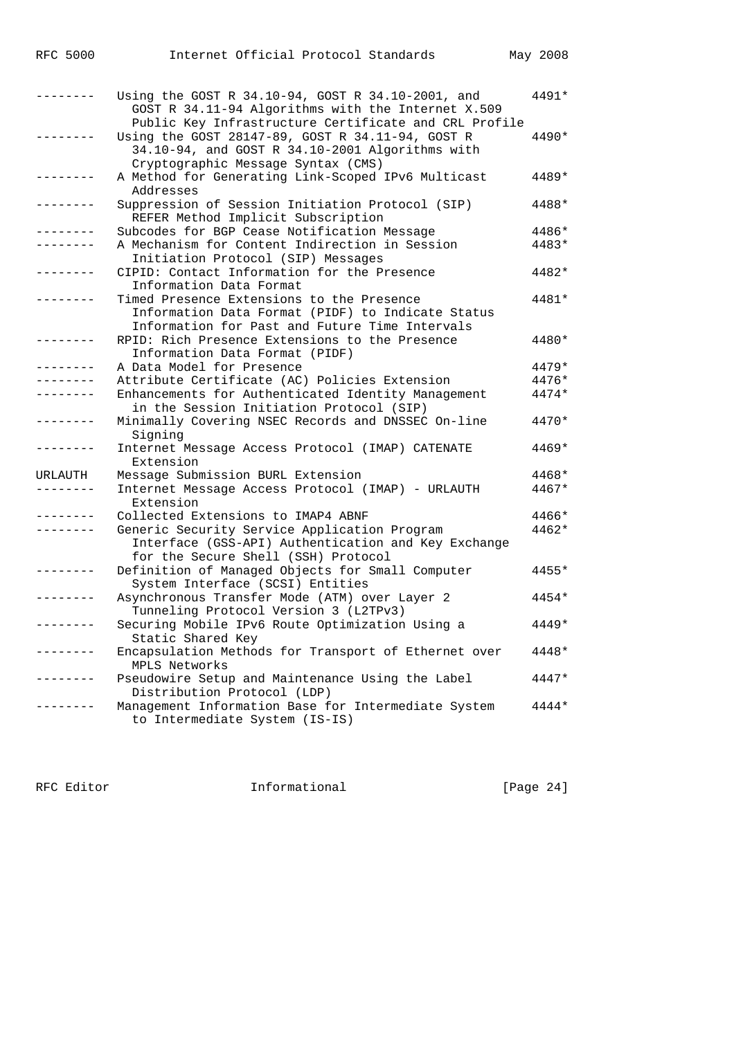| RFC | 5000 |  |
|-----|------|--|
|     |      |  |

|         | Using the GOST R 34.10-94, GOST R 34.10-2001, and<br>GOST R 34.11-94 Algorithms with the Internet X.509                                                                                            | 4491*   |
|---------|----------------------------------------------------------------------------------------------------------------------------------------------------------------------------------------------------|---------|
|         | Public Key Infrastructure Certificate and CRL Profile<br>Using the GOST 28147-89, GOST R 34.11-94, GOST R<br>34.10-94, and GOST R 34.10-2001 Algorithms with<br>Cryptographic Message Syntax (CMS) | 4490*   |
|         | A Method for Generating Link-Scoped IPv6 Multicast<br>Addresses                                                                                                                                    | 4489*   |
|         | Suppression of Session Initiation Protocol (SIP)<br>REFER Method Implicit Subscription                                                                                                             | 4488*   |
|         | Subcodes for BGP Cease Notification Message                                                                                                                                                        | 4486*   |
|         | A Mechanism for Content Indirection in Session                                                                                                                                                     | 4483*   |
|         | Initiation Protocol (SIP) Messages                                                                                                                                                                 |         |
|         | CIPID: Contact Information for the Presence<br>Information Data Format                                                                                                                             | 4482*   |
|         | Timed Presence Extensions to the Presence<br>Information Data Format (PIDF) to Indicate Status<br>Information for Past and Future Time Intervals                                                   | 4481*   |
|         | RPID: Rich Presence Extensions to the Presence<br>Information Data Format (PIDF)                                                                                                                   | 4480*   |
|         | A Data Model for Presence                                                                                                                                                                          | 4479*   |
|         | Attribute Certificate (AC) Policies Extension                                                                                                                                                      | 4476*   |
|         | Enhancements for Authenticated Identity Management<br>in the Session Initiation Protocol (SIP)                                                                                                     | 4474*   |
|         | Minimally Covering NSEC Records and DNSSEC On-line<br>Signing                                                                                                                                      | $4470*$ |
|         | Internet Message Access Protocol (IMAP) CATENATE<br>Extension                                                                                                                                      | $4469*$ |
| URLAUTH | Message Submission BURL Extension                                                                                                                                                                  | 4468*   |
|         | Internet Message Access Protocol (IMAP) - URLAUTH<br>Extension                                                                                                                                     | 4467*   |
|         | Collected Extensions to IMAP4 ABNF                                                                                                                                                                 | 4466*   |
|         | Generic Security Service Application Program<br>Interface (GSS-API) Authentication and Key Exchange                                                                                                | 4462*   |
|         | for the Secure Shell (SSH) Protocol<br>Definition of Managed Objects for Small Computer                                                                                                            | 4455*   |
|         | System Interface (SCSI) Entities<br>Asynchronous Transfer Mode (ATM) over Layer 2                                                                                                                  | 4454*   |
|         | Tunneling Protocol Version 3 (L2TPv3)<br>Securing Mobile IPv6 Route Optimization Using a<br>Static Shared Key                                                                                      | $4449*$ |
|         | Encapsulation Methods for Transport of Ethernet over<br>MPLS Networks                                                                                                                              | 4448*   |
|         | Pseudowire Setup and Maintenance Using the Label<br>Distribution Protocol (LDP)                                                                                                                    | 4447*   |
|         | Management Information Base for Intermediate System<br>to Intermediate System (IS-IS)                                                                                                              | $4444*$ |

RFC Editor **Informational** [Page 24]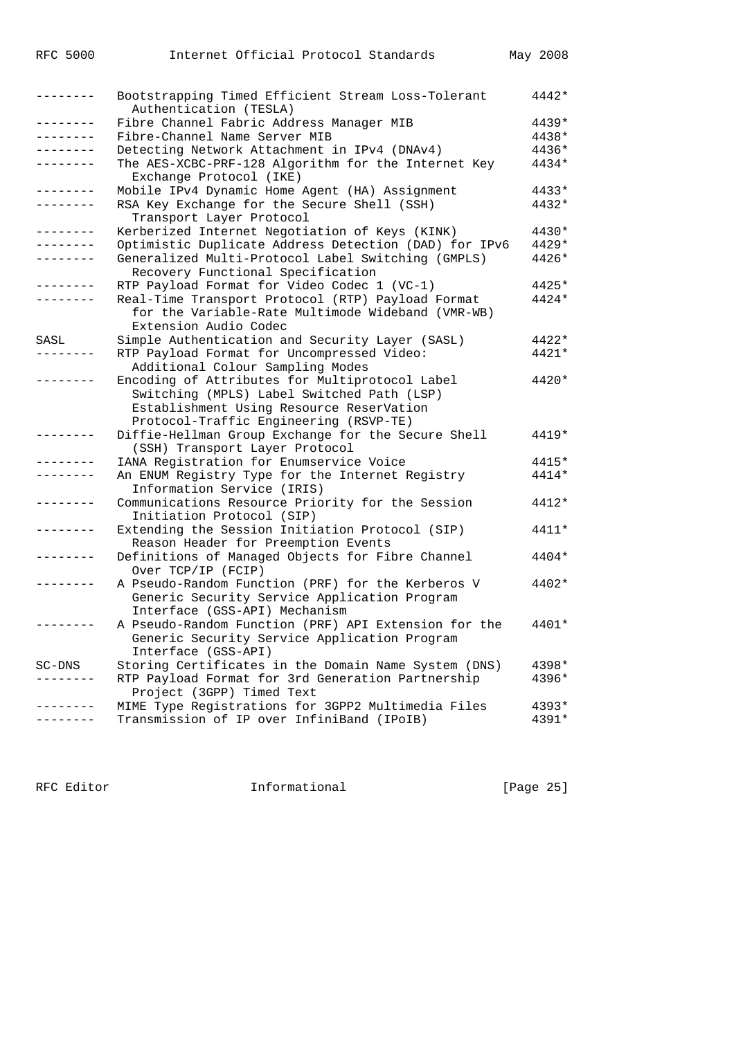| -------         | Bootstrapping Timed Efficient Stream Loss-Tolerant<br>Authentication (TESLA)  | 4442*   |
|-----------------|-------------------------------------------------------------------------------|---------|
| -------         | Fibre Channel Fabric Address Manager MIB                                      | $4439*$ |
|                 | Fibre-Channel Name Server MIB                                                 | 4438*   |
| . _ _ _ _ _ _ _ | Detecting Network Attachment in IPv4 (DNAv4)                                  | 4436*   |
| -------         | The AES-XCBC-PRF-128 Algorithm for the Internet Key                           | 4434*   |
|                 | Exchange Protocol (IKE)                                                       |         |
| -------         | Mobile IPv4 Dynamic Home Agent (HA) Assignment                                | $4433*$ |
|                 | RSA Key Exchange for the Secure Shell (SSH)                                   | 4432*   |
|                 | Transport Layer Protocol                                                      |         |
| -------         | Kerberized Internet Negotiation of Keys (KINK)                                | $4430*$ |
|                 | Optimistic Duplicate Address Detection (DAD) for IPv6                         | $4429*$ |
|                 | Generalized Multi-Protocol Label Switching (GMPLS)                            | 4426*   |
|                 | Recovery Functional Specification                                             |         |
|                 | RTP Payload Format for Video Codec 1 (VC-1)                                   | $4425*$ |
|                 | Real-Time Transport Protocol (RTP) Payload Format                             | 4424*   |
|                 | for the Variable-Rate Multimode Wideband (VMR-WB)                             |         |
|                 | Extension Audio Codec                                                         |         |
| SASL            | Simple Authentication and Security Layer (SASL)                               | $4422*$ |
|                 | RTP Payload Format for Uncompressed Video:                                    | 4421*   |
|                 | Additional Colour Sampling Modes                                              |         |
|                 | Encoding of Attributes for Multiprotocol Label                                | 4420*   |
|                 | Switching (MPLS) Label Switched Path (LSP)                                    |         |
|                 |                                                                               |         |
|                 | Establishment Using Resource ReserVation                                      |         |
|                 | Protocol-Traffic Engineering (RSVP-TE)                                        |         |
|                 | Diffie-Hellman Group Exchange for the Secure Shell                            | $4419*$ |
|                 | (SSH) Transport Layer Protocol                                                |         |
|                 | IANA Registration for Enumservice Voice                                       | $4415*$ |
|                 | An ENUM Registry Type for the Internet Registry<br>Information Service (IRIS) | 4414*   |
|                 | Communications Resource Priority for the Session                              | $4412*$ |
|                 | Initiation Protocol (SIP)                                                     |         |
|                 | Extending the Session Initiation Protocol (SIP)                               | 4411*   |
|                 | Reason Header for Preemption Events                                           |         |
|                 | Definitions of Managed Objects for Fibre Channel                              | 4404*   |
|                 | Over TCP/IP (FCIP)                                                            |         |
|                 | A Pseudo-Random Function (PRF) for the Kerberos V                             | 4402*   |
|                 | Generic Security Service Application Program                                  |         |
|                 | Interface (GSS-API) Mechanism                                                 |         |
|                 | A Pseudo-Random Function (PRF) API Extension for the                          | 4401*   |
|                 | Generic Security Service Application Program                                  |         |
|                 | Interface (GSS-API)                                                           |         |
| SC-DNS          | Storing Certificates in the Domain Name System (DNS)                          | 4398*   |
| -------         | RTP Payload Format for 3rd Generation Partnership                             | 4396*   |
|                 | Project (3GPP) Timed Text                                                     |         |
|                 |                                                                               | $4393*$ |
|                 | MIME Type Registrations for 3GPP2 Multimedia Files                            |         |
| --------        | Transmission of IP over InfiniBand (IPoIB)                                    | 4391*   |

RFC Editor **Informational Informational** [Page 25]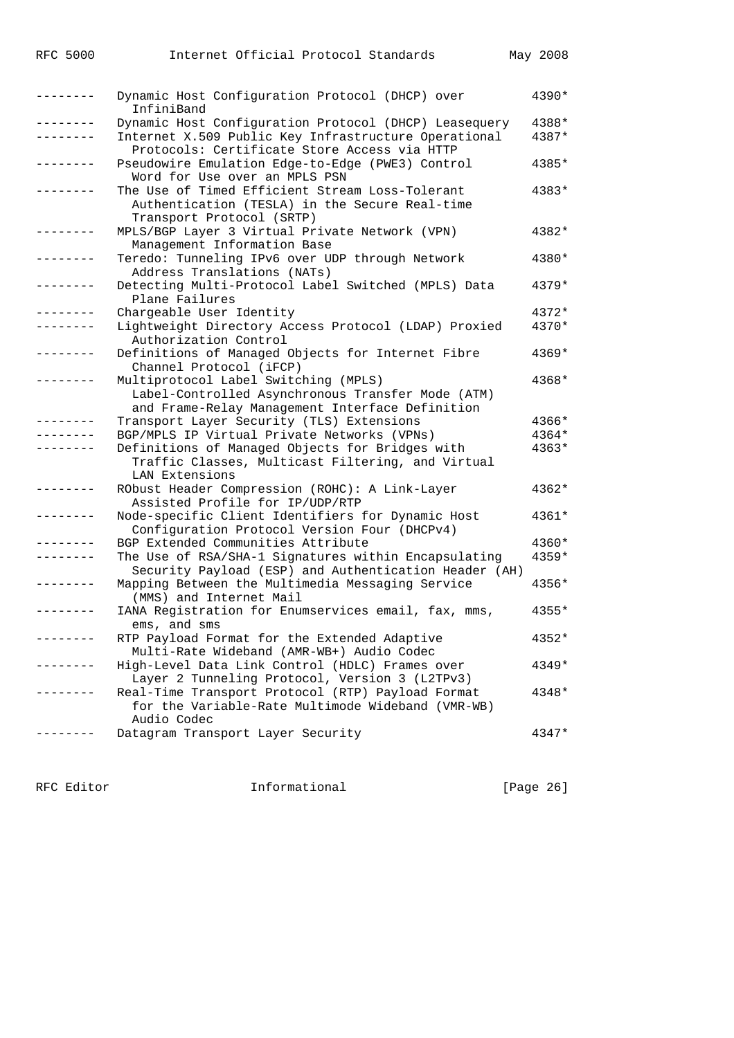| . | Dynamic Host Configuration Protocol (DHCP) over<br>InfiniBand                                                                                | 4390*          |
|---|----------------------------------------------------------------------------------------------------------------------------------------------|----------------|
|   | Dynamic Host Configuration Protocol (DHCP) Leasequery<br>Internet X.509 Public Key Infrastructure Operational                                | 4388*<br>4387* |
|   | Protocols: Certificate Store Access via HTTP                                                                                                 |                |
|   | Pseudowire Emulation Edge-to-Edge (PWE3) Control<br>Word for Use over an MPLS PSN                                                            | 4385*          |
|   | The Use of Timed Efficient Stream Loss-Tolerant<br>Authentication (TESLA) in the Secure Real-time                                            | 4383*          |
|   | Transport Protocol (SRTP)<br>MPLS/BGP Layer 3 Virtual Private Network (VPN)<br>Management Information Base                                   | 4382*          |
|   | Teredo: Tunneling IPv6 over UDP through Network<br>Address Translations (NATs)                                                               | 4380*          |
|   | Detecting Multi-Protocol Label Switched (MPLS) Data<br>Plane Failures                                                                        | 4379*          |
|   | Chargeable User Identity                                                                                                                     | 4372*          |
|   | Lightweight Directory Access Protocol (LDAP) Proxied<br>Authorization Control                                                                | 4370*          |
|   | Definitions of Managed Objects for Internet Fibre<br>Channel Protocol (iFCP)                                                                 | 4369*          |
|   | Multiprotocol Label Switching (MPLS)<br>Label-Controlled Asynchronous Transfer Mode (ATM)<br>and Frame-Relay Management Interface Definition | 4368*          |
|   | Transport Layer Security (TLS) Extensions                                                                                                    | 4366*          |
|   | BGP/MPLS IP Virtual Private Networks (VPNs)                                                                                                  | 4364*          |
|   | Definitions of Managed Objects for Bridges with                                                                                              | 4363*          |
|   | Traffic Classes, Multicast Filtering, and Virtual<br>LAN Extensions                                                                          |                |
|   | RObust Header Compression (ROHC): A Link-Layer<br>Assisted Profile for IP/UDP/RTP                                                            | 4362*          |
|   | Node-specific Client Identifiers for Dynamic Host<br>Configuration Protocol Version Four (DHCPv4)                                            | 4361*          |
|   | BGP Extended Communities Attribute                                                                                                           | 4360*          |
|   | The Use of RSA/SHA-1 Signatures within Encapsulating<br>Security Payload (ESP) and Authentication Header (AH)                                | 4359*          |
|   | Mapping Between the Multimedia Messaging Service<br>(MMS) and Internet Mail                                                                  | 4356*          |
|   | IANA Registration for Enumservices email, fax, mms,<br>ems, and sms                                                                          | $4355*$        |
|   | RTP Payload Format for the Extended Adaptive<br>Multi-Rate Wideband (AMR-WB+) Audio Codec                                                    | 4352*          |
|   | High-Level Data Link Control (HDLC) Frames over<br>Layer 2 Tunneling Protocol, Version 3 (L2TPv3)                                            | 4349*          |
|   | Real-Time Transport Protocol (RTP) Payload Format<br>for the Variable-Rate Multimode Wideband (VMR-WB)<br>Audio Codec                        | 4348*          |
|   | Datagram Transport Layer Security                                                                                                            | 4347*          |
|   |                                                                                                                                              |                |

RFC Editor **Informational Informational** [Page 26]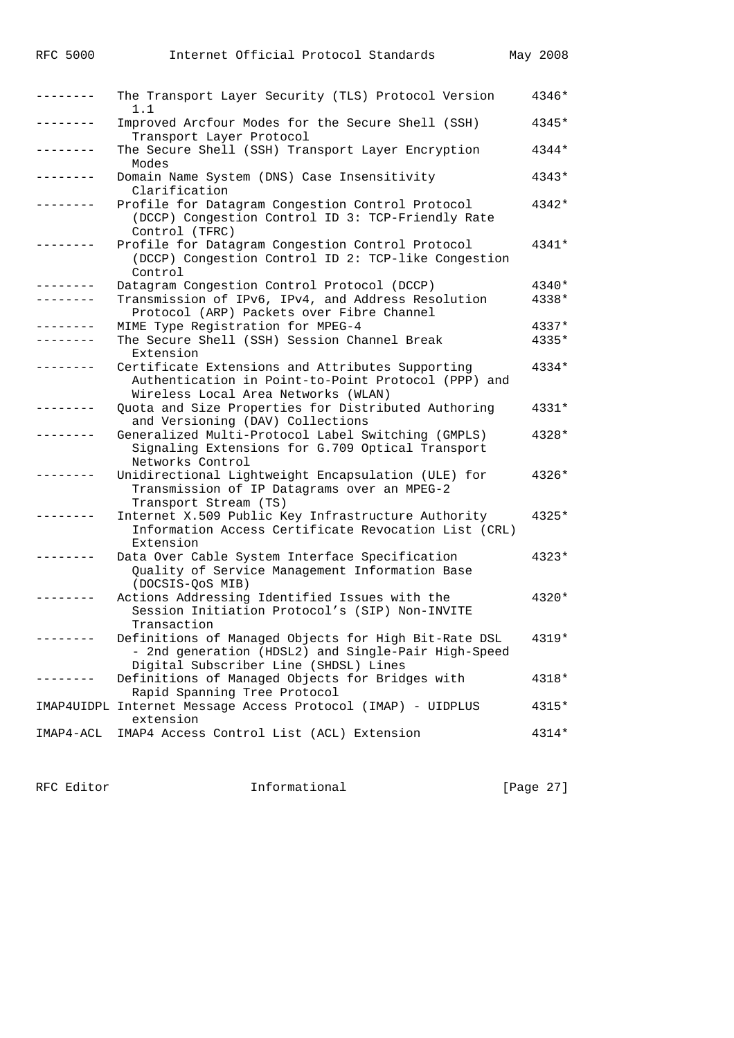| --------  | The Transport Layer Security (TLS) Protocol Version<br>1.1                                                                                           | 4346*   |
|-----------|------------------------------------------------------------------------------------------------------------------------------------------------------|---------|
|           | Improved Arcfour Modes for the Secure Shell (SSH)<br>Transport Layer Protocol                                                                        | 4345*   |
|           | The Secure Shell (SSH) Transport Layer Encryption<br>Modes                                                                                           | $4344*$ |
|           | Domain Name System (DNS) Case Insensitivity<br>Clarification                                                                                         | 4343*   |
|           | Profile for Datagram Congestion Control Protocol<br>(DCCP) Congestion Control ID 3: TCP-Friendly Rate<br>Control (TFRC)                              | 4342*   |
|           | Profile for Datagram Congestion Control Protocol<br>(DCCP) Congestion Control ID 2: TCP-like Congestion<br>Control                                   | 4341*   |
|           | Datagram Congestion Control Protocol (DCCP)                                                                                                          | 4340*   |
| .         | Transmission of IPv6, IPv4, and Address Resolution<br>Protocol (ARP) Packets over Fibre Channel                                                      | 4338*   |
|           | MIME Type Registration for MPEG-4                                                                                                                    | 4337*   |
|           | The Secure Shell (SSH) Session Channel Break<br>Extension                                                                                            | 4335*   |
|           | Certificate Extensions and Attributes Supporting<br>Authentication in Point-to-Point Protocol (PPP) and<br>Wireless Local Area Networks (WLAN)       | 4334*   |
|           | Quota and Size Properties for Distributed Authoring<br>and Versioning (DAV) Collections                                                              | 4331*   |
|           | Generalized Multi-Protocol Label Switching (GMPLS)<br>Signaling Extensions for G.709 Optical Transport<br>Networks Control                           | 4328*   |
|           | Unidirectional Lightweight Encapsulation (ULE) for<br>Transmission of IP Datagrams over an MPEG-2<br>Transport Stream (TS)                           | 4326*   |
|           | Internet X.509 Public Key Infrastructure Authority<br>Information Access Certificate Revocation List (CRL)<br>Extension                              | 4325*   |
|           | Data Over Cable System Interface Specification<br>Quality of Service Management Information Base<br>(DOCSIS-QOS MIB)                                 | 4323*   |
|           | Actions Addressing Identified Issues with the<br>Session Initiation Protocol's (SIP) Non-INVITE<br>Transaction                                       | $4320*$ |
|           | Definitions of Managed Objects for High Bit-Rate DSL<br>- 2nd generation (HDSL2) and Single-Pair High-Speed<br>Digital Subscriber Line (SHDSL) Lines | 4319*   |
|           | Definitions of Managed Objects for Bridges with<br>Rapid Spanning Tree Protocol                                                                      | 4318*   |
|           | IMAP4UIDPL Internet Message Access Protocol (IMAP) - UIDPLUS<br>extension                                                                            | 4315*   |
| IMAP4-ACL | IMAP4 Access Control List (ACL) Extension                                                                                                            | 4314*   |

RFC Editor **Informational** Page 27]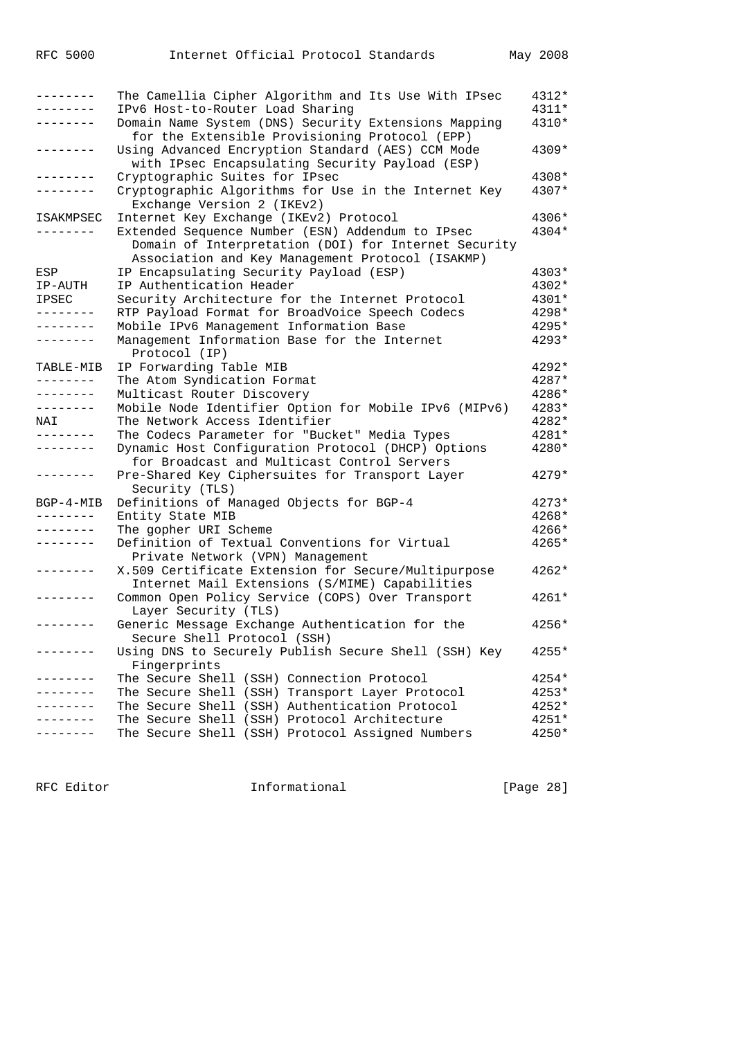| --------          | The Camellia Cipher Algorithm and Its Use With IPsec                                                     | 4312*   |
|-------------------|----------------------------------------------------------------------------------------------------------|---------|
|                   | IPv6 Host-to-Router Load Sharing                                                                         | 4311*   |
| .                 | Domain Name System (DNS) Security Extensions Mapping<br>for the Extensible Provisioning Protocol (EPP)   | 4310*   |
|                   | Using Advanced Encryption Standard (AES) CCM Mode<br>with IPsec Encapsulating Security Payload (ESP)     | 4309*   |
| $- - - - - - - -$ | Cryptographic Suites for IPsec                                                                           | 4308*   |
| $- - - - - - -$   | Cryptographic Algorithms for Use in the Internet Key                                                     | 4307*   |
|                   | Exchange Version 2 (IKEv2)                                                                               |         |
| ISAKMPSEC         | Internet Key Exchange (IKEv2) Protocol                                                                   | 4306*   |
|                   | Extended Sequence Number (ESN) Addendum to IPsec                                                         | 4304*   |
|                   | Domain of Interpretation (DOI) for Internet Security<br>Association and Key Management Protocol (ISAKMP) |         |
| ESP               | IP Encapsulating Security Payload (ESP)                                                                  | 4303*   |
|                   |                                                                                                          | 4302*   |
| IP-AUTH           | IP Authentication Header                                                                                 | 4301*   |
| <b>IPSEC</b>      | Security Architecture for the Internet Protocol                                                          |         |
| .                 | RTP Payload Format for BroadVoice Speech Codecs                                                          | 4298*   |
| --------          | Mobile IPv6 Management Information Base                                                                  | 4295*   |
| --------          | Management Information Base for the Internet<br>Protocol (IP)                                            | $4293*$ |
| TABLE-MIB         | IP Forwarding Table MIB                                                                                  | 4292*   |
| --------          | The Atom Syndication Format                                                                              | 4287*   |
| --------          | Multicast Router Discovery                                                                               | 4286*   |
| --------          | Mobile Node Identifier Option for Mobile IPv6 (MIPv6)                                                    | 4283*   |
| NAI               | The Network Access Identifier                                                                            | 4282*   |
| --------          | The Codecs Parameter for "Bucket" Media Types                                                            | 4281*   |
| --------          | Dynamic Host Configuration Protocol (DHCP) Options                                                       | 4280*   |
|                   | for Broadcast and Multicast Control Servers                                                              | $4279*$ |
| -------           | Pre-Shared Key Ciphersuites for Transport Layer<br>Security (TLS)                                        |         |
| $BGP-4-MIB$       | Definitions of Managed Objects for BGP-4                                                                 | $4273*$ |
| --------          | Entity State MIB                                                                                         | 4268*   |
| --------          | The gopher URI Scheme                                                                                    | 4266*   |
|                   | Definition of Textual Conventions for Virtual<br>Private Network (VPN) Management                        | 4265*   |
| --------          | X.509 Certificate Extension for Secure/Multipurpose                                                      | $4262*$ |
|                   | Internet Mail Extensions (S/MIME) Capabilities                                                           |         |
|                   | Common Open Policy Service (COPS) Over Transport                                                         | $4261*$ |
|                   | Layer Security (TLS)                                                                                     |         |
|                   | Generic Message Exchange Authentication for the                                                          | 4256*   |
|                   | Secure Shell Protocol (SSH)                                                                              |         |
| $- - - - - - - -$ | Using DNS to Securely Publish Secure Shell (SSH) Key                                                     | $4255*$ |
|                   | Fingerprints                                                                                             |         |
| -------           | The Secure Shell (SSH) Connection Protocol                                                               |         |
|                   |                                                                                                          | 4254*   |
|                   | The Secure Shell (SSH) Transport Layer Protocol<br>The Secure Shell (SSH) Authentication Protocol        | 4253*   |
|                   | The Secure Shell (SSH) Protocol Architecture                                                             | 4252*   |
|                   |                                                                                                          | 4251*   |
|                   | The Secure Shell (SSH) Protocol Assigned Numbers                                                         | 4250*   |

RFC Editor **Informational** Informational [Page 28]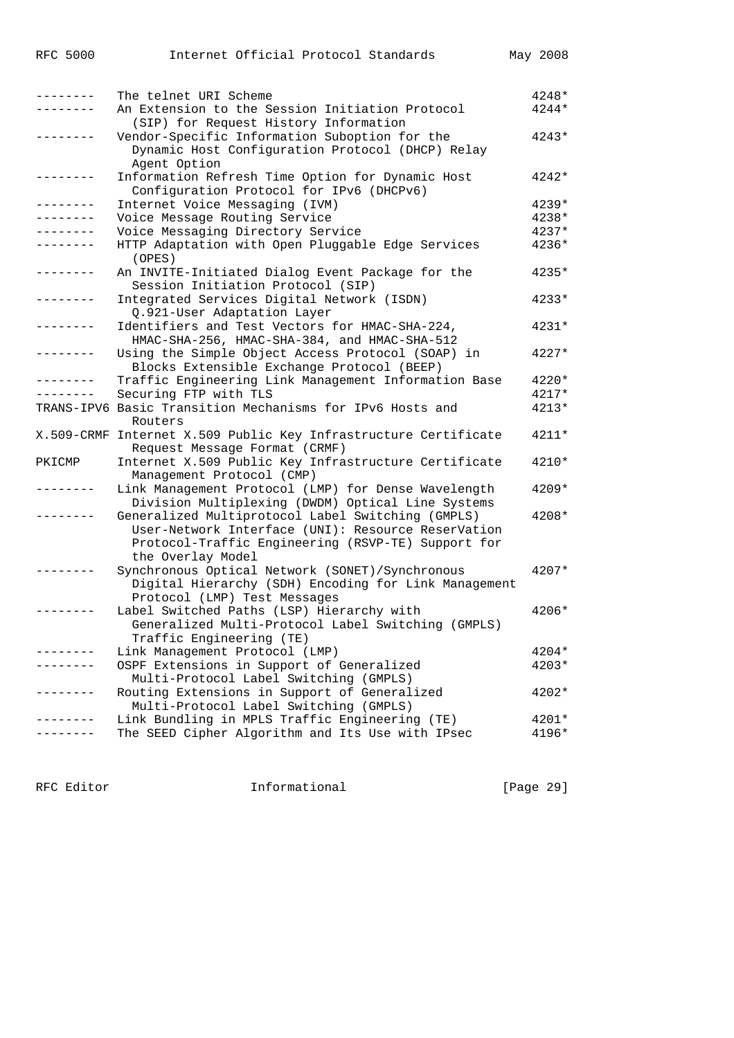| .               | The telnet URI Scheme                                           | 4248*   |
|-----------------|-----------------------------------------------------------------|---------|
|                 | An Extension to the Session Initiation Protocol                 | 4244*   |
|                 | (SIP) for Request History Information                           |         |
|                 | Vendor-Specific Information Suboption for the                   | $4243*$ |
|                 | Dynamic Host Configuration Protocol (DHCP) Relay                |         |
|                 | Agent Option                                                    |         |
| -------         | Information Refresh Time Option for Dynamic Host                | 4242*   |
|                 | Configuration Protocol for IPv6 (DHCPv6)                        |         |
| -------         | Internet Voice Messaging (IVM)                                  | $4239*$ |
| . _ _ _ _ _ _ _ | Voice Message Routing Service                                   | 4238*   |
|                 | Voice Messaging Directory Service                               | 4237*   |
| .               | HTTP Adaptation with Open Pluggable Edge Services               | 4236*   |
|                 | (OPES)                                                          |         |
| . <u>.</u> .    | An INVITE-Initiated Dialog Event Package for the                | 4235*   |
|                 | Session Initiation Protocol (SIP)                               |         |
|                 | Integrated Services Digital Network (ISDN)                      | 4233*   |
|                 | Q.921-User Adaptation Layer                                     |         |
|                 | Identifiers and Test Vectors for HMAC-SHA-224,                  | 4231*   |
|                 | HMAC-SHA-256, HMAC-SHA-384, and HMAC-SHA-512                    |         |
|                 | Using the Simple Object Access Protocol (SOAP) in               | 4227*   |
|                 | Blocks Extensible Exchange Protocol (BEEP)                      |         |
|                 | Traffic Engineering Link Management Information Base            | 4220*   |
| --------        | Securing FTP with TLS                                           | $4217*$ |
|                 | TRANS-IPV6 Basic Transition Mechanisms for IPv6 Hosts and       | 4213*   |
|                 | Routers                                                         |         |
|                 | X.509-CRMF Internet X.509 Public Key Infrastructure Certificate | $4211*$ |
|                 | Request Message Format (CRMF)                                   |         |
| PKICMP          | Internet X.509 Public Key Infrastructure Certificate            | 4210*   |
|                 | Management Protocol (CMP)                                       |         |
|                 | Link Management Protocol (LMP) for Dense Wavelength             | 4209*   |
|                 | Division Multiplexing (DWDM) Optical Line Systems               |         |
|                 | Generalized Multiprotocol Label Switching (GMPLS)               | 4208*   |
|                 | User-Network Interface (UNI): Resource ReserVation              |         |
|                 | Protocol-Traffic Engineering (RSVP-TE) Support for              |         |
|                 | the Overlay Model                                               |         |
|                 | Synchronous Optical Network (SONET)/Synchronous                 | $4207*$ |
|                 | Digital Hierarchy (SDH) Encoding for Link Management            |         |
|                 | Protocol (LMP) Test Messages                                    |         |
|                 | Label Switched Paths (LSP) Hierarchy with                       | 4206*   |
|                 | Generalized Multi-Protocol Label Switching (GMPLS)              |         |
|                 | Traffic Engineering (TE)                                        |         |
|                 | Link Management Protocol (LMP)                                  | 4204*   |
|                 | OSPF Extensions in Support of Generalized                       | 4203*   |
|                 | Multi-Protocol Label Switching (GMPLS)                          |         |
|                 | Routing Extensions in Support of Generalized                    | 4202*   |
|                 | Multi-Protocol Label Switching (GMPLS)                          |         |
|                 | Link Bundling in MPLS Traffic Engineering (TE)                  | 4201*   |
|                 | The SEED Cipher Algorithm and Its Use with IPsec                | 4196*   |

RFC Editor **Informational Informational** [Page 29]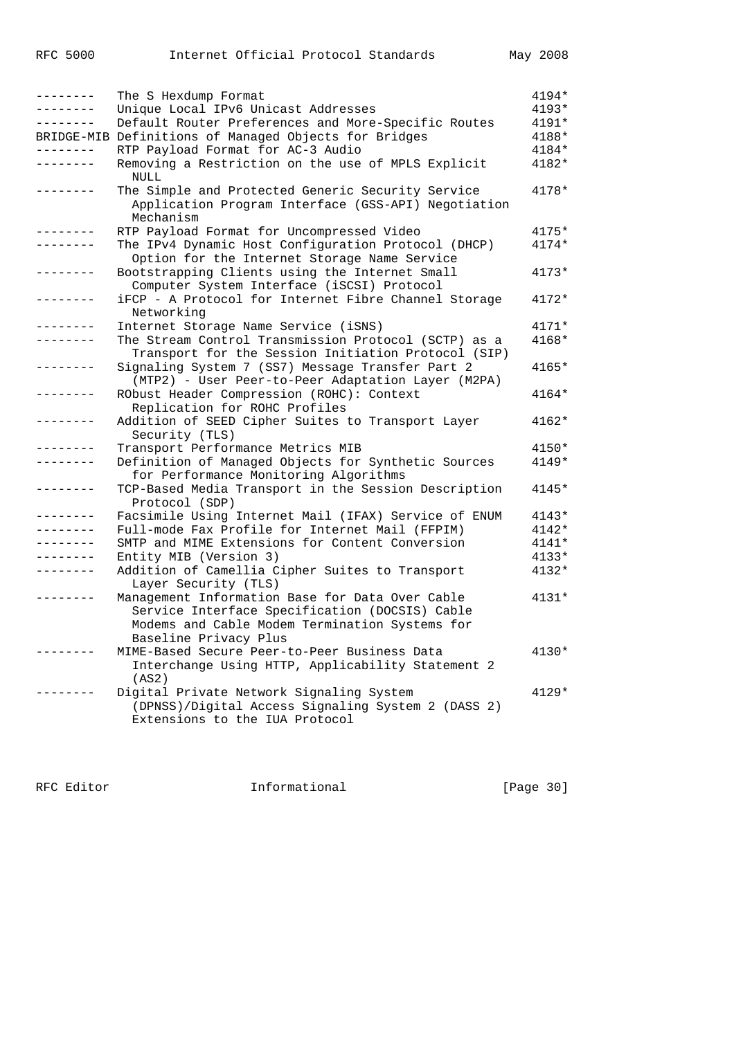| --------      | The S Hexdump Format                                                                                                  | 4194*   |
|---------------|-----------------------------------------------------------------------------------------------------------------------|---------|
| ------        | Unique Local IPv6 Unicast Addresses                                                                                   | $4193*$ |
| -------       | Default Router Preferences and More-Specific Routes                                                                   | 4191*   |
|               | BRIDGE-MIB Definitions of Managed Objects for Bridges                                                                 | 4188*   |
| --------      | RTP Payload Format for AC-3 Audio                                                                                     | 4184*   |
| -------       | Removing a Restriction on the use of MPLS Explicit                                                                    | 4182*   |
|               | <b>NULL</b>                                                                                                           |         |
|               | The Simple and Protected Generic Security Service<br>Application Program Interface (GSS-API) Negotiation<br>Mechanism | 4178*   |
|               | RTP Payload Format for Uncompressed Video                                                                             | $4175*$ |
|               | The IPv4 Dynamic Host Configuration Protocol (DHCP)                                                                   | $4174*$ |
|               | Option for the Internet Storage Name Service                                                                          |         |
| $- - - - - -$ | Bootstrapping Clients using the Internet Small                                                                        | $4173*$ |
|               | Computer System Interface (iSCSI) Protocol                                                                            |         |
| -------       | iFCP - A Protocol for Internet Fibre Channel Storage                                                                  | $4172*$ |
|               | Networking                                                                                                            |         |
|               | Internet Storage Name Service (iSNS)                                                                                  | $4171*$ |
|               | The Stream Control Transmission Protocol (SCTP) as a                                                                  | 4168*   |
|               | Transport for the Session Initiation Protocol (SIP)                                                                   |         |
| -------       | Signaling System 7 (SS7) Message Transfer Part 2                                                                      | 4165*   |
|               | (MTP2) - User Peer-to-Peer Adaptation Layer (M2PA)                                                                    |         |
| -------       | RObust Header Compression (ROHC): Context                                                                             | 4164*   |
|               | Replication for ROHC Profiles                                                                                         |         |
| -------       | Addition of SEED Cipher Suites to Transport Layer                                                                     | $4162*$ |
|               | Security (TLS)                                                                                                        |         |
| $- - - - - -$ | Transport Performance Metrics MIB                                                                                     | $4150*$ |
| . <u>.</u>    | Definition of Managed Objects for Synthetic Sources                                                                   | $4149*$ |
|               |                                                                                                                       |         |
| -------       | for Performance Monitoring Algorithms                                                                                 |         |
|               | TCP-Based Media Transport in the Session Description                                                                  | 4145*   |
|               | Protocol (SDP)                                                                                                        |         |
|               | Facsimile Using Internet Mail (IFAX) Service of ENUM                                                                  | $4143*$ |
|               | Full-mode Fax Profile for Internet Mail (FFPIM)                                                                       | 4142*   |
|               | SMTP and MIME Extensions for Content Conversion                                                                       | 4141*   |
|               | Entity MIB (Version 3)                                                                                                | $4133*$ |
| -------       | Addition of Camellia Cipher Suites to Transport                                                                       | $4132*$ |
|               | Layer Security (TLS)                                                                                                  |         |
|               | Management Information Base for Data Over Cable                                                                       | 4131*   |
|               | Service Interface Specification (DOCSIS) Cable                                                                        |         |
|               | Modems and Cable Modem Termination Systems for                                                                        |         |
|               | Baseline Privacy Plus                                                                                                 |         |
|               | MIME-Based Secure Peer-to-Peer Business Data                                                                          | $4130*$ |
|               | Interchange Using HTTP, Applicability Statement 2                                                                     |         |
|               | (AS2)                                                                                                                 |         |
|               | Digital Private Network Signaling System                                                                              | $4129*$ |
|               | (DPNSS)/Digital Access Signaling System 2 (DASS 2)                                                                    |         |
|               | Extensions to the IUA Protocol                                                                                        |         |

RFC Editor **Informational** Page 30]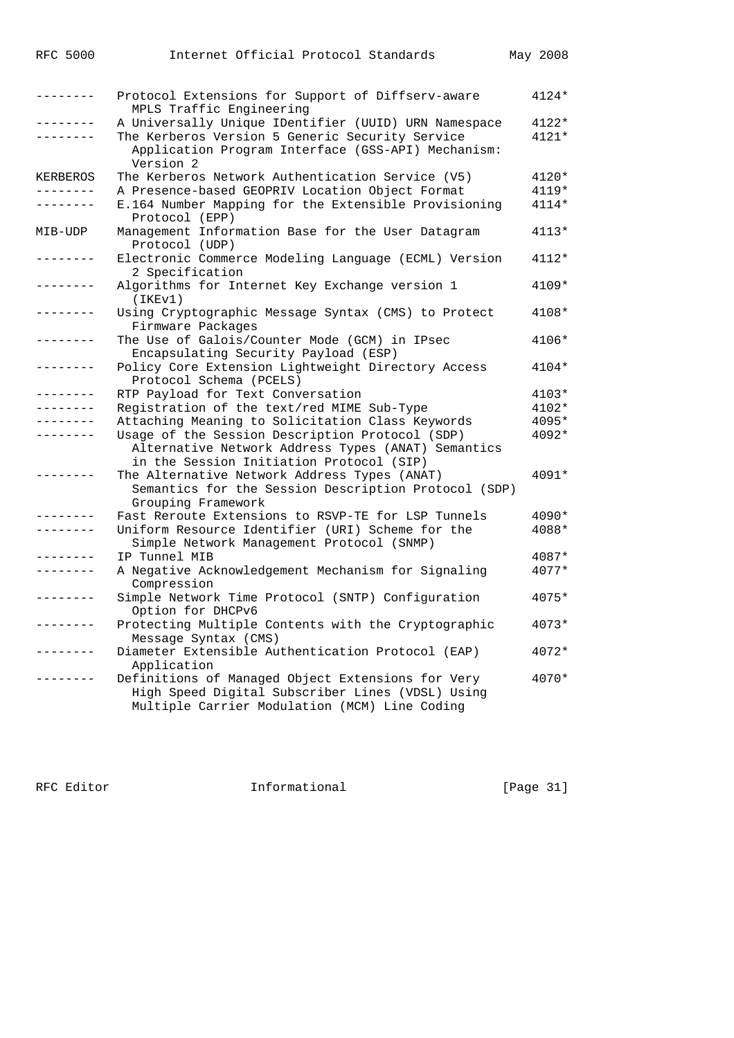| -------           | Protocol Extensions for Support of Diffserv-aware<br>MPLS Traffic Engineering                                                                          | $4124*$ |
|-------------------|--------------------------------------------------------------------------------------------------------------------------------------------------------|---------|
| --------          | A Universally Unique IDentifier (UUID) URN Namespace                                                                                                   | 4122*   |
| . <u>.</u>        | The Kerberos Version 5 Generic Security Service<br>Application Program Interface (GSS-API) Mechanism:<br>Version 2                                     | $4121*$ |
| KERBEROS          | The Kerberos Network Authentication Service (V5)                                                                                                       | $4120*$ |
| . <u>.</u> .      | A Presence-based GEOPRIV Location Object Format                                                                                                        | 4119*   |
| -------           | E.164 Number Mapping for the Extensible Provisioning<br>Protocol (EPP)                                                                                 | $4114*$ |
| MIB-UDP           | Management Information Base for the User Datagram<br>Protocol (UDP)                                                                                    | $4113*$ |
|                   | Electronic Commerce Modeling Language (ECML) Version<br>2 Specification                                                                                | $4112*$ |
| .                 | Algorithms for Internet Key Exchange version 1<br>(IKEv1)                                                                                              | $4109*$ |
| -------           | Using Cryptographic Message Syntax (CMS) to Protect<br>Firmware Packages                                                                               | 4108*   |
| -------           | The Use of Galois/Counter Mode (GCM) in IPsec<br>Encapsulating Security Payload (ESP)                                                                  | 4106*   |
| -------           | Policy Core Extension Lightweight Directory Access<br>Protocol Schema (PCELS)                                                                          | $4104*$ |
|                   | RTP Payload for Text Conversation                                                                                                                      | $4103*$ |
|                   | Registration of the text/red MIME Sub-Type                                                                                                             | $4102*$ |
|                   | Attaching Meaning to Solicitation Class Keywords                                                                                                       | 4095*   |
|                   | Usage of the Session Description Protocol (SDP)<br>Alternative Network Address Types (ANAT) Semantics<br>in the Session Initiation Protocol (SIP)      | 4092*   |
| $- - - - - - -$   | The Alternative Network Address Types (ANAT)<br>Semantics for the Session Description Protocol (SDP)<br>Grouping Framework                             | $4091*$ |
|                   | Fast Reroute Extensions to RSVP-TE for LSP Tunnels                                                                                                     | $4090*$ |
|                   | Uniform Resource Identifier (URI) Scheme for the<br>Simple Network Management Protocol (SNMP)                                                          | 4088*   |
| -------           | IP Tunnel MIB                                                                                                                                          | 4087*   |
| $- - - - - - - -$ | A Negative Acknowledgement Mechanism for Signaling<br>Compression                                                                                      | 4077*   |
|                   | Simple Network Time Protocol (SNTP) Configuration<br>Option for DHCPv6                                                                                 | $4075*$ |
|                   | Protecting Multiple Contents with the Cryptographic<br>Message Syntax (CMS)                                                                            | 4073*   |
|                   | Diameter Extensible Authentication Protocol (EAP)<br>Application                                                                                       | $4072*$ |
|                   | Definitions of Managed Object Extensions for Very<br>High Speed Digital Subscriber Lines (VDSL) Using<br>Multiple Carrier Modulation (MCM) Line Coding | $4070*$ |

RFC 5000 Internet Official Protocol Standards May 2008

RFC Editor **Informational Informational** [Page 31]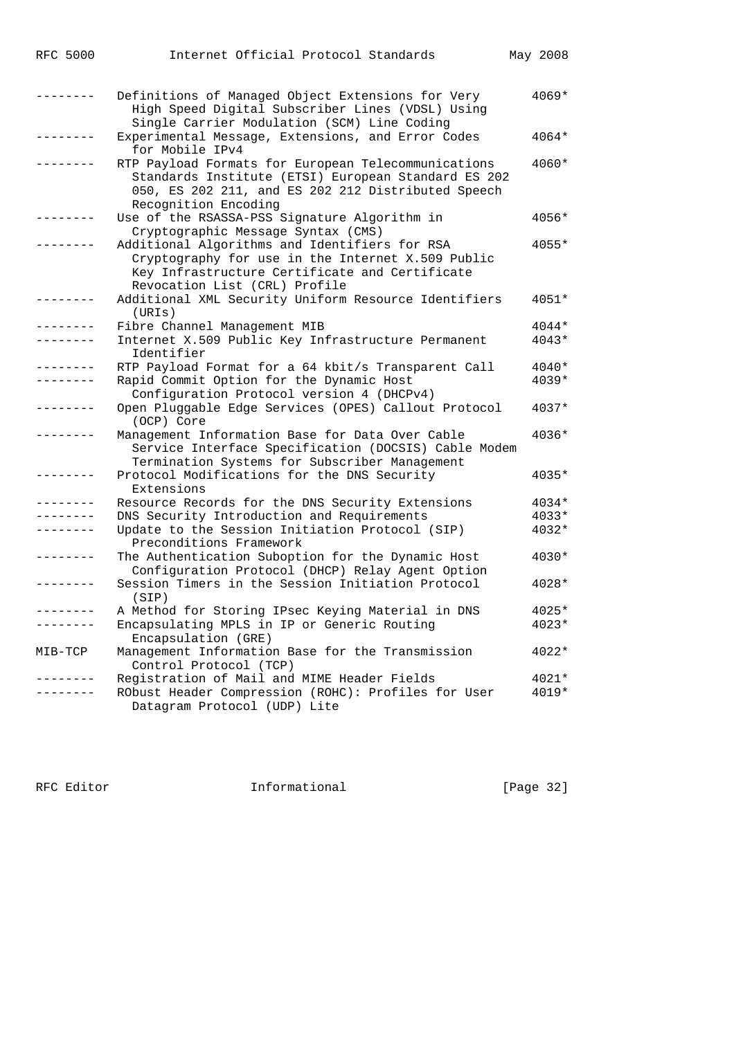| RFC | 5000 |
|-----|------|
|     |      |

| ------- | Definitions of Managed Object Extensions for Very<br>High Speed Digital Subscriber Lines (VDSL) Using<br>Single Carrier Modulation (SCM) Line Coding                                     | 4069*   |
|---------|------------------------------------------------------------------------------------------------------------------------------------------------------------------------------------------|---------|
|         | Experimental Message, Extensions, and Error Codes<br>for Mobile IPv4                                                                                                                     | 4064*   |
|         | RTP Payload Formats for European Telecommunications<br>Standards Institute (ETSI) European Standard ES 202<br>050, ES 202 211, and ES 202 212 Distributed Speech<br>Recognition Encoding | 4060*   |
|         | Use of the RSASSA-PSS Signature Algorithm in<br>Cryptographic Message Syntax (CMS)                                                                                                       | 4056*   |
|         | Additional Algorithms and Identifiers for RSA<br>Cryptography for use in the Internet X.509 Public<br>Key Infrastructure Certificate and Certificate<br>Revocation List (CRL) Profile    | 4055*   |
|         | Additional XML Security Uniform Resource Identifiers<br>(URIS)                                                                                                                           | 4051*   |
|         | Fibre Channel Management MIB                                                                                                                                                             | 4044*   |
|         | Internet X.509 Public Key Infrastructure Permanent<br>Identifier                                                                                                                         | $4043*$ |
|         | RTP Payload Format for a 64 kbit/s Transparent Call                                                                                                                                      | 4040*   |
|         | Rapid Commit Option for the Dynamic Host<br>Configuration Protocol version 4 (DHCPv4)                                                                                                    | $4039*$ |
|         | Open Pluggable Edge Services (OPES) Callout Protocol<br>(OCP) Core                                                                                                                       | 4037*   |
|         | Management Information Base for Data Over Cable<br>Service Interface Specification (DOCSIS) Cable Modem<br>Termination Systems for Subscriber Management                                 | 4036*   |
|         | Protocol Modifications for the DNS Security<br>Extensions                                                                                                                                | 4035*   |
|         | Resource Records for the DNS Security Extensions                                                                                                                                         | 4034*   |
|         | DNS Security Introduction and Requirements                                                                                                                                               | $4033*$ |
|         | Update to the Session Initiation Protocol (SIP)<br>Preconditions Framework                                                                                                               | 4032*   |
|         | The Authentication Suboption for the Dynamic Host<br>Configuration Protocol (DHCP) Relay Agent Option                                                                                    | 4030*   |
|         | Session Timers in the Session Initiation Protocol<br>(SIP)                                                                                                                               | 4028*   |
|         | A Method for Storing IPsec Keying Material in DNS                                                                                                                                        | 4025*   |
|         | Encapsulating MPLS in IP or Generic Routing<br>Encapsulation (GRE)                                                                                                                       | 4023*   |
| MIB-TCP | Management Information Base for the Transmission<br>Control Protocol (TCP)                                                                                                               | 4022*   |
|         | Registration of Mail and MIME Header Fields                                                                                                                                              | 4021*   |
|         | RObust Header Compression (ROHC): Profiles for User<br>Datagram Protocol (UDP) Lite                                                                                                      | 4019*   |

RFC Editor **Informational** Informational [Page 32]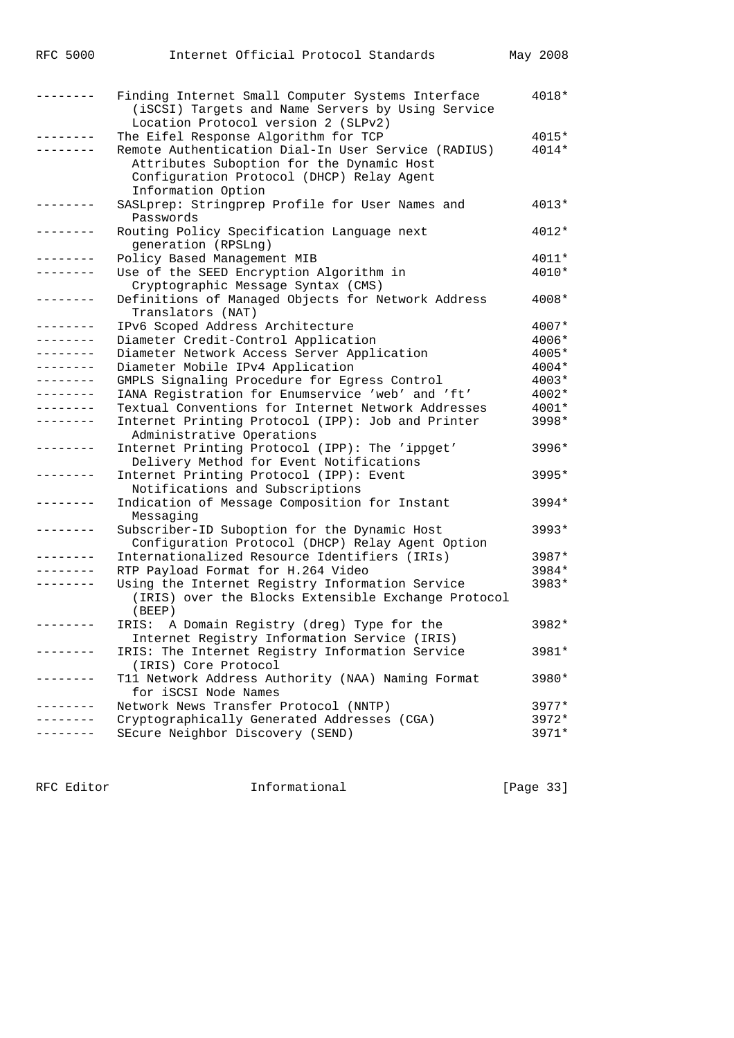| <b>RFC 5000</b>     | Internet Official Protocol Standards                                                                                                                                | May 2008 |
|---------------------|---------------------------------------------------------------------------------------------------------------------------------------------------------------------|----------|
| -------             | Finding Internet Small Computer Systems Interface<br>(iSCSI) Targets and Name Servers by Using Service<br>Location Protocol version 2 (SLPv2)                       | 4018*    |
|                     | The Eifel Response Algorithm for TCP                                                                                                                                | 4015*    |
|                     | Remote Authentication Dial-In User Service (RADIUS)<br>Attributes Suboption for the Dynamic Host<br>Configuration Protocol (DHCP) Relay Agent<br>Information Option | 4014*    |
| $- - - - - - - - -$ | SASLprep: Stringprep Profile for User Names and<br>Passwords                                                                                                        | $4013*$  |
| . - - - - - - -     | Routing Policy Specification Language next<br>generation (RPSLng)                                                                                                   | $4012*$  |
| --------            | Policy Based Management MIB                                                                                                                                         | 4011*    |
| -------             | Use of the SEED Encryption Algorithm in<br>Cryptographic Message Syntax (CMS)                                                                                       | 4010*    |
| -------             | Definitions of Managed Objects for Network Address<br>Translators (NAT)                                                                                             | 4008*    |
| .                   | IPv6 Scoped Address Architecture                                                                                                                                    | 4007*    |
| --------            | Diameter Credit-Control Application                                                                                                                                 | 4006*    |
| .                   | Diameter Network Access Server Application                                                                                                                          | 4005*    |
| - - - - - - - -     | Diameter Mobile IPv4 Application                                                                                                                                    | $4004*$  |
| .                   | GMPLS Signaling Procedure for Egress Control                                                                                                                        | $4003*$  |
| .                   | IANA Registration for Enumservice 'web' and 'ft'                                                                                                                    | 4002*    |
| .                   | Textual Conventions for Internet Network Addresses                                                                                                                  | 4001*    |
| --------            | Internet Printing Protocol (IPP): Job and Printer<br>Administrative Operations                                                                                      | $3998*$  |
|                     | Internet Printing Protocol (IPP): The 'ippget'<br>Delivery Method for Event Notifications                                                                           | 3996*    |
|                     | Internet Printing Protocol (IPP): Event<br>Notifications and Subscriptions                                                                                          | 3995*    |
| -------             | Indication of Message Composition for Instant<br>Messaging                                                                                                          | $3994*$  |
|                     | Subscriber-ID Suboption for the Dynamic Host<br>Configuration Protocol (DHCP) Relay Agent Option                                                                    | 3993*    |
|                     | Internationalized Resource Identifiers (IRIs)                                                                                                                       | 3987*    |
|                     | RTP Payload Format for H.264 Video                                                                                                                                  | 3984*    |
| --------            | Using the Internet Registry Information Service<br>(IRIS) over the Blocks Extensible Exchange Protocol<br>(BEEP)                                                    | 3983*    |
| $------$            | IRIS: A Domain Registry (dreg) Type for the<br>Internet Registry Information Service (IRIS)                                                                         | 3982*    |
| .                   | IRIS: The Internet Registry Information Service<br>(IRIS) Core Protocol                                                                                             | 3981*    |
| -------             | T11 Network Address Authority (NAA) Naming Format<br>for iSCSI Node Names                                                                                           | 3980*    |
|                     | Network News Transfer Protocol (NNTP)                                                                                                                               | $3977*$  |
|                     | Cryptographically Generated Addresses (CGA)                                                                                                                         | 3972*    |
|                     | SEcure Neighbor Discovery (SEND)                                                                                                                                    | $3971*$  |

RFC Editor **Informational** [Page 33]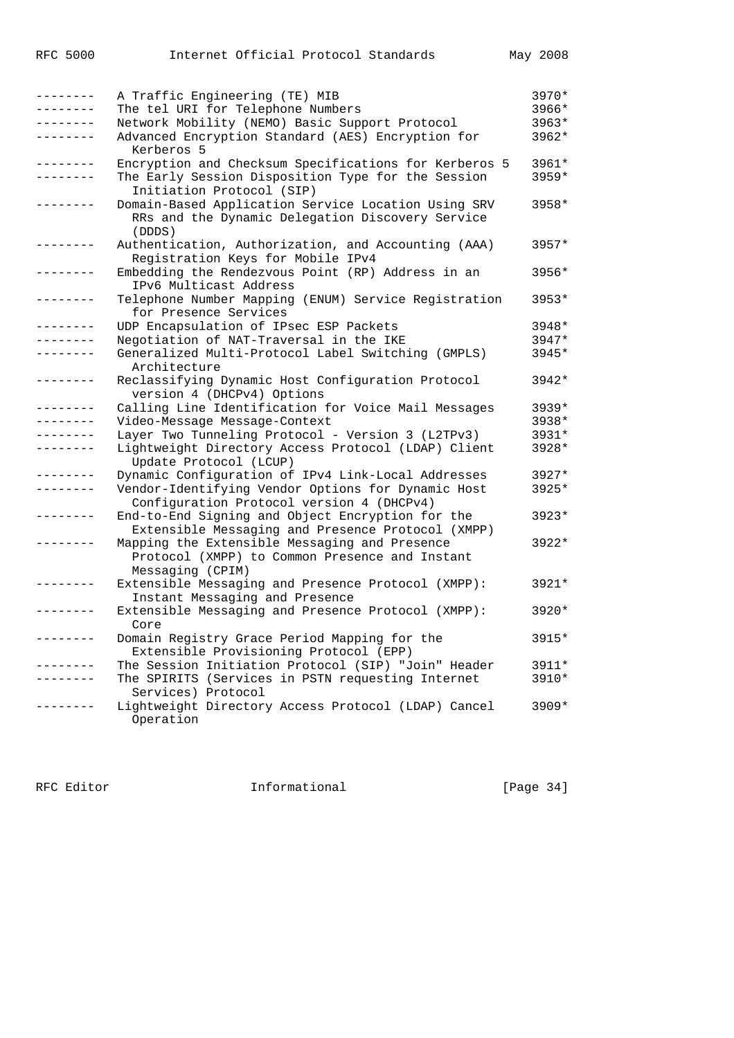|         | A Traffic Engineering (TE) MIB                                                                                      | 3970*   |
|---------|---------------------------------------------------------------------------------------------------------------------|---------|
|         | The tel URI for Telephone Numbers                                                                                   | 3966*   |
|         | Network Mobility (NEMO) Basic Support Protocol                                                                      | 3963*   |
| ------- | Advanced Encryption Standard (AES) Encryption for<br>Kerberos 5                                                     | 3962*   |
| ------- | Encryption and Checksum Specifications for Kerberos 5                                                               | 3961*   |
|         | The Early Session Disposition Type for the Session<br>Initiation Protocol (SIP)                                     | 3959*   |
|         | Domain-Based Application Service Location Using SRV<br>RRs and the Dynamic Delegation Discovery Service<br>(DDDS)   | 3958*   |
|         | Authentication, Authorization, and Accounting (AAA)<br>Registration Keys for Mobile IPv4                            | $3957*$ |
|         | Embedding the Rendezvous Point (RP) Address in an<br>IPv6 Multicast Address                                         | 3956*   |
| ------- | Telephone Number Mapping (ENUM) Service Registration<br>for Presence Services                                       | 3953*   |
|         | UDP Encapsulation of IPsec ESP Packets                                                                              | 3948*   |
|         | Negotiation of NAT-Traversal in the IKE                                                                             | 3947*   |
|         | Generalized Multi-Protocol Label Switching (GMPLS)<br>Architecture                                                  | 3945*   |
| ------- | Reclassifying Dynamic Host Configuration Protocol<br>version 4 (DHCPv4) Options                                     | $3942*$ |
|         | Calling Line Identification for Voice Mail Messages                                                                 | 3939*   |
|         | Video-Message Message-Context                                                                                       | 3938*   |
|         | Layer Two Tunneling Protocol - Version 3 (L2TPv3)                                                                   | 3931*   |
|         | Lightweight Directory Access Protocol (LDAP) Client<br>Update Protocol (LCUP)                                       | 3928*   |
|         | Dynamic Configuration of IPv4 Link-Local Addresses                                                                  | $3927*$ |
|         | Vendor-Identifying Vendor Options for Dynamic Host<br>Configuration Protocol version 4 (DHCPv4)                     | 3925*   |
|         | End-to-End Signing and Object Encryption for the<br>Extensible Messaging and Presence Protocol (XMPP)               | 3923*   |
|         | Mapping the Extensible Messaging and Presence<br>Protocol (XMPP) to Common Presence and Instant<br>Messaging (CPIM) | 3922*   |
| ------- | Extensible Messaging and Presence Protocol (XMPP):<br>Instant Messaging and Presence                                | 3921*   |
| ------- | Extensible Messaging and Presence Protocol (XMPP):<br>Core                                                          | $3920*$ |
|         | Domain Registry Grace Period Mapping for the<br>Extensible Provisioning Protocol (EPP)                              | 3915*   |
|         | The Session Initiation Protocol (SIP) "Join" Header                                                                 | 3911*   |
|         | The SPIRITS (Services in PSTN requesting Internet<br>Services) Protocol                                             | 3910*   |
|         | Lightweight Directory Access Protocol (LDAP) Cancel<br>Operation                                                    | $3909*$ |

RFC Editor **Informational** Page 34]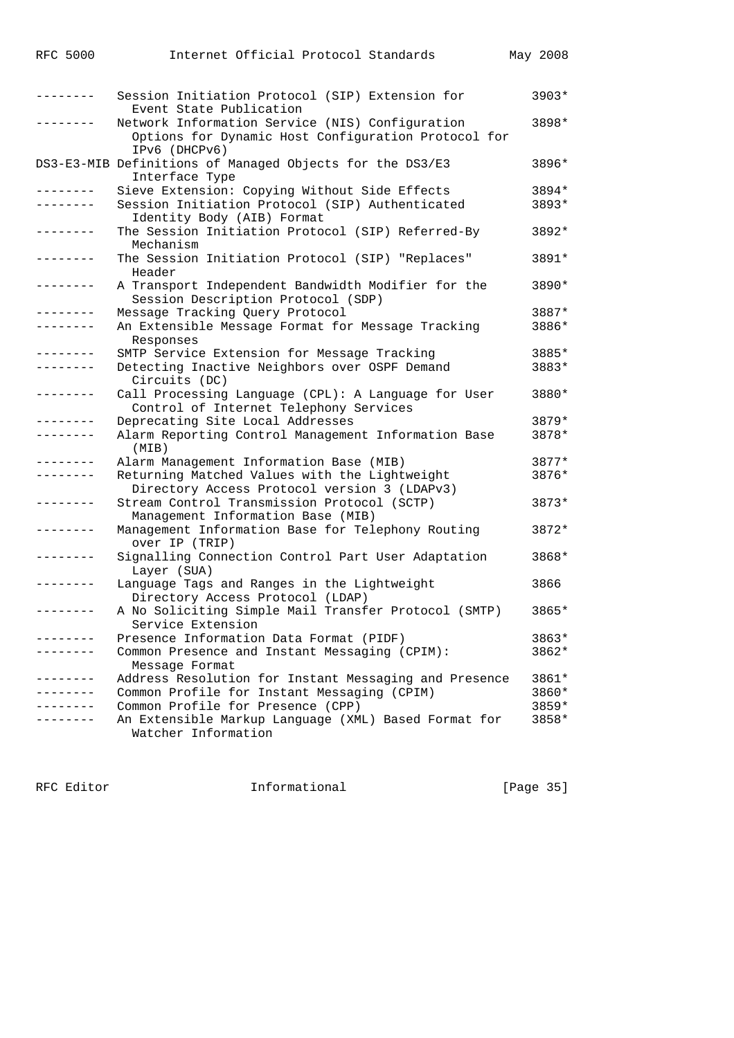| <b>RFC 5000</b> | Internet Official Protocol Standards                                                                                    | May 2008 |
|-----------------|-------------------------------------------------------------------------------------------------------------------------|----------|
| -------         | Session Initiation Protocol (SIP) Extension for                                                                         | $3903*$  |
|                 | Event State Publication                                                                                                 |          |
|                 | Network Information Service (NIS) Configuration<br>Options for Dynamic Host Configuration Protocol for<br>IPv6 (DHCPv6) | 3898*    |
|                 | DS3-E3-MIB Definitions of Managed Objects for the DS3/E3<br>Interface Type                                              | 3896*    |
| .               | Sieve Extension: Copying Without Side Effects                                                                           | 3894*    |
| - - - - - - - - | Session Initiation Protocol (SIP) Authenticated<br>Identity Body (AIB) Format                                           | 3893*    |
| --------        | The Session Initiation Protocol (SIP) Referred-By<br>Mechanism                                                          | 3892*    |
| -------         | The Session Initiation Protocol (SIP) "Replaces"<br>Header                                                              | 3891*    |
|                 | A Transport Independent Bandwidth Modifier for the<br>Session Description Protocol (SDP)                                | 3890*    |
| -------         | Message Tracking Query Protocol                                                                                         | 3887*    |
| .               | An Extensible Message Format for Message Tracking<br>Responses                                                          | 3886*    |
|                 | SMTP Service Extension for Message Tracking                                                                             | 3885*    |
| - - - - - - - - | Detecting Inactive Neighbors over OSPF Demand<br>Circuits (DC)                                                          | 3883*    |
| - - - - - - - - | Call Processing Language (CPL): A Language for User<br>Control of Internet Telephony Services                           | 3880*    |
| -------         | Deprecating Site Local Addresses                                                                                        | 3879*    |
| . – – – – – – - | Alarm Reporting Control Management Information Base<br>(MIB)                                                            | 3878*    |
| . <u>.</u> .    | Alarm Management Information Base (MIB)                                                                                 | 3877*    |
| --------        | Returning Matched Values with the Lightweight<br>Directory Access Protocol version 3 (LDAPv3)                           | 3876*    |
| -------         | Stream Control Transmission Protocol (SCTP)<br>Management Information Base (MIB)                                        | 3873*    |
| . <u>.</u>      | Management Information Base for Telephony Routing<br>over IP (TRIP)                                                     | 3872*    |
| --------        | Signalling Connection Control Part User Adaptation<br>Layer (SUA)                                                       | 3868*    |
|                 | Language Tags and Ranges in the Lightweight<br>Directory Access Protocol (LDAP)                                         | 3866     |
| . <u>.</u>      | A No Soliciting Simple Mail Transfer Protocol (SMTP)<br>Service Extension                                               | 3865*    |
|                 | Presence Information Data Format (PIDF)                                                                                 | 3863*    |
|                 | Common Presence and Instant Messaging (CPIM):<br>Message Format                                                         | 3862*    |
| $- - - - - - -$ | Address Resolution for Instant Messaging and Presence                                                                   | 3861*    |
|                 | Common Profile for Instant Messaging (CPIM)                                                                             | 3860*    |
|                 | Common Profile for Presence (CPP)                                                                                       | $3859*$  |
|                 | An Extensible Markup Language (XML) Based Format for<br>Watcher Information                                             | 3858*    |

RFC Editor **Informational** Page 35]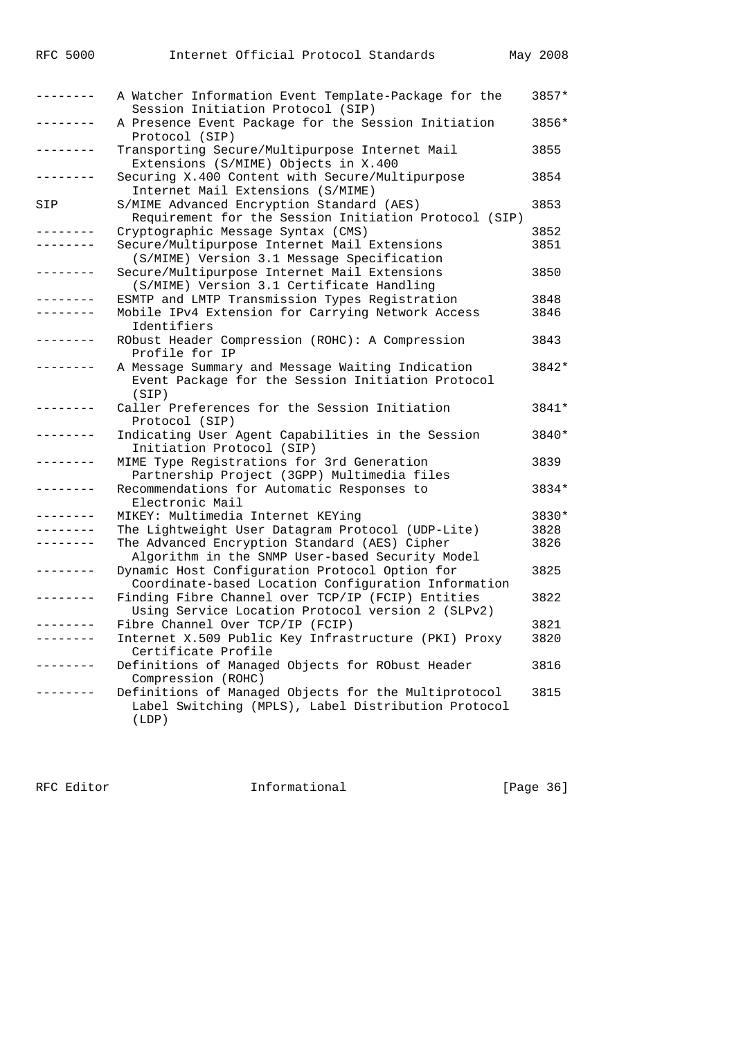|     | A Watcher Information Event Template-Package for the<br>Session Initiation Protocol (SIP)                            | 3857* |
|-----|----------------------------------------------------------------------------------------------------------------------|-------|
|     | A Presence Event Package for the Session Initiation<br>Protocol (SIP)                                                | 3856* |
|     | Transporting Secure/Multipurpose Internet Mail<br>Extensions (S/MIME) Objects in X.400                               | 3855  |
|     | Securing X.400 Content with Secure/Multipurpose<br>Internet Mail Extensions (S/MIME)                                 | 3854  |
| SIP | S/MIME Advanced Encryption Standard (AES)<br>Requirement for the Session Initiation Protocol (SIP)                   | 3853  |
|     | Cryptographic Message Syntax (CMS)                                                                                   | 3852  |
|     | Secure/Multipurpose Internet Mail Extensions                                                                         | 3851  |
|     | (S/MIME) Version 3.1 Message Specification                                                                           |       |
|     | Secure/Multipurpose Internet Mail Extensions                                                                         | 3850  |
|     | (S/MIME) Version 3.1 Certificate Handling                                                                            |       |
|     | ESMTP and LMTP Transmission Types Registration                                                                       | 3848  |
|     | Mobile IPv4 Extension for Carrying Network Access                                                                    | 3846  |
|     | Identifiers                                                                                                          |       |
|     | RObust Header Compression (ROHC): A Compression                                                                      | 3843  |
|     | Profile for IP                                                                                                       |       |
|     | A Message Summary and Message Waiting Indication                                                                     | 3842* |
|     | Event Package for the Session Initiation Protocol                                                                    |       |
|     | (SIP)                                                                                                                |       |
|     | Caller Preferences for the Session Initiation<br>Protocol (SIP)                                                      | 3841* |
|     | Indicating User Agent Capabilities in the Session<br>Initiation Protocol (SIP)                                       | 3840* |
|     | MIME Type Registrations for 3rd Generation<br>Partnership Project (3GPP) Multimedia files                            | 3839  |
|     | Recommendations for Automatic Responses to<br>Electronic Mail                                                        | 3834* |
|     | MIKEY: Multimedia Internet KEYing                                                                                    | 3830* |
|     | The Lightweight User Datagram Protocol (UDP-Lite)                                                                    | 3828  |
|     | The Advanced Encryption Standard (AES) Cipher                                                                        | 3826  |
|     | Algorithm in the SNMP User-based Security Model                                                                      |       |
|     | Dynamic Host Configuration Protocol Option for<br>Coordinate-based Location Configuration Information                | 3825  |
|     | Finding Fibre Channel over TCP/IP (FCIP) Entities<br>Using Service Location Protocol version 2 (SLPv2)               | 3822  |
|     | Fibre Channel Over TCP/IP (FCIP)                                                                                     | 3821  |
|     | Internet X.509 Public Key Infrastructure (PKI) Proxy<br>Certificate Profile                                          | 3820  |
|     | Definitions of Managed Objects for RObust Header<br>Compression (ROHC)                                               | 3816  |
|     | Definitions of Managed Objects for the Multiprotocol<br>Label Switching (MPLS), Label Distribution Protocol<br>(LDP) | 3815  |
|     |                                                                                                                      |       |

RFC Editor **Informational** [Page 36]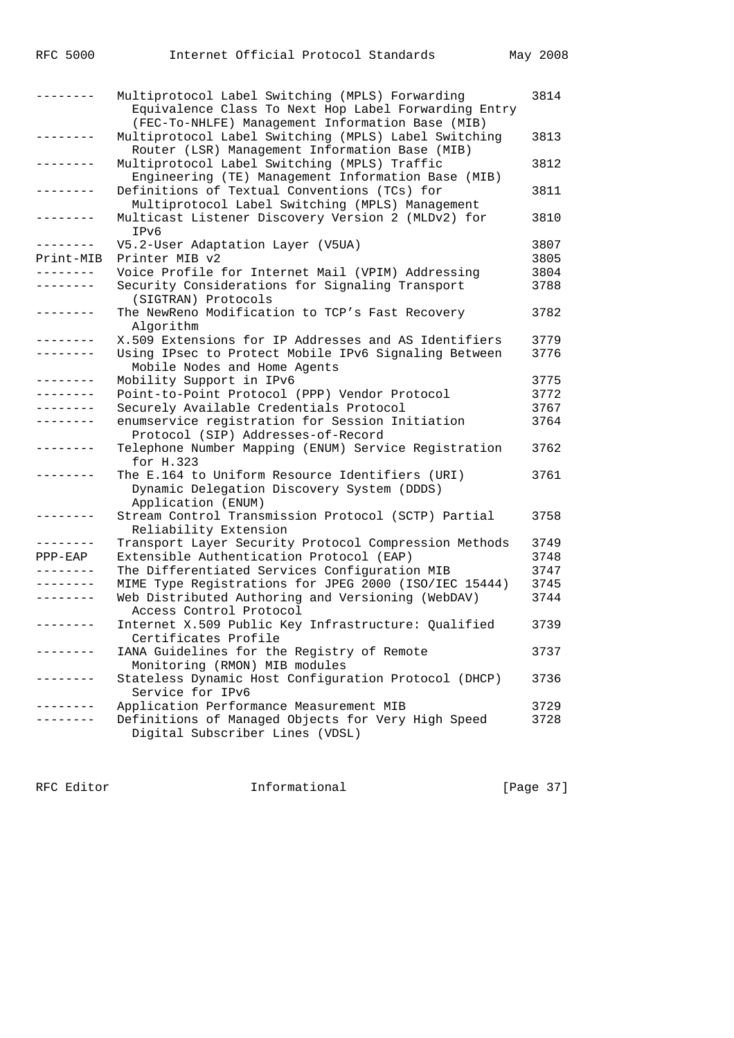| . <u>.</u>      | Multiprotocol Label Switching (MPLS) Forwarding<br>Equivalence Class To Next Hop Label Forwarding Entry<br>(FEC-To-NHLFE) Management Information Base (MIB) | 3814 |
|-----------------|-------------------------------------------------------------------------------------------------------------------------------------------------------------|------|
| .               | Multiprotocol Label Switching (MPLS) Label Switching<br>Router (LSR) Management Information Base (MIB)                                                      | 3813 |
| --------        | Multiprotocol Label Switching (MPLS) Traffic<br>Engineering (TE) Management Information Base (MIB)                                                          | 3812 |
|                 | Definitions of Textual Conventions (TCs) for<br>Multiprotocol Label Switching (MPLS) Management                                                             | 3811 |
| --------        | Multicast Listener Discovery Version 2 (MLDv2) for<br>IPv6                                                                                                  | 3810 |
| .               | V5.2-User Adaptation Layer (V5UA)                                                                                                                           | 3807 |
| Print-MIB       | Printer MIB v2                                                                                                                                              | 3805 |
| ---------       | Voice Profile for Internet Mail (VPIM) Addressing                                                                                                           | 3804 |
| --------        | Security Considerations for Signaling Transport<br>(SIGTRAN) Protocols                                                                                      | 3788 |
| --------        | The NewReno Modification to TCP's Fast Recovery<br>Algorithm                                                                                                | 3782 |
| --------        | X.509 Extensions for IP Addresses and AS Identifiers                                                                                                        | 3779 |
| --------        | Using IPsec to Protect Mobile IPv6 Signaling Between<br>Mobile Nodes and Home Agents                                                                        | 3776 |
| --------        | Mobility Support in IPv6                                                                                                                                    | 3775 |
| --------        | Point-to-Point Protocol (PPP) Vendor Protocol                                                                                                               | 3772 |
| . <u>.</u>      | Securely Available Credentials Protocol                                                                                                                     | 3767 |
| --------        | enumservice registration for Session Initiation<br>Protocol (SIP) Addresses-of-Record                                                                       | 3764 |
| --------        | Telephone Number Mapping (ENUM) Service Registration<br>for $H.323$                                                                                         | 3762 |
| --------        | The E.164 to Uniform Resource Identifiers (URI)<br>Dynamic Delegation Discovery System (DDDS)<br>Application (ENUM)                                         | 3761 |
| $- - - - - - -$ | Stream Control Transmission Protocol (SCTP) Partial<br>Reliability Extension                                                                                | 3758 |
| --------        | Transport Layer Security Protocol Compression Methods                                                                                                       | 3749 |
| $PPP-EDP$       | Extensible Authentication Protocol (EAP)                                                                                                                    | 3748 |
| --------        | The Differentiated Services Configuration MIB                                                                                                               | 3747 |
| --------        | MIME Type Registrations for JPEG 2000 (ISO/IEC 15444)                                                                                                       | 3745 |
| ---------       | Web Distributed Authoring and Versioning (WebDAV)<br>Access Control Protocol                                                                                | 3744 |
| --------        | Internet X.509 Public Key Infrastructure: Qualified<br>Certificates Profile                                                                                 | 3739 |
|                 | IANA Guidelines for the Registry of Remote<br>Monitoring (RMON) MIB modules                                                                                 | 3737 |
|                 | Stateless Dynamic Host Configuration Protocol (DHCP)<br>Service for IPv6                                                                                    | 3736 |
|                 | Application Performance Measurement MIB                                                                                                                     | 3729 |
|                 | Definitions of Managed Objects for Very High Speed                                                                                                          | 3728 |
|                 | Digital Subscriber Lines (VDSL)                                                                                                                             |      |

RFC Editor **Informational** Page 37]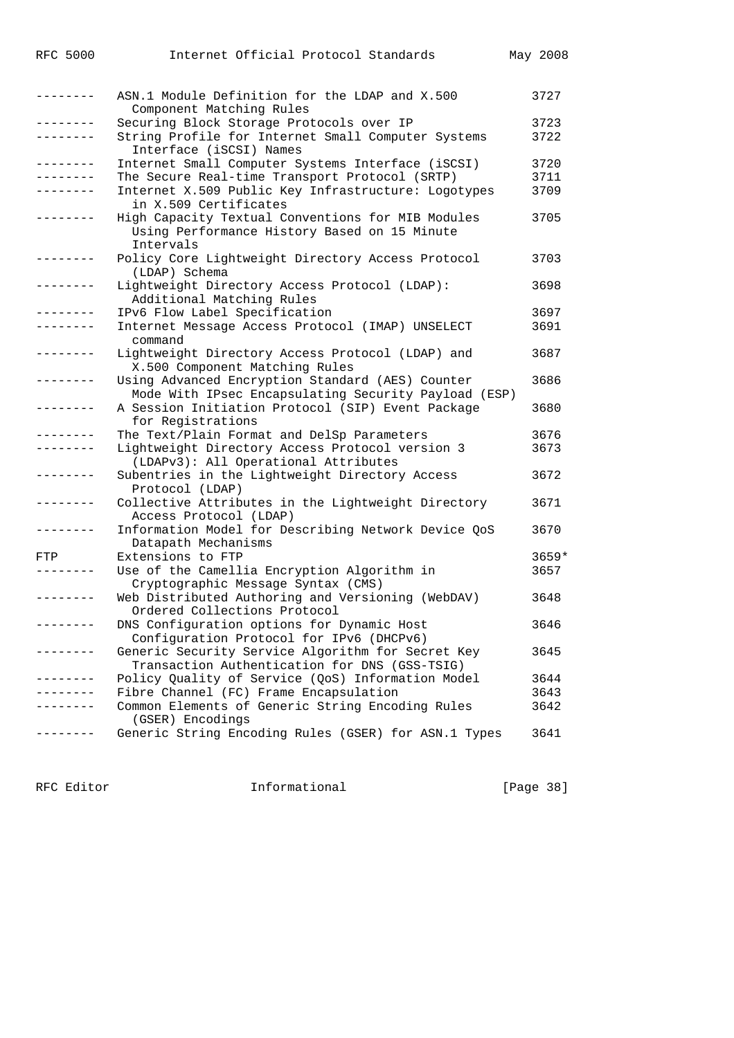| --------          | ASN.1 Module Definition for the LDAP and X.500<br>Component Matching Rules | 3727    |
|-------------------|----------------------------------------------------------------------------|---------|
| . <u>.</u> .      | Securing Block Storage Protocols over IP                                   | 3723    |
|                   |                                                                            | 3722    |
|                   | String Profile for Internet Small Computer Systems                         |         |
|                   | Interface (iSCSI) Names                                                    |         |
| -------           | Internet Small Computer Systems Interface (iSCSI)                          | 3720    |
| $- - - - - - - -$ | The Secure Real-time Transport Protocol (SRTP)                             | 3711    |
| -------           | Internet X.509 Public Key Infrastructure: Logotypes                        | 3709    |
|                   | in X.509 Certificates                                                      |         |
| -------           | High Capacity Textual Conventions for MIB Modules                          | 3705    |
|                   | Using Performance History Based on 15 Minute                               |         |
|                   | Intervals                                                                  |         |
| --------          | Policy Core Lightweight Directory Access Protocol                          | 3703    |
|                   | (LDAP) Schema                                                              |         |
| .                 |                                                                            |         |
|                   | Lightweight Directory Access Protocol (LDAP):                              | 3698    |
|                   | Additional Matching Rules                                                  |         |
| . <u>.</u> .      | IPv6 Flow Label Specification                                              | 3697    |
|                   | Internet Message Access Protocol (IMAP) UNSELECT                           | 3691    |
|                   | command                                                                    |         |
| --------          | Lightweight Directory Access Protocol (LDAP) and                           | 3687    |
|                   | X.500 Component Matching Rules                                             |         |
| .                 | Using Advanced Encryption Standard (AES) Counter                           | 3686    |
|                   | Mode With IPsec Encapsulating Security Payload (ESP)                       |         |
|                   | A Session Initiation Protocol (SIP) Event Package                          | 3680    |
|                   | for Registrations                                                          |         |
| . <u>.</u> .      | The Text/Plain Format and DelSp Parameters                                 | 3676    |
|                   |                                                                            |         |
|                   | Lightweight Directory Access Protocol version 3                            | 3673    |
|                   | (LDAPv3): All Operational Attributes                                       |         |
| ---------         | Subentries in the Lightweight Directory Access                             | 3672    |
|                   | Protocol (LDAP)                                                            |         |
| -------           | Collective Attributes in the Lightweight Directory                         | 3671    |
|                   | Access Protocol (LDAP)                                                     |         |
|                   | Information Model for Describing Network Device QoS                        | 3670    |
|                   | Datapath Mechanisms                                                        |         |
| FTP               | Extensions to FTP                                                          | $3659*$ |
|                   | Use of the Camellia Encryption Algorithm in                                | 3657    |
|                   | Cryptographic Message Syntax (CMS)                                         |         |
| --------          | Web Distributed Authoring and Versioning (WebDAV)                          | 3648    |
|                   | Ordered Collections Protocol                                               |         |
| --------          | DNS Configuration options for Dynamic Host                                 | 3646    |
|                   |                                                                            |         |
|                   | Configuration Protocol for IPv6 (DHCPv6)                                   |         |
|                   | Generic Security Service Algorithm for Secret Key                          | 3645    |
|                   | Transaction Authentication for DNS (GSS-TSIG)                              |         |
| --------          | Policy Quality of Service (QoS) Information Model                          | 3644    |
|                   | Fibre Channel (FC) Frame Encapsulation                                     | 3643    |
|                   | Common Elements of Generic String Encoding Rules                           | 3642    |
|                   | (GSER) Encodings                                                           |         |
|                   | Generic String Encoding Rules (GSER) for ASN.1 Types                       | 3641    |
|                   |                                                                            |         |

RFC Editor **Informational** Page 38]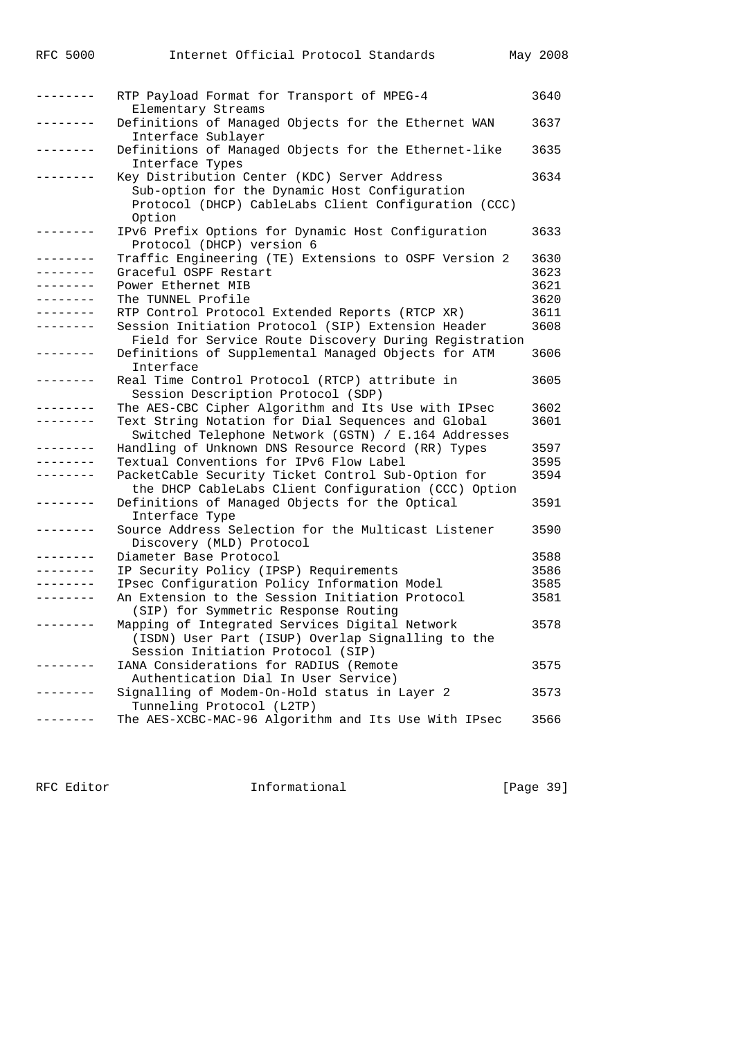| . _ _ _ _ _ _ _ | RTP Payload Format for Transport of MPEG-4            | 3640 |
|-----------------|-------------------------------------------------------|------|
|                 | Elementary Streams                                    |      |
|                 | Definitions of Managed Objects for the Ethernet WAN   | 3637 |
|                 | Interface Sublayer                                    |      |
|                 | Definitions of Managed Objects for the Ethernet-like  | 3635 |
|                 |                                                       |      |
|                 | Interface Types                                       |      |
|                 | Key Distribution Center (KDC) Server Address          | 3634 |
|                 | Sub-option for the Dynamic Host Configuration         |      |
|                 | Protocol (DHCP) CableLabs Client Configuration (CCC)  |      |
|                 | Option                                                |      |
|                 | IPv6 Prefix Options for Dynamic Host Configuration    | 3633 |
|                 | Protocol (DHCP) version 6                             |      |
| --------        | Traffic Engineering (TE) Extensions to OSPF Version 2 | 3630 |
| --------        | Graceful OSPF Restart                                 | 3623 |
|                 | Power Ethernet MIB                                    | 3621 |
|                 | The TUNNEL Profile                                    | 3620 |
|                 |                                                       |      |
|                 | RTP Control Protocol Extended Reports (RTCP XR)       | 3611 |
|                 | Session Initiation Protocol (SIP) Extension Header    | 3608 |
|                 | Field for Service Route Discovery During Registration |      |
|                 | Definitions of Supplemental Managed Objects for ATM   | 3606 |
|                 | Interface                                             |      |
|                 | Real Time Control Protocol (RTCP) attribute in        | 3605 |
|                 | Session Description Protocol (SDP)                    |      |
|                 | The AES-CBC Cipher Algorithm and Its Use with IPsec   | 3602 |
| . _ _ _ _ _ _ _ | Text String Notation for Dial Sequences and Global    | 3601 |
|                 | Switched Telephone Network (GSTN) / E.164 Addresses   |      |
|                 |                                                       |      |
|                 | Handling of Unknown DNS Resource Record (RR) Types    | 3597 |
|                 | Textual Conventions for IPv6 Flow Label               | 3595 |
|                 | PacketCable Security Ticket Control Sub-Option for    | 3594 |
|                 | the DHCP CableLabs Client Configuration (CCC) Option  |      |
|                 | Definitions of Managed Objects for the Optical        | 3591 |
|                 | Interface Type                                        |      |
|                 | Source Address Selection for the Multicast Listener   | 3590 |
|                 | Discovery (MLD) Protocol                              |      |
|                 | Diameter Base Protocol                                | 3588 |
|                 | IP Security Policy (IPSP) Requirements                | 3586 |
|                 | IPsec Configuration Policy Information Model          | 3585 |
|                 |                                                       |      |
|                 | An Extension to the Session Initiation Protocol       | 3581 |
|                 | (SIP) for Symmetric Response Routing                  |      |
|                 | Mapping of Integrated Services Digital Network        | 3578 |
|                 | (ISDN) User Part (ISUP) Overlap Signalling to the     |      |
|                 | Session Initiation Protocol (SIP)                     |      |
|                 | IANA Considerations for RADIUS (Remote                | 3575 |
|                 | Authentication Dial In User Service)                  |      |
|                 | Signalling of Modem-On-Hold status in Layer 2         | 3573 |
|                 | Tunneling Protocol (L2TP)                             |      |
| - - - - - - - - | The AES-XCBC-MAC-96 Algorithm and Its Use With IPsec  | 3566 |
|                 |                                                       |      |

RFC Editor **Informational Informational** [Page 39]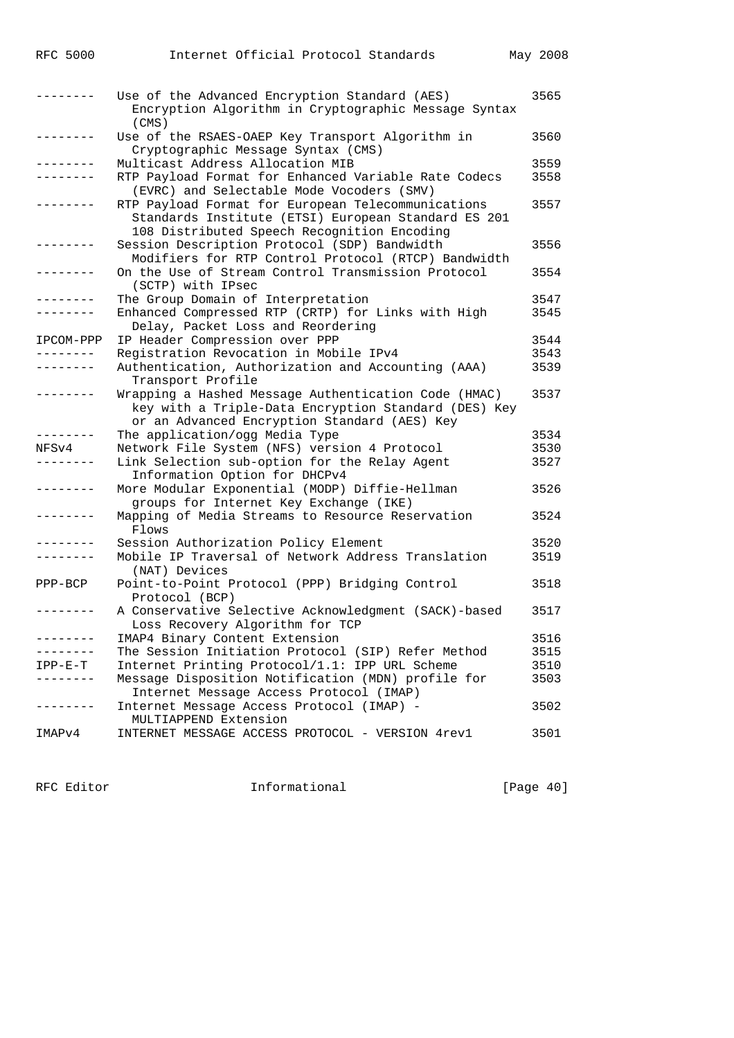|                 | Use of the Advanced Encryption Standard (AES)<br>Encryption Algorithm in Cryptographic Message Syntax<br>(CMS)                                               | 3565 |
|-----------------|--------------------------------------------------------------------------------------------------------------------------------------------------------------|------|
|                 | Use of the RSAES-OAEP Key Transport Algorithm in<br>Cryptographic Message Syntax (CMS)                                                                       | 3560 |
| .               | Multicast Address Allocation MIB                                                                                                                             | 3559 |
| --------        | RTP Payload Format for Enhanced Variable Rate Codecs<br>(EVRC) and Selectable Mode Vocoders (SMV)                                                            | 3558 |
| --------        | RTP Payload Format for European Telecommunications<br>Standards Institute (ETSI) European Standard ES 201<br>108 Distributed Speech Recognition Encoding     | 3557 |
|                 | Session Description Protocol (SDP) Bandwidth<br>Modifiers for RTP Control Protocol (RTCP) Bandwidth                                                          | 3556 |
| ---------       | On the Use of Stream Control Transmission Protocol<br>(SCTP) with IPsec                                                                                      | 3554 |
| .               | The Group Domain of Interpretation                                                                                                                           | 3547 |
| --------        | Enhanced Compressed RTP (CRTP) for Links with High<br>Delay, Packet Loss and Reordering                                                                      | 3545 |
| IPCOM-PPP       | IP Header Compression over PPP                                                                                                                               | 3544 |
| --------        | Registration Revocation in Mobile IPv4                                                                                                                       | 3543 |
| --------        | Authentication, Authorization and Accounting (AAA)<br>Transport Profile                                                                                      | 3539 |
| --------        | Wrapping a Hashed Message Authentication Code (HMAC)<br>key with a Triple-Data Encryption Standard (DES) Key<br>or an Advanced Encryption Standard (AES) Key | 3537 |
| --------        | The application/ogg Media Type                                                                                                                               | 3534 |
| NFSv4           | Network File System (NFS) version 4 Protocol                                                                                                                 | 3530 |
| --------        | Link Selection sub-option for the Relay Agent<br>Information Option for DHCPv4                                                                               | 3527 |
| --------        | More Modular Exponential (MODP) Diffie-Hellman<br>groups for Internet Key Exchange (IKE)                                                                     | 3526 |
| --------        | Mapping of Media Streams to Resource Reservation<br>Flows                                                                                                    | 3524 |
| $- - - - - - -$ | Session Authorization Policy Element                                                                                                                         | 3520 |
| --------        | Mobile IP Traversal of Network Address Translation<br>(NAT) Devices                                                                                          | 3519 |
| PPP-BCP         | Point-to-Point Protocol (PPP) Bridging Control<br>Protocol (BCP)                                                                                             | 3518 |
| --------        | A Conservative Selective Acknowledgment (SACK)-based<br>Loss Recovery Algorithm for TCP                                                                      | 3517 |
|                 | IMAP4 Binary Content Extension                                                                                                                               | 3516 |
|                 | The Session Initiation Protocol (SIP) Refer Method                                                                                                           | 3515 |
| $IPP-E-T$       | Internet Printing Protocol/1.1: IPP URL Scheme                                                                                                               | 3510 |
|                 | Message Disposition Notification (MDN) profile for<br>Internet Message Access Protocol (IMAP)                                                                | 3503 |
|                 | Internet Message Access Protocol (IMAP) -<br>MULTIAPPEND Extension                                                                                           | 3502 |
| IMAPv4          | INTERNET MESSAGE ACCESS PROTOCOL - VERSION 4rev1                                                                                                             | 3501 |

RFC 5000 Internet Official Protocol Standards May 2008

RFC Editor **Informational** Page 40]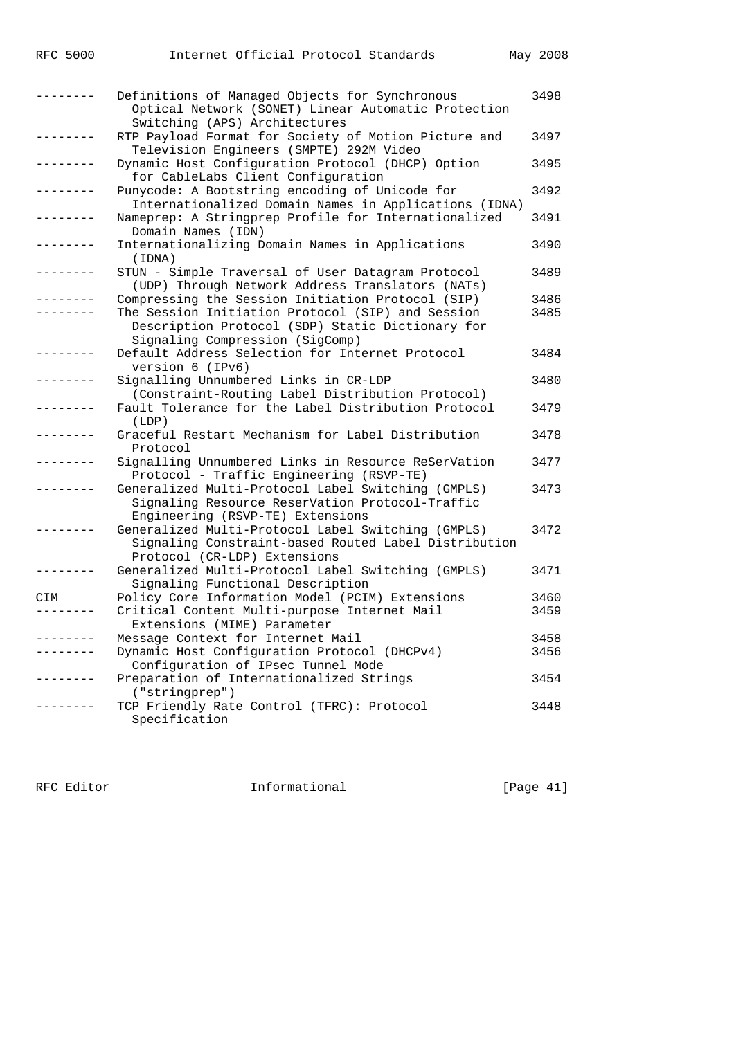|           | Definitions of Managed Objects for Synchronous                                                                                             | 3498 |
|-----------|--------------------------------------------------------------------------------------------------------------------------------------------|------|
|           | Optical Network (SONET) Linear Automatic Protection<br>Switching (APS) Architectures                                                       |      |
|           | RTP Payload Format for Society of Motion Picture and<br>Television Engineers (SMPTE) 292M Video                                            | 3497 |
|           | Dynamic Host Configuration Protocol (DHCP) Option<br>for CableLabs Client Configuration                                                    | 3495 |
|           | Punycode: A Bootstring encoding of Unicode for<br>Internationalized Domain Names in Applications (IDNA)                                    | 3492 |
|           | Nameprep: A Stringprep Profile for Internationalized<br>Domain Names (IDN)                                                                 | 3491 |
|           | Internationalizing Domain Names in Applications<br>(IDNA)                                                                                  | 3490 |
|           | STUN - Simple Traversal of User Datagram Protocol<br>(UDP) Through Network Address Translators (NATs)                                      | 3489 |
|           | Compressing the Session Initiation Protocol (SIP)                                                                                          | 3486 |
|           | The Session Initiation Protocol (SIP) and Session<br>Description Protocol (SDP) Static Dictionary for                                      | 3485 |
|           | Signaling Compression (SigComp)                                                                                                            |      |
|           | Default Address Selection for Internet Protocol<br>version 6 (IPv6)                                                                        | 3484 |
|           | Signalling Unnumbered Links in CR-LDP<br>(Constraint-Routing Label Distribution Protocol)                                                  | 3480 |
|           | Fault Tolerance for the Label Distribution Protocol<br>(LDP)                                                                               | 3479 |
|           | Graceful Restart Mechanism for Label Distribution<br>Protocol                                                                              | 3478 |
|           | Signalling Unnumbered Links in Resource ReSerVation<br>Protocol - Traffic Engineering (RSVP-TE)                                            | 3477 |
|           | Generalized Multi-Protocol Label Switching (GMPLS)<br>Signaling Resource ReserVation Protocol-Traffic<br>Engineering (RSVP-TE) Extensions  | 3473 |
|           | Generalized Multi-Protocol Label Switching (GMPLS)<br>Signaling Constraint-based Routed Label Distribution<br>Protocol (CR-LDP) Extensions | 3472 |
|           | Generalized Multi-Protocol Label Switching (GMPLS)<br>Signaling Functional Description                                                     | 3471 |
| CIM       | Policy Core Information Model (PCIM) Extensions                                                                                            | 3460 |
| --------- | Critical Content Multi-purpose Internet Mail<br>Extensions (MIME) Parameter                                                                | 3459 |
|           | Message Context for Internet Mail                                                                                                          | 3458 |
|           | Dynamic Host Configuration Protocol (DHCPv4)<br>Configuration of IPsec Tunnel Mode                                                         | 3456 |
|           | Preparation of Internationalized Strings<br>("stringprep")                                                                                 | 3454 |
|           | TCP Friendly Rate Control (TFRC): Protocol<br>Specification                                                                                | 3448 |

RFC Editor **Informational** [Page 41]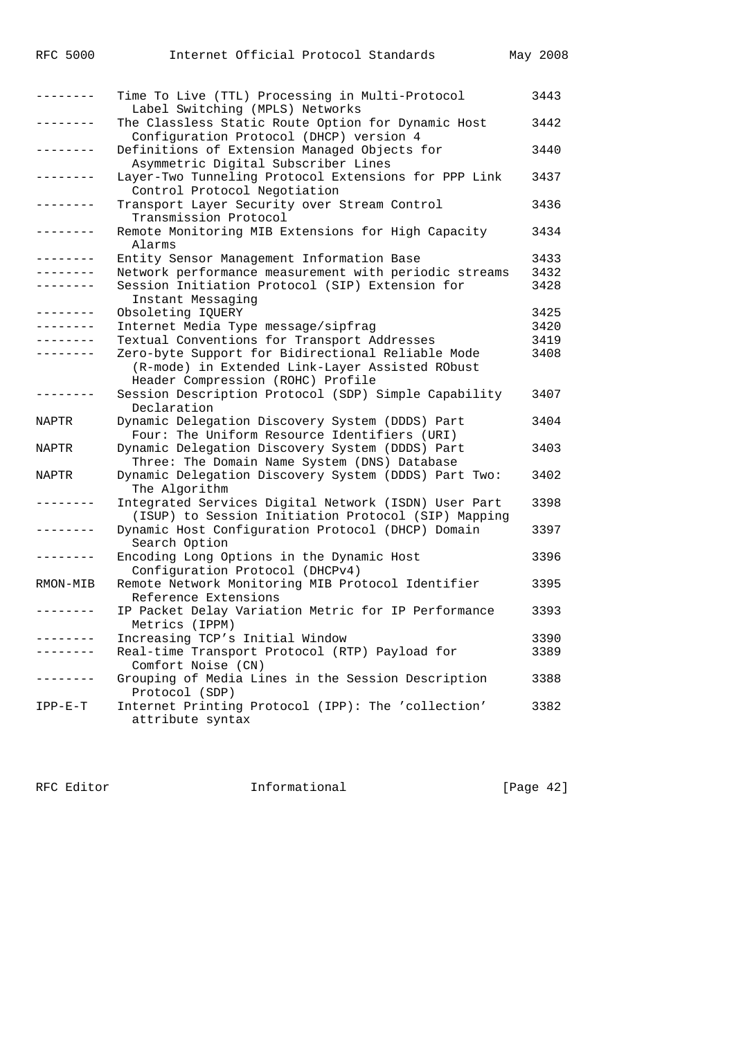|  | RFC | 5000 |
|--|-----|------|
|--|-----|------|

| $- - - - - - -$ | Time To Live (TTL) Processing in Multi-Protocol<br>Label Switching (MPLS) Networks                                                        | 3443 |
|-----------------|-------------------------------------------------------------------------------------------------------------------------------------------|------|
| ------          | The Classless Static Route Option for Dynamic Host<br>Configuration Protocol (DHCP) version 4                                             | 3442 |
|                 | Definitions of Extension Managed Objects for<br>Asymmetric Digital Subscriber Lines                                                       | 3440 |
| $- - - - - - -$ | Layer-Two Tunneling Protocol Extensions for PPP Link<br>Control Protocol Negotiation                                                      | 3437 |
| --------        | Transport Layer Security over Stream Control<br>Transmission Protocol                                                                     | 3436 |
| --------        | Remote Monitoring MIB Extensions for High Capacity<br>Alarms                                                                              | 3434 |
| -------         | Entity Sensor Management Information Base                                                                                                 | 3433 |
| --------        | Network performance measurement with periodic streams                                                                                     | 3432 |
| $- - - - - - -$ | Session Initiation Protocol (SIP) Extension for<br>Instant Messaging                                                                      | 3428 |
| --------        | Obsoleting IQUERY                                                                                                                         | 3425 |
|                 | Internet Media Type message/sipfrag                                                                                                       | 3420 |
|                 | Textual Conventions for Transport Addresses                                                                                               | 3419 |
| -------         | Zero-byte Support for Bidirectional Reliable Mode<br>(R-mode) in Extended Link-Layer Assisted RObust<br>Header Compression (ROHC) Profile | 3408 |
|                 | Session Description Protocol (SDP) Simple Capability<br>Declaration                                                                       | 3407 |
| NAPTR           | Dynamic Delegation Discovery System (DDDS) Part<br>Four: The Uniform Resource Identifiers (URI)                                           | 3404 |
| NAPTR           | Dynamic Delegation Discovery System (DDDS) Part<br>Three: The Domain Name System (DNS) Database                                           | 3403 |
| NAPTR           | Dynamic Delegation Discovery System (DDDS) Part Two:<br>The Algorithm                                                                     | 3402 |
|                 | Integrated Services Digital Network (ISDN) User Part<br>(ISUP) to Session Initiation Protocol (SIP) Mapping                               | 3398 |
| -------         | Dynamic Host Configuration Protocol (DHCP) Domain<br>Search Option                                                                        | 3397 |
| -------         | Encoding Long Options in the Dynamic Host<br>Configuration Protocol (DHCPv4)                                                              | 3396 |
| RMON-MIB        | Remote Network Monitoring MIB Protocol Identifier<br>Reference Extensions                                                                 | 3395 |
|                 | IP Packet Delay Variation Metric for IP Performance<br>Metrics (IPPM)                                                                     | 3393 |
| . <u>.</u>      | Increasing TCP's Initial Window                                                                                                           | 3390 |
| -------         | Real-time Transport Protocol (RTP) Payload for<br>Comfort Noise (CN)                                                                      | 3389 |
| -------         | Grouping of Media Lines in the Session Description<br>Protocol (SDP)                                                                      | 3388 |
| $IPP-E-T$       | Internet Printing Protocol (IPP): The 'collection'<br>attribute syntax                                                                    | 3382 |

RFC Editor **Informational** [Page 42]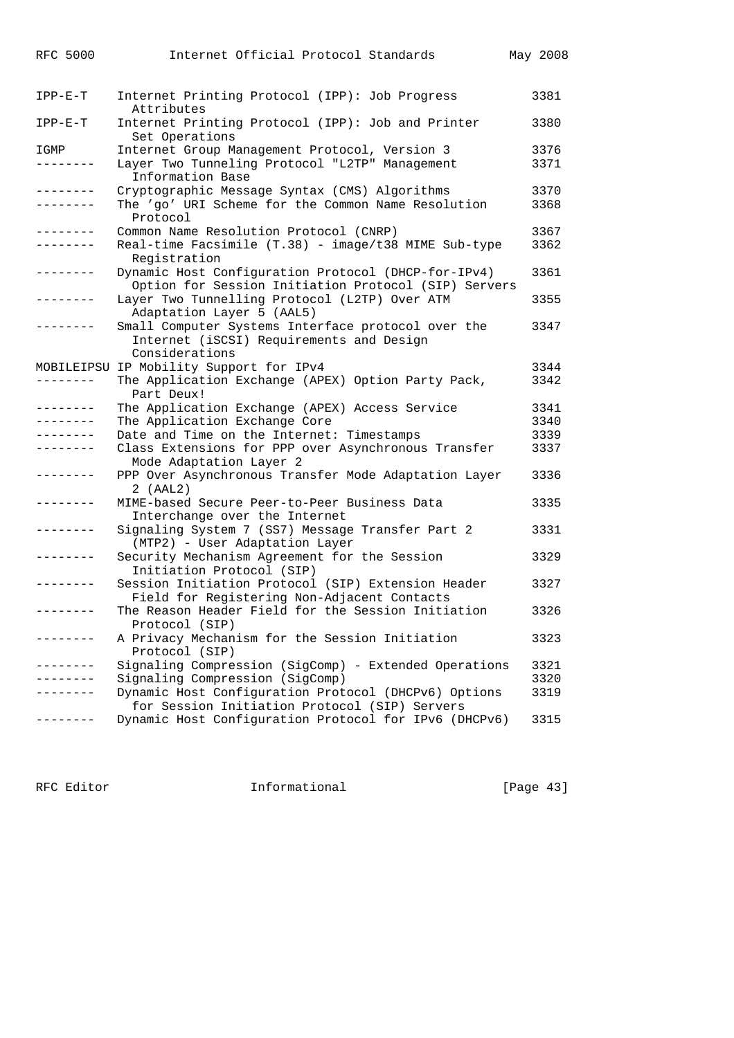| <b>RFC 5000</b> | Internet Official Protocol Standards                                                                             | May 2008 |
|-----------------|------------------------------------------------------------------------------------------------------------------|----------|
| $IPP-E-T$       | Internet Printing Protocol (IPP): Job Progress<br>Attributes                                                     | 3381     |
| $IPP-E-T$       | Internet Printing Protocol (IPP): Job and Printer<br>Set Operations                                              | 3380     |
| IGMP            | Internet Group Management Protocol, Version 3                                                                    | 3376     |
| .               | Layer Two Tunneling Protocol "L2TP" Management<br>Information Base                                               | 3371     |
| --------        | Cryptographic Message Syntax (CMS) Algorithms                                                                    | 3370     |
| --------        | The 'qo' URI Scheme for the Common Name Resolution<br>Protocol                                                   | 3368     |
| ---------       | Common Name Resolution Protocol (CNRP)                                                                           | 3367     |
| --------        | Real-time Facsimile (T.38) - image/t38 MIME Sub-type<br>Registration                                             | 3362     |
| --------        | Dynamic Host Configuration Protocol (DHCP-for-IPv4)<br>Option for Session Initiation Protocol (SIP) Servers      | 3361     |
| --------        | Layer Two Tunnelling Protocol (L2TP) Over ATM<br>Adaptation Layer 5 (AAL5)                                       | 3355     |
| --------        | Small Computer Systems Interface protocol over the<br>Internet (iSCSI) Requirements and Design<br>Considerations | 3347     |
|                 | MOBILEIPSU IP Mobility Support for IPv4                                                                          | 3344     |
| --------        | The Application Exchange (APEX) Option Party Pack,<br>Part Deux!                                                 | 3342     |
| --------        | The Application Exchange (APEX) Access Service                                                                   | 3341     |
| --------        | The Application Exchange Core                                                                                    | 3340     |
| . - - - - - - - | Date and Time on the Internet: Timestamps                                                                        | 3339     |
| - - - - - - - - | Class Extensions for PPP over Asynchronous Transfer<br>Mode Adaptation Layer 2                                   | 3337     |
| --------        | PPP Over Asynchronous Transfer Mode Adaptation Layer<br>2 (AAL2)                                                 | 3336     |
| . <u>.</u> .    | MIME-based Secure Peer-to-Peer Business Data<br>Interchange over the Internet                                    | 3335     |
| --------        | Signaling System 7 (SS7) Message Transfer Part 2<br>(MTP2) - User Adaptation Layer                               | 3331     |
| --------        | Security Mechanism Agreement for the Session<br>Initiation Protocol (SIP)                                        | 3329     |
| - - - - - - - - | Session Initiation Protocol (SIP) Extension Header<br>Field for Registering Non-Adjacent Contacts                | 3327     |
| . <u>.</u>      | The Reason Header Field for the Session Initiation<br>Protocol (SIP)                                             | 3326     |
| . <u>.</u> .    | A Privacy Mechanism for the Session Initiation<br>Protocol (SIP)                                                 | 3323     |
| . <u>.</u> .    | Signaling Compression (SigComp) - Extended Operations                                                            | 3321     |
|                 | Signaling Compression (SigComp)                                                                                  | 3320     |
| . <u>.</u>      | Dynamic Host Configuration Protocol (DHCPv6) Options<br>for Session Initiation Protocol (SIP) Servers            | 3319     |
|                 | Dynamic Host Configuration Protocol for IPv6 (DHCPv6)                                                            | 3315     |

RFC Editor **Informational** Informational [Page 43]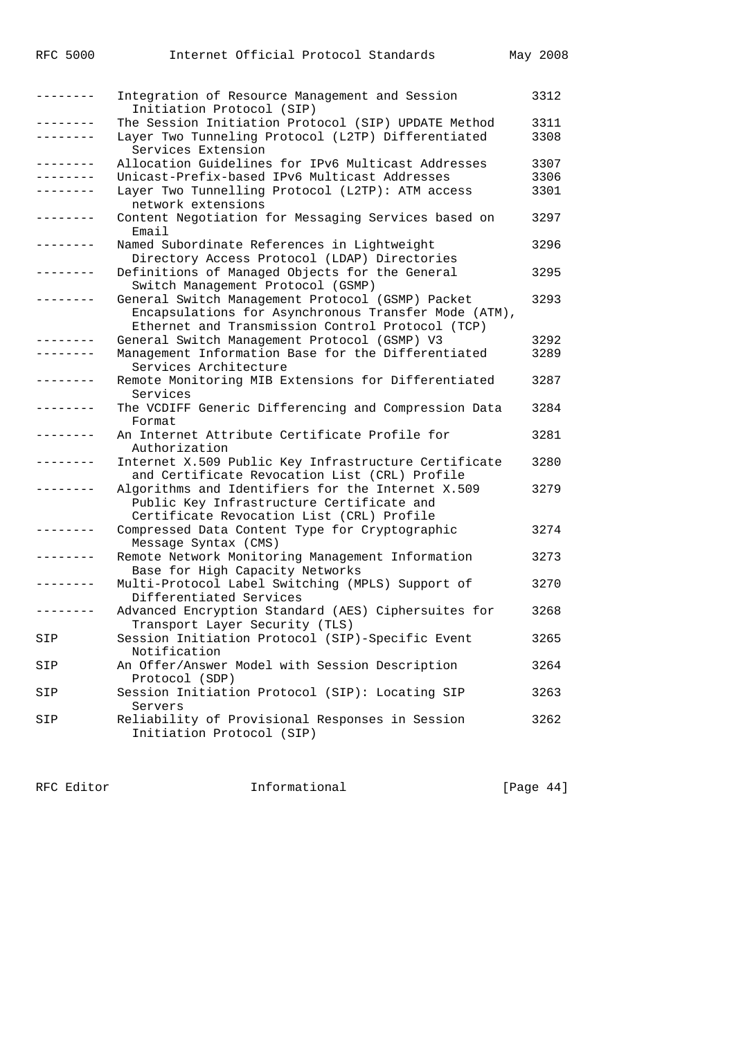| --------        | Integration of Resource Management and Session<br>Initiation Protocol (SIP)                                                                                  | 3312         |
|-----------------|--------------------------------------------------------------------------------------------------------------------------------------------------------------|--------------|
| . _ _ _ _ _ _ _ | The Session Initiation Protocol (SIP) UPDATE Method<br>Layer Two Tunneling Protocol (L2TP) Differentiated                                                    | 3311<br>3308 |
| -------         | Services Extension<br>Allocation Guidelines for IPv6 Multicast Addresses                                                                                     | 3307         |
| . <i>.</i> .    | Unicast-Prefix-based IPv6 Multicast Addresses                                                                                                                | 3306         |
|                 | Layer Two Tunnelling Protocol (L2TP): ATM access<br>network extensions                                                                                       | 3301         |
| --------        | Content Negotiation for Messaging Services based on<br>Email                                                                                                 | 3297         |
|                 | Named Subordinate References in Lightweight<br>Directory Access Protocol (LDAP) Directories                                                                  | 3296         |
|                 | Definitions of Managed Objects for the General<br>Switch Management Protocol (GSMP)                                                                          | 3295         |
|                 | General Switch Management Protocol (GSMP) Packet<br>Encapsulations for Asynchronous Transfer Mode (ATM),<br>Ethernet and Transmission Control Protocol (TCP) | 3293         |
| . <u>.</u>      | General Switch Management Protocol (GSMP) V3                                                                                                                 | 3292         |
|                 | Management Information Base for the Differentiated<br>Services Architecture                                                                                  | 3289         |
| --------        | Remote Monitoring MIB Extensions for Differentiated<br>Services                                                                                              | 3287         |
|                 | The VCDIFF Generic Differencing and Compression Data<br>Format                                                                                               | 3284         |
|                 | An Internet Attribute Certificate Profile for<br>Authorization                                                                                               | 3281         |
|                 | Internet X.509 Public Key Infrastructure Certificate<br>and Certificate Revocation List (CRL) Profile                                                        | 3280         |
|                 | Algorithms and Identifiers for the Internet X.509<br>Public Key Infrastructure Certificate and<br>Certificate Revocation List (CRL) Profile                  | 3279         |
|                 | Compressed Data Content Type for Cryptographic<br>Message Syntax (CMS)                                                                                       | 3274         |
|                 | Remote Network Monitoring Management Information<br>Base for High Capacity Networks                                                                          | 3273         |
|                 | Multi-Protocol Label Switching (MPLS) Support of<br>Differentiated Services                                                                                  | 3270         |
|                 | Advanced Encryption Standard (AES) Ciphersuites for<br>Transport Layer Security (TLS)                                                                        | 3268         |
| SIP             | Session Initiation Protocol (SIP)-Specific Event<br>Notification                                                                                             | 3265         |
| SIP             | An Offer/Answer Model with Session Description<br>Protocol (SDP)                                                                                             | 3264         |
| SIP             | Session Initiation Protocol (SIP): Locating SIP<br>Servers                                                                                                   | 3263         |
| SIP             | Reliability of Provisional Responses in Session<br>Initiation Protocol (SIP)                                                                                 | 3262         |

RFC Editor **Informational** [Page 44]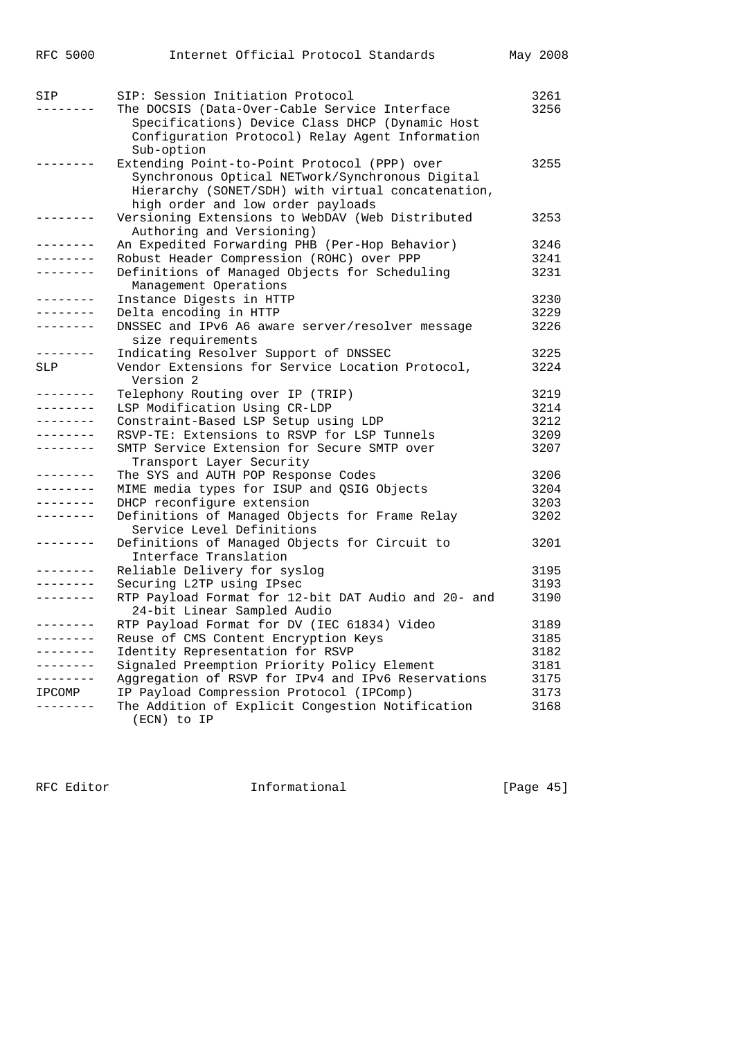| RFC 5000          | Internet Official Protocol Standards                                                                                                                                                      | May 2008 |
|-------------------|-------------------------------------------------------------------------------------------------------------------------------------------------------------------------------------------|----------|
| SIP               | SIP: Session Initiation Protocol                                                                                                                                                          | 3261     |
|                   | The DOCSIS (Data-Over-Cable Service Interface<br>Specifications) Device Class DHCP (Dynamic Host<br>Configuration Protocol) Relay Agent Information<br>Sub-option                         | 3256     |
|                   | Extending Point-to-Point Protocol (PPP) over<br>Synchronous Optical NETwork/Synchronous Digital<br>Hierarchy (SONET/SDH) with virtual concatenation,<br>high order and low order payloads | 3255     |
| -------           | Versioning Extensions to WebDAV (Web Distributed<br>Authoring and Versioning)                                                                                                             | 3253     |
| - - - - - - - -   | An Expedited Forwarding PHB (Per-Hop Behavior)                                                                                                                                            | 3246     |
|                   | Robust Header Compression (ROHC) over PPP                                                                                                                                                 | 3241     |
|                   | Definitions of Managed Objects for Scheduling                                                                                                                                             | 3231     |
|                   | Management Operations                                                                                                                                                                     |          |
| ---------         | Instance Digests in HTTP                                                                                                                                                                  | 3230     |
|                   | Delta encoding in HTTP                                                                                                                                                                    | 3229     |
| . _ _ _ _ _ _ _   | DNSSEC and IPv6 A6 aware server/resolver message<br>size requirements                                                                                                                     | 3226     |
|                   | Indicating Resolver Support of DNSSEC                                                                                                                                                     | 3225     |
| SLP               | Vendor Extensions for Service Location Protocol,<br>Version 2                                                                                                                             | 3224     |
| --------          | Telephony Routing over IP (TRIP)                                                                                                                                                          | 3219     |
| --------          | LSP Modification Using CR-LDP                                                                                                                                                             | 3214     |
| --------          | Constraint-Based LSP Setup using LDP                                                                                                                                                      | 3212     |
|                   | RSVP-TE: Extensions to RSVP for LSP Tunnels                                                                                                                                               | 3209     |
| . <u>.</u>        | SMTP Service Extension for Secure SMTP over<br>Transport Layer Security                                                                                                                   | 3207     |
| .                 | The SYS and AUTH POP Response Codes                                                                                                                                                       | 3206     |
| --------          | MIME media types for ISUP and QSIG Objects                                                                                                                                                | 3204     |
| --------          | DHCP reconfigure extension                                                                                                                                                                | 3203     |
|                   | Definitions of Managed Objects for Frame Relay<br>Service Level Definitions                                                                                                               | 3202     |
| $- - - - - - - -$ | Definitions of Managed Objects for Circuit to<br>Interface Translation                                                                                                                    | 3201     |
| --------          | Reliable Delivery for syslog                                                                                                                                                              | 3195     |
| --------          | Securing L2TP using IPsec                                                                                                                                                                 | 3193     |
|                   | RTP Payload Format for 12-bit DAT Audio and 20- and<br>24-bit Linear Sampled Audio                                                                                                        | 3190     |
| $- - - - - - - -$ | RTP Payload Format for DV (IEC 61834) Video                                                                                                                                               | 3189     |
|                   | Reuse of CMS Content Encryption Keys                                                                                                                                                      | 3185     |
| --------          | Identity Representation for RSVP                                                                                                                                                          | 3182     |
| .                 | Signaled Preemption Priority Policy Element                                                                                                                                               | 3181     |
|                   | Aggregation of RSVP for IPv4 and IPv6 Reservations                                                                                                                                        | 3175     |
| IPCOMP            | IP Payload Compression Protocol (IPComp)                                                                                                                                                  | 3173     |
|                   | The Addition of Explicit Congestion Notification                                                                                                                                          | 3168     |
|                   | (ECN) to IP                                                                                                                                                                               |          |

RFC Editor **Informational Informational** [Page 45]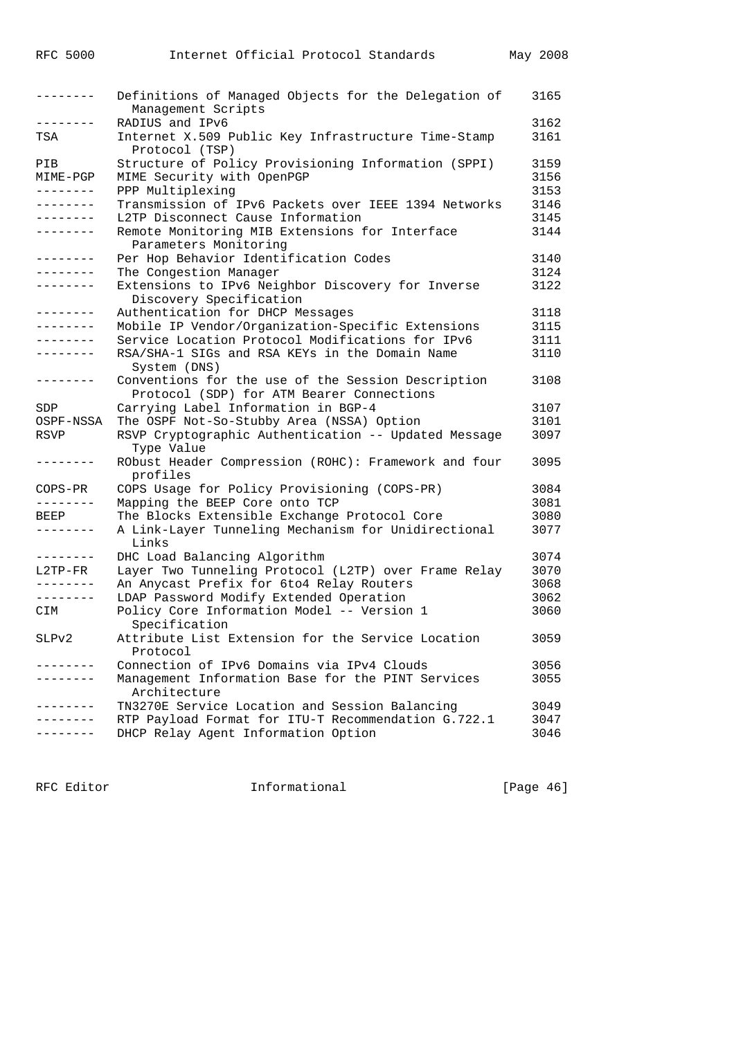| --------            | Definitions of Managed Objects for the Delegation of<br>Management Scripts                      | 3165 |
|---------------------|-------------------------------------------------------------------------------------------------|------|
| --------            | RADIUS and IPv6                                                                                 | 3162 |
| TSA                 | Internet X.509 Public Key Infrastructure Time-Stamp<br>Protocol (TSP)                           | 3161 |
| PIB                 | Structure of Policy Provisioning Information (SPPI)                                             | 3159 |
| MIME-PGP            | MIME Security with OpenPGP                                                                      | 3156 |
| $- - - - - - - - -$ | PPP Multiplexing                                                                                | 3153 |
| --------            | Transmission of IPv6 Packets over IEEE 1394 Networks                                            | 3146 |
| --------            | L2TP Disconnect Cause Information                                                               | 3145 |
| --------            | Remote Monitoring MIB Extensions for Interface<br>Parameters Monitoring                         | 3144 |
| $- - - - - - - -$   | Per Hop Behavior Identification Codes                                                           | 3140 |
| $- - - - - - - -$   | The Congestion Manager                                                                          | 3124 |
| --------            | Extensions to IPv6 Neighbor Discovery for Inverse<br>Discovery Specification                    | 3122 |
| --------            | Authentication for DHCP Messages                                                                | 3118 |
| $- - - - - - - - -$ | Mobile IP Vendor/Organization-Specific Extensions                                               | 3115 |
| --------            | Service Location Protocol Modifications for IPv6                                                | 3111 |
| --------            | RSA/SHA-1 SIGs and RSA KEYs in the Domain Name<br>System (DNS)                                  | 3110 |
| $- - - - - - - - -$ | Conventions for the use of the Session Description<br>Protocol (SDP) for ATM Bearer Connections | 3108 |
| <b>SDP</b>          | Carrying Label Information in BGP-4                                                             | 3107 |
| OSPF-NSSA           | The OSPF Not-So-Stubby Area (NSSA) Option                                                       | 3101 |
| RSVP                | RSVP Cryptographic Authentication -- Updated Message<br>Type Value                              | 3097 |
| --------            | RObust Header Compression (ROHC): Framework and four<br>profiles                                | 3095 |
| $COPS-PR$           | COPS Usage for Policy Provisioning (COPS-PR)                                                    | 3084 |
| --------            | Mapping the BEEP Core onto TCP                                                                  | 3081 |
| BEEP                | The Blocks Extensible Exchange Protocol Core                                                    | 3080 |
| --------            | A Link-Layer Tunneling Mechanism for Unidirectional<br>Links                                    | 3077 |
| ---------           | DHC Load Balancing Algorithm                                                                    | 3074 |
| L2TP-FR             | Layer Two Tunneling Protocol (L2TP) over Frame Relay                                            | 3070 |
| --------            | An Anycast Prefix for 6to4 Relay Routers                                                        | 3068 |
| --------            | LDAP Password Modify Extended Operation                                                         | 3062 |
| CIM                 | Policy Core Information Model -- Version 1<br>Specification                                     | 3060 |
| SLPv2               | Attribute List Extension for the Service Location<br>Protocol                                   | 3059 |
|                     | Connection of IPv6 Domains via IPv4 Clouds                                                      | 3056 |
|                     | Management Information Base for the PINT Services<br>Architecture                               | 3055 |
|                     | TN3270E Service Location and Session Balancing                                                  | 3049 |
|                     | RTP Payload Format for ITU-T Recommendation G.722.1                                             | 3047 |
|                     | DHCP Relay Agent Information Option                                                             | 3046 |

RFC Editor **Informational** [Page 46]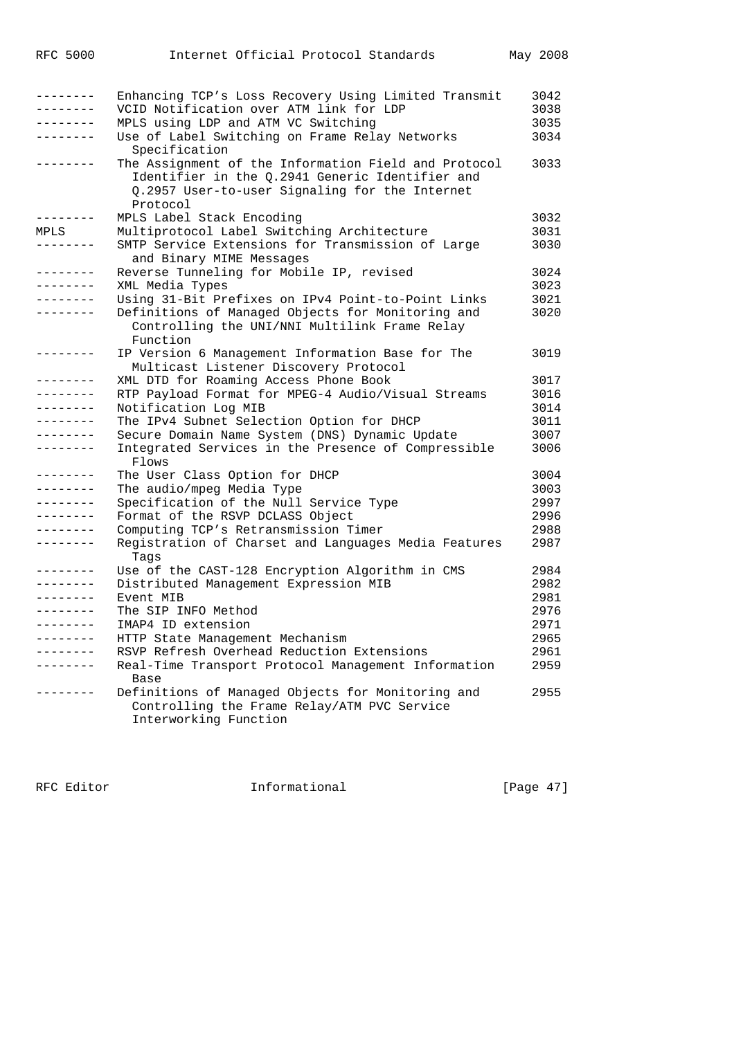| -------- | Enhancing TCP's Loss Recovery Using Limited Transmit                                                                                                                  | 3042 |
|----------|-----------------------------------------------------------------------------------------------------------------------------------------------------------------------|------|
| -------- | VCID Notification over ATM link for LDP                                                                                                                               | 3038 |
| -------- | MPLS using LDP and ATM VC Switching                                                                                                                                   | 3035 |
| -------- | Use of Label Switching on Frame Relay Networks<br>Specification                                                                                                       | 3034 |
|          | The Assignment of the Information Field and Protocol<br>Identifier in the 0.2941 Generic Identifier and<br>Q.2957 User-to-user Signaling for the Internet<br>Protocol | 3033 |
|          | MPLS Label Stack Encoding                                                                                                                                             | 3032 |
| MPLS     | Multiprotocol Label Switching Architecture                                                                                                                            | 3031 |
|          | SMTP Service Extensions for Transmission of Large                                                                                                                     | 3030 |
|          | and Binary MIME Messages                                                                                                                                              |      |
| -------- | Reverse Tunneling for Mobile IP, revised                                                                                                                              | 3024 |
|          | XML Media Types                                                                                                                                                       | 3023 |
|          | Using 31-Bit Prefixes on IPv4 Point-to-Point Links                                                                                                                    | 3021 |
|          | Definitions of Managed Objects for Monitoring and                                                                                                                     | 3020 |
|          | Controlling the UNI/NNI Multilink Frame Relay<br>Function                                                                                                             |      |
| -------- | IP Version 6 Management Information Base for The<br>Multicast Listener Discovery Protocol                                                                             | 3019 |
| -------- | XML DTD for Roaming Access Phone Book                                                                                                                                 | 3017 |
| -------- | RTP Payload Format for MPEG-4 Audio/Visual Streams                                                                                                                    | 3016 |
| -------- | Notification Log MIB                                                                                                                                                  | 3014 |
|          | The IPv4 Subnet Selection Option for DHCP                                                                                                                             | 3011 |
|          | Secure Domain Name System (DNS) Dynamic Update                                                                                                                        | 3007 |
|          | Integrated Services in the Presence of Compressible<br>Flows                                                                                                          | 3006 |
| -------- | The User Class Option for DHCP                                                                                                                                        | 3004 |
|          | The audio/mpeg Media Type                                                                                                                                             | 3003 |
| -------- | Specification of the Null Service Type                                                                                                                                | 2997 |
|          | Format of the RSVP DCLASS Object                                                                                                                                      | 2996 |
|          | Computing TCP's Retransmission Timer                                                                                                                                  | 2988 |
| -------- | Registration of Charset and Languages Media Features<br>Taqs                                                                                                          | 2987 |
| -------- | Use of the CAST-128 Encryption Algorithm in CMS                                                                                                                       | 2984 |
| -------- | Distributed Management Expression MIB                                                                                                                                 | 2982 |
| ________ | Event MIB                                                                                                                                                             | 2981 |
|          | The SIP INFO Method                                                                                                                                                   | 2976 |
| -------- | IMAP4 ID extension                                                                                                                                                    | 2971 |
|          | HTTP State Management Mechanism                                                                                                                                       | 2965 |
|          | RSVP Refresh Overhead Reduction Extensions                                                                                                                            | 2961 |
| -------- | Real-Time Transport Protocol Management Information                                                                                                                   | 2959 |
|          | Base                                                                                                                                                                  |      |
|          | Definitions of Managed Objects for Monitoring and                                                                                                                     | 2955 |
|          | Controlling the Frame Relay/ATM PVC Service                                                                                                                           |      |
|          | Interworking Function                                                                                                                                                 |      |

RFC Editor **Informational** Page 47]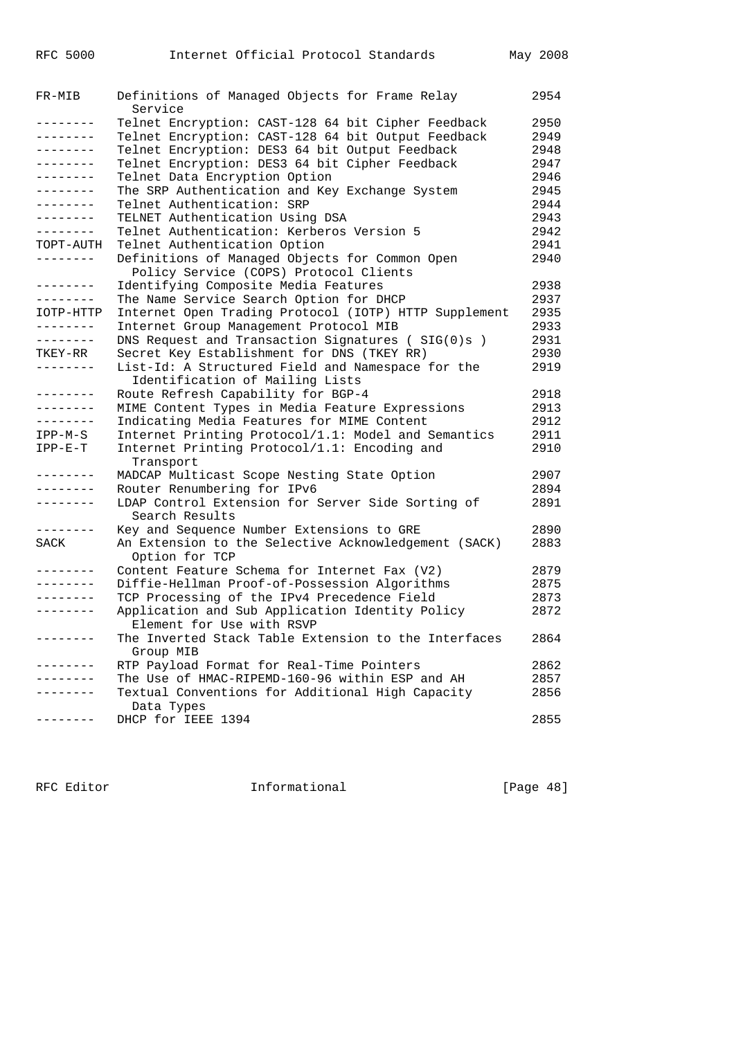| FR-MIB            | Definitions of Managed Objects for Frame Relay<br>Service                            | 2954 |
|-------------------|--------------------------------------------------------------------------------------|------|
| --------          | Telnet Encryption: CAST-128 64 bit Cipher Feedback                                   | 2950 |
| --------          | Telnet Encryption: CAST-128 64 bit Output Feedback                                   | 2949 |
| --------          | Telnet Encryption: DES3 64 bit Output Feedback                                       | 2948 |
| --------          | Telnet Encryption: DES3 64 bit Cipher Feedback                                       | 2947 |
| -------           | Telnet Data Encryption Option                                                        | 2946 |
| . <i>.</i> .      | The SRP Authentication and Key Exchange System                                       | 2945 |
| - - - - - - - - - | Telnet Authentication: SRP                                                           | 2944 |
| --------          | TELNET Authentication Using DSA                                                      | 2943 |
| $- - - - - - -$   | Telnet Authentication: Kerberos Version 5                                            | 2942 |
| TOPT-AUTH         | Telnet Authentication Option                                                         | 2941 |
| --------          | Definitions of Managed Objects for Common Open                                       | 2940 |
|                   | Policy Service (COPS) Protocol Clients                                               |      |
| --------          | Identifying Composite Media Features                                                 | 2938 |
| --------          | The Name Service Search Option for DHCP                                              | 2937 |
| IOTP-HTTP         | Internet Open Trading Protocol (IOTP) HTTP Supplement                                | 2935 |
| --------          | Internet Group Management Protocol MIB                                               | 2933 |
| --------          | DNS Request and Transaction Signatures ( $SIG(0)$ s)                                 | 2931 |
| TKEY-RR           | Secret Key Establishment for DNS (TKEY RR)                                           | 2930 |
| .                 | List-Id: A Structured Field and Namespace for the<br>Identification of Mailing Lists | 2919 |
| $- - - - - - - -$ | Route Refresh Capability for BGP-4                                                   | 2918 |
| --------          | MIME Content Types in Media Feature Expressions                                      | 2913 |
| --------          | Indicating Media Features for MIME Content                                           | 2912 |
| IPP-M-S           | Internet Printing Protocol/1.1: Model and Semantics                                  | 2911 |
|                   | Internet Printing Protocol/1.1: Encoding and                                         | 2910 |
| $IPP-E-T$         | Transport                                                                            |      |
| $- - - - - - - -$ | MADCAP Multicast Scope Nesting State Option                                          | 2907 |
| - - - - - - - -   | Router Renumbering for IPv6                                                          | 2894 |
| - - - - - - - -   | LDAP Control Extension for Server Side Sorting of<br>Search Results                  | 2891 |
| .                 | Key and Sequence Number Extensions to GRE                                            | 2890 |
| SACK              | An Extension to the Selective Acknowledgement (SACK)                                 | 2883 |
|                   | Option for TCP                                                                       |      |
| -------           | Content Feature Schema for Internet Fax (V2)                                         | 2879 |
| . <u>.</u> .      | Diffie-Hellman Proof-of-Possession Algorithms                                        | 2875 |
| --------          | TCP Processing of the IPv4 Precedence Field                                          | 2873 |
| --------          | Application and Sub Application Identity Policy<br>Element for Use with RSVP         | 2872 |
| .                 | The Inverted Stack Table Extension to the Interfaces<br>Group MIB                    | 2864 |
| -------           | RTP Payload Format for Real-Time Pointers                                            | 2862 |
| . <u>.</u>        | The Use of HMAC-RIPEMD-160-96 within ESP and AH                                      | 2857 |
|                   | Textual Conventions for Additional High Capacity                                     | 2856 |
|                   | Data Types                                                                           |      |
| --------          | DHCP for IEEE 1394                                                                   | 2855 |
|                   |                                                                                      |      |

RFC Editor **Informational** Page 48]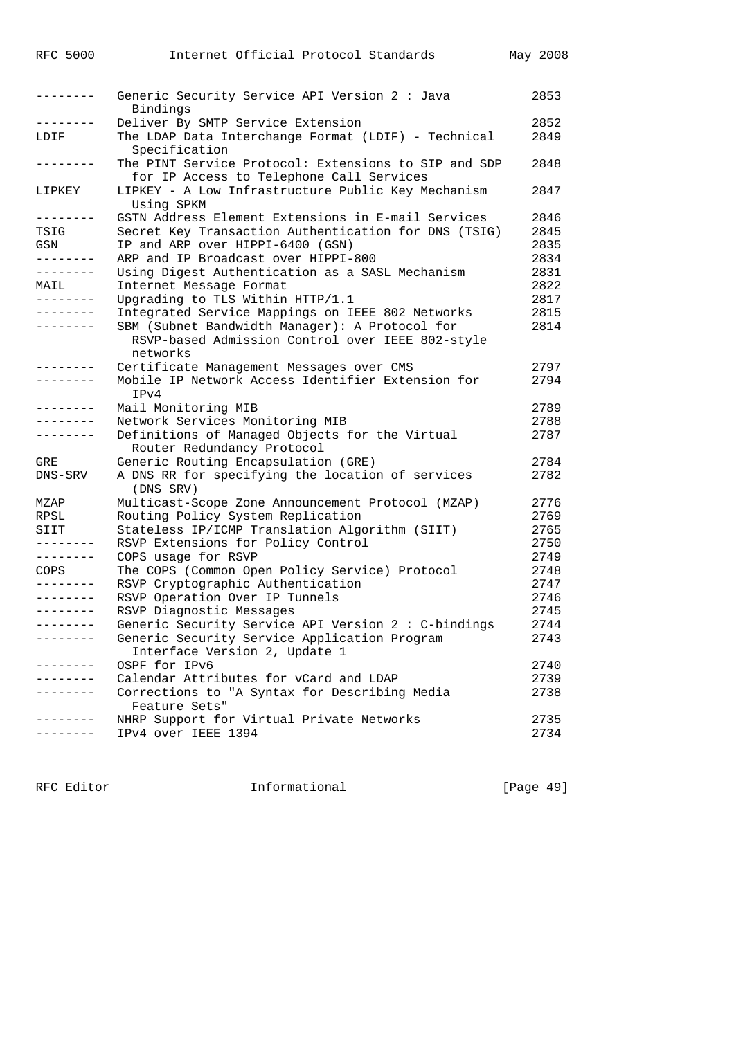| --------            | Generic Security Service API Version 2 : Java<br>Bindings        | 2853 |
|---------------------|------------------------------------------------------------------|------|
| $- - - - - -$       | Deliver By SMTP Service Extension                                | 2852 |
| LDIF                | The LDAP Data Interchange Format (LDIF) - Technical              | 2849 |
|                     | Specification                                                    |      |
|                     | The PINT Service Protocol: Extensions to SIP and SDP             | 2848 |
|                     | for IP Access to Telephone Call Services                         |      |
| LIPKEY              | LIPKEY - A Low Infrastructure Public Key Mechanism               | 2847 |
|                     |                                                                  |      |
| --------            | Using SPKM<br>GSTN Address Element Extensions in E-mail Services |      |
|                     |                                                                  | 2846 |
| TSIG                | Secret Key Transaction Authentication for DNS (TSIG)             | 2845 |
| GSN                 | IP and ARP over HIPPI-6400 (GSN)                                 | 2835 |
| --------            | ARP and IP Broadcast over HIPPI-800                              | 2834 |
| --------            | Using Digest Authentication as a SASL Mechanism                  | 2831 |
| MAIL                | Internet Message Format                                          | 2822 |
| .                   | Upgrading to TLS Within HTTP/1.1                                 | 2817 |
| -------             | Integrated Service Mappings on IEEE 802 Networks                 | 2815 |
|                     | SBM (Subnet Bandwidth Manager): A Protocol for                   | 2814 |
|                     | RSVP-based Admission Control over IEEE 802-style                 |      |
|                     | networks                                                         |      |
| -------             | Certificate Management Messages over CMS                         | 2797 |
|                     | Mobile IP Network Access Identifier Extension for                | 2794 |
|                     |                                                                  |      |
|                     | IPv4                                                             |      |
| .                   | Mail Monitoring MIB                                              | 2789 |
| --------            | Network Services Monitoring MIB                                  | 2788 |
|                     | Definitions of Managed Objects for the Virtual                   | 2787 |
|                     | Router Redundancy Protocol                                       |      |
| GRE                 | Generic Routing Encapsulation (GRE)                              | 2784 |
| DNS-SRV             | A DNS RR for specifying the location of services                 | 2782 |
|                     | (DNS SRV)                                                        |      |
| MZAP                | Multicast-Scope Zone Announcement Protocol (MZAP)                | 2776 |
| RPSL                | Routing Policy System Replication                                | 2769 |
| SIIT                | Stateless IP/ICMP Translation Algorithm (SIIT)                   | 2765 |
| .                   | RSVP Extensions for Policy Control                               | 2750 |
| --------            | COPS usage for RSVP                                              | 2749 |
|                     |                                                                  |      |
| COPS                | The COPS (Common Open Policy Service) Protocol                   | 2748 |
| --------            | RSVP Cryptographic Authentication                                | 2747 |
|                     | RSVP Operation Over IP Tunnels                                   | 2746 |
|                     | RSVP Diagnostic Messages                                         | 2745 |
| --------            | Generic Security Service API Version 2 : C-bindings              | 2744 |
|                     | Generic Security Service Application Program                     | 2743 |
|                     | Interface Version 2, Update 1                                    |      |
| $- - - - - - - - -$ | OSPF for IPv6                                                    | 2740 |
| . - - - - - - -     | Calendar Attributes for yCard and LDAP                           | 2739 |
|                     | Corrections to "A Syntax for Describing Media                    | 2738 |
|                     | Feature Sets"                                                    |      |
| --------            | NHRP Support for Virtual Private Networks                        | 2735 |
|                     | IPv4 over IEEE 1394                                              | 2734 |
|                     |                                                                  |      |

RFC Editor **Informational** Page 49]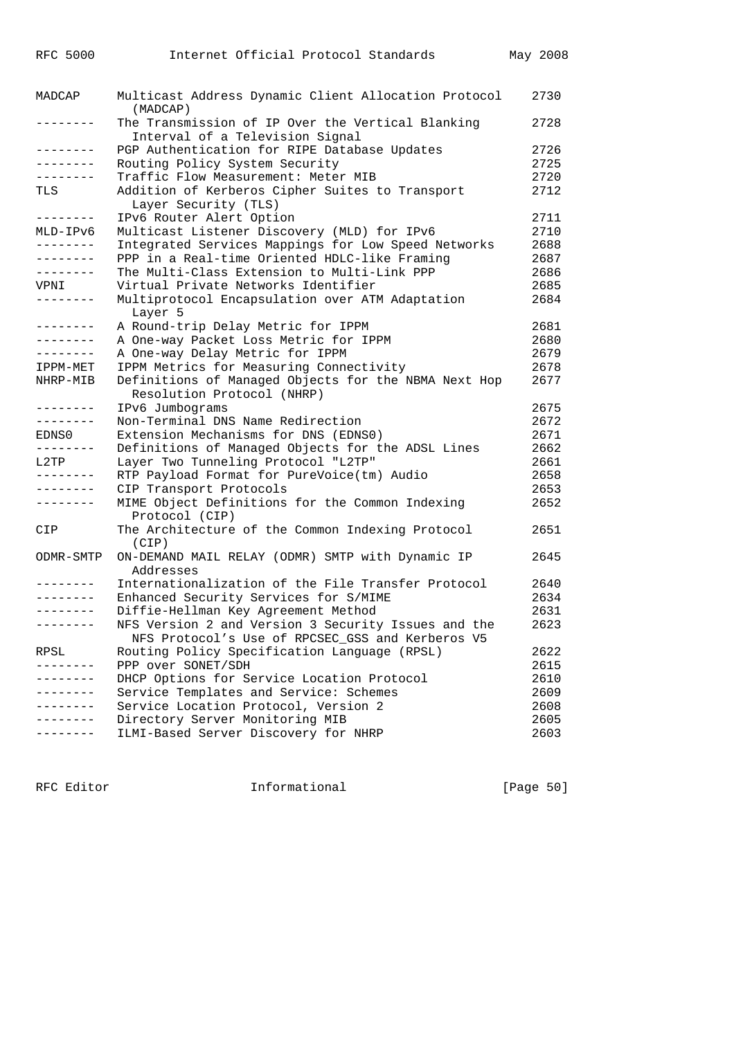| The Transmission of IP Over the Vertical Blanking<br>2728<br>--------<br>Interval of a Television Signal<br>--------<br>PGP Authentication for RIPE Database Updates<br>2726<br>Routing Policy System Security<br>2725<br>--------<br>Traffic Flow Measurement: Meter MIB<br>2720<br>--------<br>Addition of Kerberos Cipher Suites to Transport<br>2712<br>TLS<br>Layer Security (TLS)<br>IPv6 Router Alert Option<br>2711<br>--------<br>2710<br>Multicast Listener Discovery (MLD) for IPv6<br>MLD-IPv6<br>$- - - - - - - -$<br>Integrated Services Mappings for Low Speed Networks<br>2688<br>PPP in a Real-time Oriented HDLC-like Framing<br>2687<br>--------<br>The Multi-Class Extension to Multi-Link PPP<br>2686<br>--------<br>Virtual Private Networks Identifier<br>2685<br>VPNI<br>Multiprotocol Encapsulation over ATM Adaptation<br>2684<br>Layer 5<br>A Round-trip Delay Metric for IPPM<br>2681<br>--------<br>2680<br>A One-way Packet Loss Metric for IPPM<br>--------<br>A One-way Delay Metric for IPPM<br>2679<br>--------<br>IPPM Metrics for Measuring Connectivity<br>2678<br>IPPM-MET<br>Definitions of Managed Objects for the NBMA Next Hop<br>2677<br>NHRP-MIB<br>Resolution Protocol (NHRP)<br>IPv6 Jumbograms<br>2675<br>--------<br>Non-Terminal DNS Name Redirection<br>2672<br>--------<br>Extension Mechanisms for DNS (EDNS0)<br>2671<br>EDNS0<br>Definitions of Managed Objects for the ADSL Lines<br>2662<br>--------<br>L2TP<br>Layer Two Tunneling Protocol "L2TP"<br>2661<br>RTP Payload Format for PureVoice(tm) Audio<br>2658<br>--------<br>CIP Transport Protocols<br>2653<br>--------<br>MIME Object Definitions for the Common Indexing<br>2652<br>--------<br>Protocol (CIP)<br>The Architecture of the Common Indexing Protocol<br>2651<br>(CIP)<br>ON-DEMAND MAIL RELAY (ODMR) SMTP with Dynamic IP<br>2645<br>ODMR-SMTP<br>Addresses<br>Internationalization of the File Transfer Protocol<br>2640<br>.<br>Enhanced Security Services for S/MIME<br>2634<br>---------<br>Diffie-Hellman Key Agreement Method<br>2631<br>--------<br>NFS Version 2 and Version 3 Security Issues and the<br>2623<br>--------<br>NFS Protocol's Use of RPCSEC GSS and Kerberos V5<br>Routing Policy Specification Language (RPSL)<br>2622<br>PPP over SONET/SDH<br>2615<br>DHCP Options for Service Location Protocol<br>2610<br>. _ _ _ _ _ _ _<br>Service Templates and Service: Schemes<br>2609<br>Service Location Protocol, Version 2<br>2608<br>Directory Server Monitoring MIB<br>2605<br>ILMI-Based Server Discovery for NHRP<br>2603 | MADCAP | Multicast Address Dynamic Client Allocation Protocol<br>(MADCAP) | 2730 |
|---------------------------------------------------------------------------------------------------------------------------------------------------------------------------------------------------------------------------------------------------------------------------------------------------------------------------------------------------------------------------------------------------------------------------------------------------------------------------------------------------------------------------------------------------------------------------------------------------------------------------------------------------------------------------------------------------------------------------------------------------------------------------------------------------------------------------------------------------------------------------------------------------------------------------------------------------------------------------------------------------------------------------------------------------------------------------------------------------------------------------------------------------------------------------------------------------------------------------------------------------------------------------------------------------------------------------------------------------------------------------------------------------------------------------------------------------------------------------------------------------------------------------------------------------------------------------------------------------------------------------------------------------------------------------------------------------------------------------------------------------------------------------------------------------------------------------------------------------------------------------------------------------------------------------------------------------------------------------------------------------------------------------------------------------------------------------------------------------------------------------------------------------------------------------------------------------------------------------------------------------------------------------------------------------------------------------------------------------------------------------------------------------------------------------------------------------------------------------------------------------------------------------------------------------------------------------------|--------|------------------------------------------------------------------|------|
|                                                                                                                                                                                                                                                                                                                                                                                                                                                                                                                                                                                                                                                                                                                                                                                                                                                                                                                                                                                                                                                                                                                                                                                                                                                                                                                                                                                                                                                                                                                                                                                                                                                                                                                                                                                                                                                                                                                                                                                                                                                                                                                                                                                                                                                                                                                                                                                                                                                                                                                                                                                 |        |                                                                  |      |
|                                                                                                                                                                                                                                                                                                                                                                                                                                                                                                                                                                                                                                                                                                                                                                                                                                                                                                                                                                                                                                                                                                                                                                                                                                                                                                                                                                                                                                                                                                                                                                                                                                                                                                                                                                                                                                                                                                                                                                                                                                                                                                                                                                                                                                                                                                                                                                                                                                                                                                                                                                                 |        |                                                                  |      |
|                                                                                                                                                                                                                                                                                                                                                                                                                                                                                                                                                                                                                                                                                                                                                                                                                                                                                                                                                                                                                                                                                                                                                                                                                                                                                                                                                                                                                                                                                                                                                                                                                                                                                                                                                                                                                                                                                                                                                                                                                                                                                                                                                                                                                                                                                                                                                                                                                                                                                                                                                                                 |        |                                                                  |      |
|                                                                                                                                                                                                                                                                                                                                                                                                                                                                                                                                                                                                                                                                                                                                                                                                                                                                                                                                                                                                                                                                                                                                                                                                                                                                                                                                                                                                                                                                                                                                                                                                                                                                                                                                                                                                                                                                                                                                                                                                                                                                                                                                                                                                                                                                                                                                                                                                                                                                                                                                                                                 |        |                                                                  |      |
|                                                                                                                                                                                                                                                                                                                                                                                                                                                                                                                                                                                                                                                                                                                                                                                                                                                                                                                                                                                                                                                                                                                                                                                                                                                                                                                                                                                                                                                                                                                                                                                                                                                                                                                                                                                                                                                                                                                                                                                                                                                                                                                                                                                                                                                                                                                                                                                                                                                                                                                                                                                 |        |                                                                  |      |
|                                                                                                                                                                                                                                                                                                                                                                                                                                                                                                                                                                                                                                                                                                                                                                                                                                                                                                                                                                                                                                                                                                                                                                                                                                                                                                                                                                                                                                                                                                                                                                                                                                                                                                                                                                                                                                                                                                                                                                                                                                                                                                                                                                                                                                                                                                                                                                                                                                                                                                                                                                                 |        |                                                                  |      |
|                                                                                                                                                                                                                                                                                                                                                                                                                                                                                                                                                                                                                                                                                                                                                                                                                                                                                                                                                                                                                                                                                                                                                                                                                                                                                                                                                                                                                                                                                                                                                                                                                                                                                                                                                                                                                                                                                                                                                                                                                                                                                                                                                                                                                                                                                                                                                                                                                                                                                                                                                                                 |        |                                                                  |      |
|                                                                                                                                                                                                                                                                                                                                                                                                                                                                                                                                                                                                                                                                                                                                                                                                                                                                                                                                                                                                                                                                                                                                                                                                                                                                                                                                                                                                                                                                                                                                                                                                                                                                                                                                                                                                                                                                                                                                                                                                                                                                                                                                                                                                                                                                                                                                                                                                                                                                                                                                                                                 |        |                                                                  |      |
|                                                                                                                                                                                                                                                                                                                                                                                                                                                                                                                                                                                                                                                                                                                                                                                                                                                                                                                                                                                                                                                                                                                                                                                                                                                                                                                                                                                                                                                                                                                                                                                                                                                                                                                                                                                                                                                                                                                                                                                                                                                                                                                                                                                                                                                                                                                                                                                                                                                                                                                                                                                 |        |                                                                  |      |
|                                                                                                                                                                                                                                                                                                                                                                                                                                                                                                                                                                                                                                                                                                                                                                                                                                                                                                                                                                                                                                                                                                                                                                                                                                                                                                                                                                                                                                                                                                                                                                                                                                                                                                                                                                                                                                                                                                                                                                                                                                                                                                                                                                                                                                                                                                                                                                                                                                                                                                                                                                                 |        |                                                                  |      |
|                                                                                                                                                                                                                                                                                                                                                                                                                                                                                                                                                                                                                                                                                                                                                                                                                                                                                                                                                                                                                                                                                                                                                                                                                                                                                                                                                                                                                                                                                                                                                                                                                                                                                                                                                                                                                                                                                                                                                                                                                                                                                                                                                                                                                                                                                                                                                                                                                                                                                                                                                                                 |        |                                                                  |      |
|                                                                                                                                                                                                                                                                                                                                                                                                                                                                                                                                                                                                                                                                                                                                                                                                                                                                                                                                                                                                                                                                                                                                                                                                                                                                                                                                                                                                                                                                                                                                                                                                                                                                                                                                                                                                                                                                                                                                                                                                                                                                                                                                                                                                                                                                                                                                                                                                                                                                                                                                                                                 |        |                                                                  |      |
|                                                                                                                                                                                                                                                                                                                                                                                                                                                                                                                                                                                                                                                                                                                                                                                                                                                                                                                                                                                                                                                                                                                                                                                                                                                                                                                                                                                                                                                                                                                                                                                                                                                                                                                                                                                                                                                                                                                                                                                                                                                                                                                                                                                                                                                                                                                                                                                                                                                                                                                                                                                 |        |                                                                  |      |
|                                                                                                                                                                                                                                                                                                                                                                                                                                                                                                                                                                                                                                                                                                                                                                                                                                                                                                                                                                                                                                                                                                                                                                                                                                                                                                                                                                                                                                                                                                                                                                                                                                                                                                                                                                                                                                                                                                                                                                                                                                                                                                                                                                                                                                                                                                                                                                                                                                                                                                                                                                                 |        |                                                                  |      |
|                                                                                                                                                                                                                                                                                                                                                                                                                                                                                                                                                                                                                                                                                                                                                                                                                                                                                                                                                                                                                                                                                                                                                                                                                                                                                                                                                                                                                                                                                                                                                                                                                                                                                                                                                                                                                                                                                                                                                                                                                                                                                                                                                                                                                                                                                                                                                                                                                                                                                                                                                                                 |        |                                                                  |      |
|                                                                                                                                                                                                                                                                                                                                                                                                                                                                                                                                                                                                                                                                                                                                                                                                                                                                                                                                                                                                                                                                                                                                                                                                                                                                                                                                                                                                                                                                                                                                                                                                                                                                                                                                                                                                                                                                                                                                                                                                                                                                                                                                                                                                                                                                                                                                                                                                                                                                                                                                                                                 |        |                                                                  |      |
|                                                                                                                                                                                                                                                                                                                                                                                                                                                                                                                                                                                                                                                                                                                                                                                                                                                                                                                                                                                                                                                                                                                                                                                                                                                                                                                                                                                                                                                                                                                                                                                                                                                                                                                                                                                                                                                                                                                                                                                                                                                                                                                                                                                                                                                                                                                                                                                                                                                                                                                                                                                 |        |                                                                  |      |
|                                                                                                                                                                                                                                                                                                                                                                                                                                                                                                                                                                                                                                                                                                                                                                                                                                                                                                                                                                                                                                                                                                                                                                                                                                                                                                                                                                                                                                                                                                                                                                                                                                                                                                                                                                                                                                                                                                                                                                                                                                                                                                                                                                                                                                                                                                                                                                                                                                                                                                                                                                                 |        |                                                                  |      |
|                                                                                                                                                                                                                                                                                                                                                                                                                                                                                                                                                                                                                                                                                                                                                                                                                                                                                                                                                                                                                                                                                                                                                                                                                                                                                                                                                                                                                                                                                                                                                                                                                                                                                                                                                                                                                                                                                                                                                                                                                                                                                                                                                                                                                                                                                                                                                                                                                                                                                                                                                                                 |        |                                                                  |      |
|                                                                                                                                                                                                                                                                                                                                                                                                                                                                                                                                                                                                                                                                                                                                                                                                                                                                                                                                                                                                                                                                                                                                                                                                                                                                                                                                                                                                                                                                                                                                                                                                                                                                                                                                                                                                                                                                                                                                                                                                                                                                                                                                                                                                                                                                                                                                                                                                                                                                                                                                                                                 |        |                                                                  |      |
|                                                                                                                                                                                                                                                                                                                                                                                                                                                                                                                                                                                                                                                                                                                                                                                                                                                                                                                                                                                                                                                                                                                                                                                                                                                                                                                                                                                                                                                                                                                                                                                                                                                                                                                                                                                                                                                                                                                                                                                                                                                                                                                                                                                                                                                                                                                                                                                                                                                                                                                                                                                 |        |                                                                  |      |
|                                                                                                                                                                                                                                                                                                                                                                                                                                                                                                                                                                                                                                                                                                                                                                                                                                                                                                                                                                                                                                                                                                                                                                                                                                                                                                                                                                                                                                                                                                                                                                                                                                                                                                                                                                                                                                                                                                                                                                                                                                                                                                                                                                                                                                                                                                                                                                                                                                                                                                                                                                                 |        |                                                                  |      |
|                                                                                                                                                                                                                                                                                                                                                                                                                                                                                                                                                                                                                                                                                                                                                                                                                                                                                                                                                                                                                                                                                                                                                                                                                                                                                                                                                                                                                                                                                                                                                                                                                                                                                                                                                                                                                                                                                                                                                                                                                                                                                                                                                                                                                                                                                                                                                                                                                                                                                                                                                                                 |        |                                                                  |      |
|                                                                                                                                                                                                                                                                                                                                                                                                                                                                                                                                                                                                                                                                                                                                                                                                                                                                                                                                                                                                                                                                                                                                                                                                                                                                                                                                                                                                                                                                                                                                                                                                                                                                                                                                                                                                                                                                                                                                                                                                                                                                                                                                                                                                                                                                                                                                                                                                                                                                                                                                                                                 |        |                                                                  |      |
|                                                                                                                                                                                                                                                                                                                                                                                                                                                                                                                                                                                                                                                                                                                                                                                                                                                                                                                                                                                                                                                                                                                                                                                                                                                                                                                                                                                                                                                                                                                                                                                                                                                                                                                                                                                                                                                                                                                                                                                                                                                                                                                                                                                                                                                                                                                                                                                                                                                                                                                                                                                 |        |                                                                  |      |
|                                                                                                                                                                                                                                                                                                                                                                                                                                                                                                                                                                                                                                                                                                                                                                                                                                                                                                                                                                                                                                                                                                                                                                                                                                                                                                                                                                                                                                                                                                                                                                                                                                                                                                                                                                                                                                                                                                                                                                                                                                                                                                                                                                                                                                                                                                                                                                                                                                                                                                                                                                                 |        |                                                                  |      |
|                                                                                                                                                                                                                                                                                                                                                                                                                                                                                                                                                                                                                                                                                                                                                                                                                                                                                                                                                                                                                                                                                                                                                                                                                                                                                                                                                                                                                                                                                                                                                                                                                                                                                                                                                                                                                                                                                                                                                                                                                                                                                                                                                                                                                                                                                                                                                                                                                                                                                                                                                                                 |        |                                                                  |      |
|                                                                                                                                                                                                                                                                                                                                                                                                                                                                                                                                                                                                                                                                                                                                                                                                                                                                                                                                                                                                                                                                                                                                                                                                                                                                                                                                                                                                                                                                                                                                                                                                                                                                                                                                                                                                                                                                                                                                                                                                                                                                                                                                                                                                                                                                                                                                                                                                                                                                                                                                                                                 |        |                                                                  |      |
|                                                                                                                                                                                                                                                                                                                                                                                                                                                                                                                                                                                                                                                                                                                                                                                                                                                                                                                                                                                                                                                                                                                                                                                                                                                                                                                                                                                                                                                                                                                                                                                                                                                                                                                                                                                                                                                                                                                                                                                                                                                                                                                                                                                                                                                                                                                                                                                                                                                                                                                                                                                 |        |                                                                  |      |
|                                                                                                                                                                                                                                                                                                                                                                                                                                                                                                                                                                                                                                                                                                                                                                                                                                                                                                                                                                                                                                                                                                                                                                                                                                                                                                                                                                                                                                                                                                                                                                                                                                                                                                                                                                                                                                                                                                                                                                                                                                                                                                                                                                                                                                                                                                                                                                                                                                                                                                                                                                                 | CIP    |                                                                  |      |
|                                                                                                                                                                                                                                                                                                                                                                                                                                                                                                                                                                                                                                                                                                                                                                                                                                                                                                                                                                                                                                                                                                                                                                                                                                                                                                                                                                                                                                                                                                                                                                                                                                                                                                                                                                                                                                                                                                                                                                                                                                                                                                                                                                                                                                                                                                                                                                                                                                                                                                                                                                                 |        |                                                                  |      |
|                                                                                                                                                                                                                                                                                                                                                                                                                                                                                                                                                                                                                                                                                                                                                                                                                                                                                                                                                                                                                                                                                                                                                                                                                                                                                                                                                                                                                                                                                                                                                                                                                                                                                                                                                                                                                                                                                                                                                                                                                                                                                                                                                                                                                                                                                                                                                                                                                                                                                                                                                                                 |        |                                                                  |      |
|                                                                                                                                                                                                                                                                                                                                                                                                                                                                                                                                                                                                                                                                                                                                                                                                                                                                                                                                                                                                                                                                                                                                                                                                                                                                                                                                                                                                                                                                                                                                                                                                                                                                                                                                                                                                                                                                                                                                                                                                                                                                                                                                                                                                                                                                                                                                                                                                                                                                                                                                                                                 |        |                                                                  |      |
|                                                                                                                                                                                                                                                                                                                                                                                                                                                                                                                                                                                                                                                                                                                                                                                                                                                                                                                                                                                                                                                                                                                                                                                                                                                                                                                                                                                                                                                                                                                                                                                                                                                                                                                                                                                                                                                                                                                                                                                                                                                                                                                                                                                                                                                                                                                                                                                                                                                                                                                                                                                 |        |                                                                  |      |
|                                                                                                                                                                                                                                                                                                                                                                                                                                                                                                                                                                                                                                                                                                                                                                                                                                                                                                                                                                                                                                                                                                                                                                                                                                                                                                                                                                                                                                                                                                                                                                                                                                                                                                                                                                                                                                                                                                                                                                                                                                                                                                                                                                                                                                                                                                                                                                                                                                                                                                                                                                                 |        |                                                                  |      |
|                                                                                                                                                                                                                                                                                                                                                                                                                                                                                                                                                                                                                                                                                                                                                                                                                                                                                                                                                                                                                                                                                                                                                                                                                                                                                                                                                                                                                                                                                                                                                                                                                                                                                                                                                                                                                                                                                                                                                                                                                                                                                                                                                                                                                                                                                                                                                                                                                                                                                                                                                                                 |        |                                                                  |      |
|                                                                                                                                                                                                                                                                                                                                                                                                                                                                                                                                                                                                                                                                                                                                                                                                                                                                                                                                                                                                                                                                                                                                                                                                                                                                                                                                                                                                                                                                                                                                                                                                                                                                                                                                                                                                                                                                                                                                                                                                                                                                                                                                                                                                                                                                                                                                                                                                                                                                                                                                                                                 |        |                                                                  |      |
|                                                                                                                                                                                                                                                                                                                                                                                                                                                                                                                                                                                                                                                                                                                                                                                                                                                                                                                                                                                                                                                                                                                                                                                                                                                                                                                                                                                                                                                                                                                                                                                                                                                                                                                                                                                                                                                                                                                                                                                                                                                                                                                                                                                                                                                                                                                                                                                                                                                                                                                                                                                 | RPSL   |                                                                  |      |
|                                                                                                                                                                                                                                                                                                                                                                                                                                                                                                                                                                                                                                                                                                                                                                                                                                                                                                                                                                                                                                                                                                                                                                                                                                                                                                                                                                                                                                                                                                                                                                                                                                                                                                                                                                                                                                                                                                                                                                                                                                                                                                                                                                                                                                                                                                                                                                                                                                                                                                                                                                                 |        |                                                                  |      |
|                                                                                                                                                                                                                                                                                                                                                                                                                                                                                                                                                                                                                                                                                                                                                                                                                                                                                                                                                                                                                                                                                                                                                                                                                                                                                                                                                                                                                                                                                                                                                                                                                                                                                                                                                                                                                                                                                                                                                                                                                                                                                                                                                                                                                                                                                                                                                                                                                                                                                                                                                                                 |        |                                                                  |      |
|                                                                                                                                                                                                                                                                                                                                                                                                                                                                                                                                                                                                                                                                                                                                                                                                                                                                                                                                                                                                                                                                                                                                                                                                                                                                                                                                                                                                                                                                                                                                                                                                                                                                                                                                                                                                                                                                                                                                                                                                                                                                                                                                                                                                                                                                                                                                                                                                                                                                                                                                                                                 |        |                                                                  |      |
|                                                                                                                                                                                                                                                                                                                                                                                                                                                                                                                                                                                                                                                                                                                                                                                                                                                                                                                                                                                                                                                                                                                                                                                                                                                                                                                                                                                                                                                                                                                                                                                                                                                                                                                                                                                                                                                                                                                                                                                                                                                                                                                                                                                                                                                                                                                                                                                                                                                                                                                                                                                 |        |                                                                  |      |
|                                                                                                                                                                                                                                                                                                                                                                                                                                                                                                                                                                                                                                                                                                                                                                                                                                                                                                                                                                                                                                                                                                                                                                                                                                                                                                                                                                                                                                                                                                                                                                                                                                                                                                                                                                                                                                                                                                                                                                                                                                                                                                                                                                                                                                                                                                                                                                                                                                                                                                                                                                                 |        |                                                                  |      |
|                                                                                                                                                                                                                                                                                                                                                                                                                                                                                                                                                                                                                                                                                                                                                                                                                                                                                                                                                                                                                                                                                                                                                                                                                                                                                                                                                                                                                                                                                                                                                                                                                                                                                                                                                                                                                                                                                                                                                                                                                                                                                                                                                                                                                                                                                                                                                                                                                                                                                                                                                                                 |        |                                                                  |      |

RFC Editor **Informational** The Informational (Page 50)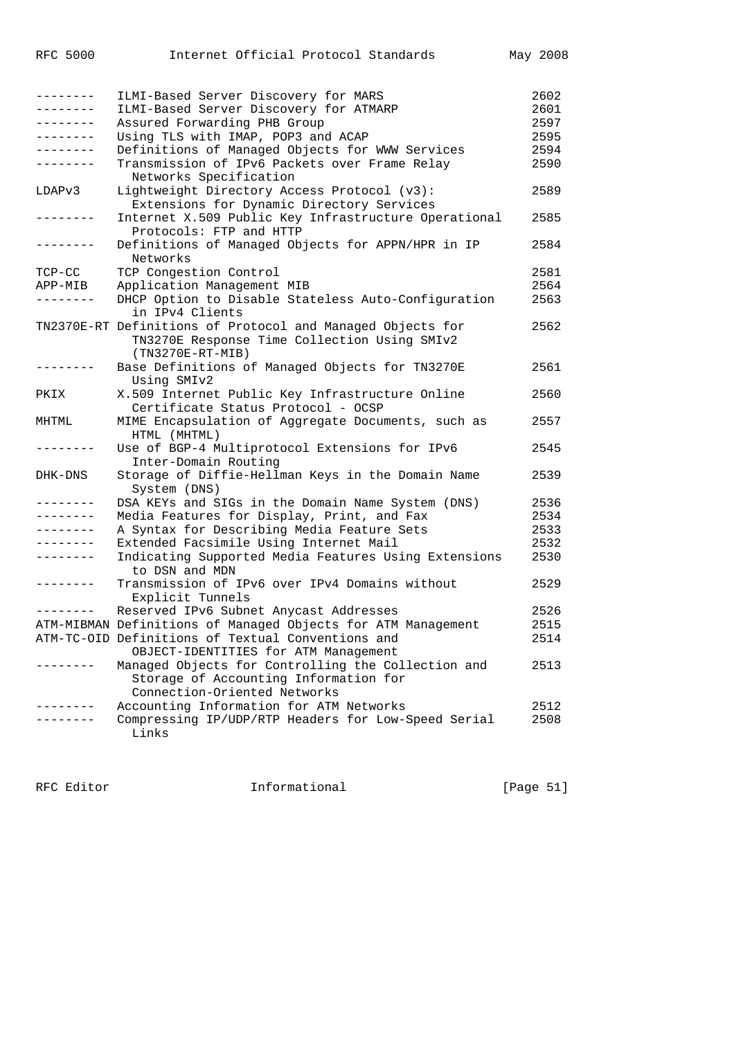| . <u>.</u>        | ILMI-Based Server Discovery for MARS                         | 2602 |
|-------------------|--------------------------------------------------------------|------|
| --------          | ILMI-Based Server Discovery for ATMARP                       | 2601 |
| --------          | Assured Forwarding PHB Group                                 | 2597 |
| --------          | Using TLS with IMAP, POP3 and ACAP                           | 2595 |
| --------          | Definitions of Managed Objects for WWW Services              | 2594 |
| . <u>.</u>        | Transmission of IPv6 Packets over Frame Relay                | 2590 |
|                   |                                                              |      |
|                   | Networks Specification                                       |      |
| LDAPv3            | Lightweight Directory Access Protocol (v3):                  | 2589 |
|                   | Extensions for Dynamic Directory Services                    |      |
| $- - - - - - - -$ | Internet X.509 Public Key Infrastructure Operational         | 2585 |
|                   | Protocols: FTP and HTTP                                      |      |
| --------          | Definitions of Managed Objects for APPN/HPR in IP            | 2584 |
|                   | Networks                                                     |      |
| $TCP-CC$          | TCP Congestion Control                                       | 2581 |
| APP-MIB           | Application Management MIB                                   | 2564 |
| . <u>.</u> .      | DHCP Option to Disable Stateless Auto-Configuration          | 2563 |
|                   | in IPv4 Clients                                              |      |
|                   |                                                              |      |
|                   | TN2370E-RT Definitions of Protocol and Managed Objects for   | 2562 |
|                   | TN3270E Response Time Collection Using SMIv2                 |      |
|                   | $(TN3270E-RT-MIB)$                                           |      |
| .                 | Base Definitions of Managed Objects for TN3270E              | 2561 |
|                   | Using SMIv2                                                  |      |
| PKIX              | X.509 Internet Public Key Infrastructure Online              | 2560 |
|                   | Certificate Status Protocol - OCSP                           |      |
| MHTML             | MIME Encapsulation of Aggregate Documents, such as           | 2557 |
|                   | HTML (MHTML)                                                 |      |
| . - - - - - - -   | Use of BGP-4 Multiprotocol Extensions for IPv6               | 2545 |
|                   |                                                              |      |
|                   | Inter-Domain Routing                                         |      |
| DHK-DNS           | Storage of Diffie-Hellman Keys in the Domain Name            | 2539 |
|                   | System (DNS)                                                 |      |
| -------           | DSA KEYs and SIGs in the Domain Name System (DNS)            | 2536 |
| --------          | Media Features for Display, Print, and Fax                   | 2534 |
| --------          | A Syntax for Describing Media Feature Sets                   | 2533 |
| .                 | Extended Facsimile Using Internet Mail                       | 2532 |
| --------          | Indicating Supported Media Features Using Extensions         | 2530 |
|                   | to DSN and MDN                                               |      |
| . <u>.</u>        | Transmission of IPv6 over IPv4 Domains without               | 2529 |
|                   |                                                              |      |
|                   | Explicit Tunnels                                             |      |
| . <u>.</u> .      | Reserved IPv6 Subnet Anycast Addresses                       | 2526 |
|                   | ATM-MIBMAN Definitions of Managed Objects for ATM Management | 2515 |
|                   | ATM-TC-OID Definitions of Textual Conventions and            | 2514 |
|                   | OBJECT-IDENTITIES for ATM Management                         |      |
|                   | Managed Objects for Controlling the Collection and           | 2513 |
|                   | Storage of Accounting Information for                        |      |
|                   | Connection-Oriented Networks                                 |      |
|                   | Accounting Information for ATM Networks                      | 2512 |
|                   | Compressing IP/UDP/RTP Headers for Low-Speed Serial          | 2508 |
|                   | Links                                                        |      |
|                   |                                                              |      |

RFC Editor **Informational** Page 51]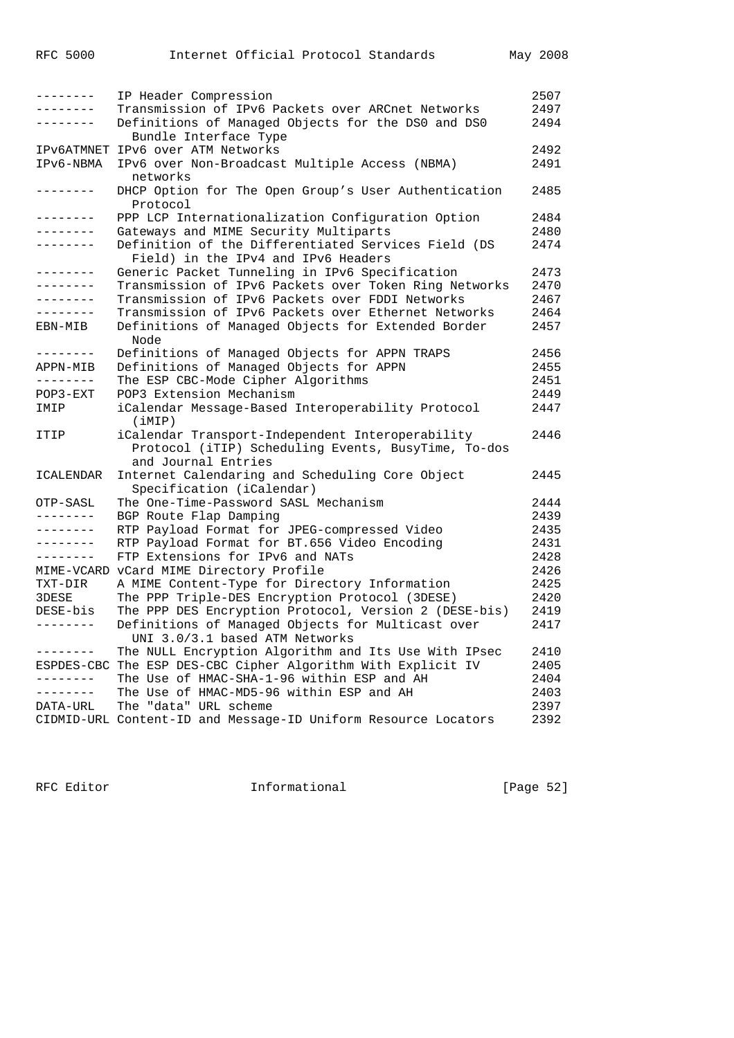| . _ _ _ _ _ _ _     | IP Header Compression                                          | 2507 |
|---------------------|----------------------------------------------------------------|------|
| ب کا کا کا کا کا کا | Transmission of IPv6 Packets over ARCnet Networks              | 2497 |
| . _ _ _ _ _ _ _     | Definitions of Managed Objects for the DS0 and DS0             | 2494 |
|                     | Bundle Interface Type                                          |      |
|                     | IPV6ATMNET IPV6 over ATM Networks                              | 2492 |
| IPv6-NBMA           | IPv6 over Non-Broadcast Multiple Access (NBMA)                 | 2491 |
|                     | networks                                                       |      |
| $- - - - - - - -$   | DHCP Option for The Open Group's User Authentication           | 2485 |
|                     |                                                                |      |
|                     | Protocol                                                       |      |
| .                   | PPP LCP Internationalization Configuration Option              | 2484 |
| . <u>.</u>          | Gateways and MIME Security Multiparts                          | 2480 |
| .                   | Definition of the Differentiated Services Field (DS            | 2474 |
|                     | Field) in the IPv4 and IPv6 Headers                            |      |
| -------             | Generic Packet Tunneling in IPv6 Specification                 | 2473 |
| .                   | Transmission of IPv6 Packets over Token Ring Networks          | 2470 |
| . _ _ _ _ _ _ _     | Transmission of IPv6 Packets over FDDI Networks                | 2467 |
| ---------           | Transmission of IPv6 Packets over Ethernet Networks            | 2464 |
| EBN-MIB             | Definitions of Managed Objects for Extended Border             | 2457 |
|                     | Node                                                           |      |
| .                   | Definitions of Managed Objects for APPN TRAPS                  | 2456 |
| APPN-MIB            | Definitions of Managed Objects for APPN                        | 2455 |
| --------            | The ESP CBC-Mode Cipher Algorithms                             | 2451 |
|                     | POP3 Extension Mechanism                                       |      |
| POP3-EXT            |                                                                | 2449 |
| IMIP                | iCalendar Message-Based Interoperability Protocol              | 2447 |
|                     | (iMIP)                                                         |      |
| ITIP                | iCalendar Transport-Independent Interoperability               | 2446 |
|                     | Protocol (iTIP) Scheduling Events, BusyTime, To-dos            |      |
|                     | and Journal Entries                                            |      |
| ICALENDAR           | Internet Calendaring and Scheduling Core Object                | 2445 |
|                     | Specification (iCalendar)                                      |      |
| OTP-SASL            | The One-Time-Password SASL Mechanism                           | 2444 |
| ---------           | BGP Route Flap Damping                                         | 2439 |
| --------            | RTP Payload Format for JPEG-compressed Video                   | 2435 |
| --------            | RTP Payload Format for BT.656 Video Encoding                   | 2431 |
| - - - - - - - -     | FTP Extensions for IPv6 and NATs                               | 2428 |
|                     | MIME-VCARD vCard MIME Directory Profile                        | 2426 |
| TXT-DIR             | A MIME Content-Type for Directory Information                  | 2425 |
|                     |                                                                |      |
| 3DESE               | The PPP Triple-DES Encryption Protocol (3DESE)                 | 2420 |
| DESE-bis            | The PPP DES Encryption Protocol, Version 2 (DESE-bis)          | 2419 |
| . <u>.</u>          | Definitions of Managed Objects for Multicast over              | 2417 |
|                     | UNI 3.0/3.1 based ATM Networks                                 |      |
| - - - - - - - -     | The NULL Encryption Algorithm and Its Use With IPsec           | 2410 |
|                     | ESPDES-CBC The ESP DES-CBC Cipher Algorithm With Explicit IV   | 2405 |
| --------            | The Use of HMAC-SHA-1-96 within ESP and AH                     | 2404 |
| . <u>.</u> .        | The Use of HMAC-MD5-96 within ESP and AH                       | 2403 |
| DATA-URL            | The "data" URL scheme                                          | 2397 |
|                     | CIDMID-URL Content-ID and Message-ID Uniform Resource Locators | 2392 |
|                     |                                                                |      |

RFC Editor **Informational** Page 52]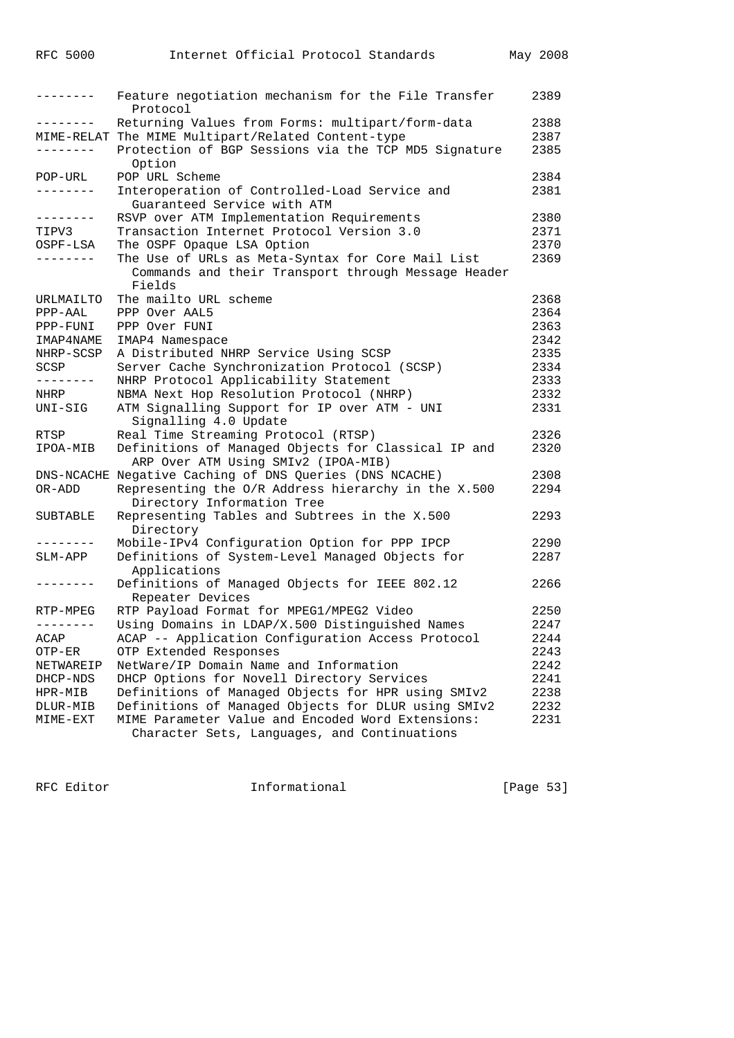| --------        | Feature negotiation mechanism for the File Transfer<br>Protocol | 2389 |
|-----------------|-----------------------------------------------------------------|------|
| .               | Returning Values from Forms: multipart/form-data                | 2388 |
|                 | MIME-RELAT The MIME Multipart/Related Content-type              | 2387 |
|                 | Protection of BGP Sessions via the TCP MD5 Signature<br>Option  | 2385 |
| POP-URL         | POP URL Scheme                                                  | 2384 |
| -------         | Interoperation of Controlled-Load Service and                   | 2381 |
|                 | Guaranteed Service with ATM                                     |      |
| --------        | RSVP over ATM Implementation Requirements                       | 2380 |
| TIPV3           | Transaction Internet Protocol Version 3.0                       | 2371 |
| OSPF-LSA        | The OSPF Opaque LSA Option                                      | 2370 |
| .               | The Use of URLs as Meta-Syntax for Core Mail List               | 2369 |
|                 | Commands and their Transport through Message Header<br>Fields   |      |
| URLMAILTO       | The mailto URL scheme                                           | 2368 |
| PPP-AAL         | PPP Over AAL5                                                   | 2364 |
| PPP-FUNI        | PPP Over FUNI                                                   | 2363 |
| IMAP4NAME       | IMAP4 Namespace                                                 | 2342 |
| NHRP-SCSP       | A Distributed NHRP Service Using SCSP                           | 2335 |
| SCSP            | Server Cache Synchronization Protocol (SCSP)                    | 2334 |
| --------        | NHRP Protocol Applicability Statement                           | 2333 |
| NHRP            | NBMA Next Hop Resolution Protocol (NHRP)                        | 2332 |
| $UNI-SIG$       | ATM Signalling Support for IP over ATM - UNI                    | 2331 |
|                 | Signalling 4.0 Update                                           |      |
| RTSP            | Real Time Streaming Protocol (RTSP)                             | 2326 |
| IPOA-MIB        | Definitions of Managed Objects for Classical IP and             | 2320 |
|                 | ARP Over ATM Using SMIv2 (IPOA-MIB)                             |      |
|                 | DNS-NCACHE Negative Caching of DNS Queries (DNS NCACHE)         | 2308 |
| OR-ADD          | Representing the O/R Address hierarchy in the X.500             | 2294 |
|                 | Directory Information Tree                                      |      |
| <b>SUBTABLE</b> | Representing Tables and Subtrees in the X.500                   | 2293 |
|                 | Directory                                                       |      |
| --------        | Mobile-IPv4 Configuration Option for PPP IPCP                   | 2290 |
| SLM-APP         | Definitions of System-Level Managed Objects for                 | 2287 |
|                 | Applications                                                    |      |
| --------        | Definitions of Managed Objects for IEEE 802.12                  | 2266 |
|                 | Repeater Devices                                                |      |
| RTP-MPEG        | RTP Payload Format for MPEG1/MPEG2 Video                        | 2250 |
| --------        | Using Domains in LDAP/X.500 Distinguished Names                 | 2247 |
| ACAP            | ACAP -- Application Configuration Access Protocol               | 2244 |
| OTP-ER          | OTP Extended Responses                                          | 2243 |
| NETWAREIP       | NetWare/IP Domain Name and Information                          | 2242 |
| DHCP-NDS        | DHCP Options for Novell Directory Services                      | 2241 |
| HPR-MIB         | Definitions of Managed Objects for HPR using SMIv2              | 2238 |
| DLUR-MIB        | Definitions of Managed Objects for DLUR using SMIv2             | 2232 |
| MIME-EXT        | MIME Parameter Value and Encoded Word Extensions:               | 2231 |
|                 | Character Sets, Languages, and Continuations                    |      |

RFC Editor **Informational Informational** [Page 53]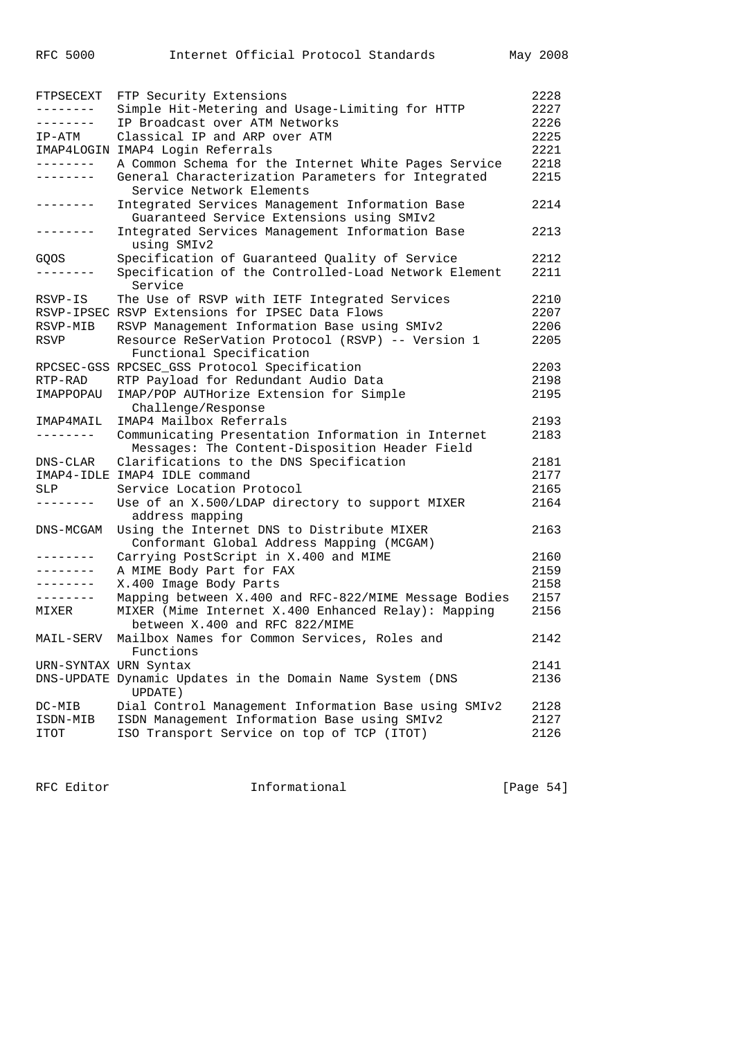| FTPSECEXT       | FTP Security Extensions                                                        | 2228 |
|-----------------|--------------------------------------------------------------------------------|------|
| . <u>.</u> .    | Simple Hit-Metering and Usage-Limiting for HTTP                                | 2227 |
| --------        | IP Broadcast over ATM Networks                                                 | 2226 |
| IP-ATM          | Classical IP and ARP over ATM                                                  | 2225 |
|                 | IMAP4LOGIN IMAP4 Login Referrals                                               | 2221 |
| --------        | A Common Schema for the Internet White Pages Service                           | 2218 |
| -------         | General Characterization Parameters for Integrated<br>Service Network Elements | 2215 |
| --------        | Integrated Services Management Information Base                                | 2214 |
|                 | Guaranteed Service Extensions using SMIv2                                      |      |
| --------        | Integrated Services Management Information Base                                | 2213 |
|                 | using SMIv2                                                                    |      |
| GQOS            | Specification of Guaranteed Quality of Service                                 | 2212 |
|                 | Specification of the Controlled-Load Network Element<br>Service                | 2211 |
| RSVP-IS         | The Use of RSVP with IETF Integrated Services                                  | 2210 |
|                 | RSVP-IPSEC RSVP Extensions for IPSEC Data Flows                                | 2207 |
| RSVP-MIB        | RSVP Management Information Base using SMIv2                                   | 2206 |
| RSVP            | Resource ReSerVation Protocol (RSVP) -- Version 1                              | 2205 |
|                 | Functional Specification                                                       |      |
|                 | RPCSEC-GSS RPCSEC_GSS Protocol Specification                                   | 2203 |
| RTP-RAD         | RTP Payload for Redundant Audio Data                                           | 2198 |
| IMAPPOPAU       | IMAP/POP AUTHorize Extension for Simple<br>Challenge/Response                  | 2195 |
| IMAP4MAIL       | IMAP4 Mailbox Referrals                                                        | 2193 |
| ---------       | Communicating Presentation Information in Internet                             | 2183 |
|                 | Messages: The Content-Disposition Header Field                                 |      |
| DNS-CLAR        | Clarifications to the DNS Specification                                        | 2181 |
|                 | IMAP4-IDLE IMAP4 IDLE command                                                  | 2177 |
| SLP             | Service Location Protocol                                                      | 2165 |
| . - - - - - - - | Use of an X.500/LDAP directory to support MIXER                                | 2164 |
|                 | address mapping                                                                |      |
| DNS-MCGAM       | Using the Internet DNS to Distribute MIXER                                     | 2163 |
|                 | Conformant Global Address Mapping (MCGAM)                                      |      |
| . <u>.</u> .    | Carrying PostScript in X.400 and MIME                                          | 2160 |
| --------        | A MIME Body Part for FAX                                                       | 2159 |
|                 | X.400 Image Body Parts                                                         | 2158 |
| --------        | Mapping between X.400 and RFC-822/MIME Message Bodies                          | 2157 |
| MIXER           | MIXER (Mime Internet X.400 Enhanced Relay): Mapping                            | 2156 |
|                 | between X.400 and RFC 822/MIME                                                 |      |
| MAIL-SERV       | Mailbox Names for Common Services, Roles and<br>Functions                      | 2142 |
|                 | URN-SYNTAX URN Syntax                                                          | 2141 |
|                 | DNS-UPDATE Dynamic Updates in the Domain Name System (DNS<br><b>UPDATE</b> )   | 2136 |
| DC-MIB          | Dial Control Management Information Base using SMIv2                           | 2128 |
| ISDN-MIB        | ISDN Management Information Base using SMIv2                                   | 2127 |
| ITOT            | ISO Transport Service on top of TCP (ITOT)                                     | 2126 |
|                 |                                                                                |      |

RFC Editor **Informational** Informational [Page 54]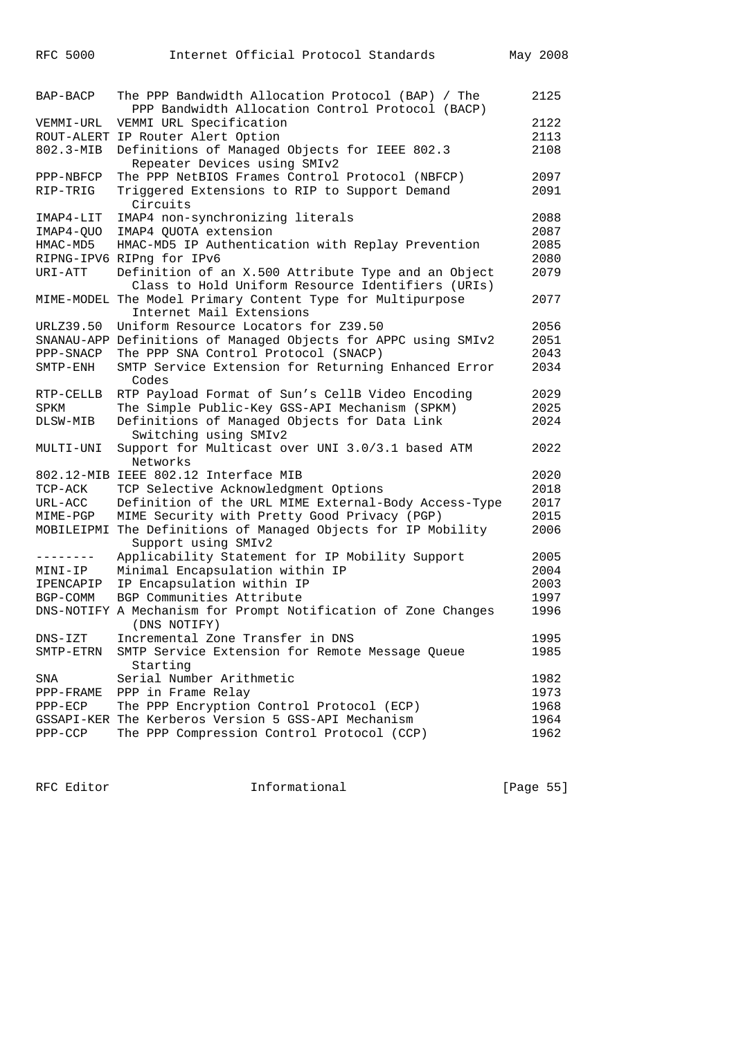| RFC 5000 |  | Internet Official Protocol Standards | May 2008 |
|----------|--|--------------------------------------|----------|
|          |  |                                      |          |

| BAP-BACP    | The PPP Bandwidth Allocation Protocol (BAP) / The<br>PPP Bandwidth Allocation Control Protocol (BACP) | 2125 |
|-------------|-------------------------------------------------------------------------------------------------------|------|
| VEMMI-URL   | VEMMI URL Specification                                                                               | 2122 |
|             | ROUT-ALERT IP Router Alert Option                                                                     | 2113 |
| 802.3-MIB   | Definitions of Managed Objects for IEEE 802.3                                                         | 2108 |
|             | Repeater Devices using SMIv2                                                                          |      |
| PPP-NBFCP   | The PPP NetBIOS Frames Control Protocol (NBFCP)                                                       | 2097 |
| RIP-TRIG    | Triggered Extensions to RIP to Support Demand                                                         | 2091 |
|             | Circuits                                                                                              |      |
| IMAP4-LIT   | IMAP4 non-synchronizing literals                                                                      | 2088 |
| IMAP4-QUO   | IMAP4 QUOTA extension                                                                                 | 2087 |
| HMAC-MD5    | HMAC-MD5 IP Authentication with Replay Prevention                                                     | 2085 |
|             | RIPNG-IPV6 RIPng for IPv6                                                                             | 2080 |
|             |                                                                                                       | 2079 |
| URI-ATT     | Definition of an X.500 Attribute Type and an Object                                                   |      |
|             | Class to Hold Uniform Resource Identifiers (URIs)                                                     |      |
|             | MIME-MODEL The Model Primary Content Type for Multipurpose                                            | 2077 |
|             | Internet Mail Extensions                                                                              |      |
| URLZ39.50   | Uniform Resource Locators for Z39.50                                                                  | 2056 |
|             | SNANAU-APP Definitions of Managed Objects for APPC using SMIv2                                        | 2051 |
| PPP-SNACP   | The PPP SNA Control Protocol (SNACP)                                                                  | 2043 |
| SMTP-ENH    | SMTP Service Extension for Returning Enhanced Error<br>Codes                                          | 2034 |
| RTP-CELLB   | RTP Payload Format of Sun's CellB Video Encoding                                                      | 2029 |
| SPKM        | The Simple Public-Key GSS-API Mechanism (SPKM)                                                        | 2025 |
| DLSW-MIB    | Definitions of Managed Objects for Data Link                                                          | 2024 |
|             | Switching using SMIv2                                                                                 |      |
| MULTI-UNI   | Support for Multicast over UNI 3.0/3.1 based ATM                                                      | 2022 |
|             | Networks                                                                                              |      |
|             | 802.12-MIB IEEE 802.12 Interface MIB                                                                  | 2020 |
| TCP-ACK     | TCP Selective Acknowledgment Options                                                                  | 2018 |
| URL-ACC     | Definition of the URL MIME External-Body Access-Type                                                  | 2017 |
| MIME-PGP    | MIME Security with Pretty Good Privacy (PGP)                                                          | 2015 |
|             | MOBILEIPMI The Definitions of Managed Objects for IP Mobility                                         | 2006 |
|             | Support using SMIv2                                                                                   |      |
| .           | Applicability Statement for IP Mobility Support                                                       | 2005 |
| MINI-IP     | Minimal Encapsulation within IP                                                                       | 2004 |
| IPENCAPIP   | IP Encapsulation within IP                                                                            | 2003 |
| BGP-COMM    | BGP Communities Attribute                                                                             | 1997 |
|             | DNS-NOTIFY A Mechanism for Prompt Notification of Zone Changes                                        | 1996 |
|             | (DNS NOTIFY)                                                                                          |      |
| $DNS - IZT$ | Incremental Zone Transfer in DNS                                                                      | 1995 |
| SMTP-ETRN   | SMTP Service Extension for Remote Message Queue                                                       | 1985 |
|             | Starting                                                                                              |      |
| SNA         | Serial Number Arithmetic                                                                              | 1982 |
| PPP-FRAME   | PPP in Frame Relay                                                                                    | 1973 |
| $PPP-ECP$   | The PPP Encryption Control Protocol (ECP)                                                             | 1968 |
|             | GSSAPI-KER The Kerberos Version 5 GSS-API Mechanism                                                   | 1964 |
| PPP-CCP     | The PPP Compression Control Protocol (CCP)                                                            | 1962 |

RFC Editor **Informational Informational** [Page 55]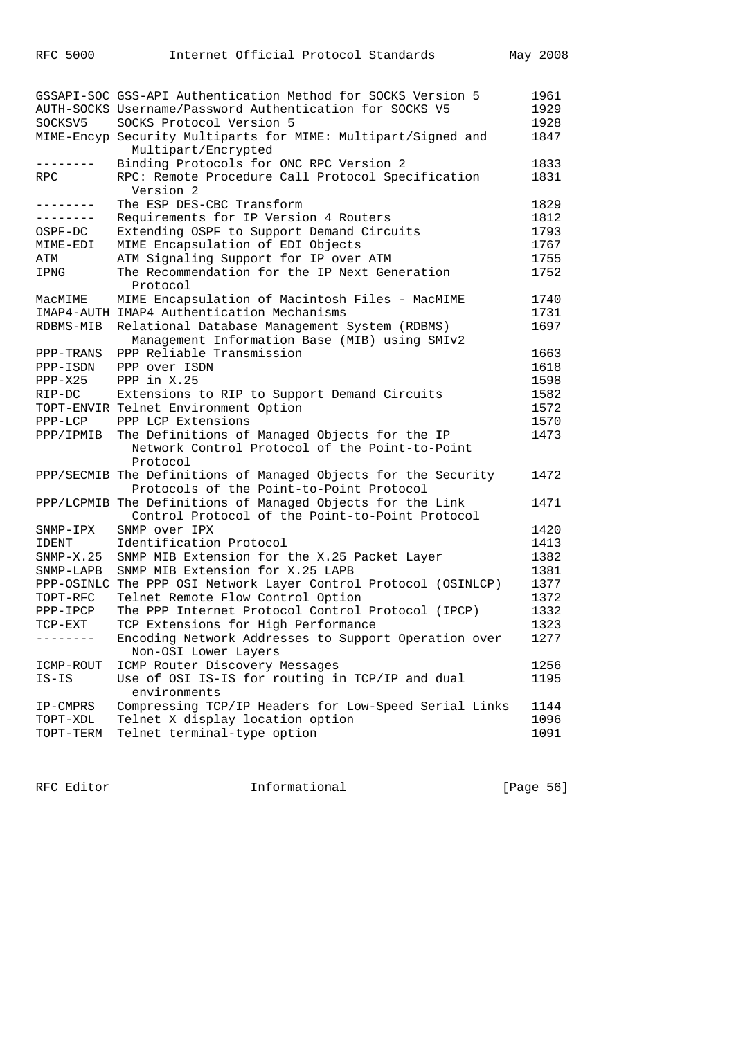|             | GSSAPI-SOC GSS-API Authentication Method for SOCKS Version 5                                                  | 1961 |
|-------------|---------------------------------------------------------------------------------------------------------------|------|
|             | AUTH-SOCKS Username/Password Authentication for SOCKS V5                                                      | 1929 |
| SOCKSV5     | SOCKS Protocol Version 5                                                                                      | 1928 |
|             | MIME-Encyp Security Multiparts for MIME: Multipart/Signed and<br>Multipart/Encrypted                          | 1847 |
|             | Binding Protocols for ONC RPC Version 2                                                                       | 1833 |
| RPC         | RPC: Remote Procedure Call Protocol Specification<br>Version 2                                                | 1831 |
| --------    | The ESP DES-CBC Transform                                                                                     | 1829 |
| --------    | Requirements for IP Version 4 Routers                                                                         | 1812 |
| OSPF-DC     | Extending OSPF to Support Demand Circuits                                                                     | 1793 |
| MIME-EDI    | MIME Encapsulation of EDI Objects                                                                             | 1767 |
| ATM         | ATM Signaling Support for IP over ATM                                                                         | 1755 |
| IPNG        | The Recommendation for the IP Next Generation<br>Protocol                                                     | 1752 |
| MacMIME     | MIME Encapsulation of Macintosh Files - MacMIME                                                               | 1740 |
|             | IMAP4-AUTH IMAP4 Authentication Mechanisms                                                                    | 1731 |
| RDBMS-MIB   | Relational Database Management System (RDBMS)<br>Management Information Base (MIB) using SMIv2                | 1697 |
| PPP-TRANS   | PPP Reliable Transmission                                                                                     | 1663 |
| PPP-ISDN    | PPP over ISDN                                                                                                 | 1618 |
| $PPP-X25$   | PPP in X.25                                                                                                   | 1598 |
| RIP-DC      | Extensions to RIP to Support Demand Circuits                                                                  | 1582 |
|             | TOPT-ENVIR Telnet Environment Option                                                                          | 1572 |
| $PPP-LCP$   | PPP LCP Extensions                                                                                            | 1570 |
| PPP/IPMIB   | The Definitions of Managed Objects for the IP                                                                 | 1473 |
|             | Network Control Protocol of the Point-to-Point<br>Protocol                                                    |      |
|             | PPP/SECMIB The Definitions of Managed Objects for the Security                                                | 1472 |
|             | Protocols of the Point-to-Point Protocol                                                                      |      |
|             | PPP/LCPMIB The Definitions of Managed Objects for the Link<br>Control Protocol of the Point-to-Point Protocol | 1471 |
| SNMP-IPX    | SNMP over IPX                                                                                                 | 1420 |
| IDENT       | Identification Protocol                                                                                       | 1413 |
| $SNMP-X.25$ | SNMP MIB Extension for the X.25 Packet Layer                                                                  | 1382 |
| SNMP-LAPB   | SNMP MIB Extension for X.25 LAPB                                                                              | 1381 |
|             | PPP-OSINLC The PPP OSI Network Layer Control Protocol (OSINLCP)                                               | 1377 |
| TOPT-RFC    | Telnet Remote Flow Control Option                                                                             | 1372 |
| PPP-IPCP    | The PPP Internet Protocol Control Protocol (IPCP)                                                             | 1332 |
| $TCP-EXT$   | TCP Extensions for High Performance                                                                           | 1323 |
| --------    | Encoding Network Addresses to Support Operation over                                                          | 1277 |
|             | Non-OSI Lower Layers                                                                                          |      |
| ICMP-ROUT   | ICMP Router Discovery Messages                                                                                | 1256 |
| IS-IS       | Use of OSI IS-IS for routing in TCP/IP and dual<br>environments                                               | 1195 |
| IP-CMPRS    | Compressing TCP/IP Headers for Low-Speed Serial Links                                                         | 1144 |
| TOPT-XDL    | Telnet X display location option                                                                              | 1096 |
| TOPT-TERM   | Telnet terminal-type option                                                                                   | 1091 |
|             |                                                                                                               |      |

RFC Editor **Informational** The Informational (Page 56)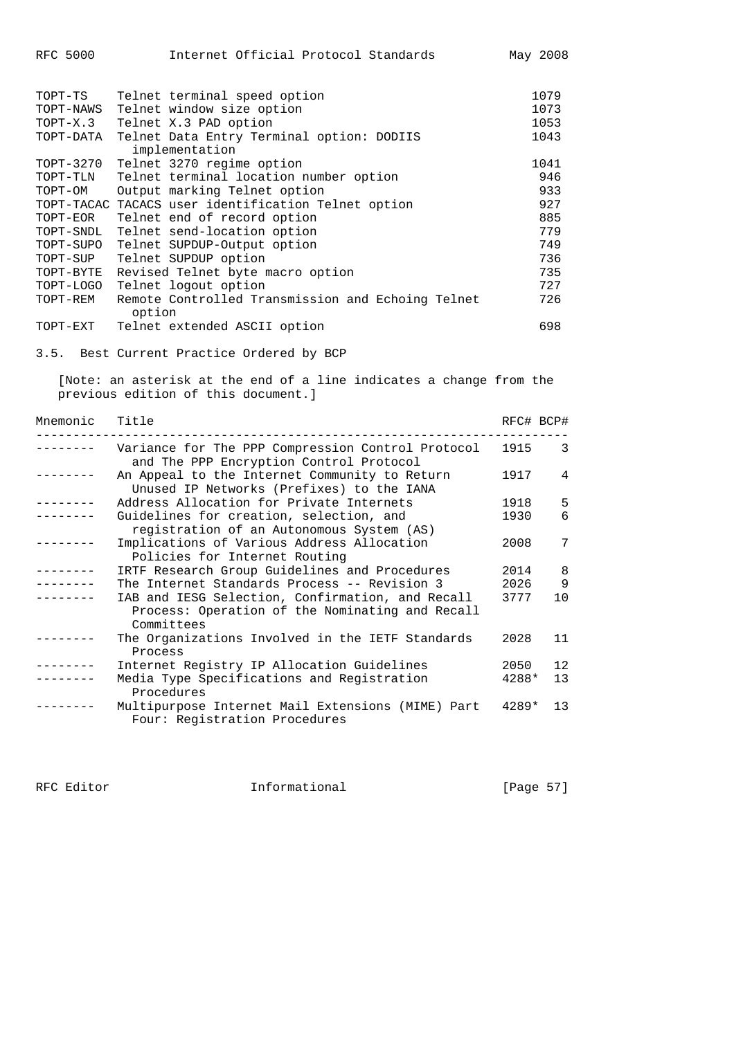| RFC 5000 |  |  |  | Internet Official Protocol Standards |  | May 2008 |
|----------|--|--|--|--------------------------------------|--|----------|
|----------|--|--|--|--------------------------------------|--|----------|

| TOPT-TS<br>TOPT-NAWS | Telnet terminal speed option<br>Telnet window size option   | 1079<br>1073 |
|----------------------|-------------------------------------------------------------|--------------|
| TOPT-X.3             | Telnet X.3 PAD option                                       | 1053         |
| TOPT-DATA            | Telnet Data Entry Terminal option: DODIIS<br>implementation | 1043         |
| TOPT-3270            | Telnet 3270 regime option                                   | 1041         |
| TOPT-TLN             | Telnet terminal location number option                      | 946          |
| TOPT-OM              | Output marking Telnet option                                | 933          |
|                      | TOPT-TACAC TACACS user identification Telnet option         | 927          |
| TOPT-EOR             | Telnet end of record option                                 | 885          |
| TOPT-SNDL            | Telnet send-location option                                 | 779          |
| TOPT-SUPO            | Telnet SUPDUP-Output option                                 | 749          |
| TOPT-SUP             | Telnet SUPDUP option                                        | 736          |
| TOPT-BYTE            | Revised Telnet byte macro option                            | 735          |
| TOPT-LOGO            | Telnet logout option                                        | 727          |
| TOPT-REM             | Remote Controlled Transmission and Echoing Telnet<br>option | 726          |
| TOPT-EXT             | Telnet extended ASCII option                                | 698          |

3.5. Best Current Practice Ordered by BCP

 [Note: an asterisk at the end of a line indicates a change from the previous edition of this document.]

| Mnemonic | Title                                                                                                             |         | RFC# BCP#      |
|----------|-------------------------------------------------------------------------------------------------------------------|---------|----------------|
| -------- | Variance for The PPP Compression Control Protocol<br>and The PPP Encryption Control Protocol                      | 1915    | 3              |
|          | An Appeal to the Internet Community to Return<br>Unused IP Networks (Prefixes) to the IANA                        | 1917    | $\overline{4}$ |
|          | Address Allocation for Private Internets                                                                          | 1918    | 5              |
|          | Guidelines for creation, selection, and<br>registration of an Autonomous System (AS)                              | 1930    | 6              |
|          | Implications of Various Address Allocation<br>Policies for Internet Routing                                       | 2008    | 7              |
| -------  | IRTF Research Group Guidelines and Procedures                                                                     | 2014    | 8              |
|          | The Internet Standards Process -- Revision 3                                                                      | 2026    | 9              |
|          | IAB and IESG Selection, Confirmation, and Recall<br>Process: Operation of the Nominating and Recall<br>Committees | 3777    | 10             |
|          | The Organizations Involved in the IETF Standards<br>Process                                                       | 2028    | 11             |
|          | Internet Registry IP Allocation Guidelines                                                                        | 2050    | 12             |
|          | Media Type Specifications and Registration<br>Procedures                                                          | 4288*   | 13             |
|          | Multipurpose Internet Mail Extensions (MIME) Part<br>Four: Registration Procedures                                | $4289*$ | 13             |

RFC Editor **Informational** [Page 57]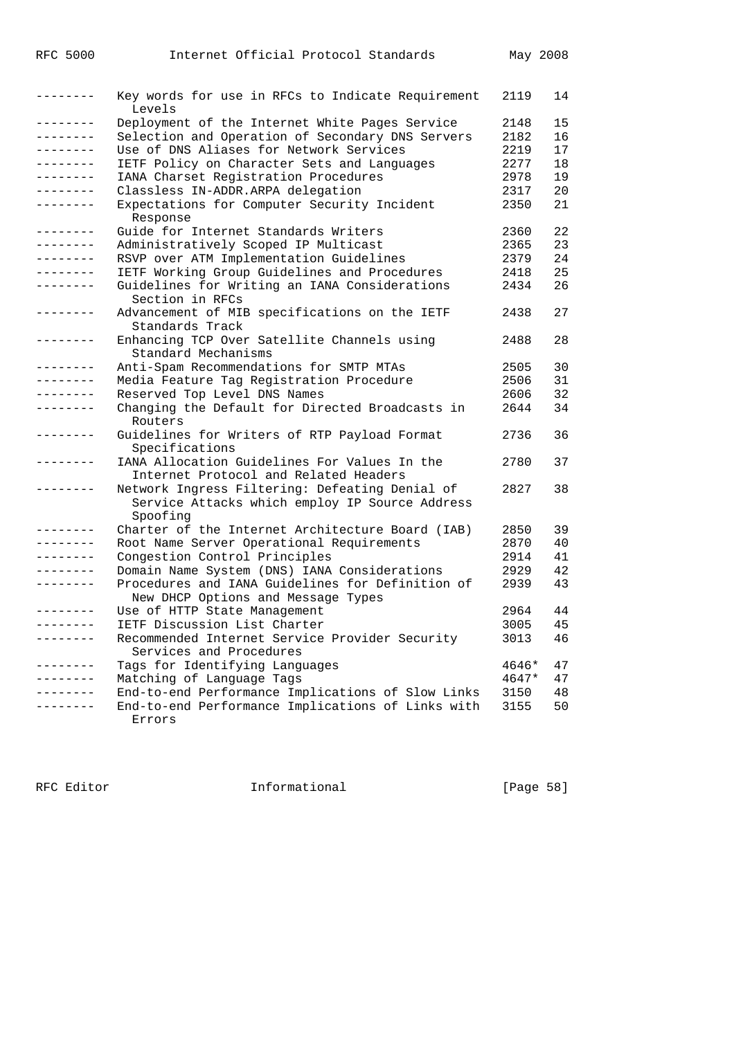| --------     | Key words for use in RFCs to Indicate Requirement<br>Levels                                                  | 2119  | 14 |
|--------------|--------------------------------------------------------------------------------------------------------------|-------|----|
| ---------    | Deployment of the Internet White Pages Service                                                               | 2148  | 15 |
| --------     | Selection and Operation of Secondary DNS Servers                                                             | 2182  | 16 |
| --------     | Use of DNS Aliases for Network Services                                                                      | 2219  | 17 |
| --------     | IETF Policy on Character Sets and Languages                                                                  | 2277  | 18 |
|              | IANA Charset Registration Procedures                                                                         | 2978  | 19 |
|              | Classless IN-ADDR.ARPA delegation                                                                            | 2317  | 20 |
| --------     | Expectations for Computer Security Incident<br>Response                                                      | 2350  | 21 |
| . <u>.</u> . | Guide for Internet Standards Writers                                                                         | 2360  | 22 |
| --------     | Administratively Scoped IP Multicast                                                                         | 2365  | 23 |
|              | RSVP over ATM Implementation Guidelines                                                                      | 2379  | 24 |
| --------     | IETF Working Group Guidelines and Procedures                                                                 | 2418  | 25 |
|              | Guidelines for Writing an IANA Considerations<br>Section in RFCs                                             | 2434  | 26 |
| --------     | Advancement of MIB specifications on the IETF<br>Standards Track                                             | 2438  | 27 |
|              | Enhancing TCP Over Satellite Channels using<br>Standard Mechanisms                                           | 2488  | 28 |
| --------     | Anti-Spam Recommendations for SMTP MTAs                                                                      | 2505  | 30 |
| --------     | Media Feature Tag Registration Procedure                                                                     | 2506  | 31 |
| --------     | Reserved Top Level DNS Names                                                                                 | 2606  | 32 |
|              | Changing the Default for Directed Broadcasts in<br>Routers                                                   | 2644  | 34 |
|              | Guidelines for Writers of RTP Payload Format<br>Specifications                                               | 2736  | 36 |
|              | IANA Allocation Guidelines For Values In the<br>Internet Protocol and Related Headers                        | 2780  | 37 |
|              | Network Ingress Filtering: Defeating Denial of<br>Service Attacks which employ IP Source Address<br>Spoofing | 2827  | 38 |
| .            | Charter of the Internet Architecture Board (IAB)                                                             | 2850  | 39 |
| --------     | Root Name Server Operational Requirements                                                                    | 2870  | 40 |
|              | Congestion Control Principles                                                                                | 2914  | 41 |
|              | Domain Name System (DNS) IANA Considerations                                                                 | 2929  | 42 |
|              | Procedures and IANA Guidelines for Definition of<br>New DHCP Options and Message Types                       | 2939  | 43 |
|              | Use of HTTP State Management                                                                                 | 2964  | 44 |
| <u>.</u>     | IETF Discussion List Charter                                                                                 | 3005  | 45 |
|              | Recommended Internet Service Provider Security<br>Services and Procedures                                    | 3013  | 46 |
|              | Tags for Identifying Languages                                                                               | 4646* | 47 |
|              | Matching of Language Tags                                                                                    | 4647* | 47 |
|              | End-to-end Performance Implications of Slow Links                                                            | 3150  | 48 |
|              | End-to-end Performance Implications of Links with<br>Errors                                                  | 3155  | 50 |

RFC Editor **Informational** Page 58]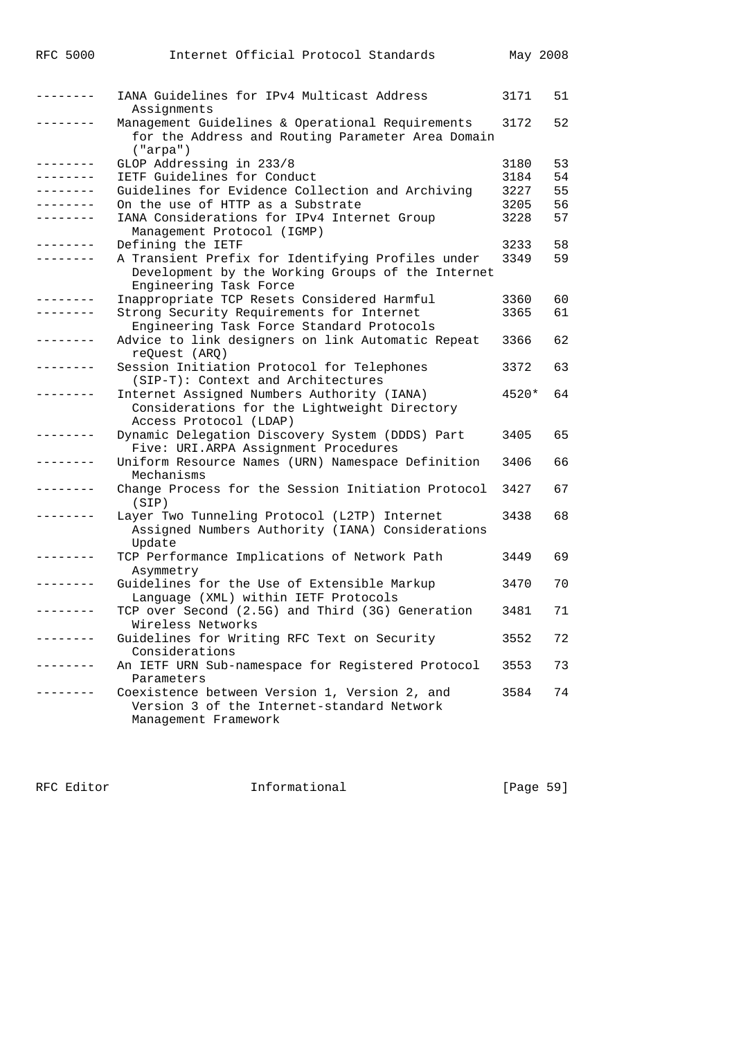| RFC 5000          | Internet Official Protocol Standards                                                                                             | May 2008 |    |
|-------------------|----------------------------------------------------------------------------------------------------------------------------------|----------|----|
| -------           | IANA Guidelines for IPv4 Multicast Address<br>Assignments                                                                        | 3171     | 51 |
| --------          | Management Guidelines & Operational Requirements<br>for the Address and Routing Parameter Area Domain<br>("arpa")                | 3172     | 52 |
| $- - - - - - - -$ | GLOP Addressing in 233/8                                                                                                         | 3180     | 53 |
| --------          | IETF Guidelines for Conduct                                                                                                      | 3184     | 54 |
| --------          | Guidelines for Evidence Collection and Archiving                                                                                 | 3227     | 55 |
|                   | On the use of HTTP as a Substrate                                                                                                | 3205     | 56 |
|                   | IANA Considerations for IPv4 Internet Group<br>Management Protocol (IGMP)                                                        | 3228     | 57 |
| -------           | Defining the IETF                                                                                                                | 3233     | 58 |
|                   | A Transient Prefix for Identifying Profiles under<br>Development by the Working Groups of the Internet<br>Engineering Task Force | 3349     | 59 |
| -------           | Inappropriate TCP Resets Considered Harmful                                                                                      | 3360     | 60 |
| . _ _ _ _ _ _ _   | Strong Security Requirements for Internet<br>Engineering Task Force Standard Protocols                                           | 3365     | 61 |
|                   | Advice to link designers on link Automatic Repeat<br>reQuest (ARQ)                                                               | 3366     | 62 |
|                   | Session Initiation Protocol for Telephones<br>(SIP-T): Context and Architectures                                                 | 3372     | 63 |
|                   | Internet Assigned Numbers Authority (IANA)<br>Considerations for the Lightweight Directory<br>Access Protocol (LDAP)             | $4520*$  | 64 |
| -------           | Dynamic Delegation Discovery System (DDDS) Part<br>Five: URI.ARPA Assignment Procedures                                          | 3405     | 65 |
| --------          | Uniform Resource Names (URN) Namespace Definition<br>Mechanisms                                                                  | 3406     | 66 |
|                   | Change Process for the Session Initiation Protocol<br>(SIP)                                                                      | 3427     | 67 |
|                   | Layer Two Tunneling Protocol (L2TP) Internet<br>Assigned Numbers Authority (IANA) Considerations<br>Update                       | 3438     | 68 |
|                   | TCP Performance Implications of Network Path<br>Asymmetry                                                                        | 3449     | 69 |
|                   | Guidelines for the Use of Extensible Markup<br>Language (XML) within IETF Protocols                                              | 3470     | 70 |
| ------            | TCP over Second (2.5G) and Third (3G) Generation<br>Wireless Networks                                                            | 3481     | 71 |
| ------            | Guidelines for Writing RFC Text on Security<br>Considerations                                                                    | 3552     | 72 |
| . - - - - - - -   | An IETF URN Sub-namespace for Registered Protocol<br>Parameters                                                                  | 3553     | 73 |
| --------          | Coexistence between Version 1, Version 2, and<br>Version 3 of the Internet-standard Network<br>Management Framework              | 3584     | 74 |

RFC Editor **Informational Informational** [Page 59]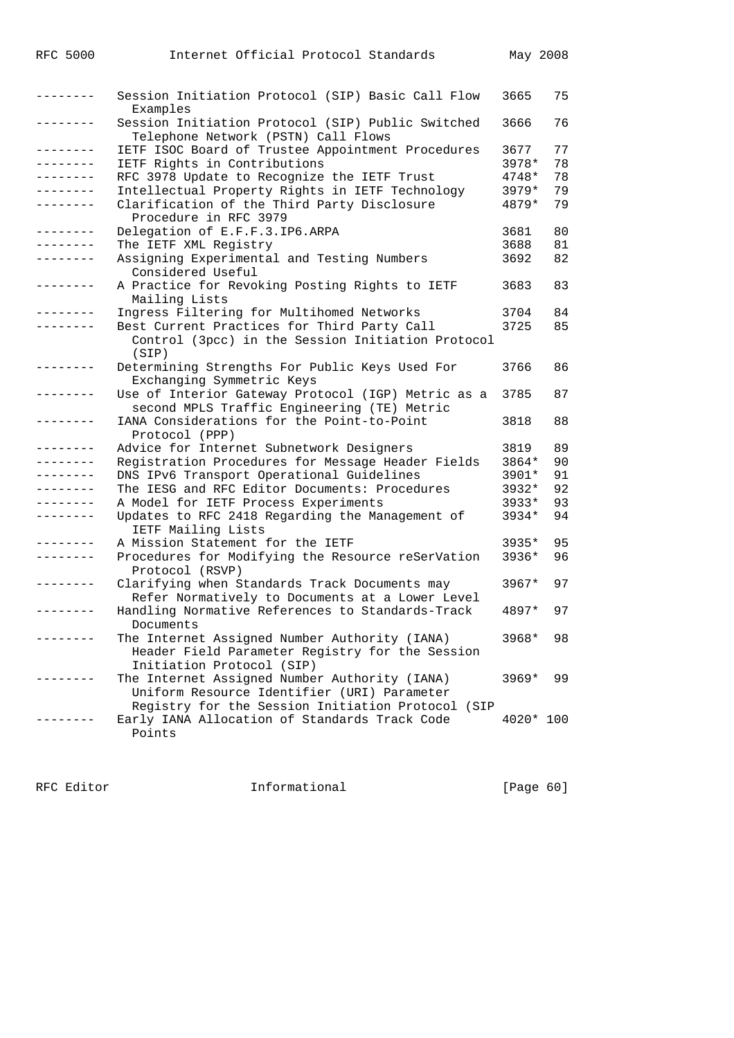| --------- | Session Initiation Protocol (SIP) Basic Call Flow<br>Examples                                                                                     | 3665      | 75 |
|-----------|---------------------------------------------------------------------------------------------------------------------------------------------------|-----------|----|
|           | Session Initiation Protocol (SIP) Public Switched<br>Telephone Network (PSTN) Call Flows                                                          | 3666      | 76 |
| --------  | IETF ISOC Board of Trustee Appointment Procedures                                                                                                 | 3677      | 77 |
| --------  | IETF Rights in Contributions                                                                                                                      | 3978*     | 78 |
| --------  | RFC 3978 Update to Recognize the IETF Trust                                                                                                       | $4748*$   | 78 |
| --------  | Intellectual Property Rights in IETF Technology                                                                                                   | $3979*$   | 79 |
| --------  | Clarification of the Third Party Disclosure<br>Procedure in RFC 3979                                                                              | 4879*     | 79 |
| --------  | Delegation of E.F.F.3.IP6.ARPA                                                                                                                    | 3681      | 80 |
|           | The IETF XML Registry                                                                                                                             | 3688      | 81 |
| --------  | Assigning Experimental and Testing Numbers<br>Considered Useful                                                                                   | 3692      | 82 |
|           | A Practice for Revoking Posting Rights to IETF<br>Mailing Lists                                                                                   | 3683      | 83 |
|           | Ingress Filtering for Multihomed Networks                                                                                                         | 3704      | 84 |
|           | Best Current Practices for Third Party Call<br>Control (3pcc) in the Session Initiation Protocol                                                  | 3725      | 85 |
|           | (SIP)                                                                                                                                             |           |    |
| -------   | Determining Strengths For Public Keys Used For<br>Exchanging Symmetric Keys                                                                       | 3766      | 86 |
|           | Use of Interior Gateway Protocol (IGP) Metric as a<br>second MPLS Traffic Engineering (TE) Metric                                                 | 3785      | 87 |
| --------  | IANA Considerations for the Point-to-Point<br>Protocol (PPP)                                                                                      | 3818      | 88 |
| -------   | Advice for Internet Subnetwork Designers                                                                                                          | 3819      | 89 |
| --------  | Registration Procedures for Message Header Fields                                                                                                 | 3864*     | 90 |
| --------  | DNS IPv6 Transport Operational Guidelines                                                                                                         | 3901*     | 91 |
| --------  | The IESG and RFC Editor Documents: Procedures                                                                                                     | $3932*$   | 92 |
| --------  | A Model for IETF Process Experiments                                                                                                              | 3933*     | 93 |
| --------  | Updates to RFC 2418 Regarding the Management of<br>IETF Mailing Lists                                                                             | 3934*     | 94 |
|           | A Mission Statement for the IETF                                                                                                                  | 3935*     | 95 |
| --------  | Procedures for Modifying the Resource reSerVation<br>Protocol (RSVP)                                                                              | 3936*     | 96 |
| --------  | Clarifying when Standards Track Documents may<br>Refer Normatively to Documents at a Lower Level                                                  | $3967*$   | 97 |
|           | Handling Normative References to Standards-Track<br>Documents                                                                                     | 4897*     | 97 |
|           | The Internet Assigned Number Authority (IANA)<br>Header Field Parameter Registry for the Session<br>Initiation Protocol (SIP)                     | 3968*     | 98 |
|           | The Internet Assigned Number Authority (IANA)<br>Uniform Resource Identifier (URI) Parameter<br>Registry for the Session Initiation Protocol (SIP | $3969*$   | 99 |
|           | Early IANA Allocation of Standards Track Code<br>Points                                                                                           | 4020* 100 |    |

RFC Editor **Informational** Page 60]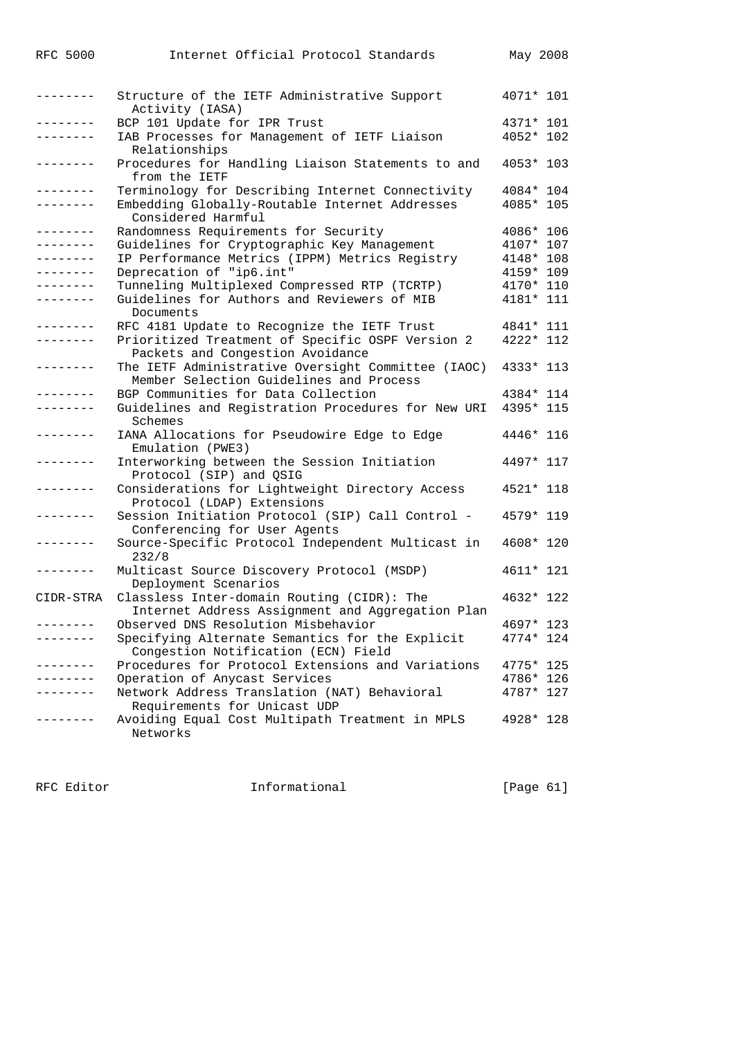| <b>RFC 5000</b> | Internet Official Protocol Standards                                                           | May 2008  |  |
|-----------------|------------------------------------------------------------------------------------------------|-----------|--|
| --------        | Structure of the IETF Administrative Support<br>Activity (IASA)                                | 4071* 101 |  |
| .               | BCP 101 Update for IPR Trust                                                                   | 4371* 101 |  |
| . - - - - - - - | IAB Processes for Management of IETF Liaison<br>Relationships                                  | 4052* 102 |  |
| --------        | Procedures for Handling Liaison Statements to and<br>from the IETF                             | 4053* 103 |  |
| --------        | Terminology for Describing Internet Connectivity                                               | 4084* 104 |  |
| --------        | Embedding Globally-Routable Internet Addresses<br>Considered Harmful                           | 4085* 105 |  |
| ---------       | Randomness Requirements for Security                                                           | 4086* 106 |  |
| --------        | Guidelines for Cryptographic Key Management                                                    | 4107* 107 |  |
| --------        | IP Performance Metrics (IPPM) Metrics Registry                                                 | 4148* 108 |  |
| --------        | Deprecation of "ip6.int"                                                                       | 4159* 109 |  |
| --------        | Tunneling Multiplexed Compressed RTP (TCRTP)                                                   | 4170* 110 |  |
| . _ _ _ _ _ _ _ | Guidelines for Authors and Reviewers of MIB<br>Documents                                       | 4181* 111 |  |
|                 | RFC 4181 Update to Recognize the IETF Trust                                                    | 4841* 111 |  |
| --------        | Prioritized Treatment of Specific OSPF Version 2<br>Packets and Congestion Avoidance           | 4222* 112 |  |
| --------        | The IETF Administrative Oversight Committee (IAOC)<br>Member Selection Guidelines and Process  | 4333* 113 |  |
| .               | BGP Communities for Data Collection                                                            | 4384* 114 |  |
| --------        | Guidelines and Registration Procedures for New URI<br>Schemes                                  | 4395* 115 |  |
| --------        | IANA Allocations for Pseudowire Edge to Edge<br>Emulation (PWE3)                               | 4446* 116 |  |
| . <u>.</u>      | Interworking between the Session Initiation<br>Protocol (SIP) and QSIG                         | 4497* 117 |  |
| --------        | Considerations for Lightweight Directory Access<br>Protocol (LDAP) Extensions                  | 4521* 118 |  |
| . - - - - - - - | Session Initiation Protocol (SIP) Call Control -<br>Conferencing for User Agents               | 4579* 119 |  |
| --------        | Source-Specific Protocol Independent Multicast in<br>232/8                                     | 4608* 120 |  |
| --------        | Multicast Source Discovery Protocol (MSDP)<br>Deployment Scenarios                             | 4611* 121 |  |
| CIDR-STRA       | Classless Inter-domain Routing (CIDR): The<br>Internet Address Assignment and Aggregation Plan | 4632* 122 |  |
|                 | Observed DNS Resolution Misbehavior                                                            | 4697* 123 |  |
| .               | Specifying Alternate Semantics for the Explicit<br>Congestion Notification (ECN) Field         | 4774* 124 |  |
| --------        | Procedures for Protocol Extensions and Variations                                              | 4775* 125 |  |
|                 | Operation of Anycast Services                                                                  | 4786* 126 |  |
|                 | Network Address Translation (NAT) Behavioral<br>Requirements for Unicast UDP                   | 4787* 127 |  |
|                 | Avoiding Equal Cost Multipath Treatment in MPLS<br>Networks                                    | 4928* 128 |  |

RFC Editor **Informational** Page 61]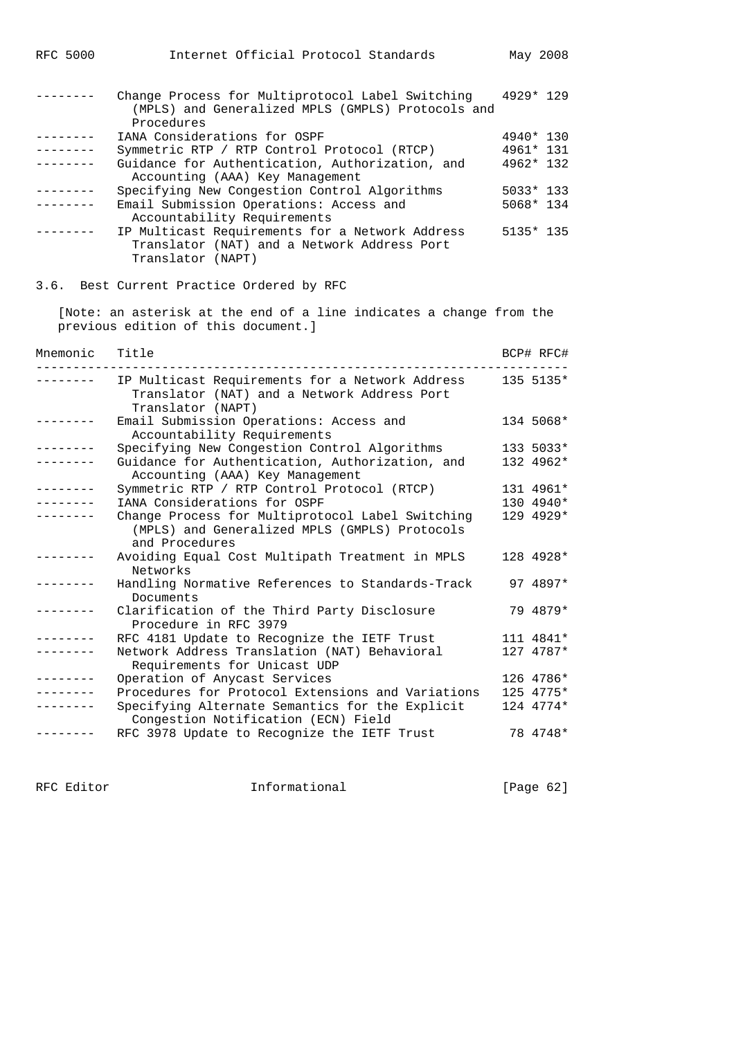|                   | Change Process for Multiprotocol Label Switching<br>(MPLS) and Generalized MPLS (GMPLS) Protocols and<br>Procedures | 4929* 129 |
|-------------------|---------------------------------------------------------------------------------------------------------------------|-----------|
| $- - - - - - - -$ | IANA Considerations for OSPF                                                                                        | 4940* 130 |
| --------          |                                                                                                                     | 4961* 131 |
|                   | Symmetric RTP / RTP Control Protocol (RTCP)                                                                         |           |
| . - - - - - - -   | Guidance for Authentication, Authorization, and<br>Accounting (AAA) Key Management                                  | 4962* 132 |
| --------          | Specifying New Congestion Control Algorithms                                                                        | 5033* 133 |
| . <u>.</u> .      | Email Submission Operations: Access and<br>Accountability Requirements                                              | 5068* 134 |
| --------          | IP Multicast Requirements for a Network Address<br>Translator (NAT) and a Network Address Port<br>Translator (NAPT) | 5135* 135 |
|                   | 3.6. Best Current Practice Ordered by RFC                                                                           |           |
|                   | [Note: an asterisk at the end of a line indicates a change from the<br>previous edition of this document.]          |           |
| Mnemonic          | Title                                                                                                               | BCP# RFC# |
| -------           | IP Multicast Requirements for a Network Address<br>Translator (NAT) and a Network Address Port<br>Translator (NAPT) | 135 5135* |
| ---------         | Email Submission Operations: Access and<br>Accountability Requirements                                              | 134 5068* |
| .                 | Specifying New Congestion Control Algorithms                                                                        | 133 5033* |
| .                 | Guidance for Authentication, Authorization, and                                                                     | 132 4962* |
|                   | Accounting (AAA) Key Management                                                                                     |           |
| .                 |                                                                                                                     | 131 4961* |
|                   | Symmetric RTP / RTP Control Protocol (RTCP)<br>IANA Considerations for OSPF                                         | 130 4940* |
|                   |                                                                                                                     | 129 4929* |
|                   | Change Process for Multiprotocol Label Switching<br>(MPLS) and Generalized MPLS (GMPLS) Protocols<br>and Procedures |           |
|                   | Avoiding Equal Cost Multipath Treatment in MPLS<br>Networks                                                         | 128 4928* |
| --------          | Handling Normative References to Standards-Track<br>Documents                                                       | 97 4897*  |
|                   | Clarification of the Third Party Disclosure<br>Procedure in RFC 3979                                                | 79 4879*  |
|                   | RFC 4181 Update to Recognize the IETF Trust                                                                         | 111 4841* |
|                   | Network Address Translation (NAT) Behavioral<br>Requirements for Unicast UDP                                        | 127 4787* |
|                   | Operation of Anycast Services                                                                                       | 126 4786* |
|                   | Procedures for Protocol Extensions and Variations                                                                   | 125 4775* |
|                   | Specifying Alternate Semantics for the Explicit                                                                     | 124 4774* |
|                   | Congestion Notification (ECN) Field<br>RFC 3978 Update to Recognize the IETF Trust                                  | 78 4748*  |
|                   |                                                                                                                     |           |

RFC 5000 Internet Official Protocol Standards May 2008

RFC Editor **Informational** Page 62]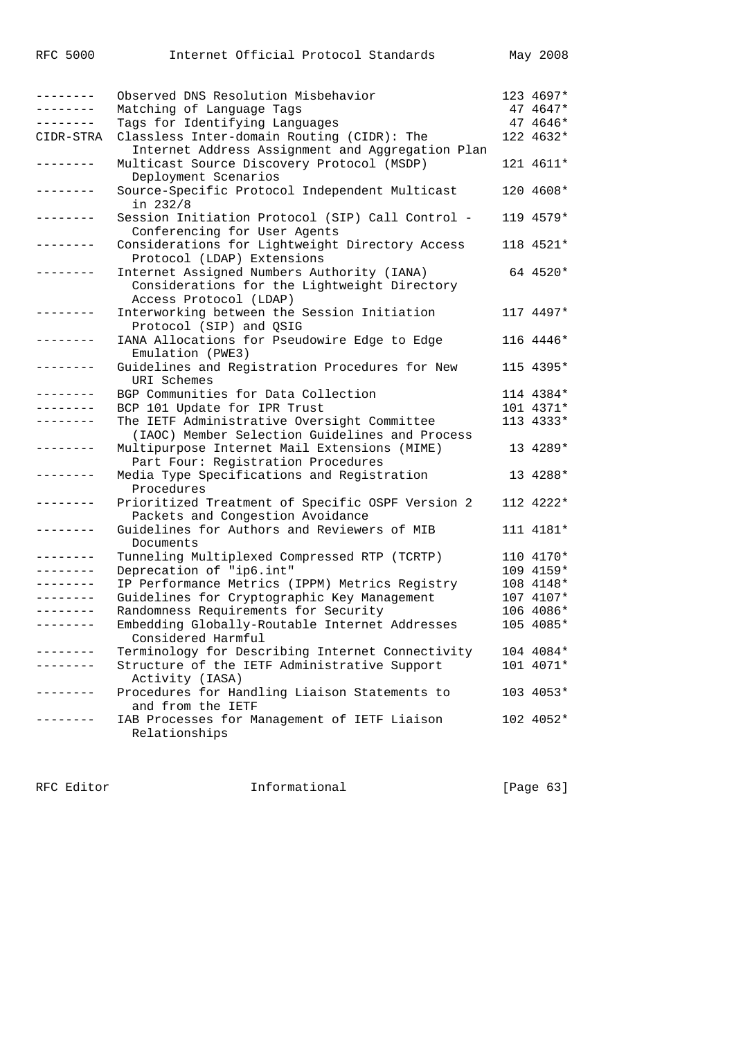| <b>RFC 5000</b>                                      | Internet Official Protocol Standards                                                                                                             | May 2008                                       |
|------------------------------------------------------|--------------------------------------------------------------------------------------------------------------------------------------------------|------------------------------------------------|
| . – – – – – – –<br>--------<br>--------<br>CIDR-STRA | Observed DNS Resolution Misbehavior<br>Matching of Language Tags<br>Tags for Identifying Languages<br>Classless Inter-domain Routing (CIDR): The | 123 4697*<br>47 4647*<br>47 4646*<br>122 4632* |
| . <u>.</u>                                           | Internet Address Assignment and Aggregation Plan<br>Multicast Source Discovery Protocol (MSDP)<br>Deployment Scenarios                           | 121 4611*                                      |
| . <u>.</u>                                           | Source-Specific Protocol Independent Multicast<br>in 232/8                                                                                       | 120 4608*                                      |
| . <u>.</u> .                                         | Session Initiation Protocol (SIP) Call Control -<br>Conferencing for User Agents                                                                 | 119 4579*                                      |
|                                                      | Considerations for Lightweight Directory Access<br>Protocol (LDAP) Extensions                                                                    | 118 4521*                                      |
|                                                      | Internet Assigned Numbers Authority (IANA)<br>Considerations for the Lightweight Directory<br>Access Protocol (LDAP)                             | 64 4520*                                       |
| -------                                              | Interworking between the Session Initiation<br>Protocol (SIP) and QSIG                                                                           | 117 4497*                                      |
|                                                      | IANA Allocations for Pseudowire Edge to Edge<br>Emulation (PWE3)                                                                                 | 116 4446*                                      |
| .                                                    | Guidelines and Registration Procedures for New<br>URI Schemes                                                                                    | 115 4395*                                      |
| . _ _ _ _ _ _ _                                      | BGP Communities for Data Collection                                                                                                              | 114 4384*                                      |
| .                                                    | BCP 101 Update for IPR Trust                                                                                                                     | 101 4371*                                      |
|                                                      | The IETF Administrative Oversight Committee                                                                                                      | 113 4333*                                      |
|                                                      | (IAOC) Member Selection Guidelines and Process<br>Multipurpose Internet Mail Extensions (MIME)<br>Part Four: Registration Procedures             | 13 4289*                                       |
| -------                                              | Media Type Specifications and Registration<br>Procedures                                                                                         | 13 4288*                                       |
|                                                      | Prioritized Treatment of Specific OSPF Version 2<br>Packets and Congestion Avoidance                                                             | 112 4222*                                      |
| . <u>.</u>                                           | Guidelines for Authors and Reviewers of MIB<br>Documents                                                                                         | 111 4181*                                      |
|                                                      | Tunneling Multiplexed Compressed RTP (TCRTP)                                                                                                     | 110 4170*                                      |
|                                                      | Deprecation of "ip6.int"                                                                                                                         | 109 4159*                                      |
| --------                                             | IP Performance Metrics (IPPM) Metrics Registry                                                                                                   | 108 4148*                                      |
|                                                      | Guidelines for Cryptographic Key Management                                                                                                      | 107 4107*                                      |
| --------                                             | Randomness Requirements for Security                                                                                                             | 106 4086*                                      |
|                                                      | Embedding Globally-Routable Internet Addresses<br>Considered Harmful                                                                             | 105 4085*                                      |
|                                                      | Terminology for Describing Internet Connectivity                                                                                                 | 104 4084*                                      |
|                                                      | Structure of the IETF Administrative Support<br>Activity (IASA)                                                                                  | 101 4071*                                      |
|                                                      | Procedures for Handling Liaison Statements to<br>and from the IETF                                                                               | 103 4053*                                      |
|                                                      | IAB Processes for Management of IETF Liaison<br>Relationships                                                                                    | 102 4052*                                      |

RFC Editor **Informational** Page 63]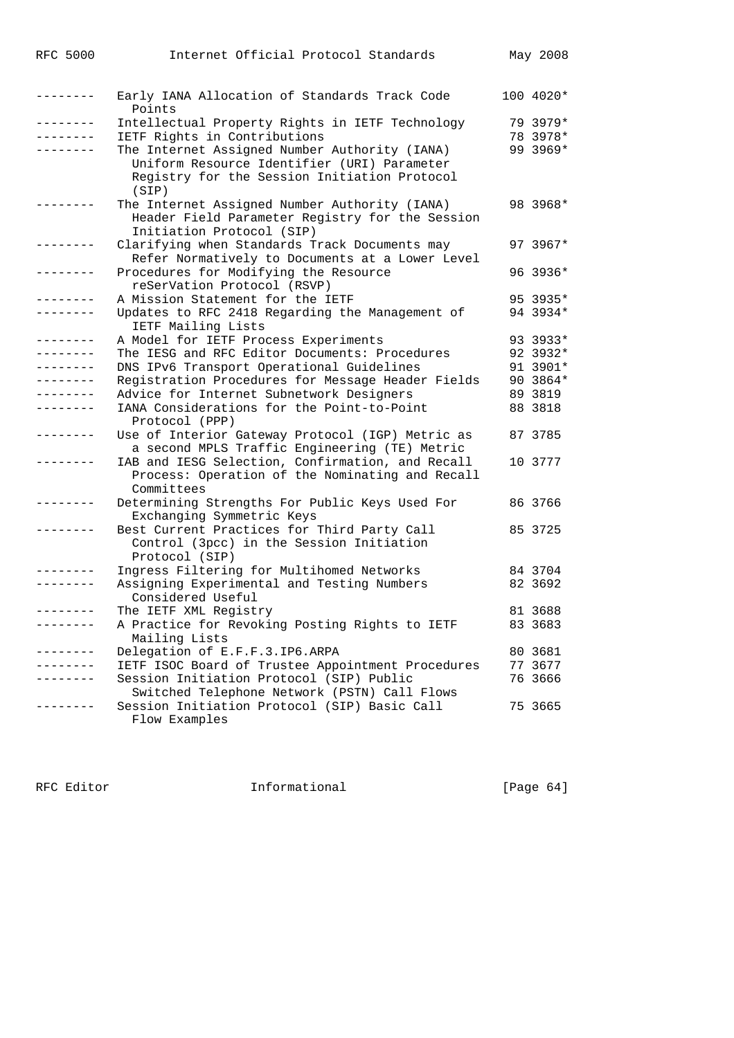| <b>RFC 5000</b>   | Internet Official Protocol Standards                                                                                                                  | May 2008  |
|-------------------|-------------------------------------------------------------------------------------------------------------------------------------------------------|-----------|
| $- - - - - - - -$ | Early IANA Allocation of Standards Track Code<br>Points                                                                                               | 100 4020* |
| . _ _ _ _ _ _ _   | Intellectual Property Rights in IETF Technology                                                                                                       | 79 3979*  |
|                   | IETF Rights in Contributions                                                                                                                          | 78 3978*  |
|                   | The Internet Assigned Number Authority (IANA)<br>Uniform Resource Identifier (URI) Parameter<br>Registry for the Session Initiation Protocol<br>(SIP) | 99 3969*  |
|                   | The Internet Assigned Number Authority (IANA)<br>Header Field Parameter Registry for the Session<br>Initiation Protocol (SIP)                         | 98 3968*  |
| . _ _ _ _ _ _ _   | Clarifying when Standards Track Documents may<br>Refer Normatively to Documents at a Lower Level                                                      | 97 3967*  |
|                   | Procedures for Modifying the Resource<br>reSerVation Protocol (RSVP)                                                                                  | 96 3936*  |
| . _ _ _ _ _ _ _   | A Mission Statement for the IETF                                                                                                                      | 95 3935*  |
| --------          | Updates to RFC 2418 Regarding the Management of<br>IETF Mailing Lists                                                                                 | 94 3934*  |
| .                 | A Model for IETF Process Experiments                                                                                                                  | 93 3933*  |
| --------          | The IESG and RFC Editor Documents: Procedures                                                                                                         | 92 3932*  |
| --------          | DNS IPv6 Transport Operational Guidelines                                                                                                             | 91 3901*  |
| --------          | Registration Procedures for Message Header Fields                                                                                                     | 90 3864*  |
| --------          | Advice for Internet Subnetwork Designers                                                                                                              | 89 3819   |
| --------          | IANA Considerations for the Point-to-Point<br>Protocol (PPP)                                                                                          | 88 3818   |
| . _ _ _ _ _ _ _   | Use of Interior Gateway Protocol (IGP) Metric as<br>a second MPLS Traffic Engineering (TE) Metric                                                     | 87 3785   |
|                   | IAB and IESG Selection, Confirmation, and Recall<br>Process: Operation of the Nominating and Recall<br>Committees                                     | 10 3777   |
| -------           | Determining Strengths For Public Keys Used For<br>Exchanging Symmetric Keys                                                                           | 86 3766   |
|                   | Best Current Practices for Third Party Call<br>Control (3pcc) in the Session Initiation<br>Protocol (SIP)                                             | 85 3725   |
| -------           | Ingress Filtering for Multihomed Networks                                                                                                             | 84 3704   |
| --------          | Assigning Experimental and Testing Numbers<br>Considered Useful                                                                                       | 82 3692   |
|                   | The IETF XML Registry                                                                                                                                 | 81 3688   |
|                   | A Practice for Revoking Posting Rights to IETF<br>Mailing Lists                                                                                       | 83 3683   |
| .                 | Delegation of E.F.F.3.IP6.ARPA                                                                                                                        | 80 3681   |
|                   | IETF ISOC Board of Trustee Appointment Procedures                                                                                                     | 77 3677   |
|                   | Session Initiation Protocol (SIP) Public<br>Switched Telephone Network (PSTN) Call Flows                                                              | 76 3666   |
|                   | Session Initiation Protocol (SIP) Basic Call<br>Flow Examples                                                                                         | 75 3665   |

RFC Editor **Informational Informational** [Page 64]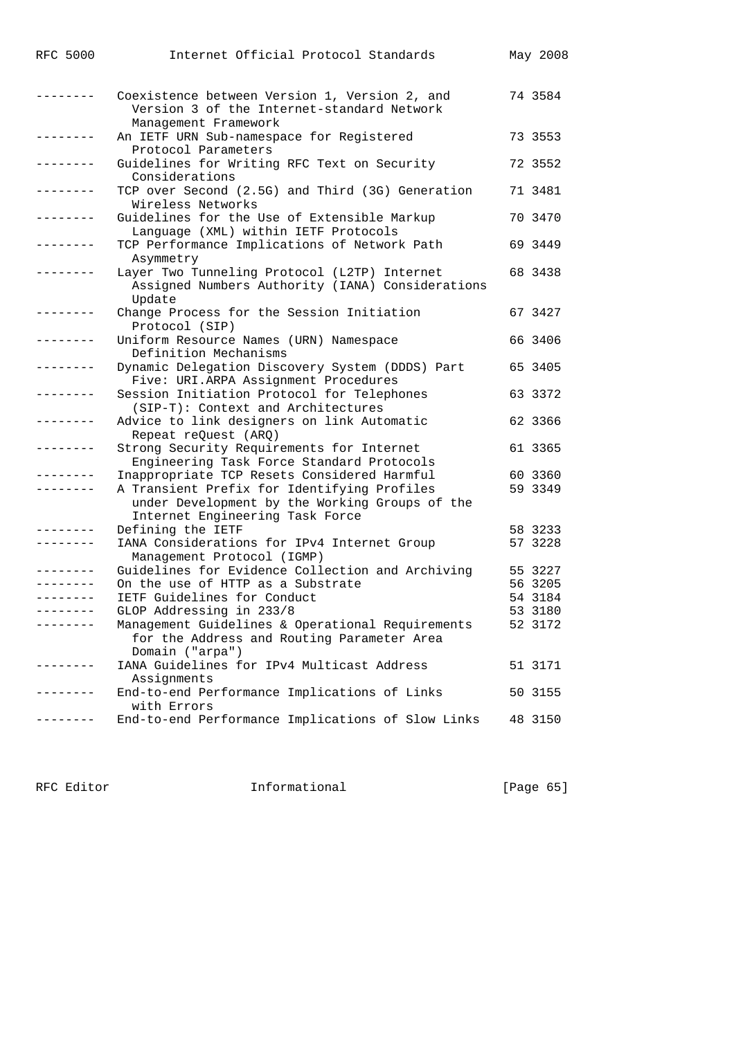| RFC 5000        | Internet Official Protocol Standards                                                                                                                                            | May 2008           |
|-----------------|---------------------------------------------------------------------------------------------------------------------------------------------------------------------------------|--------------------|
| -------         | Coexistence between Version 1, Version 2, and<br>Version 3 of the Internet-standard Network                                                                                     | 74 3584            |
| -------         | Management Framework<br>An IETF URN Sub-namespace for Registered<br>Protocol Parameters                                                                                         | 73 3553            |
| $- - - - - - -$ | Guidelines for Writing RFC Text on Security<br>Considerations                                                                                                                   | 72 3552            |
| - - - - - - - - | TCP over Second (2.5G) and Third (3G) Generation<br>Wireless Networks                                                                                                           | 71 3481            |
| $- - - - - -$   | Guidelines for the Use of Extensible Markup<br>Language (XML) within IETF Protocols                                                                                             | 70 3470            |
|                 | TCP Performance Implications of Network Path<br>Asymmetry                                                                                                                       | 69 3449            |
| $- - - - - - -$ | Layer Two Tunneling Protocol (L2TP) Internet<br>Assigned Numbers Authority (IANA) Considerations<br>Update                                                                      | 68 3438            |
| -------         | Change Process for the Session Initiation<br>Protocol (SIP)                                                                                                                     | 67 3427            |
| -------         | Uniform Resource Names (URN) Namespace<br>Definition Mechanisms                                                                                                                 | 66 3406            |
| -------         | Dynamic Delegation Discovery System (DDDS) Part<br>Five: URI.ARPA Assignment Procedures                                                                                         | 65 3405            |
|                 | Session Initiation Protocol for Telephones<br>(SIP-T): Context and Architectures                                                                                                | 63 3372            |
| -------         | Advice to link designers on link Automatic<br>Repeat reQuest (ARQ)                                                                                                              | 62 3366            |
| -------         | Strong Security Requirements for Internet<br>Engineering Task Force Standard Protocols                                                                                          | 61 3365            |
|                 | Inappropriate TCP Resets Considered Harmful<br>A Transient Prefix for Identifying Profiles<br>under Development by the Working Groups of the<br>Internet Engineering Task Force | 60 3360<br>59 3349 |
|                 | Defining the IETF                                                                                                                                                               | 58 3233            |
| --------        | IANA Considerations for IPv4 Internet Group<br>Management Protocol (IGMP)                                                                                                       | 57 3228            |
|                 | Guidelines for Evidence Collection and Archiving                                                                                                                                | 55 3227            |
|                 | On the use of HTTP as a Substrate                                                                                                                                               | 56 3205            |
| --------        | IETF Guidelines for Conduct                                                                                                                                                     | 54 3184            |
|                 | GLOP Addressing in 233/8                                                                                                                                                        | 53 3180            |
|                 | Management Guidelines & Operational Requirements<br>for the Address and Routing Parameter Area<br>Domain ("arpa")                                                               | 52 3172            |
| ------          | IANA Guidelines for IPv4 Multicast Address<br>Assignments                                                                                                                       | 51 3171            |
|                 | End-to-end Performance Implications of Links<br>with Errors                                                                                                                     | 50 3155            |
|                 | End-to-end Performance Implications of Slow Links                                                                                                                               | 48 3150            |

RFC Editor **Informational Informational** [Page 65]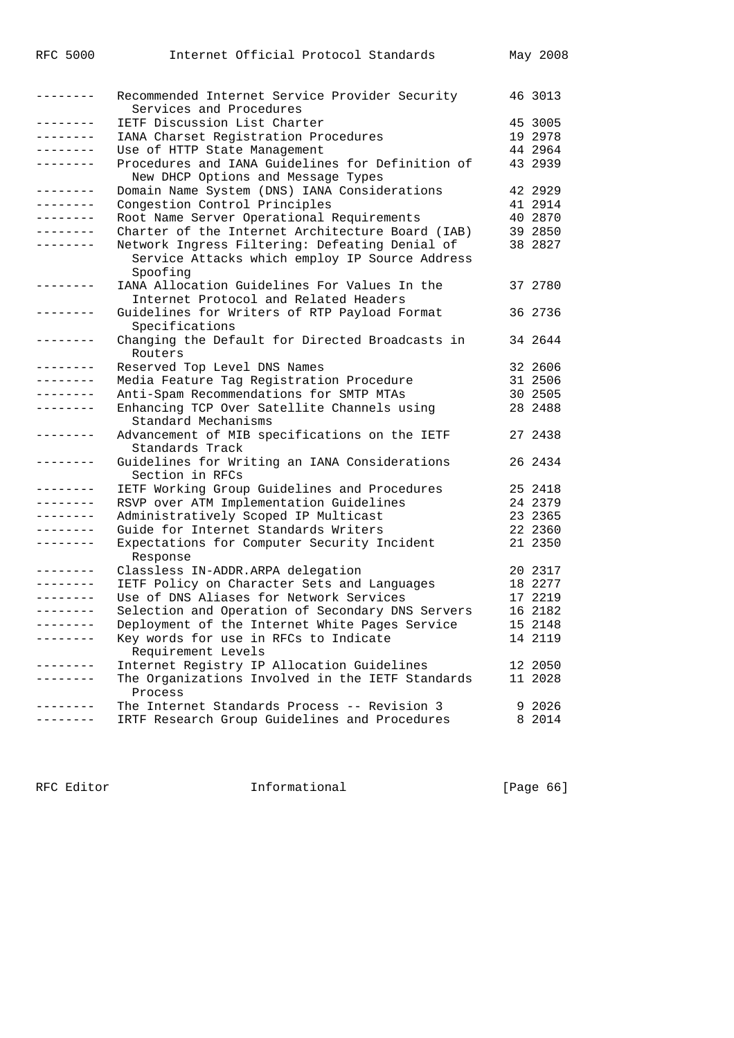| <b>RFC 5000</b>   | Internet Official Protocol Standards                                                                         | May 2008 |
|-------------------|--------------------------------------------------------------------------------------------------------------|----------|
| --------          | Recommended Internet Service Provider Security<br>Services and Procedures                                    | 46 3013  |
| --------          | IETF Discussion List Charter                                                                                 | 45 3005  |
| . <u>.</u> .      | IANA Charset Registration Procedures                                                                         | 19 2978  |
| .                 | Use of HTTP State Management                                                                                 | 44 2964  |
| .                 | Procedures and IANA Guidelines for Definition of<br>New DHCP Options and Message Types                       | 43 2939  |
| .                 | Domain Name System (DNS) IANA Considerations                                                                 | 42 2929  |
| --------          | Congestion Control Principles                                                                                | 41 2914  |
| --------          | Root Name Server Operational Requirements                                                                    | 40 2870  |
| . <u>.</u> .      | Charter of the Internet Architecture Board (IAB)                                                             | 39 2850  |
| .                 | Network Ingress Filtering: Defeating Denial of<br>Service Attacks which employ IP Source Address<br>Spoofing | 38 2827  |
| $- - - - - - - -$ | IANA Allocation Guidelines For Values In the<br>Internet Protocol and Related Headers                        | 37 2780  |
| . <i>.</i> .      | Guidelines for Writers of RTP Payload Format<br>Specifications                                               | 36 2736  |
| -------           | Changing the Default for Directed Broadcasts in<br>Routers                                                   | 34 2644  |
| --------          | Reserved Top Level DNS Names                                                                                 | 32 2606  |
| --------          | Media Feature Tag Registration Procedure                                                                     | 31 2506  |
| --------          | Anti-Spam Recommendations for SMTP MTAs                                                                      | 30 2505  |
| --------          | Enhancing TCP Over Satellite Channels using<br>Standard Mechanisms                                           | 28 2488  |
| --------          | Advancement of MIB specifications on the IETF<br>Standards Track                                             | 27 2438  |
| --------          | Guidelines for Writing an IANA Considerations<br>Section in RFCs                                             | 26 2434  |
| --------          | IETF Working Group Guidelines and Procedures                                                                 | 25 2418  |
| --------          | RSVP over ATM Implementation Guidelines                                                                      | 24 2379  |
| --------          | Administratively Scoped IP Multicast                                                                         | 23 2365  |
| - - - - - - - -   | Guide for Internet Standards Writers                                                                         | 22 2360  |
| - - - - - - - -   | Expectations for Computer Security Incident<br>Response                                                      | 21 2350  |
| -------           | Classless IN-ADDR.ARPA delegation                                                                            | 20 2317  |
| --------          | IETF Policy on Character Sets and Languages                                                                  | 18 2277  |
| --------          | Use of DNS Aliases for Network Services                                                                      | 17 2219  |
| $- - - - - - - -$ | Selection and Operation of Secondary DNS Servers                                                             | 16 2182  |
| -------           | Deployment of the Internet White Pages Service                                                               | 15 2148  |
| -------           | Key words for use in RFCs to Indicate<br>Requirement Levels                                                  | 14 2119  |
| .                 | Internet Registry IP Allocation Guidelines                                                                   | 12 2050  |
| $- - - - - - -$   | The Organizations Involved in the IETF Standards<br>Process                                                  | 11 2028  |
|                   | The Internet Standards Process -- Revision 3                                                                 | 9 2026   |
|                   | IRTF Research Group Guidelines and Procedures                                                                | 8 2014   |

RFC Editor **Informational** 111 Page 66]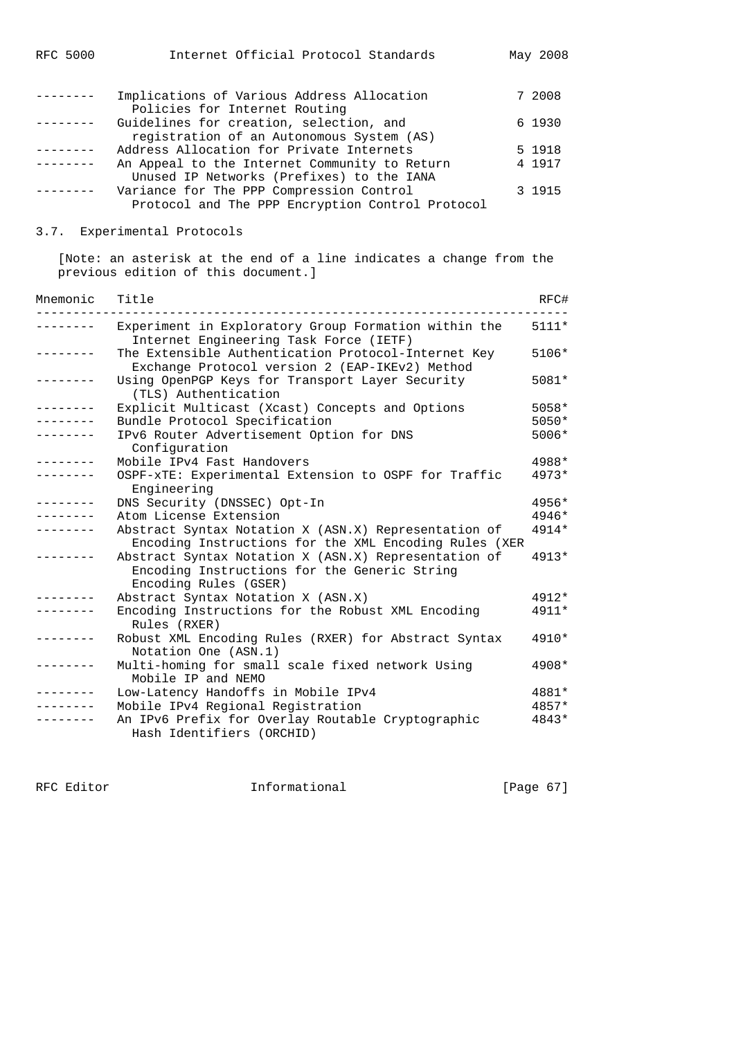| <b>RFC 5000</b> | Internet Official Protocol Standards                                                         | May 2008 |
|-----------------|----------------------------------------------------------------------------------------------|----------|
|                 | Implications of Various Address Allocation                                                   | 7 2008   |
|                 | Policies for Internet Routing                                                                |          |
|                 | Guidelines for creation, selection, and                                                      | 6 1930   |
|                 | registration of an Autonomous System (AS)                                                    |          |
|                 | Address Allocation for Private Internets                                                     | 5 1918   |
|                 | An Appeal to the Internet Community to Return                                                | 4 1917   |
|                 | Unused IP Networks (Prefixes) to the IANA                                                    |          |
|                 | Variance for The PPP Compression Control<br>Protocol and The PPP Encryption Control Protocol | 3 1915   |
|                 |                                                                                              |          |

## 3.7. Experimental Protocols

 [Note: an asterisk at the end of a line indicates a change from the previous edition of this document.]

| Mnemonic        | Title                                                                                                                         | RFC#    |
|-----------------|-------------------------------------------------------------------------------------------------------------------------------|---------|
|                 | Experiment in Exploratory Group Formation within the<br>Internet Engineering Task Force (IETF)                                | $5111*$ |
|                 | The Extensible Authentication Protocol-Internet Key<br>Exchange Protocol version 2 (EAP-IKEv2) Method                         | 5106*   |
|                 | Using OpenPGP Keys for Transport Layer Security<br>(TLS) Authentication                                                       | 5081*   |
| . _ _ _ _ _ _ _ | Explicit Multicast (Xcast) Concepts and Options                                                                               | $5058*$ |
|                 | Bundle Protocol Specification                                                                                                 | 5050*   |
|                 | IPv6 Router Advertisement Option for DNS<br>Configuration                                                                     | 5006*   |
| ---------       | Mobile IPv4 Fast Handovers                                                                                                    | 4988*   |
| --------        | OSPF-xTE: Experimental Extension to OSPF for Traffic<br>Engineering                                                           | $4973*$ |
| . _ _ _ _ _ _ _ | DNS Security (DNSSEC) Opt-In                                                                                                  | 4956*   |
|                 | Atom License Extension                                                                                                        | 4946*   |
|                 | Abstract Syntax Notation X (ASN.X) Representation of<br>Encoding Instructions for the XML Encoding Rules (XER                 | 4914*   |
|                 | Abstract Syntax Notation X (ASN.X) Representation of<br>Encoding Instructions for the Generic String<br>Encoding Rules (GSER) | $4913*$ |
|                 | Abstract Syntax Notation X (ASN.X)                                                                                            | 4912*   |
|                 | Encoding Instructions for the Robust XML Encoding<br>Rules (RXER)                                                             | 4911*   |
| . <u>.</u> .    | Robust XML Encoding Rules (RXER) for Abstract Syntax<br>Notation One (ASN.1)                                                  | 4910*   |
| --------        | Multi-homing for small scale fixed network Using<br>Mobile IP and NEMO                                                        | 4908*   |
|                 | Low-Latency Handoffs in Mobile IPv4                                                                                           | 4881*   |
|                 | Mobile IPv4 Regional Registration                                                                                             | 4857*   |
|                 | An IPv6 Prefix for Overlay Routable Cryptographic<br>Hash Identifiers (ORCHID)                                                | 4843*   |

RFC Editor **Informational** [Page 67]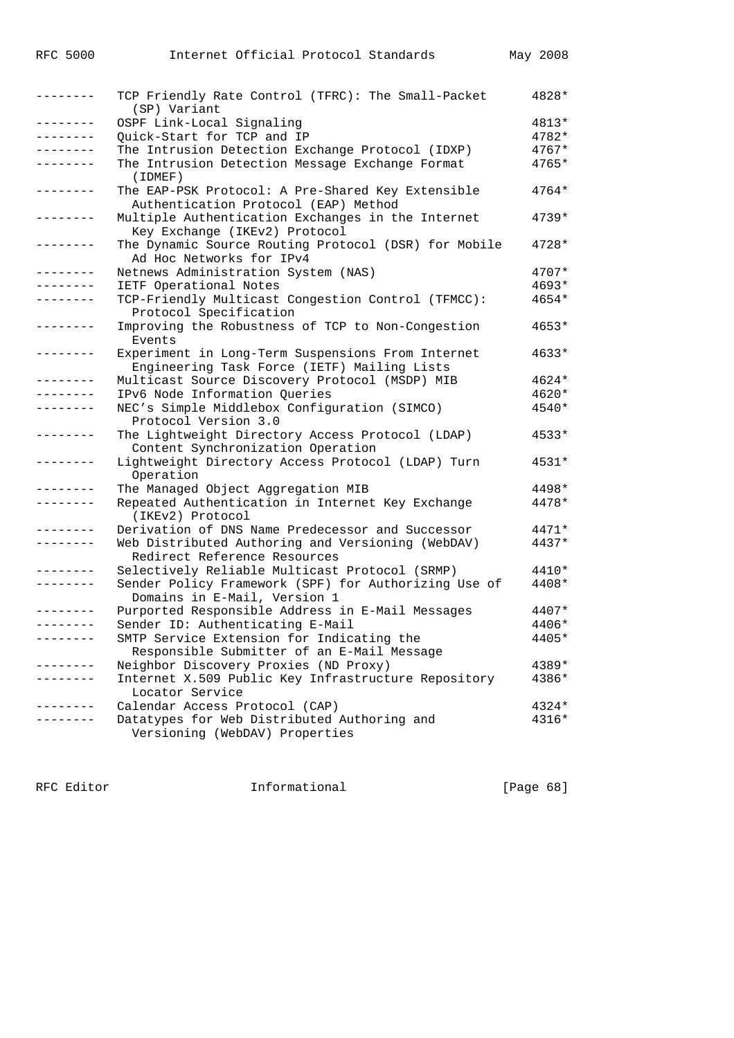| ---------       | TCP Friendly Rate Control (TFRC): The Small-Packet<br>(SP) Variant                               | 4828*   |
|-----------------|--------------------------------------------------------------------------------------------------|---------|
|                 | OSPF Link-Local Signaling                                                                        | 4813*   |
| --------        | Quick-Start for TCP and IP                                                                       | 4782*   |
|                 | The Intrusion Detection Exchange Protocol (IDXP)                                                 | 4767*   |
|                 | The Intrusion Detection Message Exchange Format<br>(IDMET)                                       | $4765*$ |
| --------        | The EAP-PSK Protocol: A Pre-Shared Key Extensible<br>Authentication Protocol (EAP) Method        | $4764*$ |
|                 | Multiple Authentication Exchanges in the Internet<br>Key Exchange (IKEv2) Protocol               | $4739*$ |
| --------        | The Dynamic Source Routing Protocol (DSR) for Mobile<br>Ad Hoc Networks for IPv4                 | $4728*$ |
| --------        | Netnews Administration System (NAS)                                                              | 4707*   |
|                 | IETF Operational Notes                                                                           | 4693*   |
|                 | TCP-Friendly Multicast Congestion Control (TFMCC):<br>Protocol Specification                     | 4654*   |
|                 | Improving the Robustness of TCP to Non-Congestion<br>Events                                      | 4653*   |
| --------        | Experiment in Long-Term Suspensions From Internet<br>Engineering Task Force (IETF) Mailing Lists | $4633*$ |
|                 | Multicast Source Discovery Protocol (MSDP) MIB                                                   | 4624*   |
| . - - - - - - - | IPv6 Node Information Queries                                                                    | $4620*$ |
| --------        | NEC's Simple Middlebox Configuration (SIMCO)<br>Protocol Version 3.0                             | 4540*   |
| --------        | The Lightweight Directory Access Protocol (LDAP)<br>Content Synchronization Operation            | $4533*$ |
|                 | Lightweight Directory Access Protocol (LDAP) Turn<br>Operation                                   | 4531*   |
|                 | The Managed Object Aggregation MIB                                                               | $4498*$ |
| -------         | Repeated Authentication in Internet Key Exchange                                                 | 4478*   |
|                 | (IKEv2) Protocol                                                                                 |         |
|                 | Derivation of DNS Name Predecessor and Successor                                                 | 4471*   |
| --------        | Web Distributed Authoring and Versioning (WebDAV)<br>Redirect Reference Resources                | 4437*   |
|                 | Selectively Reliable Multicast Protocol (SRMP)                                                   | $4410*$ |
| --------        | Sender Policy Framework (SPF) for Authorizing Use of<br>Domains in E-Mail, Version 1             | 4408*   |
|                 | Purported Responsible Address in E-Mail Messages                                                 | 4407*   |
| --------        | Sender ID: Authenticating E-Mail                                                                 | 4406*   |
|                 | SMTP Service Extension for Indicating the                                                        | 4405*   |
|                 | Responsible Submitter of an E-Mail Message                                                       |         |
|                 | Neighbor Discovery Proxies (ND Proxy)                                                            | 4389*   |
|                 | Internet X.509 Public Key Infrastructure Repository                                              | 4386*   |
|                 | Locator Service                                                                                  |         |
|                 | Calendar Access Protocol (CAP)                                                                   | 4324*   |
|                 | Datatypes for Web Distributed Authoring and                                                      | $4316*$ |
|                 | Versioning (WebDAV) Properties                                                                   |         |

RFC Editor **Informational Informational** [Page 68]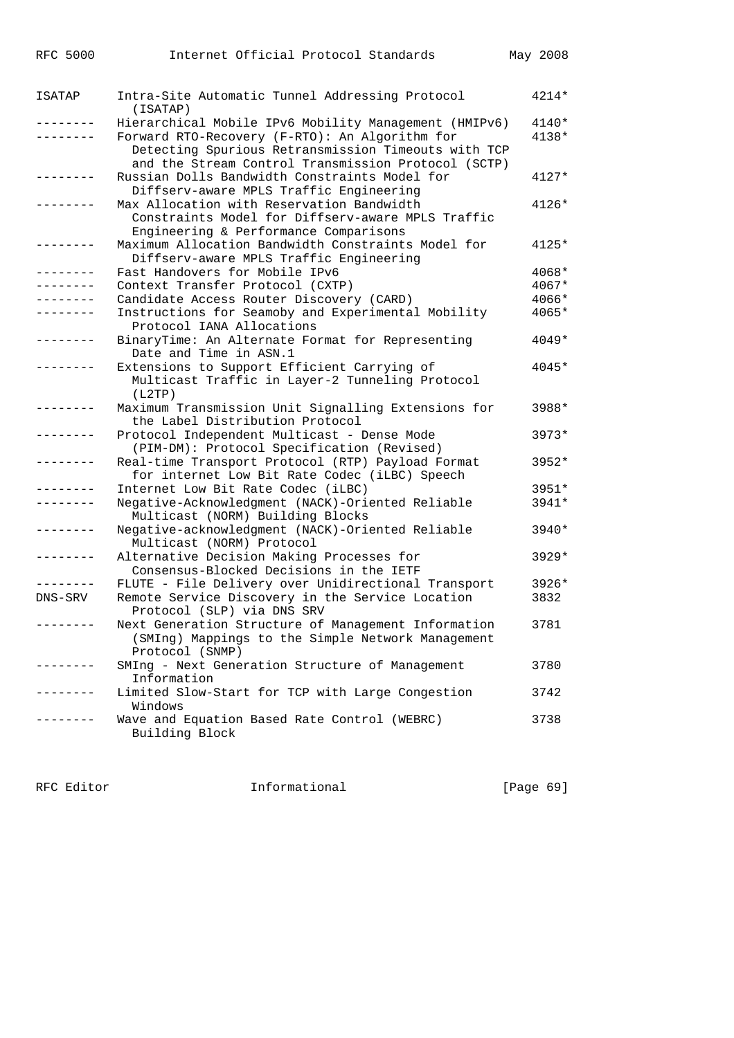| <b>RFC 5000</b> | Internet Official Protocol Standards                                                                                                                         | May 2008 |
|-----------------|--------------------------------------------------------------------------------------------------------------------------------------------------------------|----------|
|                 |                                                                                                                                                              |          |
| ISATAP          | Intra-Site Automatic Tunnel Addressing Protocol<br>(ISATAP)                                                                                                  | 4214*    |
|                 | Hierarchical Mobile IPv6 Mobility Management (HMIPv6)                                                                                                        | 4140*    |
|                 | Forward RTO-Recovery (F-RTO): An Algorithm for<br>Detecting Spurious Retransmission Timeouts with TCP<br>and the Stream Control Transmission Protocol (SCTP) | $4138*$  |
|                 | Russian Dolls Bandwidth Constraints Model for<br>Diffserv-aware MPLS Traffic Engineering                                                                     | $4127*$  |
|                 | Max Allocation with Reservation Bandwidth<br>Constraints Model for Diffserv-aware MPLS Traffic<br>Engineering & Performance Comparisons                      | 4126*    |
|                 | Maximum Allocation Bandwidth Constraints Model for<br>Diffserv-aware MPLS Traffic Engineering                                                                | 4125*    |
|                 | Fast Handovers for Mobile IPv6                                                                                                                               | 4068*    |
| --------        | Context Transfer Protocol (CXTP)                                                                                                                             | 4067*    |
|                 | Candidate Access Router Discovery (CARD)                                                                                                                     | 4066*    |
|                 | Instructions for Seamoby and Experimental Mobility<br>Protocol IANA Allocations                                                                              | $4065*$  |
|                 | BinaryTime: An Alternate Format for Representing<br>Date and Time in ASN.1                                                                                   | 4049*    |
|                 | Extensions to Support Efficient Carrying of<br>Multicast Traffic in Layer-2 Tunneling Protocol<br>(L2TP)                                                     | 4045*    |
|                 | Maximum Transmission Unit Signalling Extensions for<br>the Label Distribution Protocol                                                                       | 3988*    |
|                 | Protocol Independent Multicast - Dense Mode<br>(PIM-DM): Protocol Specification (Revised)                                                                    | 3973*    |
|                 | Real-time Transport Protocol (RTP) Payload Format<br>for internet Low Bit Rate Codec (iLBC) Speech                                                           | 3952*    |
|                 | Internet Low Bit Rate Codec (iLBC)                                                                                                                           | 3951*    |
|                 | Negative-Acknowledgment (NACK)-Oriented Reliable<br>Multicast (NORM) Building Blocks                                                                         | 3941*    |
|                 | Negative-acknowledgment (NACK)-Oriented Reliable<br>Multicast (NORM) Protocol                                                                                | 3940*    |
|                 | Alternative Decision Making Processes for<br>Consensus-Blocked Decisions in the IETF                                                                         | 3929*    |
|                 | FLUTE - File Delivery over Unidirectional Transport                                                                                                          | 3926*    |
| DNS-SRV         | Remote Service Discovery in the Service Location<br>Protocol (SLP) via DNS SRV                                                                               | 3832     |
| --------        | Next Generation Structure of Management Information<br>(SMIng) Mappings to the Simple Network Management<br>Protocol (SNMP)                                  | 3781     |
|                 | SMIng - Next Generation Structure of Management<br>Information                                                                                               | 3780     |
| --------        | Limited Slow-Start for TCP with Large Congestion<br>Windows                                                                                                  | 3742     |
| $- - - - - - -$ | Wave and Equation Based Rate Control (WEBRC)<br>Building Block                                                                                               | 3738     |

RFC Editor **Informational** Page 69]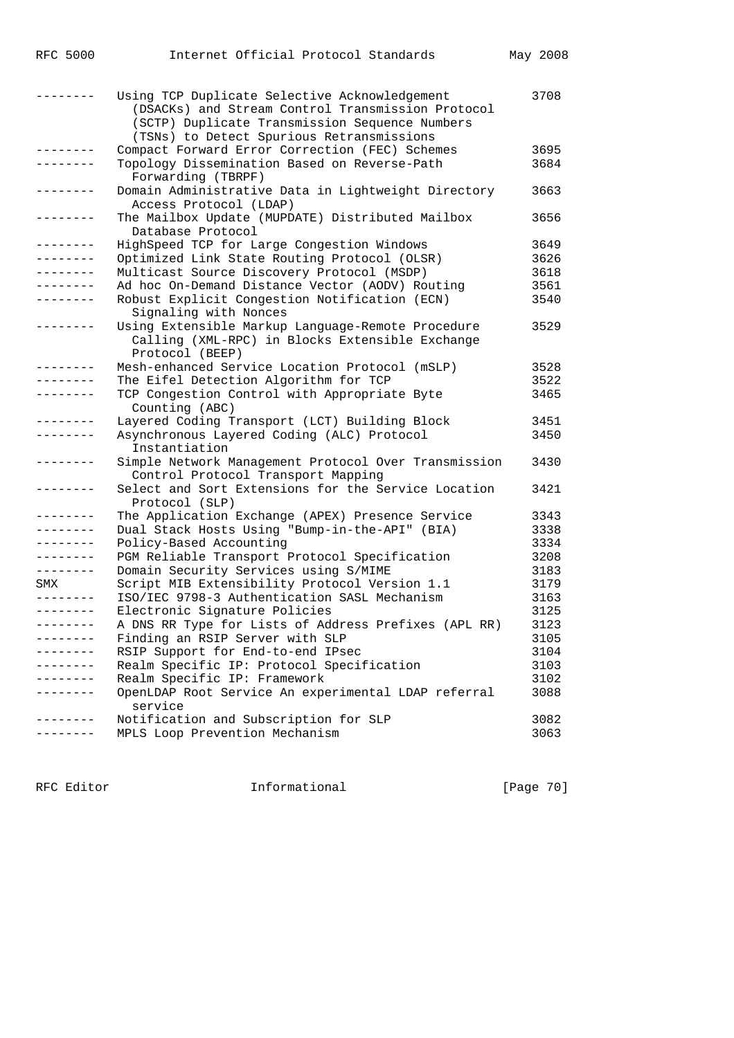|           | Using TCP Duplicate Selective Acknowledgement<br>(DSACKs) and Stream Control Transmission Protocol<br>(SCTP) Duplicate Transmission Sequence Numbers<br>(TSNs) to Detect Spurious Retransmissions | 3708 |
|-----------|---------------------------------------------------------------------------------------------------------------------------------------------------------------------------------------------------|------|
| --------  | Compact Forward Error Correction (FEC) Schemes                                                                                                                                                    | 3695 |
| --------  | Topology Dissemination Based on Reverse-Path                                                                                                                                                      | 3684 |
|           | Forwarding (TBRPF)                                                                                                                                                                                |      |
| --------  | Domain Administrative Data in Lightweight Directory<br>Access Protocol (LDAP)                                                                                                                     | 3663 |
| --------  | The Mailbox Update (MUPDATE) Distributed Mailbox<br>Database Protocol                                                                                                                             | 3656 |
| --------- | HighSpeed TCP for Large Congestion Windows                                                                                                                                                        | 3649 |
| --------  | Optimized Link State Routing Protocol (OLSR)                                                                                                                                                      | 3626 |
| --------  | Multicast Source Discovery Protocol (MSDP)                                                                                                                                                        | 3618 |
|           | Ad hoc On-Demand Distance Vector (AODV) Routing                                                                                                                                                   | 3561 |
|           | Robust Explicit Congestion Notification (ECN)<br>Signaling with Nonces                                                                                                                            | 3540 |
|           | Using Extensible Markup Language-Remote Procedure<br>Calling (XML-RPC) in Blocks Extensible Exchange<br>Protocol (BEEP)                                                                           | 3529 |
|           | Mesh-enhanced Service Location Protocol (mSLP)                                                                                                                                                    | 3528 |
| --------  | The Eifel Detection Algorithm for TCP                                                                                                                                                             | 3522 |
| --------  | TCP Congestion Control with Appropriate Byte<br>Counting (ABC)                                                                                                                                    | 3465 |
| --------  | Layered Coding Transport (LCT) Building Block                                                                                                                                                     | 3451 |
| --------  | Asynchronous Layered Coding (ALC) Protocol<br>Instantiation                                                                                                                                       | 3450 |
| --------  | Simple Network Management Protocol Over Transmission<br>Control Protocol Transport Mapping                                                                                                        | 3430 |
| --------  | Select and Sort Extensions for the Service Location<br>Protocol (SLP)                                                                                                                             | 3421 |
| --------- | The Application Exchange (APEX) Presence Service                                                                                                                                                  | 3343 |
| --------  | Dual Stack Hosts Using "Bump-in-the-API" (BIA)                                                                                                                                                    | 3338 |
| --------  | Policy-Based Accounting                                                                                                                                                                           | 3334 |
| --------  | PGM Reliable Transport Protocol Specification                                                                                                                                                     | 3208 |
| --------  | Domain Security Services using S/MIME                                                                                                                                                             | 3183 |
| SMX       | Script MIB Extensibility Protocol Version 1.1                                                                                                                                                     | 3179 |
| --------  | ISO/IEC 9798-3 Authentication SASL Mechanism                                                                                                                                                      | 3163 |
| --------  | Electronic Signature Policies                                                                                                                                                                     | 3125 |
|           | A DNS RR Type for Lists of Address Prefixes (APL RR)                                                                                                                                              | 3123 |
| --------  | Finding an RSIP Server with SLP                                                                                                                                                                   | 3105 |
|           | RSIP Support for End-to-end IPsec                                                                                                                                                                 | 3104 |
|           | Realm Specific IP: Protocol Specification                                                                                                                                                         | 3103 |
|           | Realm Specific IP: Framework                                                                                                                                                                      | 3102 |
|           | OpenLDAP Root Service An experimental LDAP referral<br>service                                                                                                                                    | 3088 |
| --------  | Notification and Subscription for SLP                                                                                                                                                             | 3082 |
|           | MPLS Loop Prevention Mechanism                                                                                                                                                                    | 3063 |

RFC 5000 Internet Official Protocol Standards May 2008

RFC Editor **Informational** Page 70]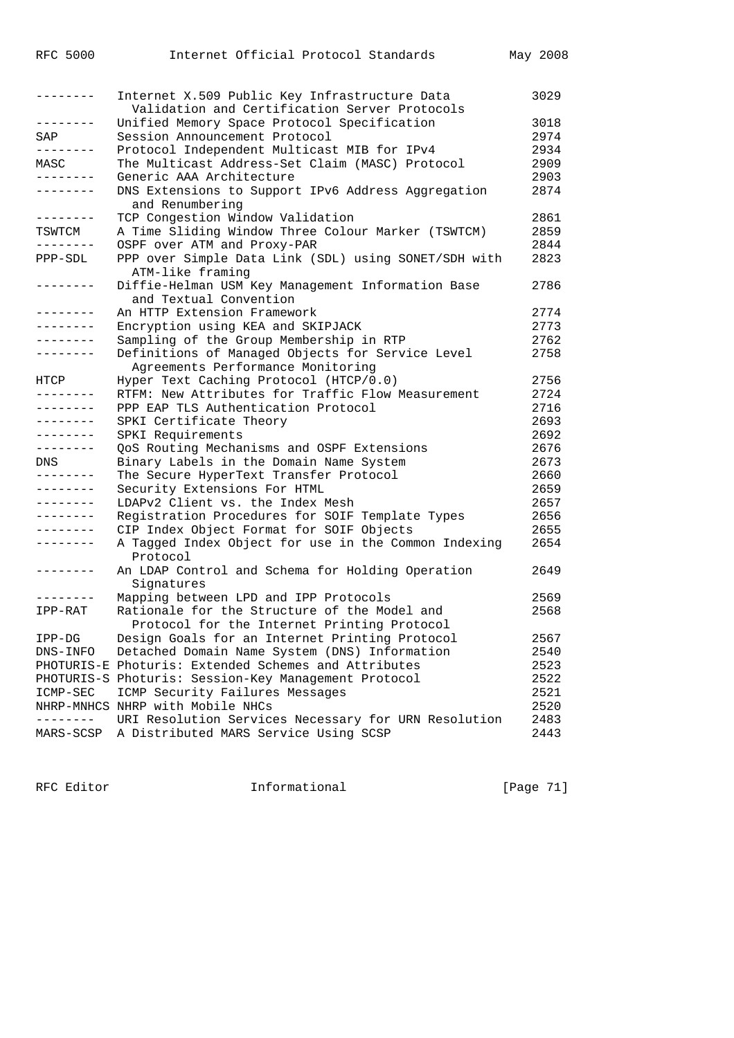| --------            | Internet X.509 Public Key Infrastructure Data        | 3029 |
|---------------------|------------------------------------------------------|------|
|                     | Validation and Certification Server Protocols        |      |
| . <u>.</u> .        | Unified Memory Space Protocol Specification          | 3018 |
| SAP                 | Session Announcement Protocol                        | 2974 |
|                     | Protocol Independent Multicast MIB for IPv4          | 2934 |
| MASC                | The Multicast Address-Set Claim (MASC) Protocol      | 2909 |
| --------            | Generic AAA Architecture                             | 2903 |
| --------            | DNS Extensions to Support IPv6 Address Aggregation   | 2874 |
|                     | and Renumbering                                      |      |
| --------            | TCP Congestion Window Validation                     | 2861 |
| TSWTCM              | A Time Sliding Window Three Colour Marker (TSWTCM)   | 2859 |
| .                   | OSPF over ATM and Proxy-PAR                          | 2844 |
| PPP-SDL             | PPP over Simple Data Link (SDL) using SONET/SDH with | 2823 |
|                     | ATM-like framing                                     |      |
| .                   | Diffie-Helman USM Key Management Information Base    | 2786 |
|                     | and Textual Convention                               |      |
| --------            | An HTTP Extension Framework                          | 2774 |
| .                   | Encryption using KEA and SKIPJACK                    | 2773 |
| --------            | Sampling of the Group Membership in RTP              | 2762 |
| --------            | Definitions of Managed Objects for Service Level     | 2758 |
|                     | Agreements Performance Monitoring                    |      |
| HTCP                | Hyper Text Caching Protocol (HTCP/0.0)               | 2756 |
| - - - - - - - -     | RTFM: New Attributes for Traffic Flow Measurement    | 2724 |
| --------            | PPP EAP TLS Authentication Protocol                  | 2716 |
| --------            | SPKI Certificate Theory                              | 2693 |
| $- - - - - - - -$   | SPKI Requirements                                    | 2692 |
| --------            |                                                      | 2676 |
|                     | QoS Routing Mechanisms and OSPF Extensions           | 2673 |
| DNS<br>.            | Binary Labels in the Domain Name System              |      |
|                     | The Secure HyperText Transfer Protocol               | 2660 |
| .                   | Security Extensions For HTML                         | 2659 |
| $- - - - - - - -$   | LDAPv2 Client vs. the Index Mesh                     | 2657 |
| $- - - - - - - -$   | Registration Procedures for SOIF Template Types      | 2656 |
| . <u>.</u>          | CIP Index Object Format for SOIF Objects             | 2655 |
| --------            | A Tagged Index Object for use in the Common Indexing | 2654 |
|                     | Protocol                                             |      |
| --------            | An LDAP Control and Schema for Holding Operation     | 2649 |
|                     | Signatures                                           |      |
| --------            | Mapping between LPD and IPP Protocols                | 2569 |
| IPP-RAT             | Rationale for the Structure of the Model and         | 2568 |
|                     | Protocol for the Internet Printing Protocol          |      |
| $IPP-DG$            | Design Goals for an Internet Printing Protocol       | 2567 |
| DNS-INFO            | Detached Domain Name System (DNS) Information        | 2540 |
|                     | PHOTURIS-E Photuris: Extended Schemes and Attributes | 2523 |
|                     | PHOTURIS-S Photuris: Session-Key Management Protocol | 2522 |
| $\texttt{ICMP-SEC}$ | ICMP Security Failures Messages                      | 2521 |
|                     | NHRP-MNHCS NHRP with Mobile NHCs                     | 2520 |
| $- - - -$           | URI Resolution Services Necessary for URN Resolution | 2483 |
| MARS-SCSP           | A Distributed MARS Service Using SCSP                | 2443 |

RFC Editor **Informational** Page 71]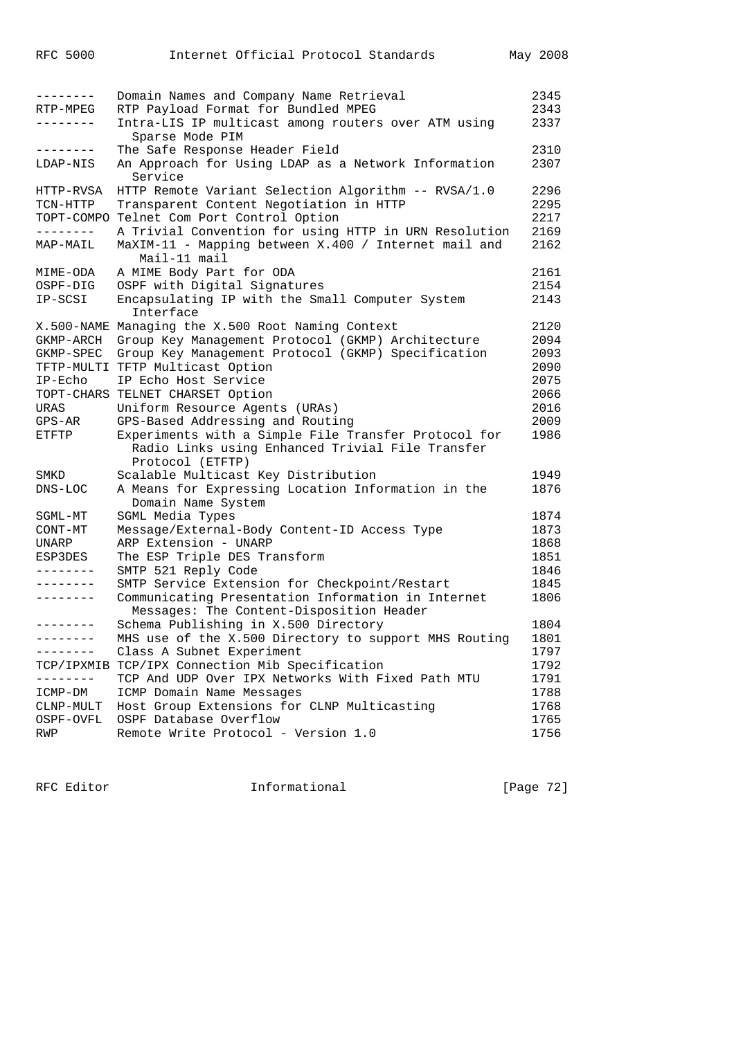| --------<br>RTP-MPEG | Domain Names and Company Name Retrieval<br>RTP Payload Format for Bundled MPEG                 | 2345<br>2343 |
|----------------------|------------------------------------------------------------------------------------------------|--------------|
| ________             | Intra-LIS IP multicast among routers over ATM using<br>Sparse Mode PIM                         | 2337         |
| --------             | The Safe Response Header Field                                                                 | 2310         |
| LDAP-NIS             | An Approach for Using LDAP as a Network Information<br>Service                                 | 2307         |
| HTTP-RVSA            | HTTP Remote Variant Selection Algorithm -- RVSA/1.0                                            | 2296         |
| TCN-HTTP             | Transparent Content Negotiation in HTTP                                                        | 2295         |
|                      | TOPT-COMPO Telnet Com Port Control Option                                                      | 2217         |
| - - - - - - - -      | A Trivial Convention for using HTTP in URN Resolution                                          | 2169         |
| MAP-MAIL             | MaXIM-11 - Mapping between X.400 / Internet mail and<br>Mail-11 mail                           | 2162         |
| MIME-ODA             | A MIME Body Part for ODA                                                                       | 2161         |
| OSPF-DIG             | OSPF with Digital Signatures                                                                   | 2154         |
| IP-SCSI              | Encapsulating IP with the Small Computer System<br>Interface                                   | 2143         |
|                      | X.500-NAME Managing the X.500 Root Naming Context                                              | 2120         |
| GKMP-ARCH            | Group Key Management Protocol (GKMP) Architecture                                              | 2094         |
| GKMP-SPEC            | Group Key Management Protocol (GKMP) Specification                                             | 2093         |
|                      | TFTP-MULTI TFTP Multicast Option                                                               | 2090         |
| $IP-{\rm Echo}$      | IP Echo Host Service                                                                           | 2075         |
|                      | TOPT-CHARS TELNET CHARSET Option                                                               | 2066         |
| URAS                 | Uniform Resource Agents (URAs)                                                                 | 2016         |
| GPS-AR               | GPS-Based Addressing and Routing                                                               | 2009         |
| ETFTP                | Experiments with a Simple File Transfer Protocol for                                           | 1986         |
|                      | Radio Links using Enhanced Trivial File Transfer                                               |              |
|                      | Protocol (ETFTP)                                                                               |              |
| SMKD                 | Scalable Multicast Key Distribution                                                            | 1949         |
| DNS-LOC              | A Means for Expressing Location Information in the<br>Domain Name System                       | 1876         |
| SGML-MT              | SGML Media Types                                                                               | 1874         |
| CONT-MT              | Message/External-Body Content-ID Access Type                                                   | 1873         |
| UNARP                | ARP Extension - UNARP                                                                          | 1868         |
| ESP3DES              | The ESP Triple DES Transform                                                                   | 1851         |
| --------             | SMTP 521 Reply Code                                                                            | 1846         |
| --------             | SMTP Service Extension for Checkpoint/Restart                                                  | 1845         |
| --------             | Communicating Presentation Information in Internet<br>Messages: The Content-Disposition Header | 1806         |
| --------             | Schema Publishing in X.500 Directory                                                           | 1804         |
|                      | MHS use of the X.500 Directory to support MHS Routing                                          | 1801         |
| --------             | Class A Subnet Experiment                                                                      | 1797         |
|                      | TCP/IPXMIB TCP/IPX Connection Mib Specification                                                | 1792         |
| $- - - - -$          | TCP And UDP Over IPX Networks With Fixed Path MTU                                              | 1791         |
| ICMP-DM              | ICMP Domain Name Messages                                                                      | 1788         |
| CLNP-MULT            | Host Group Extensions for CLNP Multicasting                                                    | 1768         |
| OSPF-OVFL            | OSPF Database Overflow                                                                         | 1765         |
| RWP                  | Remote Write Protocol - Version 1.0                                                            | 1756         |

RFC Editor **Informational** Informational [Page 72]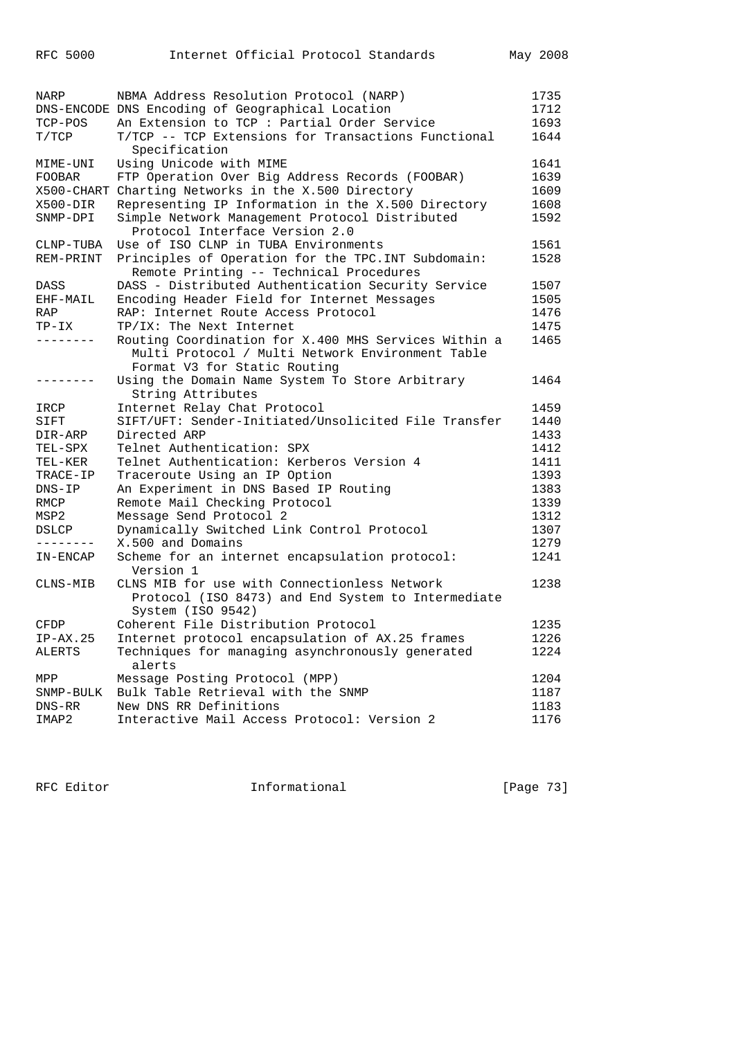| NARP          | NBMA Address Resolution Protocol (NARP)                     | 1735 |
|---------------|-------------------------------------------------------------|------|
|               | DNS-ENCODE DNS Encoding of Geographical Location            | 1712 |
| TCP-POS       | An Extension to TCP : Partial Order Service                 | 1693 |
| T/TCP         | T/TCP -- TCP Extensions for Transactions Functional         | 1644 |
|               | Specification                                               |      |
| MIME-UNI      | Using Unicode with MIME                                     | 1641 |
| <b>FOOBAR</b> | FTP Operation Over Big Address Records (FOOBAR)             | 1639 |
|               | X500-CHART Charting Networks in the X.500 Directory         | 1609 |
|               |                                                             |      |
| X500-DIR      | Representing IP Information in the X.500 Directory          | 1608 |
| SNMP-DPI      | Simple Network Management Protocol Distributed              | 1592 |
|               | Protocol Interface Version 2.0                              |      |
| CLNP-TUBA     | Use of ISO CLNP in TUBA Environments                        | 1561 |
| REM-PRINT     | Principles of Operation for the TPC. INT Subdomain:         | 1528 |
|               | Remote Printing -- Technical Procedures                     |      |
| DASS          | DASS - Distributed Authentication Security Service          | 1507 |
| EHF-MAIL      | Encoding Header Field for Internet Messages                 | 1505 |
| <b>RAP</b>    | RAP: Internet Route Access Protocol                         | 1476 |
| TP-IX         | TP/IX: The Next Internet                                    | 1475 |
| --------      |                                                             |      |
|               | Routing Coordination for X.400 MHS Services Within a        | 1465 |
|               | Multi Protocol / Multi Network Environment Table            |      |
|               | Format V3 for Static Routing                                |      |
| --------      | Using the Domain Name System To Store Arbitrary             | 1464 |
|               | String Attributes                                           |      |
| IRCP          | Internet Relay Chat Protocol                                | 1459 |
| SIFT          | SIFT/UFT: Sender-Initiated/Unsolicited File Transfer        | 1440 |
| DIR-ARP       | Directed ARP                                                | 1433 |
| TEL-SPX       | Telnet Authentication: SPX                                  | 1412 |
| TEL-KER       | Telnet Authentication: Kerberos Version 4                   | 1411 |
| TRACE-IP      | Traceroute Using an IP Option                               | 1393 |
| $DNS-IP$      | An Experiment in DNS Based IP Routing                       | 1383 |
|               |                                                             | 1339 |
| RMCP          | Remote Mail Checking Protocol                               |      |
| MSP2          | Message Send Protocol 2                                     | 1312 |
| DSLCP         | Dynamically Switched Link Control Protocol                  | 1307 |
| --------      | X.500 and Domains                                           | 1279 |
| IN-ENCAP      | Scheme for an internet encapsulation protocol:<br>Version 1 | 1241 |
| CLNS-MIB      | CLNS MIB for use with Connectionless Network                | 1238 |
|               | Protocol (ISO 8473) and End System to Intermediate          |      |
|               | System (ISO 9542)                                           |      |
|               |                                                             | 1235 |
| CFDP          | Coherent File Distribution Protocol                         |      |
| $IP-AX.25$    | Internet protocol encapsulation of AX.25 frames             | 1226 |
| ALERTS        | Techniques for managing asynchronously generated<br>alerts  | 1224 |
| MPP           | Message Posting Protocol (MPP)                              | 1204 |
| SNMP-BULK     | Bulk Table Retrieval with the SNMP                          | 1187 |
| $DNS-RR$      | New DNS RR Definitions                                      | 1183 |
| IMAP2         | Interactive Mail Access Protocol: Version 2                 | 1176 |
|               |                                                             |      |

RFC Editor **Informational Informational** [Page 73]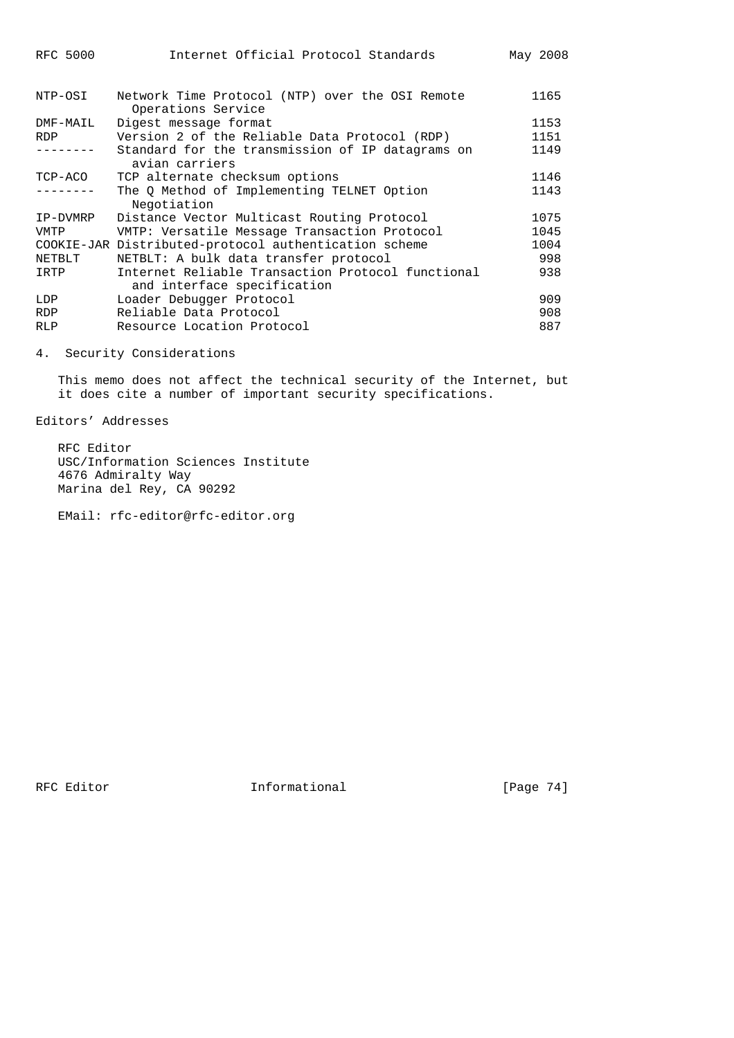| RFC 5000   | Internet Official Protocol Standards                                             | May 2008 |
|------------|----------------------------------------------------------------------------------|----------|
| NTP-OSI    | Network Time Protocol (NTP) over the OSI Remote<br>Operations Service            | 1165     |
| DMF-MAIL   | Digest message format                                                            | 1153     |
| <b>RDP</b> | Version 2 of the Reliable Data Protocol (RDP)                                    | 1151     |
|            | Standard for the transmission of IP datagrams on<br>avian carriers               | 1149     |
| TCP-ACO    | TCP alternate checksum options                                                   | 1146     |
|            | The Q Method of Implementing TELNET Option<br>Negotiation                        | 1143     |
| IP-DVMRP   | Distance Vector Multicast Routing Protocol                                       | 1075     |
| VMTP       | VMTP: Versatile Message Transaction Protocol                                     | 1045     |
|            | COOKIE-JAR Distributed-protocol authentication scheme                            | 1004     |
| NETBLT     | NETBLT: A bulk data transfer protocol                                            | 998      |
| IRTP       | Internet Reliable Transaction Protocol functional<br>and interface specification | 938      |
| LDP        | Loader Debugger Protocol                                                         | 909      |
| RDP        | Reliable Data Protocol                                                           | 908      |
| <b>RLP</b> | Resource Location Protocol                                                       | 887      |

4. Security Considerations

 This memo does not affect the technical security of the Internet, but it does cite a number of important security specifications.

Editors' Addresses

 RFC Editor USC/Information Sciences Institute 4676 Admiralty Way Marina del Rey, CA 90292

EMail: rfc-editor@rfc-editor.org

RFC Editor **Informational** [Page 74]